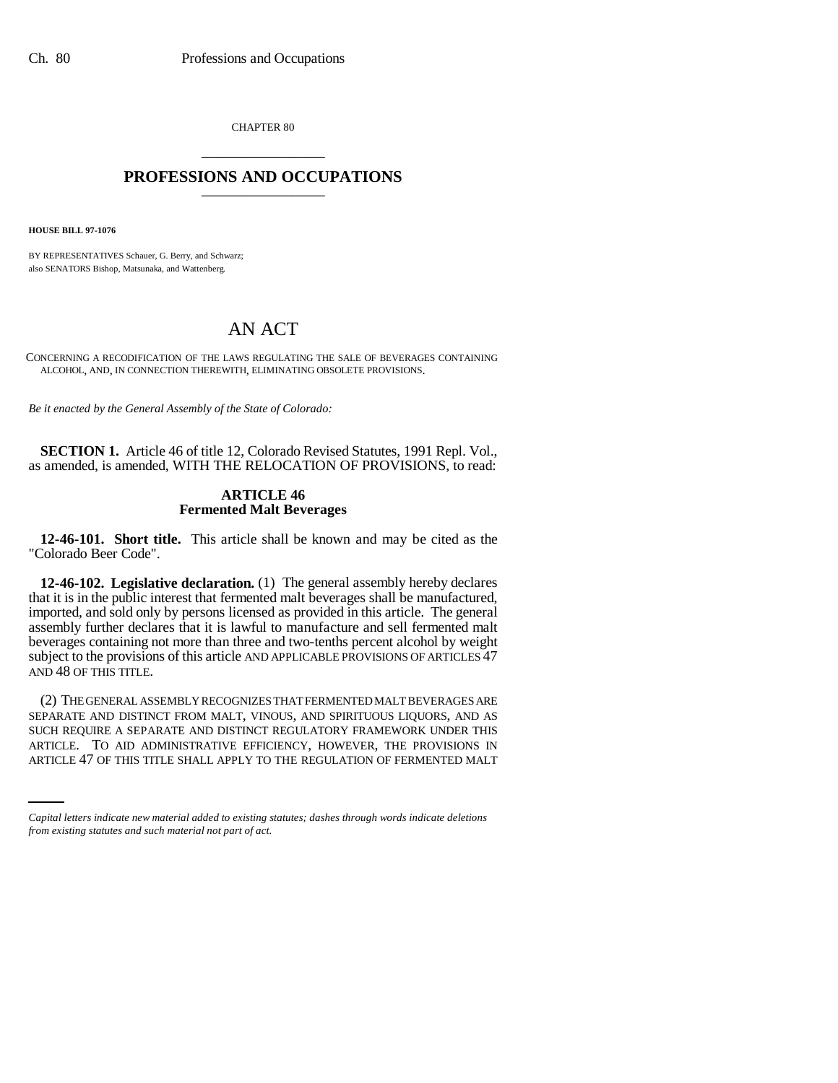CHAPTER 80 \_\_\_\_\_\_\_\_\_\_\_\_\_\_\_

# **PROFESSIONS AND OCCUPATIONS** \_\_\_\_\_\_\_\_\_\_\_\_\_\_\_

**HOUSE BILL 97-1076**

BY REPRESENTATIVES Schauer, G. Berry, and Schwarz; also SENATORS Bishop, Matsunaka, and Wattenberg.

# AN ACT

CONCERNING A RECODIFICATION OF THE LAWS REGULATING THE SALE OF BEVERAGES CONTAINING ALCOHOL, AND, IN CONNECTION THEREWITH, ELIMINATING OBSOLETE PROVISIONS.

*Be it enacted by the General Assembly of the State of Colorado:*

**SECTION 1.** Article 46 of title 12, Colorado Revised Statutes, 1991 Repl. Vol., as amended, is amended, WITH THE RELOCATION OF PROVISIONS, to read:

# **ARTICLE 46 Fermented Malt Beverages**

**12-46-101. Short title.** This article shall be known and may be cited as the "Colorado Beer Code".

**12-46-102. Legislative declaration.** (1) The general assembly hereby declares that it is in the public interest that fermented malt beverages shall be manufactured, imported, and sold only by persons licensed as provided in this article. The general assembly further declares that it is lawful to manufacture and sell fermented malt beverages containing not more than three and two-tenths percent alcohol by weight subject to the provisions of this article AND APPLICABLE PROVISIONS OF ARTICLES 47 AND 48 OF THIS TITLE.

SUCH REQUIRE A SEPARATE AND DISTINCT REGULATORY FRAMEWORK UNDER THIS (2) THE GENERAL ASSEMBLY RECOGNIZES THAT FERMENTED MALT BEVERAGES ARE SEPARATE AND DISTINCT FROM MALT, VINOUS, AND SPIRITUOUS LIQUORS, AND AS ARTICLE. TO AID ADMINISTRATIVE EFFICIENCY, HOWEVER, THE PROVISIONS IN ARTICLE 47 OF THIS TITLE SHALL APPLY TO THE REGULATION OF FERMENTED MALT

*Capital letters indicate new material added to existing statutes; dashes through words indicate deletions from existing statutes and such material not part of act.*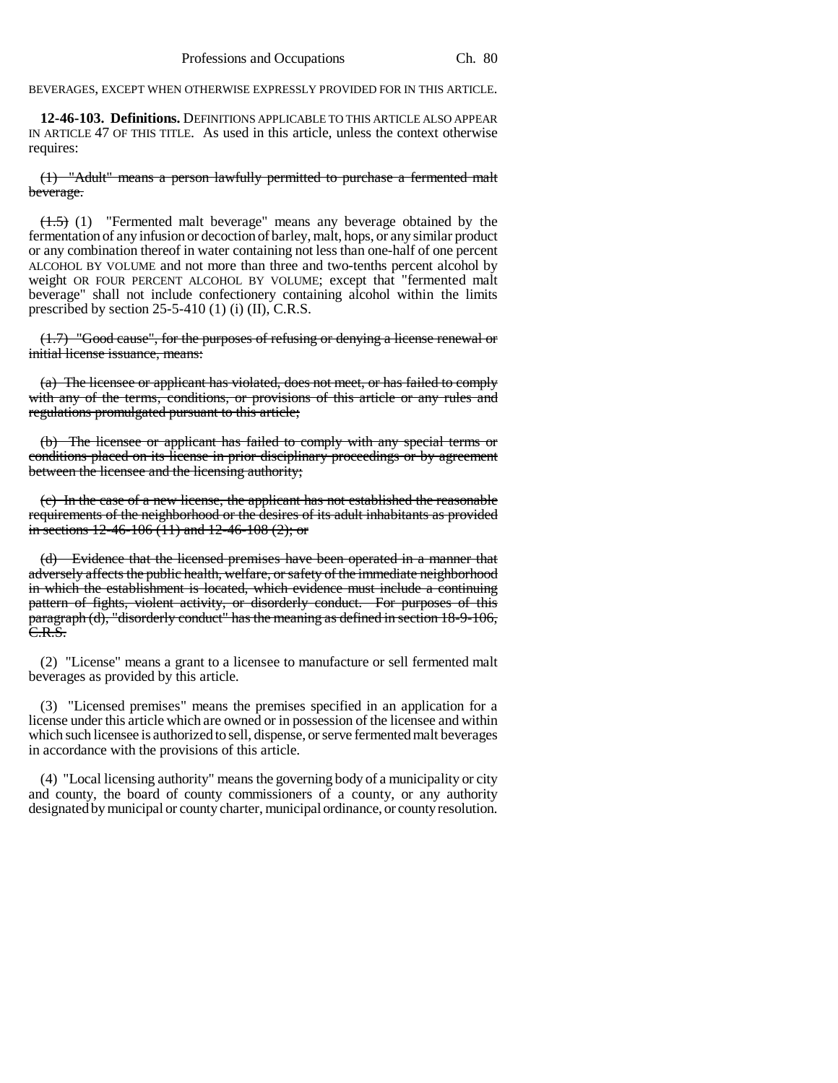BEVERAGES, EXCEPT WHEN OTHERWISE EXPRESSLY PROVIDED FOR IN THIS ARTICLE.

**12-46-103. Definitions.** DEFINITIONS APPLICABLE TO THIS ARTICLE ALSO APPEAR IN ARTICLE 47 OF THIS TITLE. As used in this article, unless the context otherwise requires:

(1) "Adult" means a person lawfully permitted to purchase a fermented malt beverage.

 $(1.5)$  (1) "Fermented malt beverage" means any beverage obtained by the fermentation of any infusion or decoction of barley, malt, hops, or any similar product or any combination thereof in water containing not less than one-half of one percent ALCOHOL BY VOLUME and not more than three and two-tenths percent alcohol by weight OR FOUR PERCENT ALCOHOL BY VOLUME; except that "fermented malt beverage" shall not include confectionery containing alcohol within the limits prescribed by section  $25-5-410$  (1) (i) (II), C.R.S.

(1.7) "Good cause", for the purposes of refusing or denying a license renewal or initial license issuance, means:

(a) The licensee or applicant has violated, does not meet, or has failed to comply with any of the terms, conditions, or provisions of this article or any rules and regulations promulgated pursuant to this article;

(b) The licensee or applicant has failed to comply with any special terms or conditions placed on its license in prior disciplinary proceedings or by agreement between the licensee and the licensing authority;

(c) In the case of a new license, the applicant has not established the reasonable requirements of the neighborhood or the desires of its adult inhabitants as provided in sections  $12-46-106(11)$  and  $12-46-108(2)$ ; or

(d) Evidence that the licensed premises have been operated in a manner that adversely affects the public health, welfare, or safety of the immediate neighborhood in which the establishment is located, which evidence must include a continuing pattern of fights, violent activity, or disorderly conduct. For purposes of this paragraph (d), "disorderly conduct" has the meaning as defined in section 18-9-106, C.R.S.

(2) "License" means a grant to a licensee to manufacture or sell fermented malt beverages as provided by this article.

(3) "Licensed premises" means the premises specified in an application for a license under this article which are owned or in possession of the licensee and within which such licensee is authorized to sell, dispense, or serve fermented malt beverages in accordance with the provisions of this article.

(4) "Local licensing authority" means the governing body of a municipality or city and county, the board of county commissioners of a county, or any authority designated by municipal or county charter, municipal ordinance, or county resolution.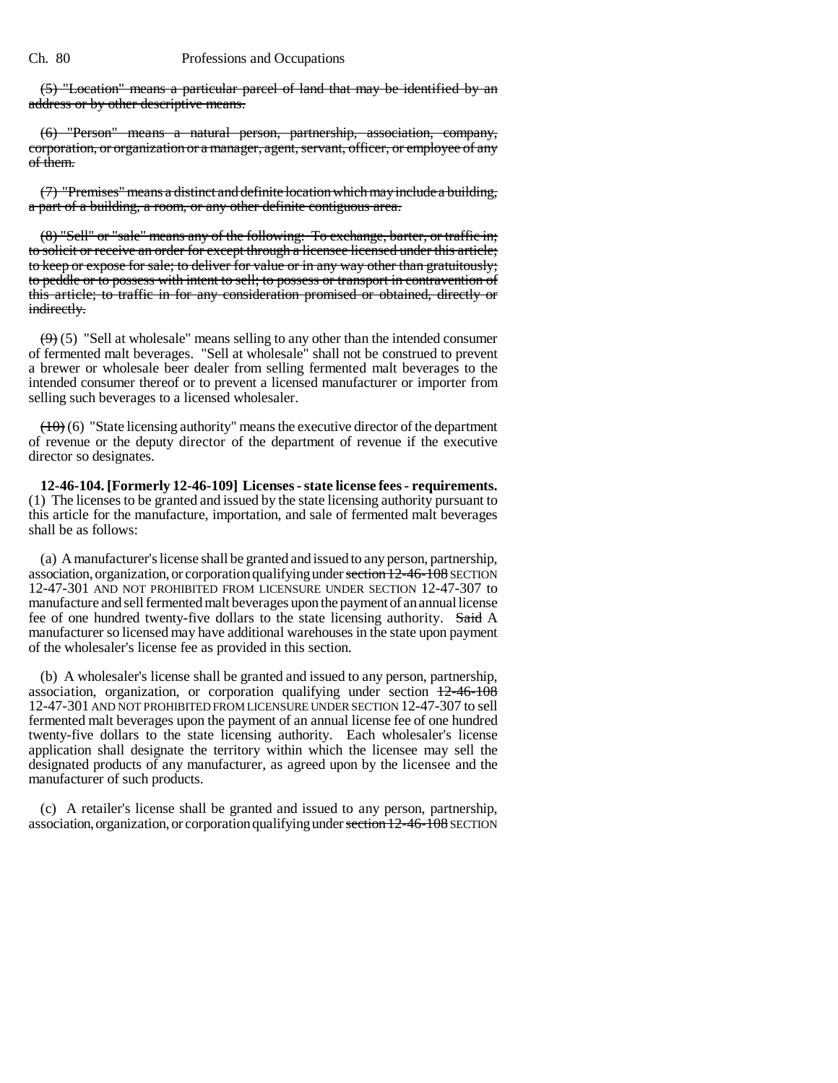(5) "Location" means a particular parcel of land that may be identified by an address or by other descriptive means.

(6) "Person" means a natural person, partnership, association, company, corporation, or organization or a manager, agent, servant, officer, or employee of any of them.

(7) "Premises" means a distinct and definite location which may include a building, a part of a building, a room, or any other definite contiguous area.

(8) "Sell" or "sale" means any of the following: To exchange, barter, or traffic in; to solicit or receive an order for except through a licensee licensed under this article; to keep or expose for sale; to deliver for value or in any way other than gratuitously; to peddle or to possess with intent to sell; to possess or transport in contravention of this article; to traffic in for any consideration promised or obtained, directly or indirectly.

 $(9)$  (5) "Sell at wholesale" means selling to any other than the intended consumer of fermented malt beverages. "Sell at wholesale" shall not be construed to prevent a brewer or wholesale beer dealer from selling fermented malt beverages to the intended consumer thereof or to prevent a licensed manufacturer or importer from selling such beverages to a licensed wholesaler.

 $(10)(6)$  "State licensing authority" means the executive director of the department of revenue or the deputy director of the department of revenue if the executive director so designates.

**12-46-104. [Formerly 12-46-109] Licenses - state license fees - requirements.** (1) The licenses to be granted and issued by the state licensing authority pursuant to this article for the manufacture, importation, and sale of fermented malt beverages shall be as follows:

(a) A manufacturer's license shall be granted and issued to any person, partnership, association, organization, or corporation qualifying under section 12-46-108 SECTION 12-47-301 AND NOT PROHIBITED FROM LICENSURE UNDER SECTION 12-47-307 to manufacture and sell fermented malt beverages upon the payment of an annual license fee of one hundred twenty-five dollars to the state licensing authority. Said A manufacturer so licensed may have additional warehouses in the state upon payment of the wholesaler's license fee as provided in this section.

(b) A wholesaler's license shall be granted and issued to any person, partnership, association, organization, or corporation qualifying under section  $12-46-108$ 12-47-301 AND NOT PROHIBITED FROM LICENSURE UNDER SECTION 12-47-307 to sell fermented malt beverages upon the payment of an annual license fee of one hundred twenty-five dollars to the state licensing authority. Each wholesaler's license application shall designate the territory within which the licensee may sell the designated products of any manufacturer, as agreed upon by the licensee and the manufacturer of such products.

(c) A retailer's license shall be granted and issued to any person, partnership, association, organization, or corporation qualifying under section 12-46-108 SECTION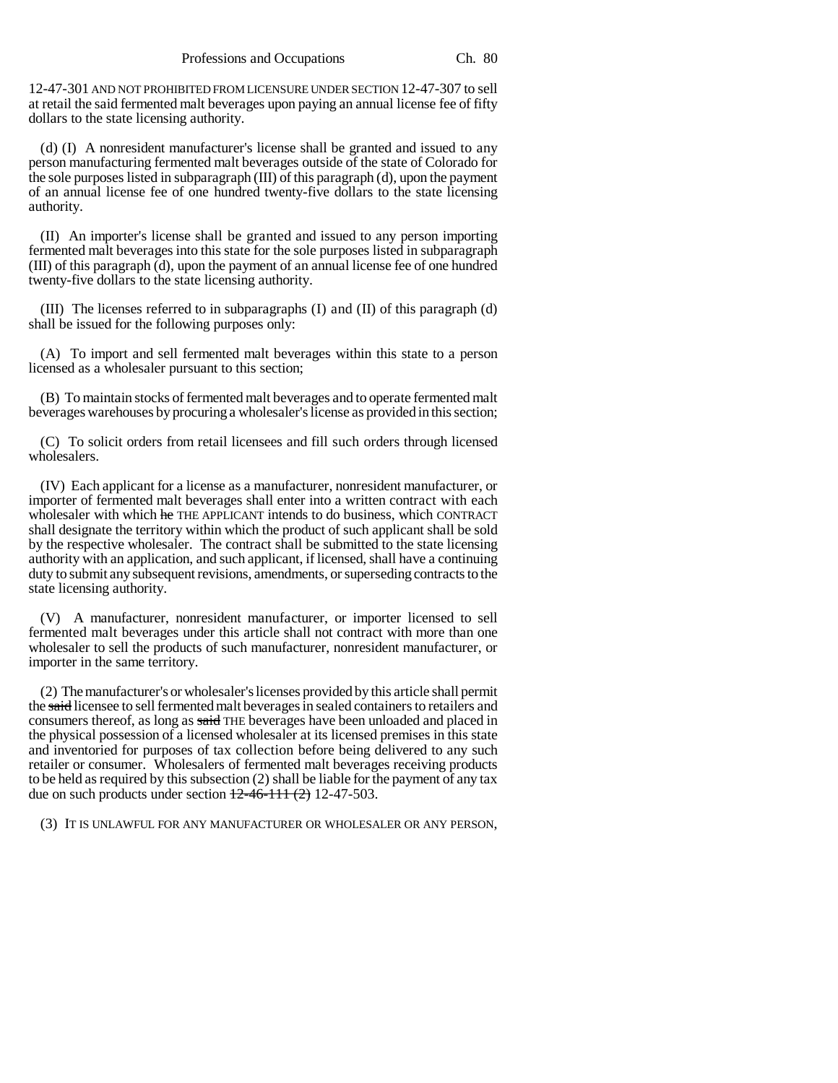12-47-301 AND NOT PROHIBITED FROM LICENSURE UNDER SECTION 12-47-307 to sell at retail the said fermented malt beverages upon paying an annual license fee of fifty dollars to the state licensing authority.

(d) (I) A nonresident manufacturer's license shall be granted and issued to any person manufacturing fermented malt beverages outside of the state of Colorado for the sole purposes listed in subparagraph (III) of this paragraph (d), upon the payment of an annual license fee of one hundred twenty-five dollars to the state licensing authority.

(II) An importer's license shall be granted and issued to any person importing fermented malt beverages into this state for the sole purposes listed in subparagraph (III) of this paragraph (d), upon the payment of an annual license fee of one hundred twenty-five dollars to the state licensing authority.

(III) The licenses referred to in subparagraphs (I) and (II) of this paragraph (d) shall be issued for the following purposes only:

(A) To import and sell fermented malt beverages within this state to a person licensed as a wholesaler pursuant to this section;

(B) To maintain stocks of fermented malt beverages and to operate fermented malt beverages warehouses by procuring a wholesaler's license as provided in this section;

(C) To solicit orders from retail licensees and fill such orders through licensed wholesalers.

(IV) Each applicant for a license as a manufacturer, nonresident manufacturer, or importer of fermented malt beverages shall enter into a written contract with each wholesaler with which he THE APPLICANT intends to do business, which CONTRACT shall designate the territory within which the product of such applicant shall be sold by the respective wholesaler. The contract shall be submitted to the state licensing authority with an application, and such applicant, if licensed, shall have a continuing duty to submit any subsequent revisions, amendments, or superseding contracts to the state licensing authority.

(V) A manufacturer, nonresident manufacturer, or importer licensed to sell fermented malt beverages under this article shall not contract with more than one wholesaler to sell the products of such manufacturer, nonresident manufacturer, or importer in the same territory.

(2) The manufacturer's or wholesaler's licenses provided by this article shall permit the said licensee to sell fermented malt beverages in sealed containers to retailers and consumers thereof, as long as said THE beverages have been unloaded and placed in the physical possession of a licensed wholesaler at its licensed premises in this state and inventoried for purposes of tax collection before being delivered to any such retailer or consumer. Wholesalers of fermented malt beverages receiving products to be held as required by this subsection (2) shall be liable for the payment of any tax due on such products under section  $12-46-111(2)$  12-47-503.

(3) IT IS UNLAWFUL FOR ANY MANUFACTURER OR WHOLESALER OR ANY PERSON,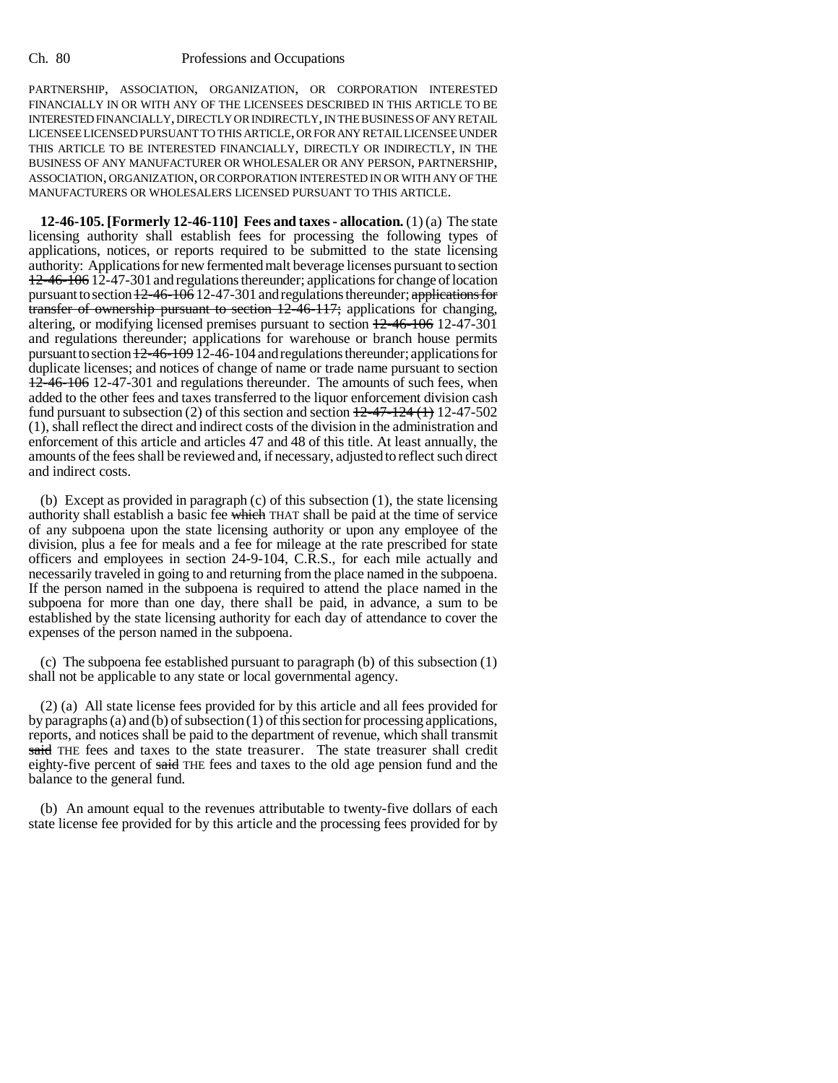PARTNERSHIP, ASSOCIATION, ORGANIZATION, OR CORPORATION INTERESTED FINANCIALLY IN OR WITH ANY OF THE LICENSEES DESCRIBED IN THIS ARTICLE TO BE INTERESTED FINANCIALLY, DIRECTLY OR INDIRECTLY, IN THE BUSINESS OF ANY RETAIL LICENSEE LICENSED PURSUANT TO THIS ARTICLE, OR FOR ANY RETAIL LICENSEE UNDER THIS ARTICLE TO BE INTERESTED FINANCIALLY, DIRECTLY OR INDIRECTLY, IN THE BUSINESS OF ANY MANUFACTURER OR WHOLESALER OR ANY PERSON, PARTNERSHIP, ASSOCIATION, ORGANIZATION, OR CORPORATION INTERESTED IN OR WITH ANY OF THE MANUFACTURERS OR WHOLESALERS LICENSED PURSUANT TO THIS ARTICLE.

**12-46-105. [Formerly 12-46-110] Fees and taxes - allocation.** (1) (a) The state licensing authority shall establish fees for processing the following types of applications, notices, or reports required to be submitted to the state licensing authority: Applications for new fermented malt beverage licenses pursuant to section 12-46-106 12-47-301and regulations thereunder; applications for change of location pursuant to section  $\frac{12-46-106}{6}$  12-47-301 and regulations thereunder; applications for transfer of ownership pursuant to section 12-46-117; applications for changing, altering, or modifying licensed premises pursuant to section 12-46-106 12-47-301 and regulations thereunder; applications for warehouse or branch house permits pursuant to section  $12-46-109$  12-46-104 and regulations thereunder; applications for duplicate licenses; and notices of change of name or trade name pursuant to section 12-46-106 12-47-301 and regulations thereunder. The amounts of such fees, when added to the other fees and taxes transferred to the liquor enforcement division cash fund pursuant to subsection (2) of this section and section  $+2-47-124$  ( $+$ ) 12-47-502 (1), shall reflect the direct and indirect costs of the division in the administration and enforcement of this article and articles 47 and 48 of this title. At least annually, the amounts of the fees shall be reviewed and, if necessary, adjusted to reflect such direct and indirect costs.

(b) Except as provided in paragraph (c) of this subsection (1), the state licensing authority shall establish a basic fee which THAT shall be paid at the time of service of any subpoena upon the state licensing authority or upon any employee of the division, plus a fee for meals and a fee for mileage at the rate prescribed for state officers and employees in section 24-9-104, C.R.S., for each mile actually and necessarily traveled in going to and returning from the place named in the subpoena. If the person named in the subpoena is required to attend the place named in the subpoena for more than one day, there shall be paid, in advance, a sum to be established by the state licensing authority for each day of attendance to cover the expenses of the person named in the subpoena.

(c) The subpoena fee established pursuant to paragraph (b) of this subsection (1) shall not be applicable to any state or local governmental agency.

(2) (a) All state license fees provided for by this article and all fees provided for by paragraphs (a) and (b) of subsection (1) of this section for processing applications, reports, and notices shall be paid to the department of revenue, which shall transmit said THE fees and taxes to the state treasurer. The state treasurer shall credit eighty-five percent of said THE fees and taxes to the old age pension fund and the balance to the general fund.

(b) An amount equal to the revenues attributable to twenty-five dollars of each state license fee provided for by this article and the processing fees provided for by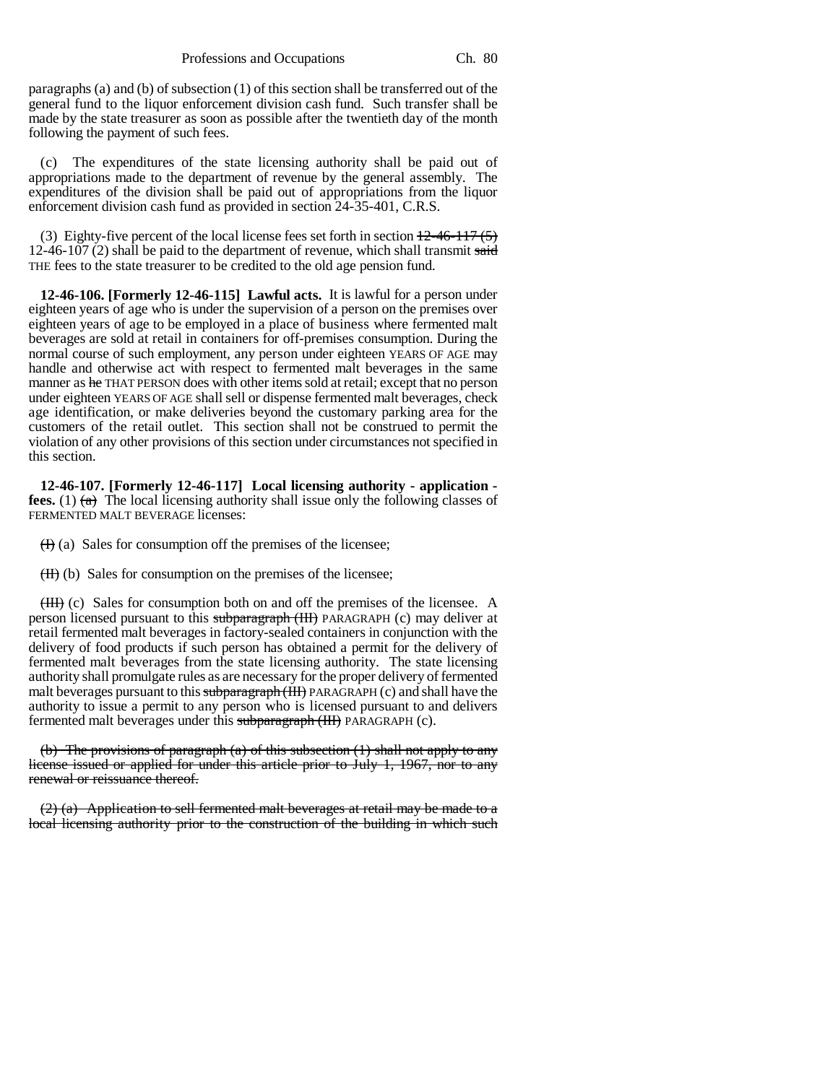paragraphs (a) and (b) of subsection (1) of this section shall be transferred out of the general fund to the liquor enforcement division cash fund. Such transfer shall be made by the state treasurer as soon as possible after the twentieth day of the month following the payment of such fees.

(c) The expenditures of the state licensing authority shall be paid out of appropriations made to the department of revenue by the general assembly. The expenditures of the division shall be paid out of appropriations from the liquor enforcement division cash fund as provided in section 24-35-401, C.R.S.

(3) Eighty-five percent of the local license fees set forth in section  $\frac{12-46-117}{5}$ 12-46-107 (2) shall be paid to the department of revenue, which shall transmit said THE fees to the state treasurer to be credited to the old age pension fund.

**12-46-106. [Formerly 12-46-115] Lawful acts.** It is lawful for a person under eighteen years of age who is under the supervision of a person on the premises over eighteen years of age to be employed in a place of business where fermented malt beverages are sold at retail in containers for off-premises consumption. During the normal course of such employment, any person under eighteen YEARS OF AGE may handle and otherwise act with respect to fermented malt beverages in the same manner as he THAT PERSON does with other items sold at retail; except that no person under eighteen YEARS OF AGE shall sell or dispense fermented malt beverages, check age identification, or make deliveries beyond the customary parking area for the customers of the retail outlet. This section shall not be construed to permit the violation of any other provisions of this section under circumstances not specified in this section.

**12-46-107. [Formerly 12-46-117] Local licensing authority - application fees.** (1)  $\left(\phi\right)$  The local licensing authority shall issue only the following classes of FERMENTED MALT BEVERAGE licenses:

 $(H)$  (a) Sales for consumption off the premises of the licensee;

 $(H)$  (b) Sales for consumption on the premises of the licensee;

(III) (c) Sales for consumption both on and off the premises of the licensee. A person licensed pursuant to this subparagraph (III) PARAGRAPH (c) may deliver at retail fermented malt beverages in factory-sealed containers in conjunction with the delivery of food products if such person has obtained a permit for the delivery of fermented malt beverages from the state licensing authority. The state licensing authority shall promulgate rules as are necessary for the proper delivery of fermented malt beverages pursuant to this subparagraph (III) PARAGRAPH (c) and shall have the authority to issue a permit to any person who is licensed pursuant to and delivers fermented malt beverages under this subparagraph (III) PARAGRAPH (c).

(b) The provisions of paragraph (a) of this subsection  $(1)$  shall not apply to any license issued or applied for under this article prior to July 1, 1967, nor to any renewal or reissuance thereof.

 $(2)$  (a) Application to sell fermented malt beverages at retail may be made to a local licensing authority prior to the construction of the building in which such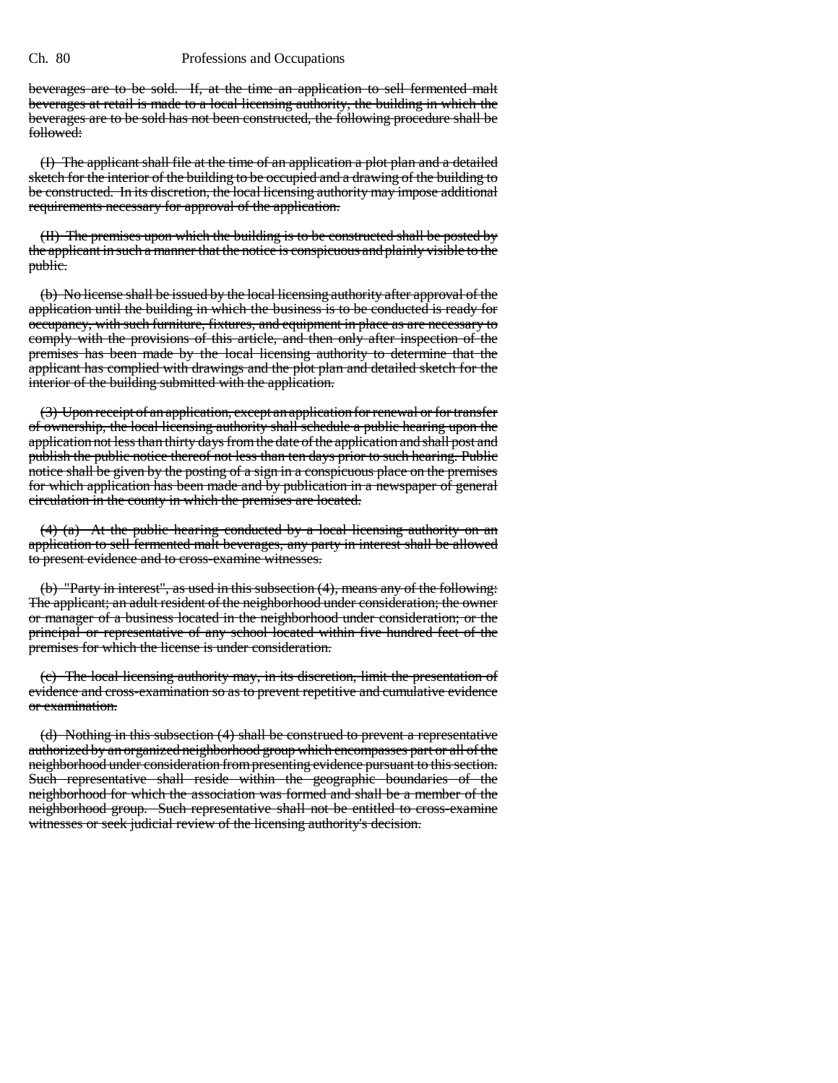beverages are to be sold. If, at the time an application to sell fermented malt beverages at retail is made to a local licensing authority, the building in which the beverages are to be sold has not been constructed, the following procedure shall be followed:

(I) The applicant shall file at the time of an application a plot plan and a detailed sketch for the interior of the building to be occupied and a drawing of the building to be constructed. In its discretion, the local licensing authority may impose additional requirements necessary for approval of the application.

(II) The premises upon which the building is to be constructed shall be posted by the applicant in such a manner that the notice is conspicuous and plainly visible to the public.

(b) No license shall be issued by the local licensing authority after approval of the application until the building in which the business is to be conducted is ready for occupancy, with such furniture, fixtures, and equipment in place as are necessary to comply with the provisions of this article, and then only after inspection of the premises has been made by the local licensing authority to determine that the applicant has complied with drawings and the plot plan and detailed sketch for the interior of the building submitted with the application.

(3) Upon receipt of an application, except an application for renewal or for transfer of ownership, the local licensing authority shall schedule a public hearing upon the application not less than thirty days from the date of the application and shall post and publish the public notice thereof not less than ten days prior to such hearing. Public notice shall be given by the posting of a sign in a conspicuous place on the premises for which application has been made and by publication in a newspaper of general circulation in the county in which the premises are located.

 $(4)$  (a) At the public hearing conducted by a local licensing authority on an application to sell fermented malt beverages, any party in interest shall be allowed to present evidence and to cross-examine witnesses.

(b) "Party in interest", as used in this subsection (4), means any of the following: The applicant; an adult resident of the neighborhood under consideration; the owner or manager of a business located in the neighborhood under consideration; or the principal or representative of any school located within five hundred feet of the premises for which the license is under consideration.

(c) The local licensing authority may, in its discretion, limit the presentation of evidence and cross-examination so as to prevent repetitive and cumulative evidence or examination.

(d) Nothing in this subsection (4) shall be construed to prevent a representative authorized by an organized neighborhood group which encompasses part or all of the neighborhood under consideration from presenting evidence pursuant to this section. Such representative shall reside within the geographic boundaries of the neighborhood for which the association was formed and shall be a member of the neighborhood group. Such representative shall not be entitled to cross-examine witnesses or seek judicial review of the licensing authority's decision.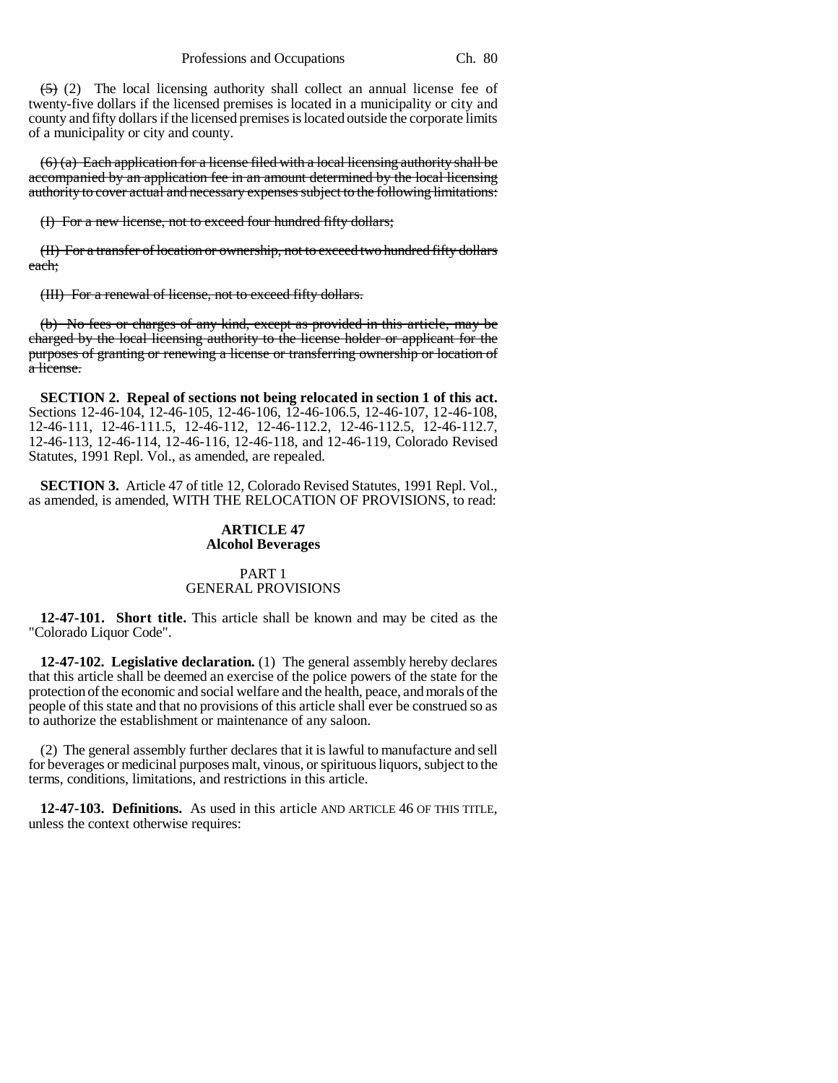$(5)$  (2) The local licensing authority shall collect an annual license fee of twenty-five dollars if the licensed premises is located in a municipality or city and county and fifty dollars if the licensed premises is located outside the corporate limits of a municipality or city and county.

 $(6)$  (a) Each application for a license filed with a local licensing authority shall be accompanied by an application fee in an amount determined by the local licensing authority to cover actual and necessary expenses subject to the following limitations:

(I) For a new license, not to exceed four hundred fifty dollars;

(II) For a transfer of location or ownership, not to exceed two hundred fifty dollars each;

(III) For a renewal of license, not to exceed fifty dollars.

(b) No fees or charges of any kind, except as provided in this article, may be charged by the local licensing authority to the license holder or applicant for the purposes of granting or renewing a license or transferring ownership or location of a license.

**SECTION 2. Repeal of sections not being relocated in section 1 of this act.** Sections 12-46-104, 12-46-105, 12-46-106, 12-46-106.5, 12-46-107, 12-46-108, 12-46-111, 12-46-111.5, 12-46-112, 12-46-112.2, 12-46-112.5, 12-46-112.7, 12-46-113, 12-46-114, 12-46-116, 12-46-118, and 12-46-119, Colorado Revised Statutes, 1991 Repl. Vol., as amended, are repealed.

**SECTION 3.** Article 47 of title 12, Colorado Revised Statutes, 1991 Repl. Vol., as amended, is amended, WITH THE RELOCATION OF PROVISIONS, to read:

#### **ARTICLE 47 Alcohol Beverages**

# PART 1 GENERAL PROVISIONS

**12-47-101. Short title.** This article shall be known and may be cited as the "Colorado Liquor Code".

**12-47-102. Legislative declaration.** (1) The general assembly hereby declares that this article shall be deemed an exercise of the police powers of the state for the protection of the economic and social welfare and the health, peace, and morals of the people of this state and that no provisions of this article shall ever be construed so as to authorize the establishment or maintenance of any saloon.

(2) The general assembly further declares that it is lawful to manufacture and sell for beverages or medicinal purposes malt, vinous, or spirituous liquors, subject to the terms, conditions, limitations, and restrictions in this article.

**12-47-103. Definitions.** As used in this article AND ARTICLE 46 OF THIS TITLE, unless the context otherwise requires: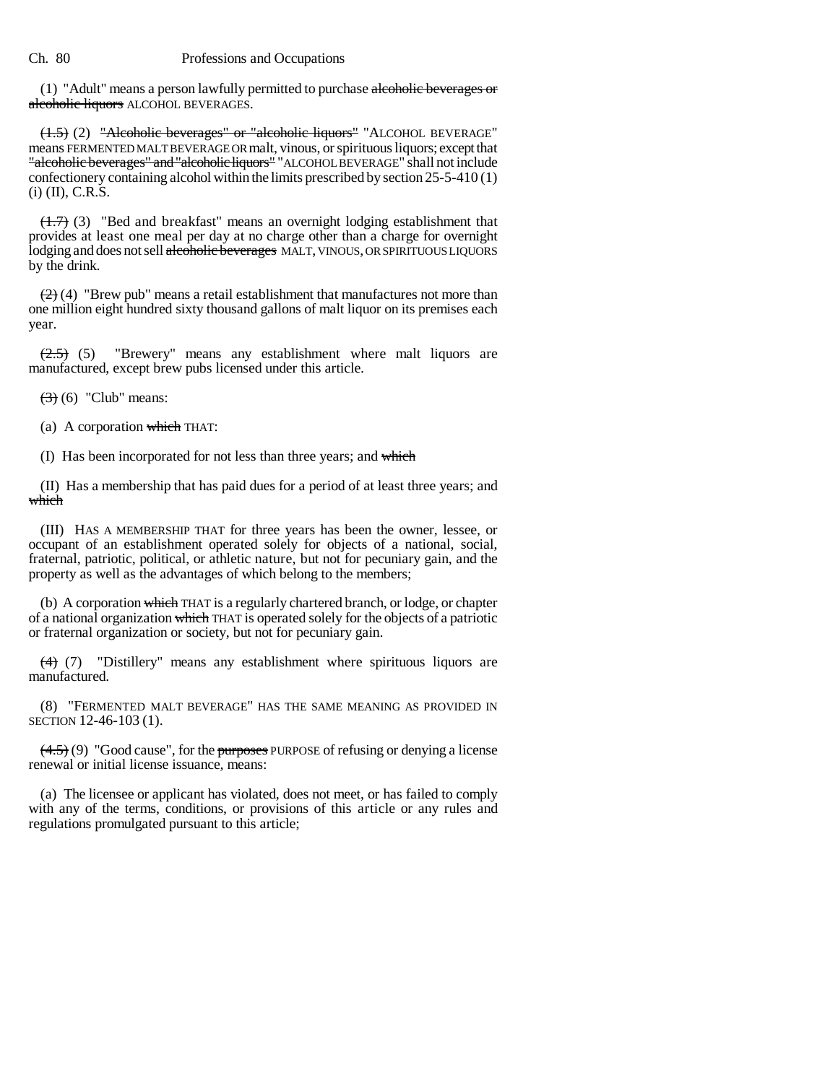(1) "Adult" means a person lawfully permitted to purchase alcoholic beverages or alcoholic liquors ALCOHOL BEVERAGES.

(1.5) (2) "Alcoholic beverages" or "alcoholic liquors" "ALCOHOL BEVERAGE" means FERMENTED MALT BEVERAGE OR malt, vinous, or spirituous liquors; except that "alcoholic beverages" and "alcoholic liquors" "ALCOHOL BEVERAGE" shall not include confectionery containing alcohol within the limits prescribed by section 25-5-410 (1)  $(i)$  (II), C.R.S.

 $(1.7)$  (3) "Bed and breakfast" means an overnight lodging establishment that provides at least one meal per day at no charge other than a charge for overnight lodging and does not sell alcoholic beverages MALT, VINOUS, OR SPIRITUOUS LIQUORS by the drink.

 $(2)$  (4) "Brew pub" means a retail establishment that manufactures not more than one million eight hundred sixty thousand gallons of malt liquor on its premises each year.

 $(2.5)$  (5) "Brewery" means any establishment where malt liquors are manufactured, except brew pubs licensed under this article.

 $(3)$  (6) "Club" means:

(a) A corporation which THAT:

(I) Has been incorporated for not less than three years; and which

(II) Has a membership that has paid dues for a period of at least three years; and which

(III) HAS A MEMBERSHIP THAT for three years has been the owner, lessee, or occupant of an establishment operated solely for objects of a national, social, fraternal, patriotic, political, or athletic nature, but not for pecuniary gain, and the property as well as the advantages of which belong to the members;

(b) A corporation which THAT is a regularly chartered branch, or lodge, or chapter of a national organization which THAT is operated solely for the objects of a patriotic or fraternal organization or society, but not for pecuniary gain.

(4) (7) "Distillery" means any establishment where spirituous liquors are manufactured.

(8) "FERMENTED MALT BEVERAGE" HAS THE SAME MEANING AS PROVIDED IN SECTION 12-46-103 (1).

 $(4.5)$  (9) "Good cause", for the purposes PURPOSE of refusing or denying a license renewal or initial license issuance, means:

(a) The licensee or applicant has violated, does not meet, or has failed to comply with any of the terms, conditions, or provisions of this article or any rules and regulations promulgated pursuant to this article;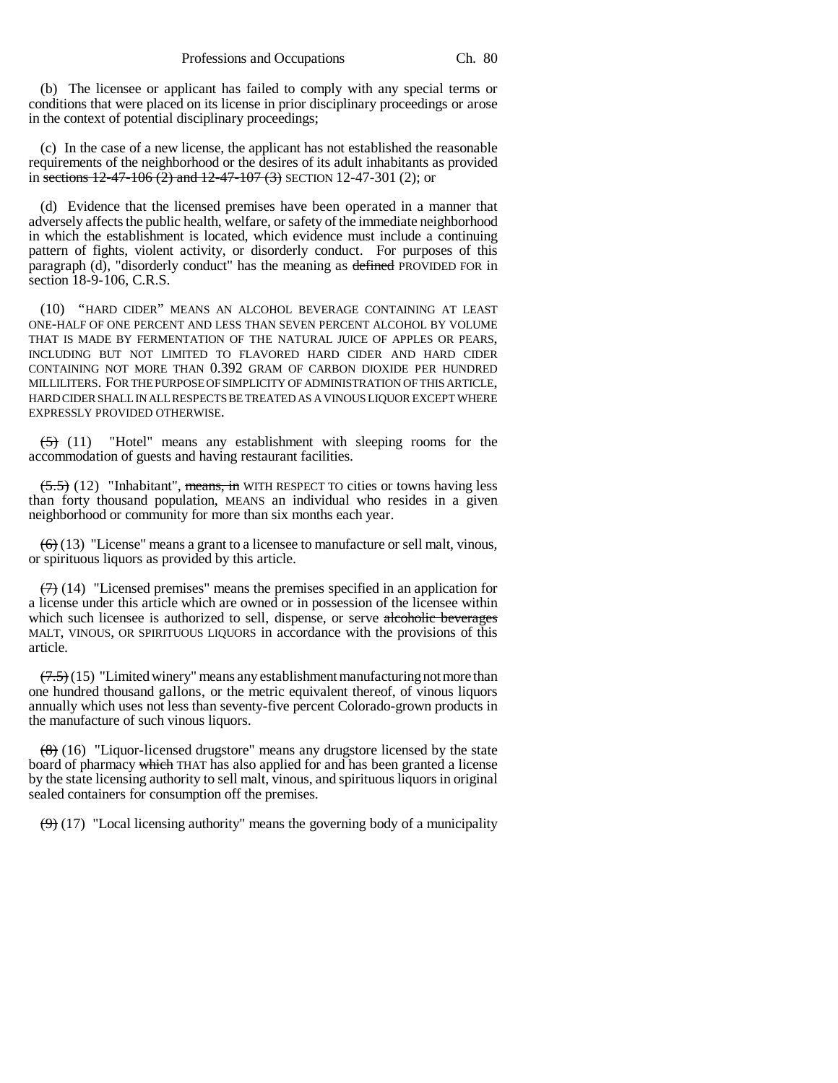(b) The licensee or applicant has failed to comply with any special terms or conditions that were placed on its license in prior disciplinary proceedings or arose in the context of potential disciplinary proceedings;

(c) In the case of a new license, the applicant has not established the reasonable requirements of the neighborhood or the desires of its adult inhabitants as provided in sections  $12-47-106$  (2) and  $12-47-107$  (3) SECTION 12-47-301 (2); or

(d) Evidence that the licensed premises have been operated in a manner that adversely affects the public health, welfare, or safety of the immediate neighborhood in which the establishment is located, which evidence must include a continuing pattern of fights, violent activity, or disorderly conduct. For purposes of this paragraph (d), "disorderly conduct" has the meaning as defined PROVIDED FOR in section 18-9-106, C.R.S.

(10) "HARD CIDER" MEANS AN ALCOHOL BEVERAGE CONTAINING AT LEAST ONE-HALF OF ONE PERCENT AND LESS THAN SEVEN PERCENT ALCOHOL BY VOLUME THAT IS MADE BY FERMENTATION OF THE NATURAL JUICE OF APPLES OR PEARS, INCLUDING BUT NOT LIMITED TO FLAVORED HARD CIDER AND HARD CIDER CONTAINING NOT MORE THAN 0.392 GRAM OF CARBON DIOXIDE PER HUNDRED MILLILITERS. FOR THE PURPOSE OF SIMPLICITY OF ADMINISTRATION OF THIS ARTICLE, HARD CIDER SHALL IN ALL RESPECTS BE TREATED AS A VINOUS LIQUOR EXCEPT WHERE EXPRESSLY PROVIDED OTHERWISE.

 $(5)$  (11) "Hotel" means any establishment with sleeping rooms for the accommodation of guests and having restaurant facilities.

 $(5.5)$  (12) "Inhabitant", means, in WITH RESPECT TO cities or towns having less than forty thousand population, MEANS an individual who resides in a given neighborhood or community for more than six months each year.

 $(6)$  (13) "License" means a grant to a licensee to manufacture or sell malt, vinous, or spirituous liquors as provided by this article.

 $(7)$  (14) "Licensed premises" means the premises specified in an application for a license under this article which are owned or in possession of the licensee within which such licensee is authorized to sell, dispense, or serve alcoholic beverages MALT, VINOUS, OR SPIRITUOUS LIQUORS in accordance with the provisions of this article.

 $(7.5)(15)$  "Limited winery" means any establishment manufacturing not more than one hundred thousand gallons, or the metric equivalent thereof, of vinous liquors annually which uses not less than seventy-five percent Colorado-grown products in the manufacture of such vinous liquors.

 $(8)$  (16) "Liquor-licensed drugstore" means any drugstore licensed by the state board of pharmacy which THAT has also applied for and has been granted a license by the state licensing authority to sell malt, vinous, and spirituous liquors in original sealed containers for consumption off the premises.

 $(9)$  (17) "Local licensing authority" means the governing body of a municipality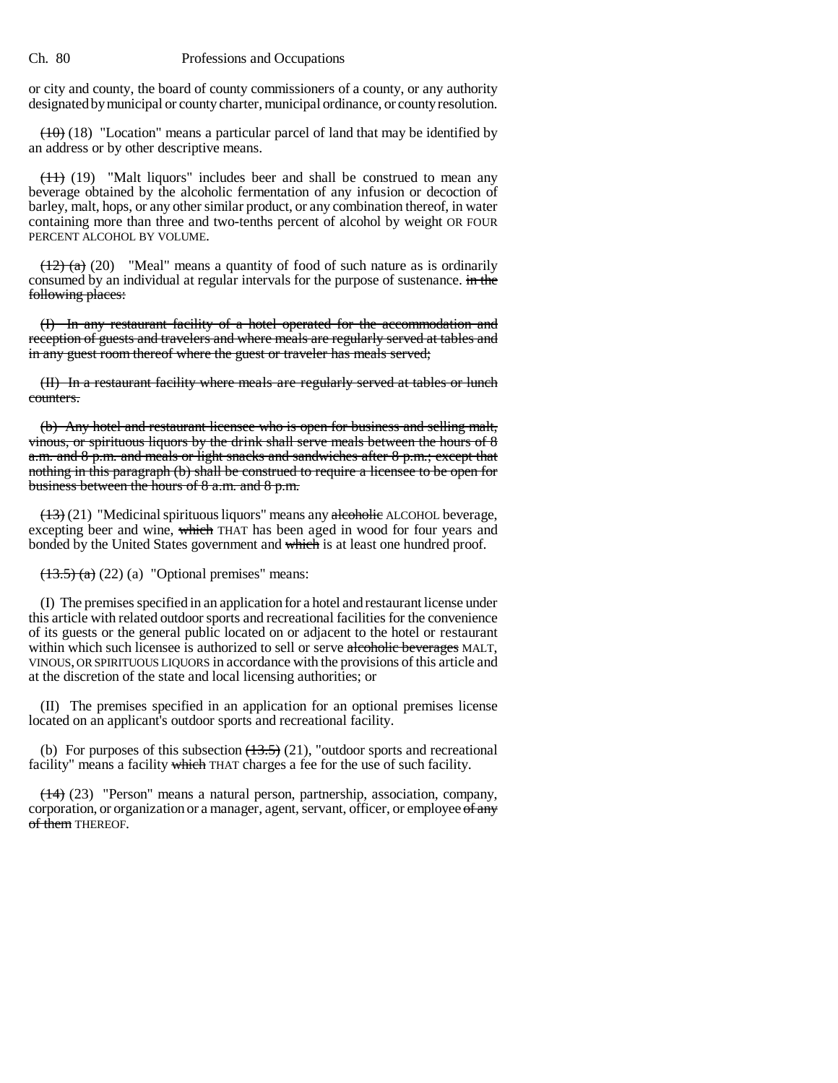or city and county, the board of county commissioners of a county, or any authority designated by municipal or county charter, municipal ordinance, or county resolution.

 $(10)$  (18) "Location" means a particular parcel of land that may be identified by an address or by other descriptive means.

 $(11)$  (19) "Malt liquors" includes beer and shall be construed to mean any beverage obtained by the alcoholic fermentation of any infusion or decoction of barley, malt, hops, or any other similar product, or any combination thereof, in water containing more than three and two-tenths percent of alcohol by weight OR FOUR PERCENT ALCOHOL BY VOLUME.

 $(12)$  (a) (20) "Meal" means a quantity of food of such nature as is ordinarily consumed by an individual at regular intervals for the purpose of sustenance. in the following places:

(I) In any restaurant facility of a hotel operated for the accommodation and reception of guests and travelers and where meals are regularly served at tables and in any guest room thereof where the guest or traveler has meals served;

(II) In a restaurant facility where meals are regularly served at tables or lunch counters.

(b) Any hotel and restaurant licensee who is open for business and selling malt, vinous, or spirituous liquors by the drink shall serve meals between the hours of 8 a.m. and 8 p.m. and meals or light snacks and sandwiches after 8 p.m.; except that nothing in this paragraph (b) shall be construed to require a licensee to be open for business between the hours of 8 a.m. and 8 p.m.

 $(13)(21)$  "Medicinal spirituous liquors" means any alcoholic ALCOHOL beverage, excepting beer and wine, which THAT has been aged in wood for four years and bonded by the United States government and which is at least one hundred proof.

 $~~(13.5)~~$  (a) (22) (a) "Optional premises" means:</del>

(I) The premises specified in an application for a hotel and restaurant license under this article with related outdoor sports and recreational facilities for the convenience of its guests or the general public located on or adjacent to the hotel or restaurant within which such licensee is authorized to sell or serve alcoholic beverages MALT, vINOUS, OR SPIRITUOUS LIQUORS in accordance with the provisions of this article and at the discretion of the state and local licensing authorities; or

(II) The premises specified in an application for an optional premises license located on an applicant's outdoor sports and recreational facility.

(b) For purposes of this subsection  $(13.5)$  (21), "outdoor sports and recreational facility" means a facility which THAT charges a fee for the use of such facility.

(14) (23) "Person" means a natural person, partnership, association, company, corporation, or organization or a manager, agent, servant, officer, or employee of any of them THEREOF.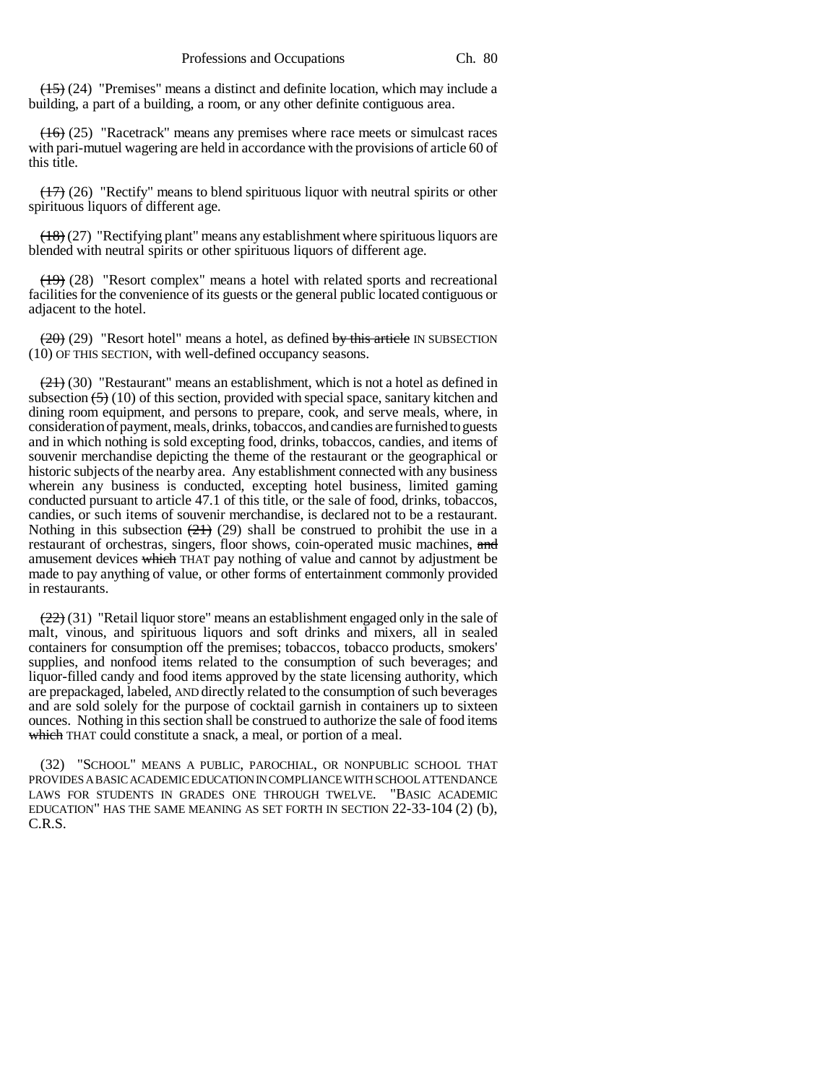(15) (24) "Premises" means a distinct and definite location, which may include a building, a part of a building, a room, or any other definite contiguous area.

 $(16)$  (25) "Racetrack" means any premises where race meets or simulcast races with pari-mutuel wagering are held in accordance with the provisions of article 60 of this title.

 $(17)$  (26) "Rectify" means to blend spirituous liquor with neutral spirits or other spirituous liquors of different age.

 $(18)(27)$  "Rectifying plant" means any establishment where spirituous liquors are blended with neutral spirits or other spirituous liquors of different age.

 $(19)$  (28) "Resort complex" means a hotel with related sports and recreational facilities for the convenience of its guests or the general public located contiguous or adjacent to the hotel.

 $(20)$  "Resort hotel" means a hotel, as defined by this article IN SUBSECTION (10) OF THIS SECTION, with well-defined occupancy seasons.

 $(21)$  (30) "Restaurant" means an establishment, which is not a hotel as defined in subsection  $(5)(10)$  of this section, provided with special space, sanitary kitchen and dining room equipment, and persons to prepare, cook, and serve meals, where, in consideration of payment, meals, drinks, tobaccos, and candies are furnished to guests and in which nothing is sold excepting food, drinks, tobaccos, candies, and items of souvenir merchandise depicting the theme of the restaurant or the geographical or historic subjects of the nearby area. Any establishment connected with any business wherein any business is conducted, excepting hotel business, limited gaming conducted pursuant to article 47.1 of this title, or the sale of food, drinks, tobaccos, candies, or such items of souvenir merchandise, is declared not to be a restaurant. Nothing in this subsection  $(21)$  (29) shall be construed to prohibit the use in a restaurant of orchestras, singers, floor shows, coin-operated music machines, and amusement devices which THAT pay nothing of value and cannot by adjustment be made to pay anything of value, or other forms of entertainment commonly provided in restaurants.

 $(22)$  (31) "Retail liquor store" means an establishment engaged only in the sale of malt, vinous, and spirituous liquors and soft drinks and mixers, all in sealed containers for consumption off the premises; tobaccos, tobacco products, smokers' supplies, and nonfood items related to the consumption of such beverages; and liquor-filled candy and food items approved by the state licensing authority, which are prepackaged, labeled, AND directly related to the consumption of such beverages and are sold solely for the purpose of cocktail garnish in containers up to sixteen ounces. Nothing in this section shall be construed to authorize the sale of food items which THAT could constitute a snack, a meal, or portion of a meal.

(32) "SCHOOL" MEANS A PUBLIC, PAROCHIAL, OR NONPUBLIC SCHOOL THAT PROVIDES A BASIC ACADEMIC EDUCATION IN COMPLIANCE WITH SCHOOL ATTENDANCE LAWS FOR STUDENTS IN GRADES ONE THROUGH TWELVE. "BASIC ACADEMIC EDUCATION" HAS THE SAME MEANING AS SET FORTH IN SECTION 22-33-104 (2) (b), C.R.S.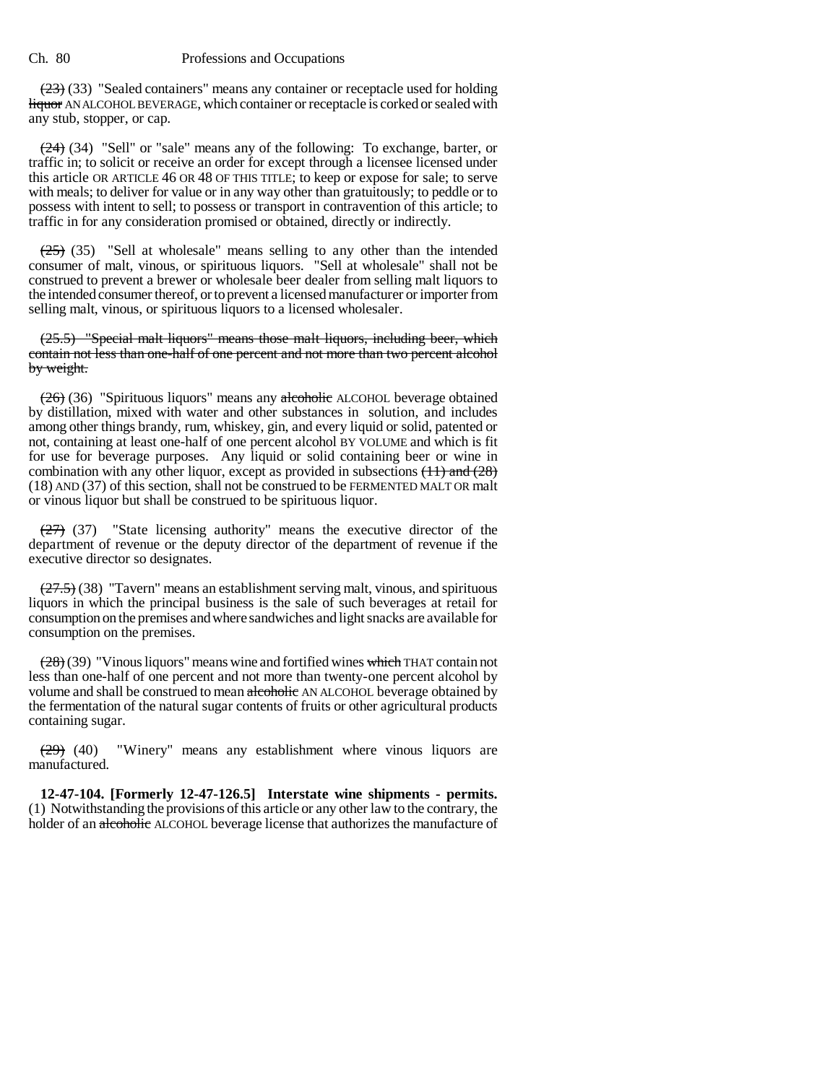$(23)$  (33) "Sealed containers" means any container or receptacle used for holding liquor AN ALCOHOL BEVERAGE, which container or receptacle is corked or sealed with any stub, stopper, or cap.

(24) (34) "Sell" or "sale" means any of the following: To exchange, barter, or traffic in; to solicit or receive an order for except through a licensee licensed under this article OR ARTICLE 46 OR 48 OF THIS TITLE; to keep or expose for sale; to serve with meals; to deliver for value or in any way other than gratuitously; to peddle or to possess with intent to sell; to possess or transport in contravention of this article; to traffic in for any consideration promised or obtained, directly or indirectly.

 $(25)$  (35) "Sell at wholesale" means selling to any other than the intended consumer of malt, vinous, or spirituous liquors. "Sell at wholesale" shall not be construed to prevent a brewer or wholesale beer dealer from selling malt liquors to the intended consumer thereof, or to prevent a licensed manufacturer or importer from selling malt, vinous, or spirituous liquors to a licensed wholesaler.

(25.5) "Special malt liquors" means those malt liquors, including beer, which contain not less than one-half of one percent and not more than two percent alcohol by weight.

(26) (36) "Spirituous liquors" means any alcoholic ALCOHOL beverage obtained by distillation, mixed with water and other substances in solution, and includes among other things brandy, rum, whiskey, gin, and every liquid or solid, patented or not, containing at least one-half of one percent alcohol BY VOLUME and which is fit for use for beverage purposes. Any liquid or solid containing beer or wine in combination with any other liquor, except as provided in subsections  $(11)$  and  $(28)$ (18) AND (37) of this section, shall not be construed to be FERMENTED MALT OR malt or vinous liquor but shall be construed to be spirituous liquor.

 $(27)$  (37) "State licensing authority" means the executive director of the department of revenue or the deputy director of the department of revenue if the executive director so designates.

 $(27.5)$  (38) "Tavern" means an establishment serving malt, vinous, and spirituous liquors in which the principal business is the sale of such beverages at retail for consumption on the premises and where sandwiches and light snacks are available for consumption on the premises.

 $(28)(39)$  "Vinous liquors" means wine and fortified wines which THAT contain not less than one-half of one percent and not more than twenty-one percent alcohol by volume and shall be construed to mean alcoholic AN ALCOHOL beverage obtained by the fermentation of the natural sugar contents of fruits or other agricultural products containing sugar.

(29) (40) "Winery" means any establishment where vinous liquors are manufactured.

**12-47-104. [Formerly 12-47-126.5] Interstate wine shipments - permits.** (1) Notwithstanding the provisions of this article or any other law to the contrary, the holder of an alcoholic ALCOHOL beverage license that authorizes the manufacture of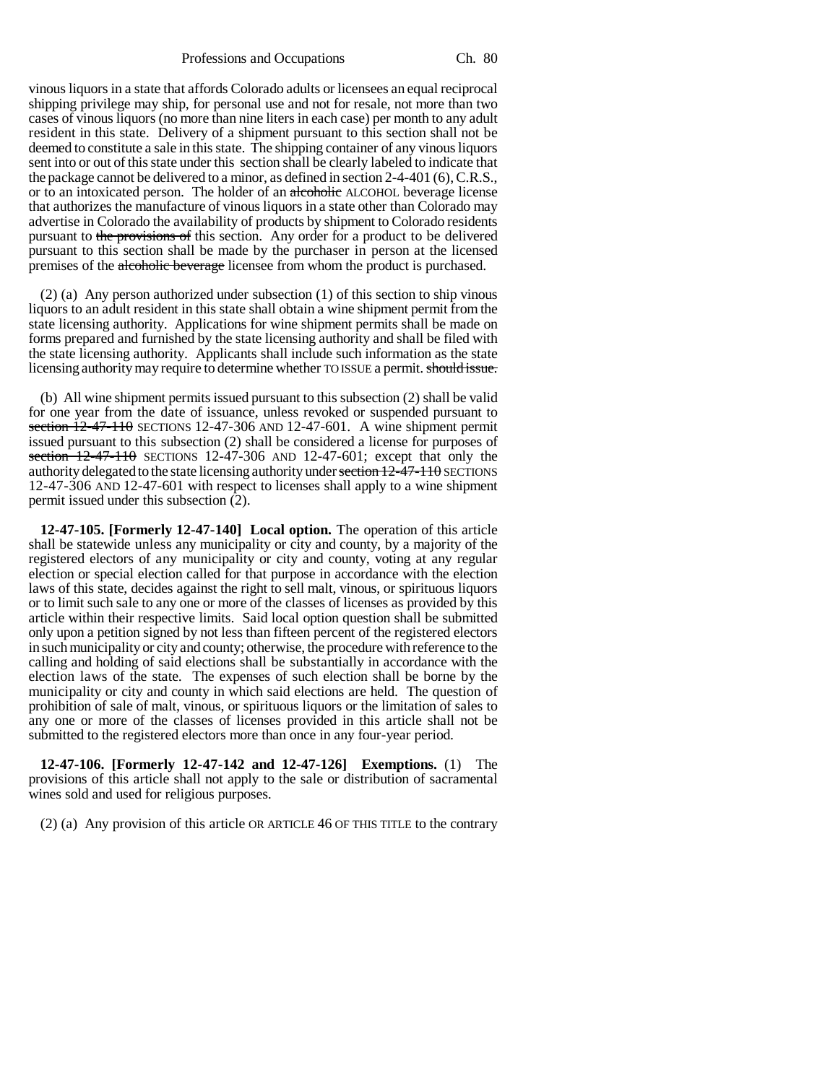Professions and Occupations Ch. 80

vinous liquors in a state that affords Colorado adults or licensees an equal reciprocal shipping privilege may ship, for personal use and not for resale, not more than two cases of vinous liquors (no more than nine liters in each case) per month to any adult resident in this state. Delivery of a shipment pursuant to this section shall not be deemed to constitute a sale in this state. The shipping container of any vinous liquors sent into or out of this state under this section shall be clearly labeled to indicate that the package cannot be delivered to a minor, as defined in section 2-4-401 (6), C.R.S., or to an intoxicated person. The holder of an alcoholic ALCOHOL beverage license that authorizes the manufacture of vinous liquors in a state other than Colorado may advertise in Colorado the availability of products by shipment to Colorado residents pursuant to the provisions of this section. Any order for a product to be delivered pursuant to this section shall be made by the purchaser in person at the licensed premises of the alcoholic beverage licensee from whom the product is purchased.

(2) (a) Any person authorized under subsection (1) of this section to ship vinous liquors to an adult resident in this state shall obtain a wine shipment permit from the state licensing authority. Applications for wine shipment permits shall be made on forms prepared and furnished by the state licensing authority and shall be filed with the state licensing authority. Applicants shall include such information as the state licensing authority may require to determine whether TO ISSUE a permit. should issue.

(b) All wine shipment permits issued pursuant to this subsection (2) shall be valid for one year from the date of issuance, unless revoked or suspended pursuant to section 12-47-110 SECTIONS 12-47-306 AND 12-47-601. A wine shipment permit issued pursuant to this subsection (2) shall be considered a license for purposes of section 12-47-110 SECTIONS 12-47-306 AND 12-47-601; except that only the authority delegated to the state licensing authority under section 12-47-110 SECTIONS 12-47-306 AND 12-47-601 with respect to licenses shall apply to a wine shipment permit issued under this subsection (2).

**12-47-105. [Formerly 12-47-140] Local option.** The operation of this article shall be statewide unless any municipality or city and county, by a majority of the registered electors of any municipality or city and county, voting at any regular election or special election called for that purpose in accordance with the election laws of this state, decides against the right to sell malt, vinous, or spirituous liquors or to limit such sale to any one or more of the classes of licenses as provided by this article within their respective limits. Said local option question shall be submitted only upon a petition signed by not less than fifteen percent of the registered electors in such municipality or city and county; otherwise, the procedure with reference to the calling and holding of said elections shall be substantially in accordance with the election laws of the state. The expenses of such election shall be borne by the municipality or city and county in which said elections are held. The question of prohibition of sale of malt, vinous, or spirituous liquors or the limitation of sales to any one or more of the classes of licenses provided in this article shall not be submitted to the registered electors more than once in any four-year period.

**12-47-106. [Formerly 12-47-142 and 12-47-126] Exemptions.** (1) The provisions of this article shall not apply to the sale or distribution of sacramental wines sold and used for religious purposes.

(2) (a) Any provision of this article OR ARTICLE 46 OF THIS TITLE to the contrary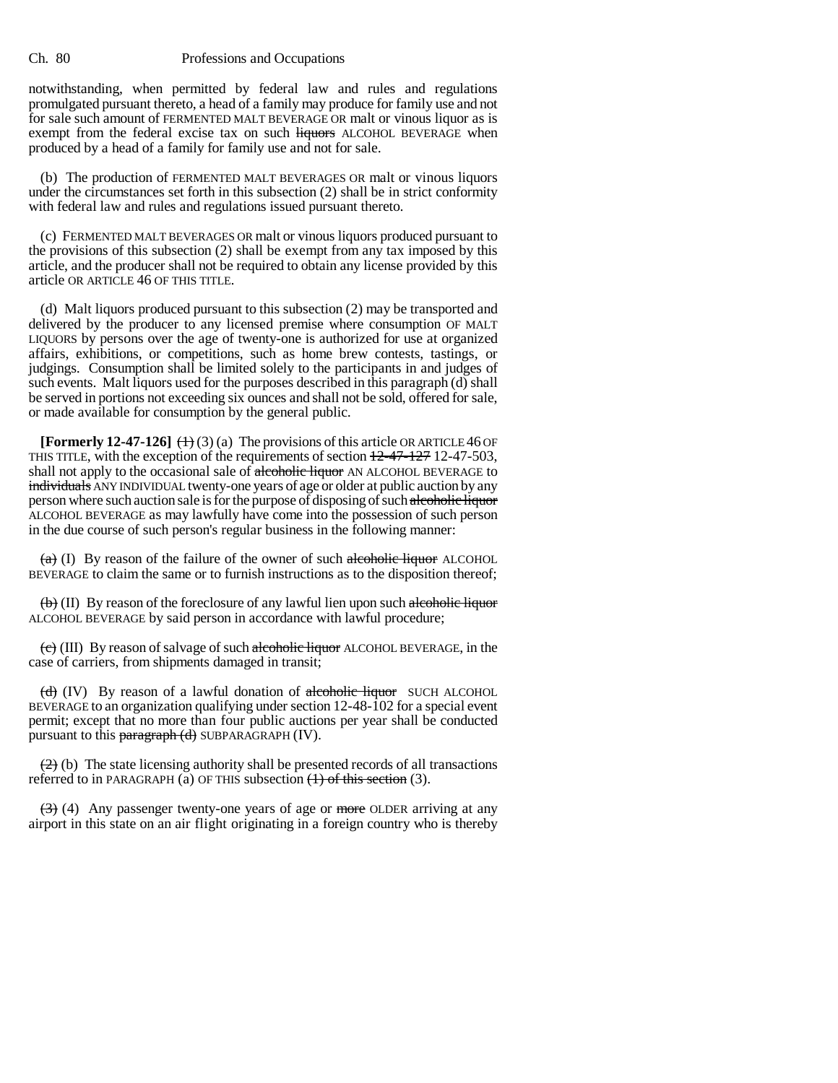notwithstanding, when permitted by federal law and rules and regulations promulgated pursuant thereto, a head of a family may produce for family use and not for sale such amount of FERMENTED MALT BEVERAGE OR malt or vinous liquor as is exempt from the federal excise tax on such liquors ALCOHOL BEVERAGE when produced by a head of a family for family use and not for sale.

(b) The production of FERMENTED MALT BEVERAGES OR malt or vinous liquors under the circumstances set forth in this subsection (2) shall be in strict conformity with federal law and rules and regulations issued pursuant thereto.

(c) FERMENTED MALT BEVERAGES OR malt or vinous liquors produced pursuant to the provisions of this subsection (2) shall be exempt from any tax imposed by this article, and the producer shall not be required to obtain any license provided by this article OR ARTICLE 46 OF THIS TITLE.

(d) Malt liquors produced pursuant to this subsection (2) may be transported and delivered by the producer to any licensed premise where consumption OF MALT LIQUORS by persons over the age of twenty-one is authorized for use at organized affairs, exhibitions, or competitions, such as home brew contests, tastings, or judgings. Consumption shall be limited solely to the participants in and judges of such events. Malt liquors used for the purposes described in this paragraph (d) shall be served in portions not exceeding six ounces and shall not be sold, offered for sale, or made available for consumption by the general public.

**[Formerly 12-47-126]**  $(+)$  (3) (a) The provisions of this article OR ARTICLE 46 OF THIS TITLE, with the exception of the requirements of section  $12-47-127$  12-47-503, shall not apply to the occasional sale of alcoholic liquor AN ALCOHOL BEVERAGE to individuals ANY INDIVIDUAL twenty-one years of age or older at public auction by any person where such auction sale is for the purpose of disposing of such alcoholic liquor ALCOHOL BEVERAGE as may lawfully have come into the possession of such person in the due course of such person's regular business in the following manner:

 $(a)$  (I) By reason of the failure of the owner of such alcoholic liquor ALCOHOL BEVERAGE to claim the same or to furnish instructions as to the disposition thereof;

 $\langle \theta \rangle$  (II) By reason of the foreclosure of any lawful lien upon such alcoholic liquor ALCOHOL BEVERAGE by said person in accordance with lawful procedure;

 $\left(\frac{\mathbf{c}}{\mathbf{c}}\right)$  (III) By reason of salvage of such alcoholic liquor ALCOHOL BEVERAGE, in the case of carriers, from shipments damaged in transit;

 $(d)$  (IV) By reason of a lawful donation of alcoholic liquor SUCH ALCOHOL BEVERAGE to an organization qualifying under section 12-48-102 for a special event permit; except that no more than four public auctions per year shall be conducted pursuant to this  $\frac{\text{param}(\mathbf{d})}{\text{sum}}$  SUBPARAGRAPH (IV).

 $(2)$  (b) The state licensing authority shall be presented records of all transactions referred to in PARAGRAPH (a) OF THIS subsection  $(1)$  of this section (3).

 $(3)$  (4) Any passenger twenty-one years of age or more OLDER arriving at any airport in this state on an air flight originating in a foreign country who is thereby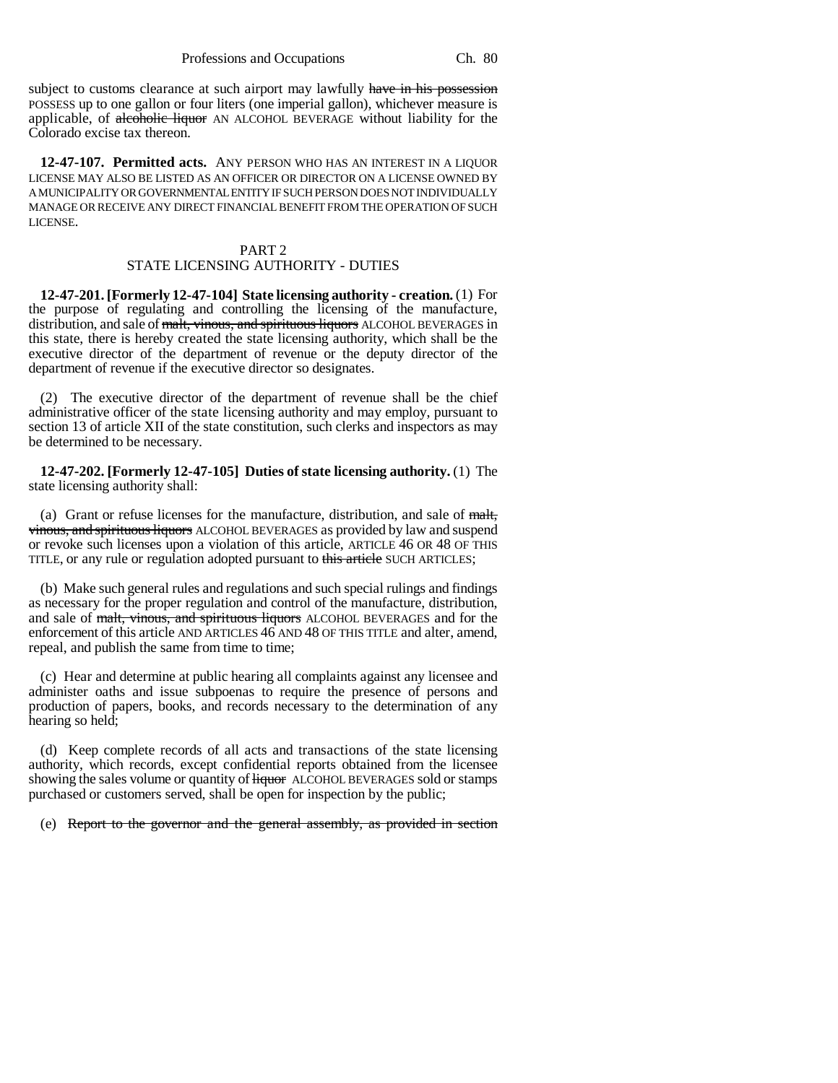subject to customs clearance at such airport may lawfully have in his possession POSSESS up to one gallon or four liters (one imperial gallon), whichever measure is applicable, of alcoholic liquor AN ALCOHOL BEVERAGE without liability for the Colorado excise tax thereon.

**12-47-107. Permitted acts.** ANY PERSON WHO HAS AN INTEREST IN A LIQUOR LICENSE MAY ALSO BE LISTED AS AN OFFICER OR DIRECTOR ON A LICENSE OWNED BY A MUNICIPALITY OR GOVERNMENTAL ENTITY IF SUCH PERSON DOES NOT INDIVIDUALLY MANAGE OR RECEIVE ANY DIRECT FINANCIAL BENEFIT FROM THE OPERATION OF SUCH LICENSE.

#### PART 2 STATE LICENSING AUTHORITY - DUTIES

**12-47-201. [Formerly 12-47-104] State licensing authority - creation.** (1) For the purpose of regulating and controlling the licensing of the manufacture, distribution, and sale of malt, vinous, and spirituous liquors ALCOHOL BEVERAGES in this state, there is hereby created the state licensing authority, which shall be the executive director of the department of revenue or the deputy director of the department of revenue if the executive director so designates.

(2) The executive director of the department of revenue shall be the chief administrative officer of the state licensing authority and may employ, pursuant to section 13 of article XII of the state constitution, such clerks and inspectors as may be determined to be necessary.

**12-47-202. [Formerly 12-47-105] Duties of state licensing authority.** (1) The state licensing authority shall:

(a) Grant or refuse licenses for the manufacture, distribution, and sale of malt, vinous, and spirituous liquors ALCOHOL BEVERAGES as provided by law and suspend or revoke such licenses upon a violation of this article, ARTICLE 46 OR 48 OF THIS TITLE, or any rule or regulation adopted pursuant to this article SUCH ARTICLES;

(b) Make such general rules and regulations and such special rulings and findings as necessary for the proper regulation and control of the manufacture, distribution, and sale of malt, vinous, and spirituous liquors ALCOHOL BEVERAGES and for the enforcement of this article AND ARTICLES 46 AND 48 OF THIS TITLE and alter, amend, repeal, and publish the same from time to time;

(c) Hear and determine at public hearing all complaints against any licensee and administer oaths and issue subpoenas to require the presence of persons and production of papers, books, and records necessary to the determination of any hearing so held;

(d) Keep complete records of all acts and transactions of the state licensing authority, which records, except confidential reports obtained from the licensee showing the sales volume or quantity of  $\frac{1}{2}$  Higuor ALCOHOL BEVERAGES sold or stamps purchased or customers served, shall be open for inspection by the public;

(e) Report to the governor and the general assembly, as provided in section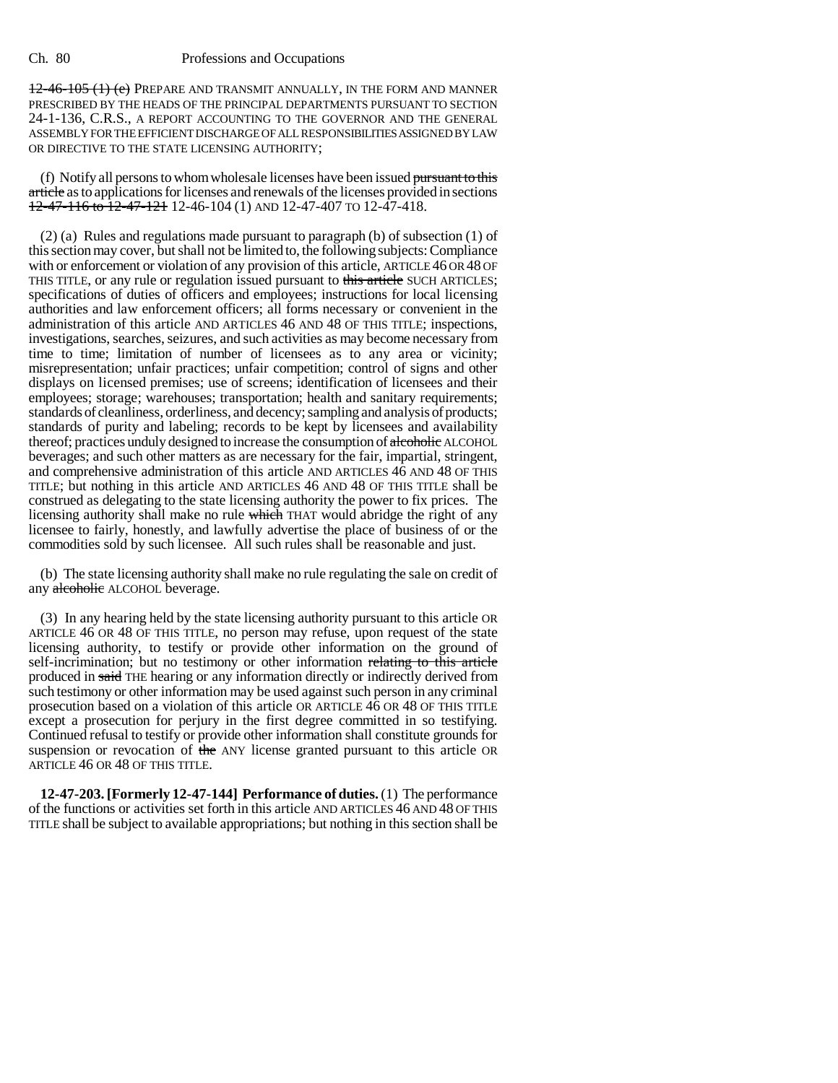12-46-105 (1) (e) PREPARE AND TRANSMIT ANNUALLY, IN THE FORM AND MANNER PRESCRIBED BY THE HEADS OF THE PRINCIPAL DEPARTMENTS PURSUANT TO SECTION 24-1-136, C.R.S., A REPORT ACCOUNTING TO THE GOVERNOR AND THE GENERAL ASSEMBLY FOR THE EFFICIENT DISCHARGE OF ALL RESPONSIBILITIES ASSIGNED BY LAW OR DIRECTIVE TO THE STATE LICENSING AUTHORITY;

(f) Notify all persons to whom wholesale licenses have been issued pursuant to this article as to applications for licenses and renewals of the licenses provided in sections 12-47-116 to 12-47-121 12-46-104 (1) AND 12-47-407 TO 12-47-418.

(2) (a) Rules and regulations made pursuant to paragraph (b) of subsection (1) of this section may cover, but shall not be limited to, the following subjects: Compliance with or enforcement or violation of any provision of this article, ARTICLE 46 OR 48 OF THIS TITLE, or any rule or regulation issued pursuant to this article SUCH ARTICLES; specifications of duties of officers and employees; instructions for local licensing authorities and law enforcement officers; all forms necessary or convenient in the administration of this article AND ARTICLES 46 AND 48 OF THIS TITLE; inspections, investigations, searches, seizures, and such activities as may become necessary from time to time; limitation of number of licensees as to any area or vicinity; misrepresentation; unfair practices; unfair competition; control of signs and other displays on licensed premises; use of screens; identification of licensees and their employees; storage; warehouses; transportation; health and sanitary requirements; standards of cleanliness, orderliness, and decency; sampling and analysis of products; standards of purity and labeling; records to be kept by licensees and availability thereof; practices unduly designed to increase the consumption of alcoholic ALCOHOL beverages; and such other matters as are necessary for the fair, impartial, stringent, and comprehensive administration of this article AND ARTICLES 46 AND 48 OF THIS TITLE; but nothing in this article AND ARTICLES 46 AND 48 OF THIS TITLE shall be construed as delegating to the state licensing authority the power to fix prices. The licensing authority shall make no rule which THAT would abridge the right of any licensee to fairly, honestly, and lawfully advertise the place of business of or the commodities sold by such licensee. All such rules shall be reasonable and just.

(b) The state licensing authority shall make no rule regulating the sale on credit of any alcoholic ALCOHOL beverage.

(3) In any hearing held by the state licensing authority pursuant to this article OR ARTICLE 46 OR 48 OF THIS TITLE, no person may refuse, upon request of the state licensing authority, to testify or provide other information on the ground of self-incrimination; but no testimony or other information relating to this article produced in said THE hearing or any information directly or indirectly derived from such testimony or other information may be used against such person in any criminal prosecution based on a violation of this article OR ARTICLE 46 OR 48 OF THIS TITLE except a prosecution for perjury in the first degree committed in so testifying. Continued refusal to testify or provide other information shall constitute grounds for suspension or revocation of the ANY license granted pursuant to this article OR ARTICLE 46 OR 48 OF THIS TITLE.

**12-47-203. [Formerly 12-47-144] Performance of duties.** (1) The performance of the functions or activities set forth in this article AND ARTICLES 46 AND 48 OF THIS TITLE shall be subject to available appropriations; but nothing in this section shall be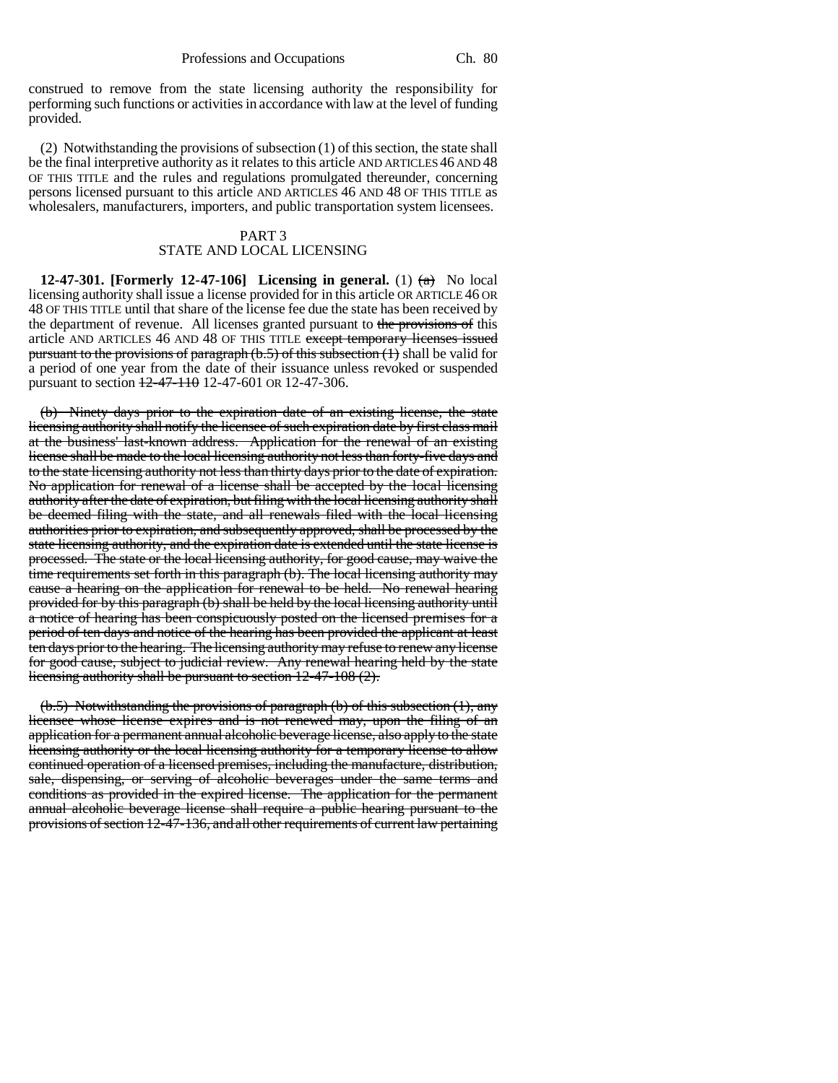construed to remove from the state licensing authority the responsibility for performing such functions or activities in accordance with law at the level of funding provided.

(2) Notwithstanding the provisions of subsection (1) of this section, the state shall be the final interpretive authority as it relates to this article AND ARTICLES 46 AND 48 OF THIS TITLE and the rules and regulations promulgated thereunder, concerning persons licensed pursuant to this article AND ARTICLES 46 AND 48 OF THIS TITLE as wholesalers, manufacturers, importers, and public transportation system licensees.

# PART 3 STATE AND LOCAL LICENSING

**12-47-301.** [Formerly 12-47-106] Licensing in general. (1)  $\left(\frac{a}{a}\right)$  No local licensing authority shall issue a license provided for in this article OR ARTICLE 46 OR 48 OF THIS TITLE until that share of the license fee due the state has been received by the department of revenue. All licenses granted pursuant to the provisions of this article AND ARTICLES 46 AND 48 OF THIS TITLE except temporary licenses issued pursuant to the provisions of paragraph (b.5) of this subsection (1) shall be valid for a period of one year from the date of their issuance unless revoked or suspended pursuant to section 12-47-110 12-47-601 OR 12-47-306.

(b) Ninety days prior to the expiration date of an existing license, the state licensing authority shall notify the licensee of such expiration date by first class mail at the business' last-known address. Application for the renewal of an existing license shall be made to the local licensing authority not less than forty-five days and to the state licensing authority not less than thirty days prior to the date of expiration. No application for renewal of a license shall be accepted by the local licensing authority after the date of expiration, but filing with the local licensing authority shall be deemed filing with the state, and all renewals filed with the local licensing authorities prior to expiration, and subsequently approved, shall be processed by the state licensing authority, and the expiration date is extended until the state license is processed. The state or the local licensing authority, for good cause, may waive the time requirements set forth in this paragraph (b). The local licensing authority may cause a hearing on the application for renewal to be held. No renewal hearing provided for by this paragraph (b) shall be held by the local licensing authority until a notice of hearing has been conspicuously posted on the licensed premises for a period of ten days and notice of the hearing has been provided the applicant at least ten days prior to the hearing. The licensing authority may refuse to renew any license for good cause, subject to judicial review. Any renewal hearing held by the state licensing authority shall be pursuant to section 12-47-108 (2).

(b.5) Notwithstanding the provisions of paragraph (b) of this subsection (1), any licensee whose license expires and is not renewed may, upon the filing of an application for a permanent annual alcoholic beverage license, also apply to the state licensing authority or the local licensing authority for a temporary license to allow continued operation of a licensed premises, including the manufacture, distribution, sale, dispensing, or serving of alcoholic beverages under the same terms and conditions as provided in the expired license. The application for the permanent annual alcoholic beverage license shall require a public hearing pursuant to the provisions of section 12-47-136, and all other requirements of current law pertaining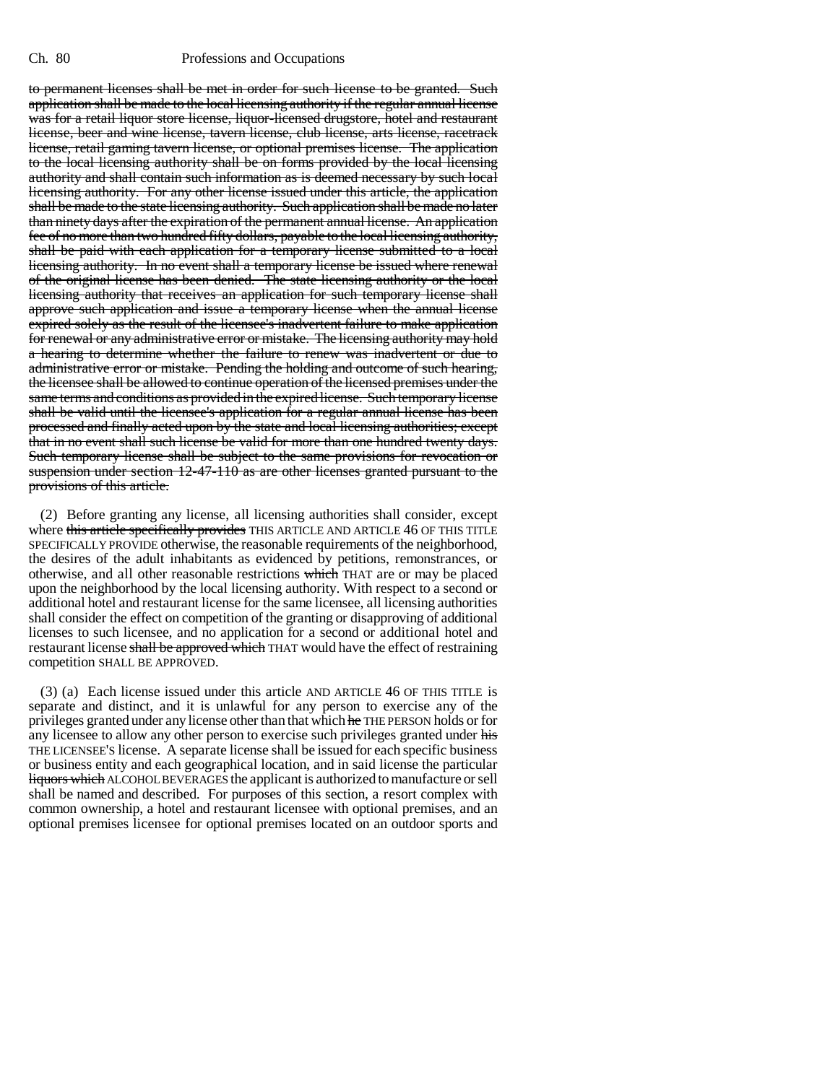to permanent licenses shall be met in order for such license to be granted. Such application shall be made to the local licensing authority if the regular annual license was for a retail liquor store license, liquor-licensed drugstore, hotel and restaurant license, beer and wine license, tavern license, club license, arts license, racetrack license, retail gaming tavern license, or optional premises license. The application to the local licensing authority shall be on forms provided by the local licensing authority and shall contain such information as is deemed necessary by such local licensing authority. For any other license issued under this article, the application shall be made to the state licensing authority. Such application shall be made no later than ninety days after the expiration of the permanent annual license. An application fee of no more than two hundred fifty dollars, payable to the local licensing authority, shall be paid with each application for a temporary license submitted to a local licensing authority. In no event shall a temporary license be issued where renewal of the original license has been denied. The state licensing authority or the local licensing authority that receives an application for such temporary license shall approve such application and issue a temporary license when the annual license expired solely as the result of the licensee's inadvertent failure to make application for renewal or any administrative error or mistake. The licensing authority may hold a hearing to determine whether the failure to renew was inadvertent or due to administrative error or mistake. Pending the holding and outcome of such hearing, the licensee shall be allowed to continue operation of the licensed premises under the same terms and conditions as provided in the expired license. Such temporary license shall be valid until the licensee's application for a regular annual license has been processed and finally acted upon by the state and local licensing authorities; except that in no event shall such license be valid for more than one hundred twenty days. Such temporary license shall be subject to the same provisions for revocation or suspension under section 12-47-110 as are other licenses granted pursuant to the provisions of this article.

(2) Before granting any license, all licensing authorities shall consider, except where this article specifically provides THIS ARTICLE AND ARTICLE 46 OF THIS TITLE SPECIFICALLY PROVIDE otherwise, the reasonable requirements of the neighborhood, the desires of the adult inhabitants as evidenced by petitions, remonstrances, or otherwise, and all other reasonable restrictions which THAT are or may be placed upon the neighborhood by the local licensing authority. With respect to a second or additional hotel and restaurant license for the same licensee, all licensing authorities shall consider the effect on competition of the granting or disapproving of additional licenses to such licensee, and no application for a second or additional hotel and restaurant license shall be approved which THAT would have the effect of restraining competition SHALL BE APPROVED.

(3) (a) Each license issued under this article AND ARTICLE 46 OF THIS TITLE is separate and distinct, and it is unlawful for any person to exercise any of the privileges granted under any license other than that which he THE PERSON holds or for any licensee to allow any other person to exercise such privileges granted under his THE LICENSEE'S license. A separate license shall be issued for each specific business or business entity and each geographical location, and in said license the particular liquors which ALCOHOL BEVERAGES the applicant is authorized to manufacture or sell shall be named and described. For purposes of this section, a resort complex with common ownership, a hotel and restaurant licensee with optional premises, and an optional premises licensee for optional premises located on an outdoor sports and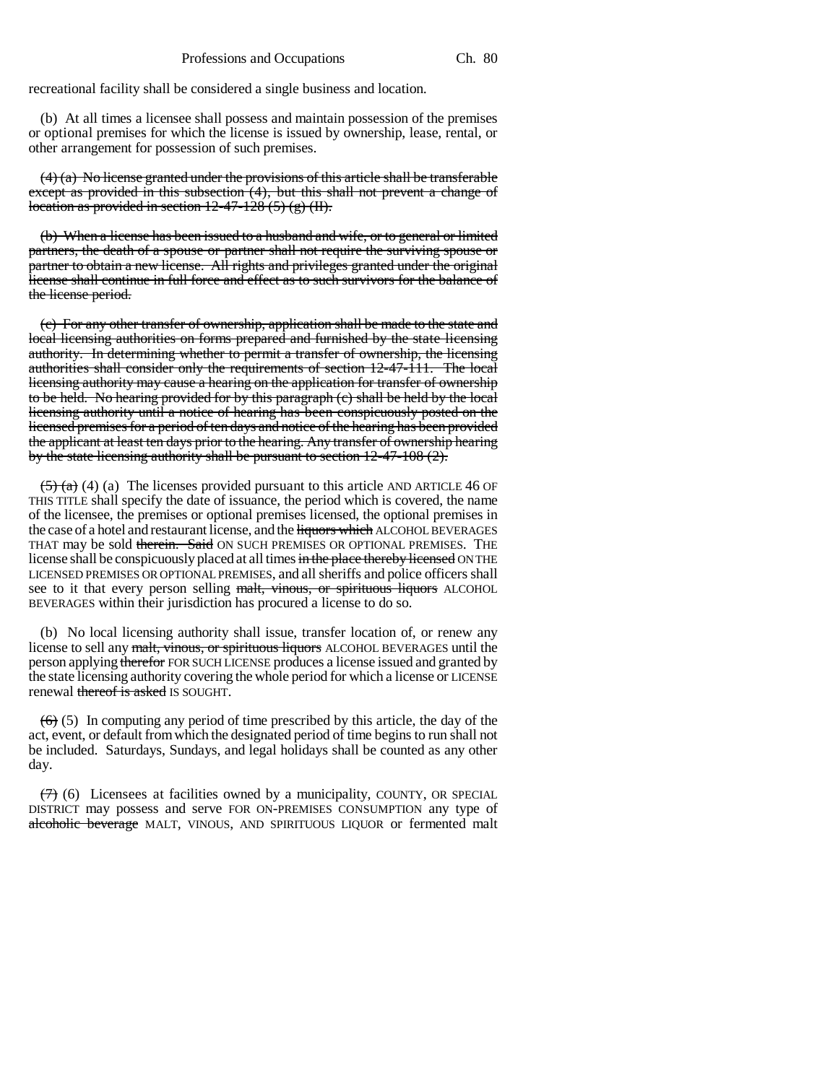recreational facility shall be considered a single business and location.

(b) At all times a licensee shall possess and maintain possession of the premises or optional premises for which the license is issued by ownership, lease, rental, or other arrangement for possession of such premises.

 $(4)$  (a) No license granted under the provisions of this article shall be transferable except as provided in this subsection (4), but this shall not prevent a change of location as provided in section  $12-47-128(5)(g)(H)$ .

(b) When a license has been issued to a husband and wife, or to general or limited partners, the death of a spouse or partner shall not require the surviving spouse or partner to obtain a new license. All rights and privileges granted under the original license shall continue in full force and effect as to such survivors for the balance of the license period.

(c) For any other transfer of ownership, application shall be made to the state and local licensing authorities on forms prepared and furnished by the state licensing authority. In determining whether to permit a transfer of ownership, the licensing authorities shall consider only the requirements of section 12-47-111. The local licensing authority may cause a hearing on the application for transfer of ownership to be held. No hearing provided for by this paragraph (c) shall be held by the local licensing authority until a notice of hearing has been conspicuously posted on the licensed premises for a period of ten days and notice of the hearing has been provided the applicant at least ten days prior to the hearing. Any transfer of ownership hearing by the state licensing authority shall be pursuant to section 12-47-108 (2).

 $(5)$  (a) (a) The licenses provided pursuant to this article AND ARTICLE 46 OF THIS TITLE shall specify the date of issuance, the period which is covered, the name of the licensee, the premises or optional premises licensed, the optional premises in the case of a hotel and restaurant license, and the liquors which ALCOHOL BEVERAGES THAT may be sold therein. Said ON SUCH PREMISES OR OPTIONAL PREMISES. THE license shall be conspicuously placed at all times in the place thereby licensed ON THE LICENSED PREMISES OR OPTIONAL PREMISES, and all sheriffs and police officers shall see to it that every person selling malt, vinous, or spirituous liquors ALCOHOL BEVERAGES within their jurisdiction has procured a license to do so.

(b) No local licensing authority shall issue, transfer location of, or renew any license to sell any malt, vinous, or spirituous liquors ALCOHOL BEVERAGES until the person applying therefor FOR SUCH LICENSE produces a license issued and granted by the state licensing authority covering the whole period for which a license or LICENSE renewal thereof is asked IS SOUGHT.

 $(6)$  (5) In computing any period of time prescribed by this article, the day of the act, event, or default from which the designated period of time begins to run shall not be included. Saturdays, Sundays, and legal holidays shall be counted as any other day.

 $(7)$  (6) Licensees at facilities owned by a municipality, COUNTY, OR SPECIAL DISTRICT may possess and serve FOR ON-PREMISES CONSUMPTION any type of alcoholic beverage MALT, VINOUS, AND SPIRITUOUS LIQUOR or fermented malt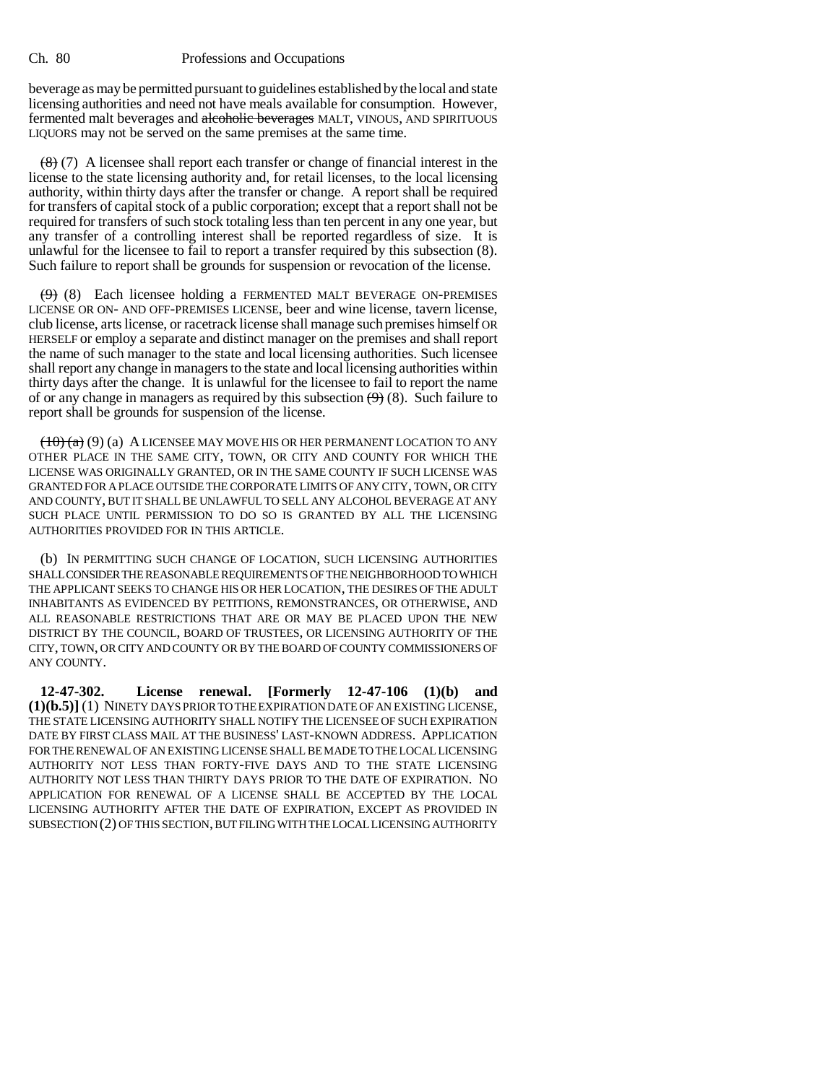beverage as may be permitted pursuant to guidelines established by the local and state licensing authorities and need not have meals available for consumption. However, fermented malt beverages and alcoholic beverages MALT, VINOUS, AND SPIRITUOUS LIQUORS may not be served on the same premises at the same time.

 $\left(\frac{8}{8}\right)$  (7) A licensee shall report each transfer or change of financial interest in the license to the state licensing authority and, for retail licenses, to the local licensing authority, within thirty days after the transfer or change. A report shall be required for transfers of capital stock of a public corporation; except that a report shall not be required for transfers of such stock totaling less than ten percent in any one year, but any transfer of a controlling interest shall be reported regardless of size. It is unlawful for the licensee to fail to report a transfer required by this subsection (8). Such failure to report shall be grounds for suspension or revocation of the license.

 $(9)$  (8) Each licensee holding a FERMENTED MALT BEVERAGE ON-PREMISES LICENSE OR ON- AND OFF-PREMISES LICENSE, beer and wine license, tavern license, club license, arts license, or racetrack license shall manage such premises himself OR HERSELF or employ a separate and distinct manager on the premises and shall report the name of such manager to the state and local licensing authorities. Such licensee shall report any change in managers to the state and local licensing authorities within thirty days after the change. It is unlawful for the licensee to fail to report the name of or any change in managers as required by this subsection  $(9)$  (8). Such failure to report shall be grounds for suspension of the license.

 $(10)(a)(9)$  (a) A LICENSEE MAY MOVE HIS OR HER PERMANENT LOCATION TO ANY OTHER PLACE IN THE SAME CITY, TOWN, OR CITY AND COUNTY FOR WHICH THE LICENSE WAS ORIGINALLY GRANTED, OR IN THE SAME COUNTY IF SUCH LICENSE WAS GRANTED FOR A PLACE OUTSIDE THE CORPORATE LIMITS OF ANY CITY, TOWN, OR CITY AND COUNTY, BUT IT SHALL BE UNLAWFUL TO SELL ANY ALCOHOL BEVERAGE AT ANY SUCH PLACE UNTIL PERMISSION TO DO SO IS GRANTED BY ALL THE LICENSING AUTHORITIES PROVIDED FOR IN THIS ARTICLE.

(b) IN PERMITTING SUCH CHANGE OF LOCATION, SUCH LICENSING AUTHORITIES SHALL CONSIDER THE REASONABLE REQUIREMENTS OF THE NEIGHBORHOOD TO WHICH THE APPLICANT SEEKS TO CHANGE HIS OR HER LOCATION, THE DESIRES OF THE ADULT INHABITANTS AS EVIDENCED BY PETITIONS, REMONSTRANCES, OR OTHERWISE, AND ALL REASONABLE RESTRICTIONS THAT ARE OR MAY BE PLACED UPON THE NEW DISTRICT BY THE COUNCIL, BOARD OF TRUSTEES, OR LICENSING AUTHORITY OF THE CITY, TOWN, OR CITY AND COUNTY OR BY THE BOARD OF COUNTY COMMISSIONERS OF ANY COUNTY.

**12-47-302. License renewal. [Formerly 12-47-106 (1)(b) and (1)(b.5)]** (1) NINETY DAYS PRIOR TO THE EXPIRATION DATE OF AN EXISTING LICENSE, THE STATE LICENSING AUTHORITY SHALL NOTIFY THE LICENSEE OF SUCH EXPIRATION DATE BY FIRST CLASS MAIL AT THE BUSINESS' LAST-KNOWN ADDRESS. APPLICATION FOR THE RENEWAL OF AN EXISTING LICENSE SHALL BE MADE TO THE LOCAL LICENSING AUTHORITY NOT LESS THAN FORTY-FIVE DAYS AND TO THE STATE LICENSING AUTHORITY NOT LESS THAN THIRTY DAYS PRIOR TO THE DATE OF EXPIRATION. NO APPLICATION FOR RENEWAL OF A LICENSE SHALL BE ACCEPTED BY THE LOCAL LICENSING AUTHORITY AFTER THE DATE OF EXPIRATION, EXCEPT AS PROVIDED IN SUBSECTION (2) OF THIS SECTION, BUT FILING WITH THE LOCAL LICENSING AUTHORITY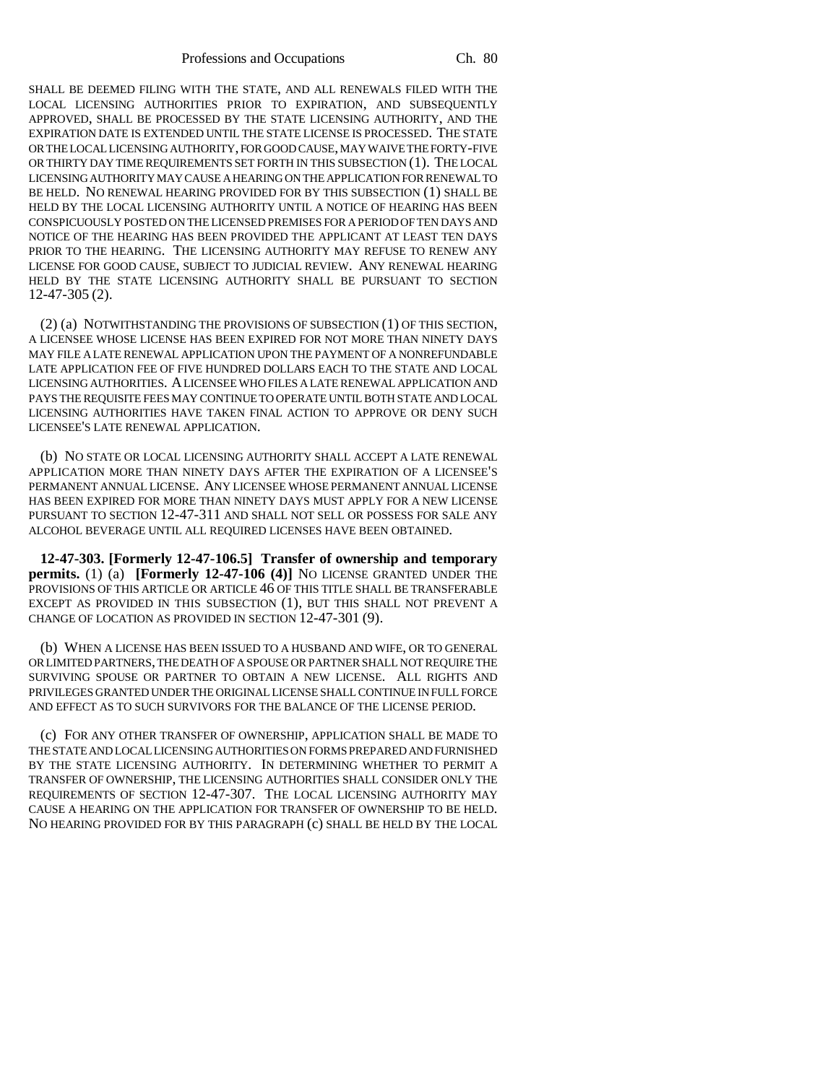Professions and Occupations Ch. 80

SHALL BE DEEMED FILING WITH THE STATE, AND ALL RENEWALS FILED WITH THE LOCAL LICENSING AUTHORITIES PRIOR TO EXPIRATION, AND SUBSEQUENTLY APPROVED, SHALL BE PROCESSED BY THE STATE LICENSING AUTHORITY, AND THE EXPIRATION DATE IS EXTENDED UNTIL THE STATE LICENSE IS PROCESSED. THE STATE OR THE LOCAL LICENSING AUTHORITY, FOR GOOD CAUSE, MAY WAIVE THE FORTY-FIVE OR THIRTY DAY TIME REQUIREMENTS SET FORTH IN THIS SUBSECTION (1). THE LOCAL LICENSING AUTHORITY MAY CAUSE A HEARING ON THE APPLICATION FOR RENEWAL TO BE HELD. NO RENEWAL HEARING PROVIDED FOR BY THIS SUBSECTION (1) SHALL BE HELD BY THE LOCAL LICENSING AUTHORITY UNTIL A NOTICE OF HEARING HAS BEEN CONSPICUOUSLY POSTED ON THE LICENSED PREMISES FOR A PERIOD OF TEN DAYS AND NOTICE OF THE HEARING HAS BEEN PROVIDED THE APPLICANT AT LEAST TEN DAYS PRIOR TO THE HEARING. THE LICENSING AUTHORITY MAY REFUSE TO RENEW ANY LICENSE FOR GOOD CAUSE, SUBJECT TO JUDICIAL REVIEW. ANY RENEWAL HEARING HELD BY THE STATE LICENSING AUTHORITY SHALL BE PURSUANT TO SECTION 12-47-305 (2).

(2) (a) NOTWITHSTANDING THE PROVISIONS OF SUBSECTION (1) OF THIS SECTION, A LICENSEE WHOSE LICENSE HAS BEEN EXPIRED FOR NOT MORE THAN NINETY DAYS MAY FILE A LATE RENEWAL APPLICATION UPON THE PAYMENT OF A NONREFUNDABLE LATE APPLICATION FEE OF FIVE HUNDRED DOLLARS EACH TO THE STATE AND LOCAL LICENSING AUTHORITIES. A LICENSEE WHO FILES A LATE RENEWAL APPLICATION AND PAYS THE REQUISITE FEES MAY CONTINUE TO OPERATE UNTIL BOTH STATE AND LOCAL LICENSING AUTHORITIES HAVE TAKEN FINAL ACTION TO APPROVE OR DENY SUCH LICENSEE'S LATE RENEWAL APPLICATION.

(b) NO STATE OR LOCAL LICENSING AUTHORITY SHALL ACCEPT A LATE RENEWAL APPLICATION MORE THAN NINETY DAYS AFTER THE EXPIRATION OF A LICENSEE'S PERMANENT ANNUAL LICENSE. ANY LICENSEE WHOSE PERMANENT ANNUAL LICENSE HAS BEEN EXPIRED FOR MORE THAN NINETY DAYS MUST APPLY FOR A NEW LICENSE PURSUANT TO SECTION 12-47-311 AND SHALL NOT SELL OR POSSESS FOR SALE ANY ALCOHOL BEVERAGE UNTIL ALL REQUIRED LICENSES HAVE BEEN OBTAINED.

**12-47-303. [Formerly 12-47-106.5] Transfer of ownership and temporary permits.** (1) (a) **[Formerly 12-47-106 (4)]** NO LICENSE GRANTED UNDER THE PROVISIONS OF THIS ARTICLE OR ARTICLE 46 OF THIS TITLE SHALL BE TRANSFERABLE EXCEPT AS PROVIDED IN THIS SUBSECTION (1), BUT THIS SHALL NOT PREVENT A CHANGE OF LOCATION AS PROVIDED IN SECTION 12-47-301 (9).

(b) WHEN A LICENSE HAS BEEN ISSUED TO A HUSBAND AND WIFE, OR TO GENERAL OR LIMITED PARTNERS, THE DEATH OF A SPOUSE OR PARTNER SHALL NOT REQUIRE THE SURVIVING SPOUSE OR PARTNER TO OBTAIN A NEW LICENSE. ALL RIGHTS AND PRIVILEGES GRANTED UNDER THE ORIGINAL LICENSE SHALL CONTINUE IN FULL FORCE AND EFFECT AS TO SUCH SURVIVORS FOR THE BALANCE OF THE LICENSE PERIOD.

(c) FOR ANY OTHER TRANSFER OF OWNERSHIP, APPLICATION SHALL BE MADE TO THE STATE AND LOCAL LICENSING AUTHORITIES ON FORMS PREPARED AND FURNISHED BY THE STATE LICENSING AUTHORITY. IN DETERMINING WHETHER TO PERMIT A TRANSFER OF OWNERSHIP, THE LICENSING AUTHORITIES SHALL CONSIDER ONLY THE REQUIREMENTS OF SECTION 12-47-307. THE LOCAL LICENSING AUTHORITY MAY CAUSE A HEARING ON THE APPLICATION FOR TRANSFER OF OWNERSHIP TO BE HELD. NO HEARING PROVIDED FOR BY THIS PARAGRAPH (c) SHALL BE HELD BY THE LOCAL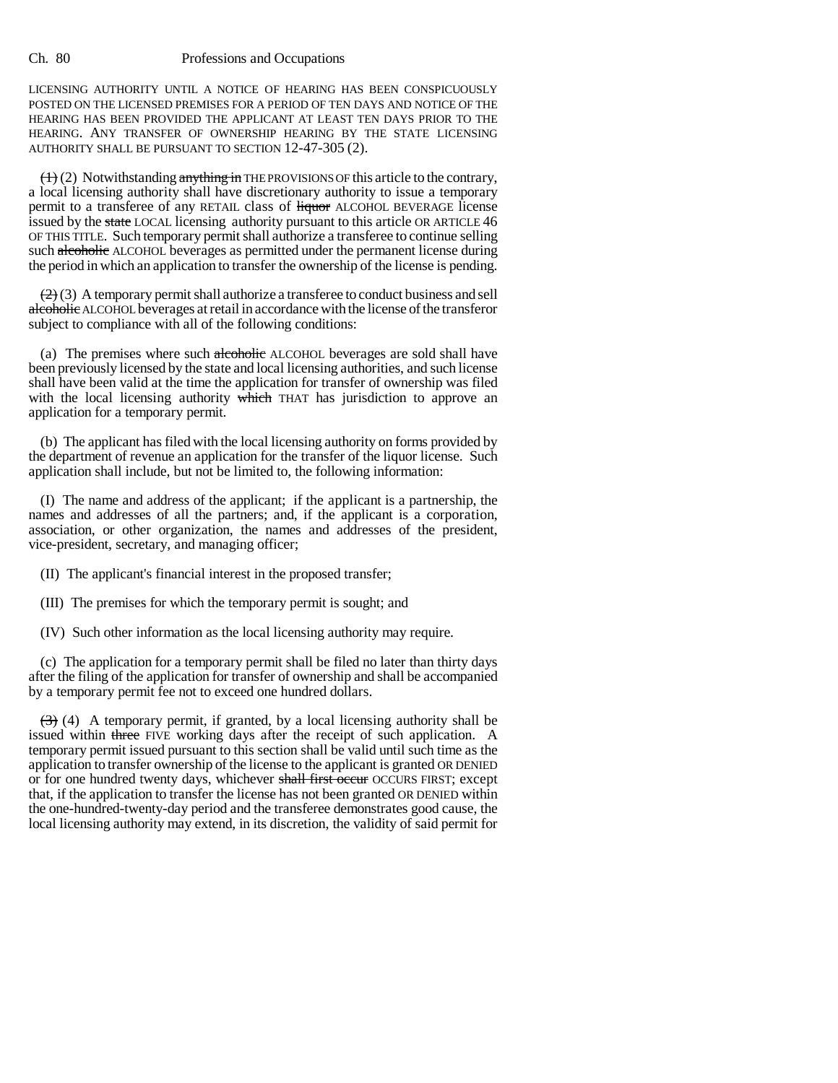LICENSING AUTHORITY UNTIL A NOTICE OF HEARING HAS BEEN CONSPICUOUSLY POSTED ON THE LICENSED PREMISES FOR A PERIOD OF TEN DAYS AND NOTICE OF THE HEARING HAS BEEN PROVIDED THE APPLICANT AT LEAST TEN DAYS PRIOR TO THE HEARING. ANY TRANSFER OF OWNERSHIP HEARING BY THE STATE LICENSING AUTHORITY SHALL BE PURSUANT TO SECTION 12-47-305 (2).

 $(1)$  (2) Notwithstanding anything in THE PROVISIONS OF this article to the contrary, a local licensing authority shall have discretionary authority to issue a temporary permit to a transferee of any RETAIL class of *liquor* ALCOHOL BEVERAGE license issued by the state LOCAL licensing authority pursuant to this article OR ARTICLE 46 OF THIS TITLE. Such temporary permit shall authorize a transferee to continue selling such alcoholic ALCOHOL beverages as permitted under the permanent license during the period in which an application to transfer the ownership of the license is pending.

 $(2)$  (3) A temporary permit shall authorize a transferee to conduct business and sell alcoholic ALCOHOL beverages at retail in accordance with the license of the transferor subject to compliance with all of the following conditions:

(a) The premises where such alcoholic ALCOHOL beverages are sold shall have been previously licensed by the state and local licensing authorities, and such license shall have been valid at the time the application for transfer of ownership was filed with the local licensing authority which THAT has jurisdiction to approve an application for a temporary permit.

(b) The applicant has filed with the local licensing authority on forms provided by the department of revenue an application for the transfer of the liquor license. Such application shall include, but not be limited to, the following information:

(I) The name and address of the applicant; if the applicant is a partnership, the names and addresses of all the partners; and, if the applicant is a corporation, association, or other organization, the names and addresses of the president, vice-president, secretary, and managing officer;

(II) The applicant's financial interest in the proposed transfer;

(III) The premises for which the temporary permit is sought; and

(IV) Such other information as the local licensing authority may require.

(c) The application for a temporary permit shall be filed no later than thirty days after the filing of the application for transfer of ownership and shall be accompanied by a temporary permit fee not to exceed one hundred dollars.

 $(3)$  (4) A temporary permit, if granted, by a local licensing authority shall be issued within three FIVE working days after the receipt of such application. A temporary permit issued pursuant to this section shall be valid until such time as the application to transfer ownership of the license to the applicant is granted OR DENIED or for one hundred twenty days, whichever shall first occur OCCURS FIRST; except that, if the application to transfer the license has not been granted OR DENIED within the one-hundred-twenty-day period and the transferee demonstrates good cause, the local licensing authority may extend, in its discretion, the validity of said permit for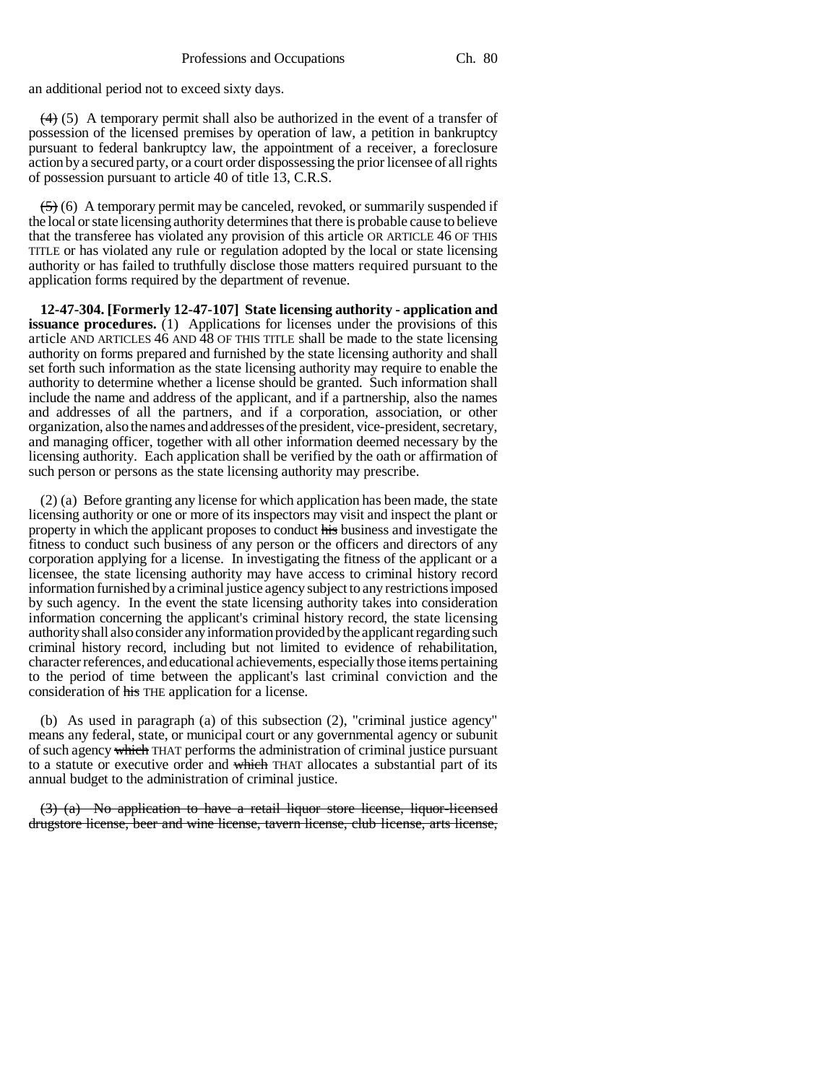an additional period not to exceed sixty days.

 $(4)$  (5) A temporary permit shall also be authorized in the event of a transfer of possession of the licensed premises by operation of law, a petition in bankruptcy pursuant to federal bankruptcy law, the appointment of a receiver, a foreclosure action by a secured party, or a court order dispossessing the prior licensee of all rights of possession pursuant to article 40 of title 13, C.R.S.

 $(5)$  (6) A temporary permit may be canceled, revoked, or summarily suspended if the local or state licensing authority determines that there is probable cause to believe that the transferee has violated any provision of this article OR ARTICLE 46 OF THIS TITLE or has violated any rule or regulation adopted by the local or state licensing authority or has failed to truthfully disclose those matters required pursuant to the application forms required by the department of revenue.

**12-47-304. [Formerly 12-47-107] State licensing authority - application and issuance procedures.** (1) Applications for licenses under the provisions of this article AND ARTICLES 46 AND 48 OF THIS TITLE shall be made to the state licensing authority on forms prepared and furnished by the state licensing authority and shall set forth such information as the state licensing authority may require to enable the authority to determine whether a license should be granted. Such information shall include the name and address of the applicant, and if a partnership, also the names and addresses of all the partners, and if a corporation, association, or other organization, also the names and addresses of the president, vice-president, secretary, and managing officer, together with all other information deemed necessary by the licensing authority. Each application shall be verified by the oath or affirmation of such person or persons as the state licensing authority may prescribe.

(2) (a) Before granting any license for which application has been made, the state licensing authority or one or more of its inspectors may visit and inspect the plant or property in which the applicant proposes to conduct his business and investigate the fitness to conduct such business of any person or the officers and directors of any corporation applying for a license. In investigating the fitness of the applicant or a licensee, the state licensing authority may have access to criminal history record information furnished by a criminal justice agency subject to any restrictions imposed by such agency. In the event the state licensing authority takes into consideration information concerning the applicant's criminal history record, the state licensing authority shall also consider any information provided by the applicant regarding such criminal history record, including but not limited to evidence of rehabilitation, character references, and educational achievements, especially those items pertaining to the period of time between the applicant's last criminal conviction and the consideration of his THE application for a license.

(b) As used in paragraph (a) of this subsection (2), "criminal justice agency" means any federal, state, or municipal court or any governmental agency or subunit of such agency which THAT performs the administration of criminal justice pursuant to a statute or executive order and which THAT allocates a substantial part of its annual budget to the administration of criminal justice.

(3) (a) No application to have a retail liquor store license, liquor-licensed drugstore license, beer and wine license, tavern license, club license, arts license,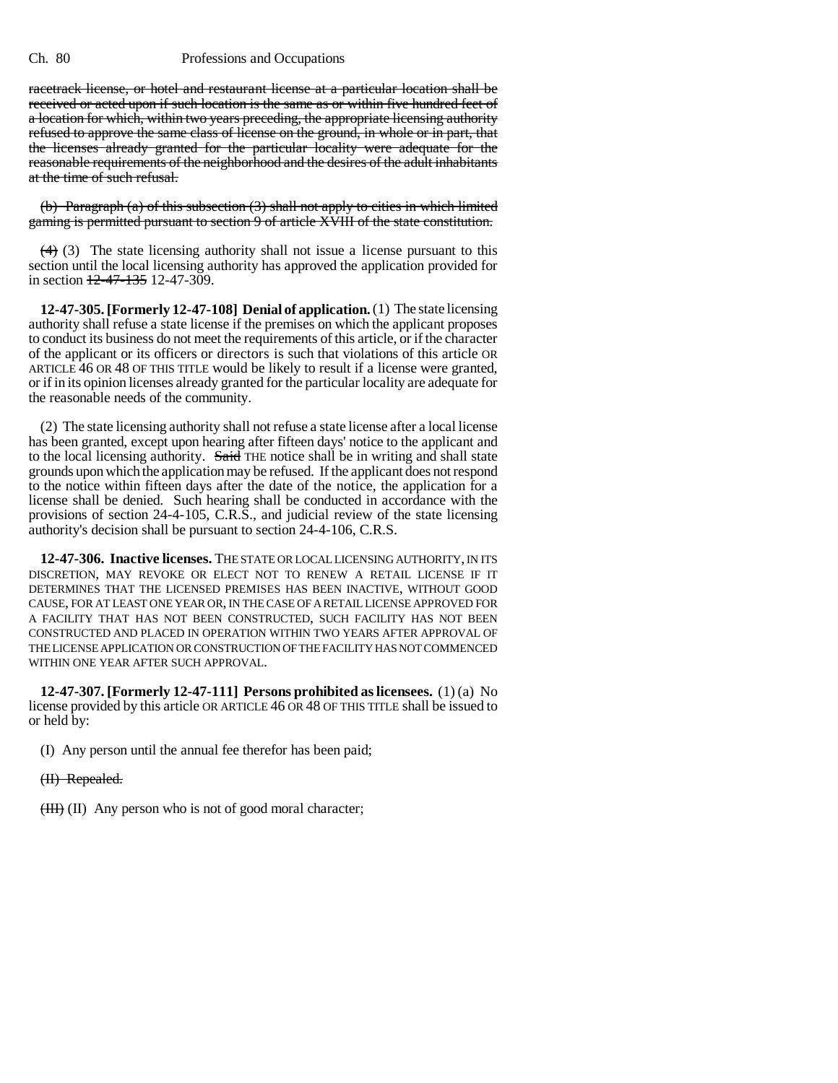racetrack license, or hotel and restaurant license at a particular location shall be received or acted upon if such location is the same as or within five hundred feet of a location for which, within two years preceding, the appropriate licensing authority refused to approve the same class of license on the ground, in whole or in part, that the licenses already granted for the particular locality were adequate for the reasonable requirements of the neighborhood and the desires of the adult inhabitants at the time of such refusal.

(b) Paragraph (a) of this subsection (3) shall not apply to cities in which limited gaming is permitted pursuant to section 9 of article XVIII of the state constitution.

 $(4)$  (3) The state licensing authority shall not issue a license pursuant to this section until the local licensing authority has approved the application provided for in section  $\frac{12-47-135}{2}$  12-47-309.

**12-47-305. [Formerly 12-47-108] Denial of application.** (1) The state licensing authority shall refuse a state license if the premises on which the applicant proposes to conduct its business do not meet the requirements of this article, or if the character of the applicant or its officers or directors is such that violations of this article OR ARTICLE 46 OR 48 OF THIS TITLE would be likely to result if a license were granted, or if in its opinion licenses already granted for the particular locality are adequate for the reasonable needs of the community.

(2) The state licensing authority shall not refuse a state license after a local license has been granted, except upon hearing after fifteen days' notice to the applicant and to the local licensing authority. Said THE notice shall be in writing and shall state grounds upon which the application may be refused. If the applicant does not respond to the notice within fifteen days after the date of the notice, the application for a license shall be denied. Such hearing shall be conducted in accordance with the provisions of section 24-4-105, C.R.S., and judicial review of the state licensing authority's decision shall be pursuant to section 24-4-106, C.R.S.

**12-47-306. Inactive licenses.** THE STATE OR LOCAL LICENSING AUTHORITY, IN ITS DISCRETION, MAY REVOKE OR ELECT NOT TO RENEW A RETAIL LICENSE IF IT DETERMINES THAT THE LICENSED PREMISES HAS BEEN INACTIVE, WITHOUT GOOD CAUSE, FOR AT LEAST ONE YEAR OR, IN THE CASE OF A RETAIL LICENSE APPROVED FOR A FACILITY THAT HAS NOT BEEN CONSTRUCTED, SUCH FACILITY HAS NOT BEEN CONSTRUCTED AND PLACED IN OPERATION WITHIN TWO YEARS AFTER APPROVAL OF THE LICENSE APPLICATION OR CONSTRUCTION OF THE FACILITY HAS NOT COMMENCED WITHIN ONE YEAR AFTER SUCH APPROVAL.

**12-47-307. [Formerly 12-47-111] Persons prohibited as licensees.** (1) (a) No license provided by this article OR ARTICLE 46 OR 48 OF THIS TITLE shall be issued to or held by:

(I) Any person until the annual fee therefor has been paid;

(II) Repealed.

 $(HH)$  (II) Any person who is not of good moral character;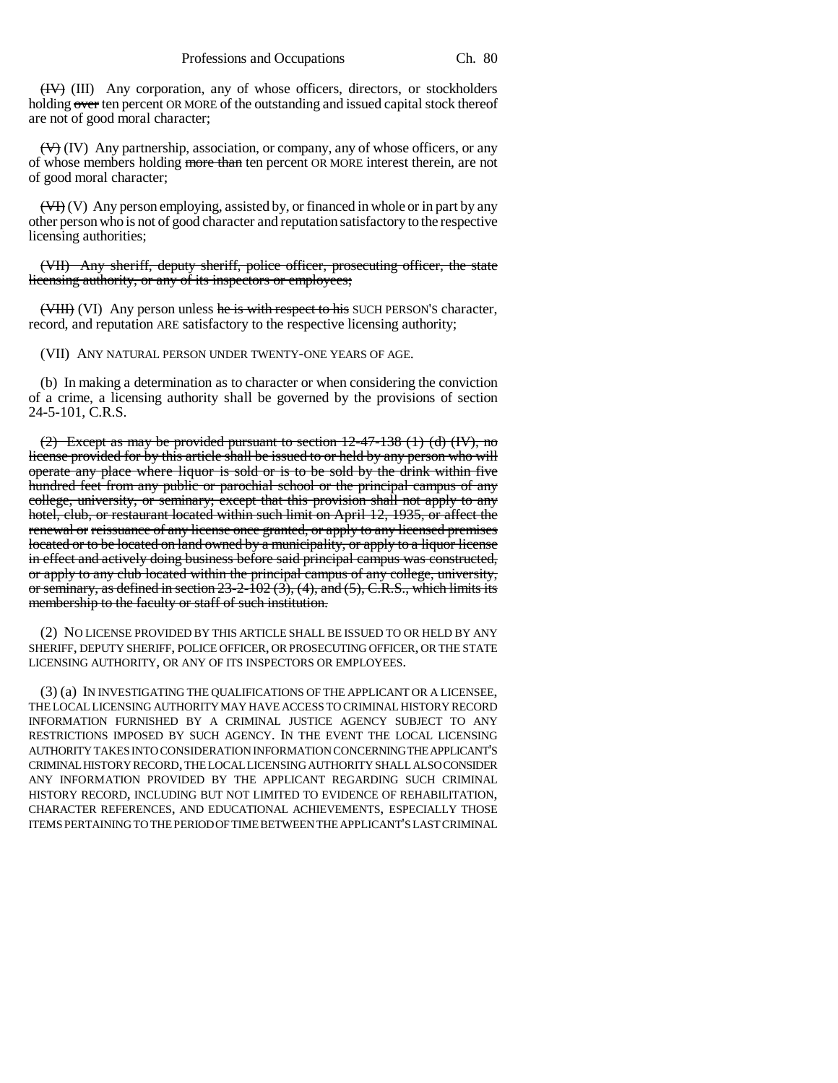(IV) (III) Any corporation, any of whose officers, directors, or stockholders holding  $\alpha$  ten percent OR MORE of the outstanding and issued capital stock thereof are not of good moral character;

 $(\forall)$  (IV) Any partnership, association, or company, any of whose officers, or any of whose members holding more than ten percent OR MORE interest therein, are not of good moral character;

 $(\overline{VI}^T)(V)$  Any person employing, assisted by, or financed in whole or in part by any other person who is not of good character and reputation satisfactory to the respective licensing authorities;

(VII) Any sheriff, deputy sheriff, police officer, prosecuting officer, the state licensing authority, or any of its inspectors or employees;

 $(WIII)$  (VI) Any person unless he is with respect to his SUCH PERSON's character, record, and reputation ARE satisfactory to the respective licensing authority;

(VII) ANY NATURAL PERSON UNDER TWENTY-ONE YEARS OF AGE.

(b) In making a determination as to character or when considering the conviction of a crime, a licensing authority shall be governed by the provisions of section 24-5-101, C.R.S.

(2) Except as may be provided pursuant to section 12-47-138 (1) (d) (IV), no license provided for by this article shall be issued to or held by any person who will operate any place where liquor is sold or is to be sold by the drink within five hundred feet from any public or parochial school or the principal campus of any college, university, or seminary; except that this provision shall not apply to any hotel, club, or restaurant located within such limit on April 12, 1935, or affect the renewal or reissuance of any license once granted, or apply to any licensed premises located or to be located on land owned by a municipality, or apply to a liquor license in effect and actively doing business before said principal campus was constructed, or apply to any club located within the principal campus of any college, university, or seminary, as defined in section  $23-2-102(3)$ , (4), and (5), C.R.S., which limits its membership to the faculty or staff of such institution.

(2) NO LICENSE PROVIDED BY THIS ARTICLE SHALL BE ISSUED TO OR HELD BY ANY SHERIFF, DEPUTY SHERIFF, POLICE OFFICER, OR PROSECUTING OFFICER, OR THE STATE LICENSING AUTHORITY, OR ANY OF ITS INSPECTORS OR EMPLOYEES.

(3) (a) IN INVESTIGATING THE QUALIFICATIONS OF THE APPLICANT OR A LICENSEE, THE LOCAL LICENSING AUTHORITY MAY HAVE ACCESS TO CRIMINAL HISTORY RECORD INFORMATION FURNISHED BY A CRIMINAL JUSTICE AGENCY SUBJECT TO ANY RESTRICTIONS IMPOSED BY SUCH AGENCY. IN THE EVENT THE LOCAL LICENSING AUTHORITY TAKES INTO CONSIDERATION INFORMATION CONCERNING THE APPLICANT'S CRIMINAL HISTORY RECORD, THE LOCAL LICENSING AUTHORITY SHALL ALSO CONSIDER ANY INFORMATION PROVIDED BY THE APPLICANT REGARDING SUCH CRIMINAL HISTORY RECORD, INCLUDING BUT NOT LIMITED TO EVIDENCE OF REHABILITATION, CHARACTER REFERENCES, AND EDUCATIONAL ACHIEVEMENTS, ESPECIALLY THOSE ITEMS PERTAINING TO THE PERIOD OF TIME BETWEEN THE APPLICANT'S LAST CRIMINAL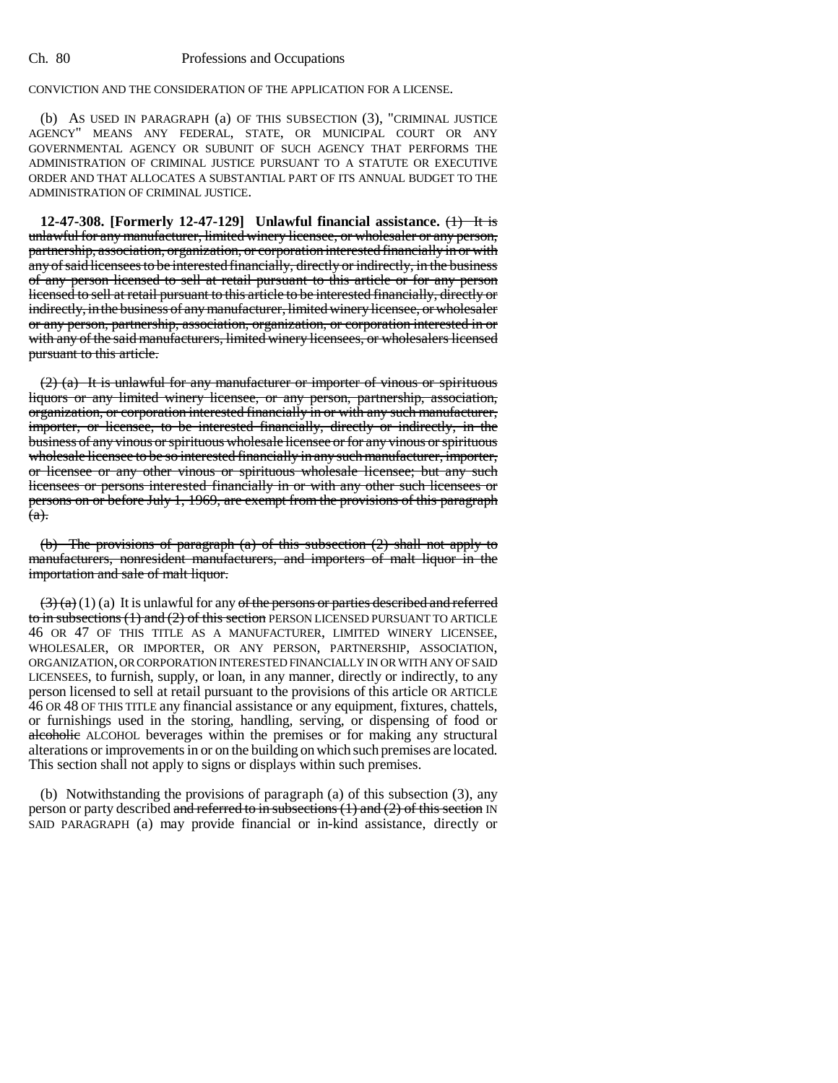## CONVICTION AND THE CONSIDERATION OF THE APPLICATION FOR A LICENSE.

(b) AS USED IN PARAGRAPH (a) OF THIS SUBSECTION (3), "CRIMINAL JUSTICE AGENCY" MEANS ANY FEDERAL, STATE, OR MUNICIPAL COURT OR ANY GOVERNMENTAL AGENCY OR SUBUNIT OF SUCH AGENCY THAT PERFORMS THE ADMINISTRATION OF CRIMINAL JUSTICE PURSUANT TO A STATUTE OR EXECUTIVE ORDER AND THAT ALLOCATES A SUBSTANTIAL PART OF ITS ANNUAL BUDGET TO THE ADMINISTRATION OF CRIMINAL JUSTICE.

**12-47-308. [Formerly 12-47-129] Unlawful financial assistance.** (1) It is unlawful for any manufacturer, limited winery licensee, or wholesaler or any person, partnership, association, organization, or corporation interested financially in or with any of said licensees to be interested financially, directly or indirectly, in the business of any person licensed to sell at retail pursuant to this article or for any person licensed to sell at retail pursuant to this article to be interested financially, directly or indirectly, in the business of any manufacturer, limited winery licensee, or wholesaler or any person, partnership, association, organization, or corporation interested in or with any of the said manufacturers, limited winery licensees, or wholesalers licensed pursuant to this article.

(2) (a) It is unlawful for any manufacturer or importer of vinous or spirituous liquors or any limited winery licensee, or any person, partnership, association, organization, or corporation interested financially in or with any such manufacturer, importer, or licensee, to be interested financially, directly or indirectly, in the business of any vinous or spirituous wholesale licensee or for any vinous or spirituous wholesale licensee to be so interested financially in any such manufacturer, importer, or licensee or any other vinous or spirituous wholesale licensee; but any such licensees or persons interested financially in or with any other such licensees or persons on or before July 1, 1969, are exempt from the provisions of this paragraph  $(a).$ 

(b) The provisions of paragraph (a) of this subsection (2) shall not apply to manufacturers, nonresident manufacturers, and importers of malt liquor in the importation and sale of malt liquor.

 $(3)$  (a) (1) (a) It is unlawful for any of the persons or parties described and referred to in subsections (1) and (2) of this section PERSON LICENSED PURSUANT TO ARTICLE 46 OR 47 OF THIS TITLE AS A MANUFACTURER, LIMITED WINERY LICENSEE, ORGANIZATION, OR CORPORATION INTERESTED FINANCIALLY IN OR WITH ANY OF SAID LICENSEES, to furnish, supply, or loan, in any manner, directly or indirectly, to any person licensed to sell at retail pursuant to the provisions of this article OR ARTICLE 46 OR 48 OF THIS TITLE any financial assistance or any equipment, fixtures, chattels, or furnishings used in the storing, handling, serving, or dispensing of food or alcoholic ALCOHOL beverages within the premises or for making any structural alterations or improvements in or on the building on which such premises are located. This section shall not apply to signs or displays within such premises.

(b) Notwithstanding the provisions of paragraph (a) of this subsection (3), any person or party described and referred to in subsections  $(1)$  and  $(2)$  of this section IN SAID PARAGRAPH (a) may provide financial or in-kind assistance, directly or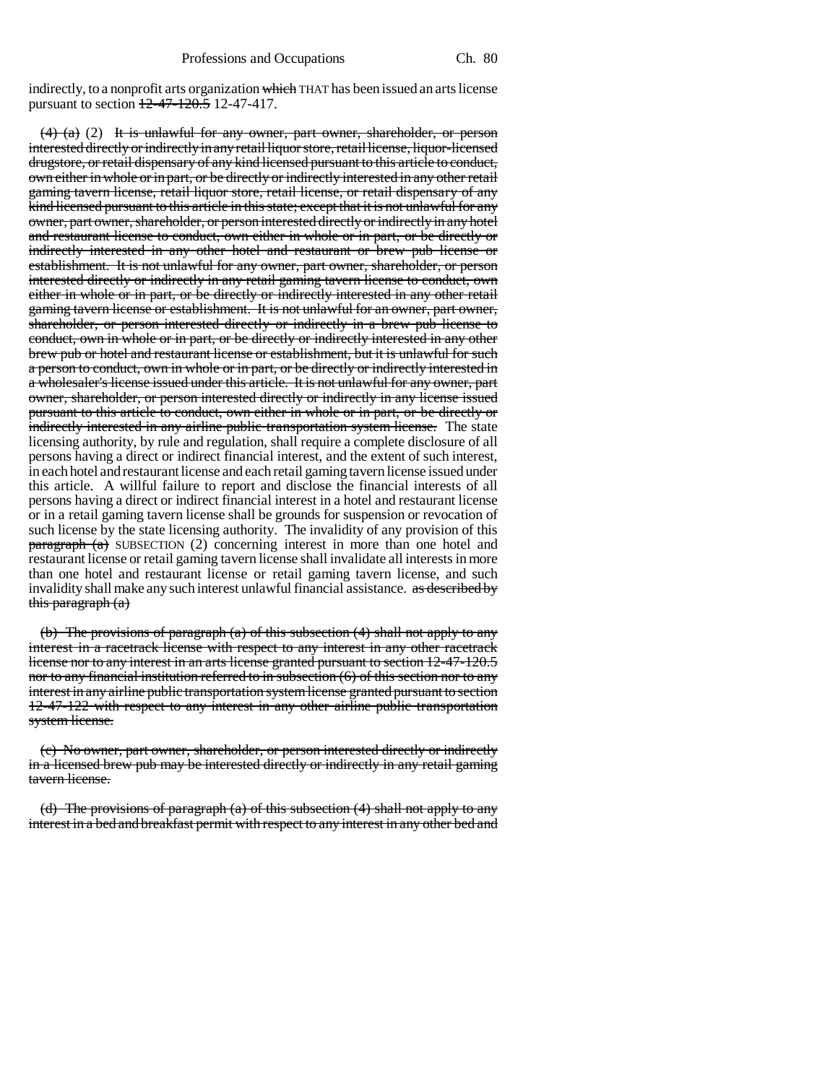indirectly, to a nonprofit arts organization which THAT has been issued an arts license pursuant to section 12-47-120.5 12-47-417.

 $(4)$  (a) (2) It is unlawful for any owner, part owner, shareholder, or person interested directly or indirectly in any retail liquor store, retail license, liquor-licensed drugstore, or retail dispensary of any kind licensed pursuant to this article to conduct, own either in whole or in part, or be directly or indirectly interested in any other retail gaming tavern license, retail liquor store, retail license, or retail dispensary of any kind licensed pursuant to this article in this state; except that it is not unlawful for any owner, part owner, shareholder, or person interested directly or indirectly in any hotel and restaurant license to conduct, own either in whole or in part, or be directly or indirectly interested in any other hotel and restaurant or brew pub license or establishment. It is not unlawful for any owner, part owner, shareholder, or person interested directly or indirectly in any retail gaming tavern license to conduct, own either in whole or in part, or be directly or indirectly interested in any other retail gaming tavern license or establishment. It is not unlawful for an owner, part owner, shareholder, or person interested directly or indirectly in a brew pub license to conduct, own in whole or in part, or be directly or indirectly interested in any other brew pub or hotel and restaurant license or establishment, but it is unlawful for such a person to conduct, own in whole or in part, or be directly or indirectly interested in a wholesaler's license issued under this article. It is not unlawful for any owner, part owner, shareholder, or person interested directly or indirectly in any license issued pursuant to this article to conduct, own either in whole or in part, or be directly or indirectly interested in any airline public transportation system license. The state licensing authority, by rule and regulation, shall require a complete disclosure of all persons having a direct or indirect financial interest, and the extent of such interest, in each hotel and restaurant license and each retail gaming tavern license issued under this article. A willful failure to report and disclose the financial interests of all persons having a direct or indirect financial interest in a hotel and restaurant license or in a retail gaming tavern license shall be grounds for suspension or revocation of such license by the state licensing authority. The invalidity of any provision of this  $\frac{\text{parameter of}}{\text{parameter of}}$  subsection (2) concerning interest in more than one hotel and restaurant license or retail gaming tavern license shall invalidate all interests in more than one hotel and restaurant license or retail gaming tavern license, and such invalidity shall make any such interest unlawful financial assistance. as described by this paragraph (a)

(b) The provisions of paragraph (a) of this subsection (4) shall not apply to any interest in a racetrack license with respect to any interest in any other racetrack license nor to any interest in an arts license granted pursuant to section 12-47-120.5 nor to any financial institution referred to in subsection (6) of this section nor to any interest in any airline public transportation system license granted pursuant to section 12-47-122 with respect to any interest in any other airline public transportation system license.

(c) No owner, part owner, shareholder, or person interested directly or indirectly in a licensed brew pub may be interested directly or indirectly in any retail gaming tavern license.

(d) The provisions of paragraph (a) of this subsection  $(4)$  shall not apply to any interest in a bed and breakfast permit with respect to any interest in any other bed and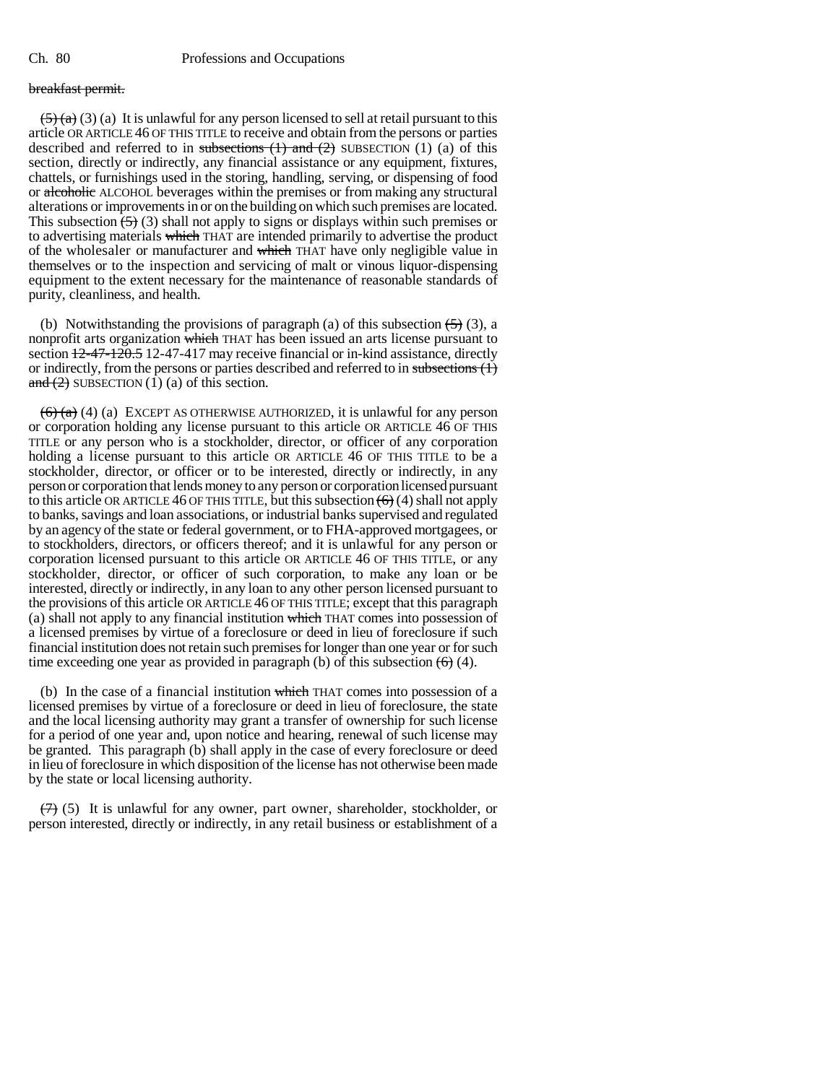# breakfast permit.

 $(5)$  (a) (a) It is unlawful for any person licensed to sell at retail pursuant to this article OR ARTICLE 46 OF THIS TITLE to receive and obtain from the persons or parties described and referred to in subsections  $(1)$  and  $(2)$  SUBSECTION  $(1)$   $(a)$  of this section, directly or indirectly, any financial assistance or any equipment, fixtures, chattels, or furnishings used in the storing, handling, serving, or dispensing of food or alcoholic ALCOHOL beverages within the premises or from making any structural alterations or improvements in or on the building on which such premises are located. This subsection  $\left(\frac{5}{2}\right)$  (3) shall not apply to signs or displays within such premises or to advertising materials which THAT are intended primarily to advertise the product of the wholesaler or manufacturer and which THAT have only negligible value in themselves or to the inspection and servicing of malt or vinous liquor-dispensing equipment to the extent necessary for the maintenance of reasonable standards of purity, cleanliness, and health.

(b) Notwithstanding the provisions of paragraph (a) of this subsection  $\left(\frac{5}{2}\right)$  (3), a nonprofit arts organization which THAT has been issued an arts license pursuant to section  $12-47-120.5$  12-47-417 may receive financial or in-kind assistance, directly or indirectly, from the persons or parties described and referred to in subsections  $(1)$ and  $(2)$  SUBSECTION  $(1)$  (a) of this section.

 $(6)$  (a) (a) EXCEPT AS OTHERWISE AUTHORIZED, it is unlawful for any person or corporation holding any license pursuant to this article OR ARTICLE 46 OF THIS TITLE or any person who is a stockholder, director, or officer of any corporation holding a license pursuant to this article OR ARTICLE 46 OF THIS TITLE to be a stockholder, director, or officer or to be interested, directly or indirectly, in any person or corporation that lends money to any person or corporation licensed pursuant to this article OR ARTICLE 46 OF THIS TITLE, but this subsection  $(6)$  (4) shall not apply to banks, savings and loan associations, or industrial banks supervised and regulated by an agency of the state or federal government, or to FHA-approved mortgagees, or to stockholders, directors, or officers thereof; and it is unlawful for any person or corporation licensed pursuant to this article OR ARTICLE 46 OF THIS TITLE, or any stockholder, director, or officer of such corporation, to make any loan or be interested, directly or indirectly, in any loan to any other person licensed pursuant to the provisions of this article OR ARTICLE 46 OF THIS TITLE; except that this paragraph (a) shall not apply to any financial institution which THAT comes into possession of a licensed premises by virtue of a foreclosure or deed in lieu of foreclosure if such financial institution does not retain such premises for longer than one year or for such time exceeding one year as provided in paragraph (b) of this subsection  $\left(\frac{1}{10}\right)$  (4).

(b) In the case of a financial institution which THAT comes into possession of a licensed premises by virtue of a foreclosure or deed in lieu of foreclosure, the state and the local licensing authority may grant a transfer of ownership for such license for a period of one year and, upon notice and hearing, renewal of such license may be granted. This paragraph (b) shall apply in the case of every foreclosure or deed in lieu of foreclosure in which disposition of the license has not otherwise been made by the state or local licensing authority.

 $(7)$  (5) It is unlawful for any owner, part owner, shareholder, stockholder, or person interested, directly or indirectly, in any retail business or establishment of a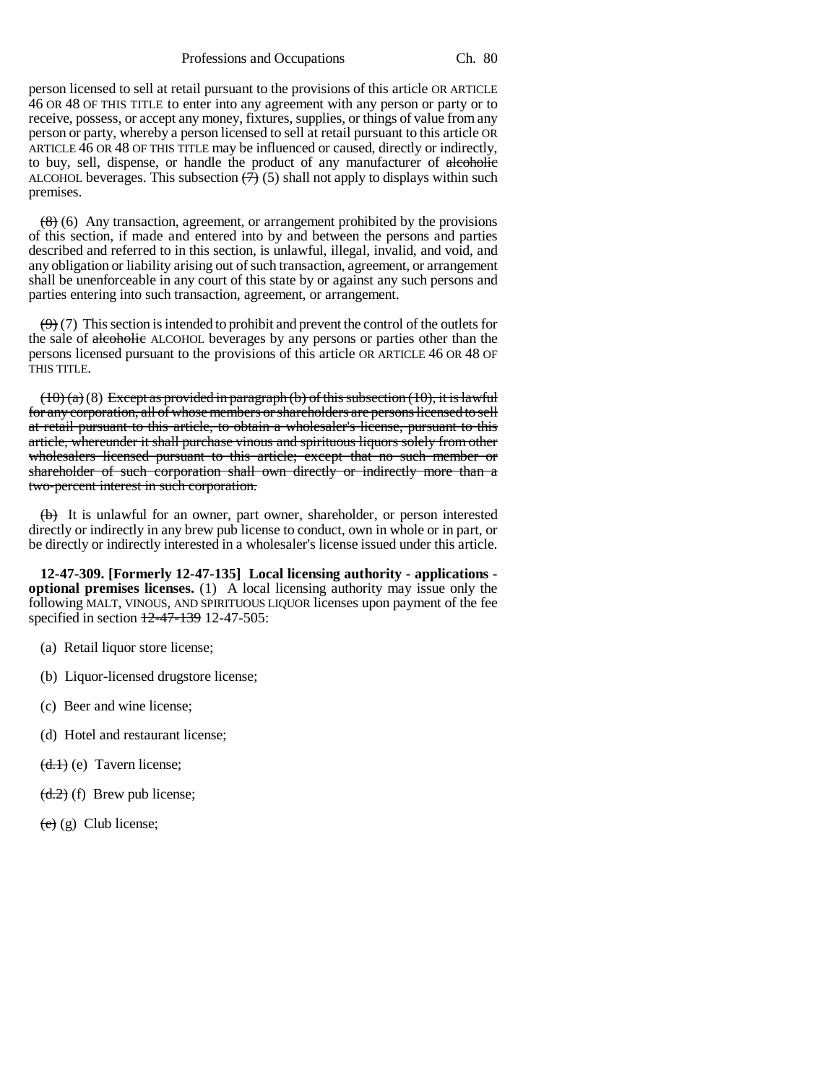Professions and Occupations Ch. 80

person licensed to sell at retail pursuant to the provisions of this article OR ARTICLE 46 OR 48 OF THIS TITLE to enter into any agreement with any person or party or to receive, possess, or accept any money, fixtures, supplies, or things of value from any person or party, whereby a person licensed to sell at retail pursuant to this article OR ARTICLE 46 OR 48 OF THIS TITLE may be influenced or caused, directly or indirectly, to buy, sell, dispense, or handle the product of any manufacturer of alcoholic ALCOHOL beverages. This subsection  $(7)$  (5) shall not apply to displays within such premises.

 $(8)$  (6) Any transaction, agreement, or arrangement prohibited by the provisions of this section, if made and entered into by and between the persons and parties described and referred to in this section, is unlawful, illegal, invalid, and void, and any obligation or liability arising out of such transaction, agreement, or arrangement shall be unenforceable in any court of this state by or against any such persons and parties entering into such transaction, agreement, or arrangement.

 $(9)$  (7) This section is intended to prohibit and prevent the control of the outlets for the sale of alcoholic ALCOHOL beverages by any persons or parties other than the persons licensed pursuant to the provisions of this article OR ARTICLE 46 OR 48 OF THIS TITLE.

 $(10)(a)(8)$  Except as provided in paragraph (b) of this subsection (10), it is lawful for any corporation, all of whose members or shareholders are persons licensed to sell at retail pursuant to this article, to obtain a wholesaler's license, pursuant to this article, whereunder it shall purchase vinous and spirituous liquors solely from other wholesalers licensed pursuant to this article; except that no such member or shareholder of such corporation shall own directly or indirectly more than a two-percent interest in such corporation.

 $(b)$  It is unlawful for an owner, part owner, shareholder, or person interested directly or indirectly in any brew pub license to conduct, own in whole or in part, or be directly or indirectly interested in a wholesaler's license issued under this article.

**12-47-309. [Formerly 12-47-135] Local licensing authority - applications optional premises licenses.** (1) A local licensing authority may issue only the following MALT, VINOUS, AND SPIRITUOUS LIQUOR licenses upon payment of the fee specified in section 12-47-139 12-47-505:

- (a) Retail liquor store license;
- (b) Liquor-licensed drugstore license;
- (c) Beer and wine license;
- (d) Hotel and restaurant license;
- $(d,1)$  (e) Tavern license;
- $(d.2)$  (f) Brew pub license;
- $(e)$  (g) Club license;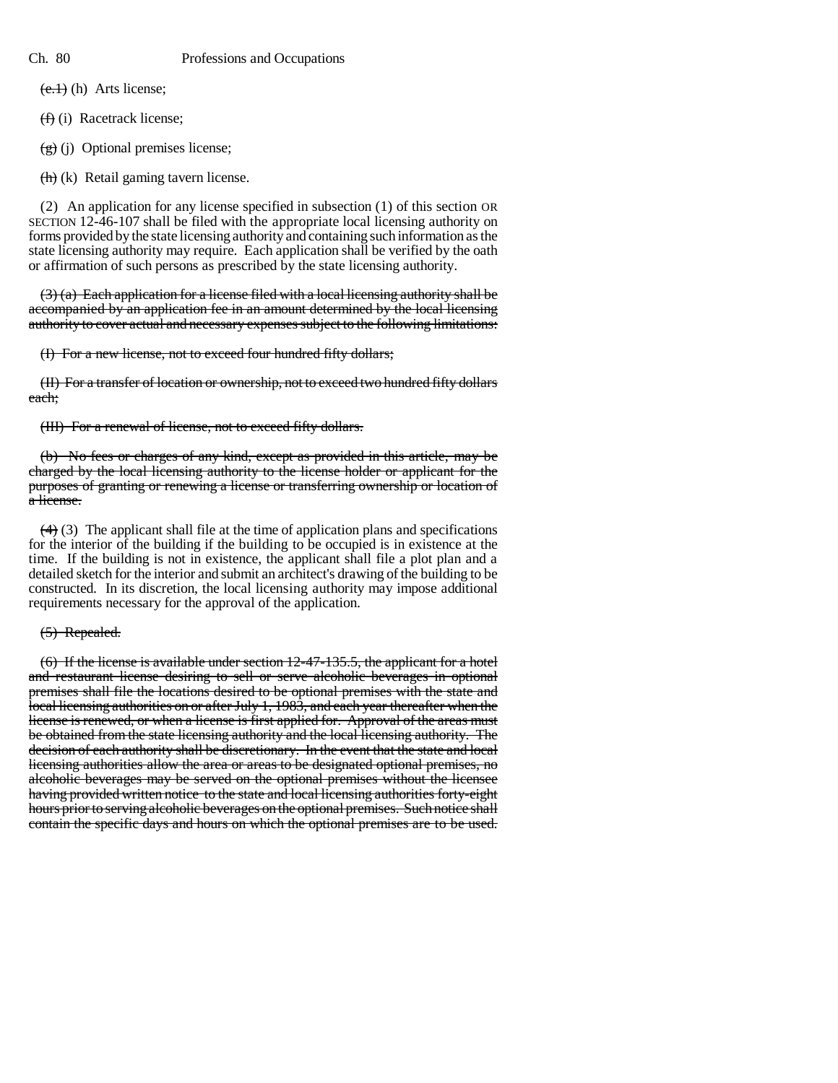$(e.1)$  (h) Arts license;

(f) (i) Racetrack license;

 $(g)$  (j) Optional premises license;

 $(h)(k)$  Retail gaming tavern license.

(2) An application for any license specified in subsection (1) of this section OR SECTION 12-46-107 shall be filed with the appropriate local licensing authority on forms provided by the state licensing authority and containing such information as the state licensing authority may require. Each application shall be verified by the oath or affirmation of such persons as prescribed by the state licensing authority.

 $(3)$  (a) Each application for a license filed with a local licensing authority shall be accompanied by an application fee in an amount determined by the local licensing authority to cover actual and necessary expenses subject to the following limitations:

(I) For a new license, not to exceed four hundred fifty dollars;

(II) For a transfer of location or ownership, not to exceed two hundred fifty dollars each;

(III) For a renewal of license, not to exceed fifty dollars.

(b) No fees or charges of any kind, except as provided in this article, may be charged by the local licensing authority to the license holder or applicant for the purposes of granting or renewing a license or transferring ownership or location of a license.

 $(4)$  (3) The applicant shall file at the time of application plans and specifications for the interior of the building if the building to be occupied is in existence at the time. If the building is not in existence, the applicant shall file a plot plan and a detailed sketch for the interior and submit an architect's drawing of the building to be constructed. In its discretion, the local licensing authority may impose additional requirements necessary for the approval of the application.

# (5) Repealed.

(6) If the license is available under section 12-47-135.5, the applicant for a hotel and restaurant license desiring to sell or serve alcoholic beverages in optional premises shall file the locations desired to be optional premises with the state and local licensing authorities on or after July 1, 1983, and each year thereafter when the license is renewed, or when a license is first applied for. Approval of the areas must be obtained from the state licensing authority and the local licensing authority. The decision of each authority shall be discretionary. In the event that the state and local licensing authorities allow the area or areas to be designated optional premises, no alcoholic beverages may be served on the optional premises without the licensee having provided written notice to the state and local licensing authorities forty-eight hours prior to serving alcoholic beverages on the optional premises. Such notice shall contain the specific days and hours on which the optional premises are to be used.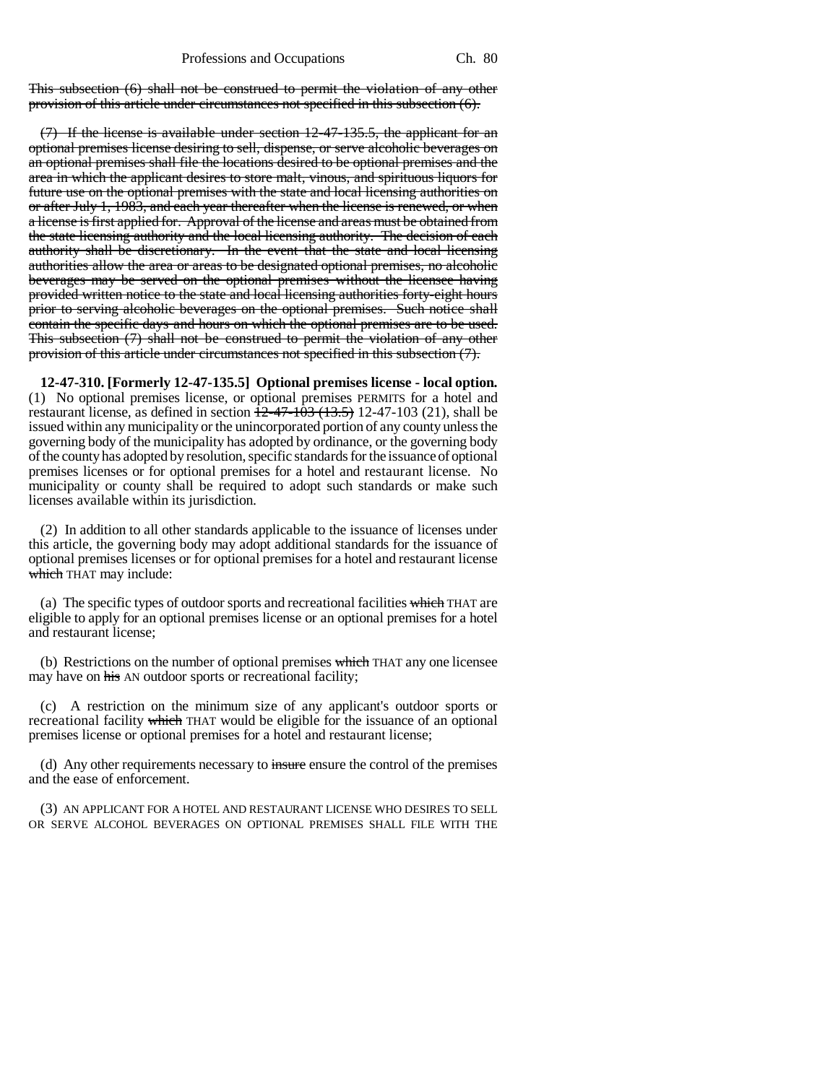This subsection (6) shall not be construed to permit the violation of any other provision of this article under circumstances not specified in this subsection (6).

(7) If the license is available under section 12-47-135.5, the applicant for an optional premises license desiring to sell, dispense, or serve alcoholic beverages on an optional premises shall file the locations desired to be optional premises and the area in which the applicant desires to store malt, vinous, and spirituous liquors for future use on the optional premises with the state and local licensing authorities on or after July 1, 1983, and each year thereafter when the license is renewed, or when a license is first applied for. Approval of the license and areas must be obtained from the state licensing authority and the local licensing authority. The decision of each authority shall be discretionary. In the event that the state and local licensing authorities allow the area or areas to be designated optional premises, no alcoholic beverages may be served on the optional premises without the licensee having provided written notice to the state and local licensing authorities forty-eight hours prior to serving alcoholic beverages on the optional premises. Such notice shall contain the specific days and hours on which the optional premises are to be used. This subsection (7) shall not be construed to permit the violation of any other provision of this article under circumstances not specified in this subsection (7).

**12-47-310. [Formerly 12-47-135.5] Optional premises license - local option.** (1) No optional premises license, or optional premises PERMITS for a hotel and restaurant license, as defined in section  $\frac{12-47-103}{12-47-103}$  (21), shall be issued within any municipality or the unincorporated portion of any county unless the governing body of the municipality has adopted by ordinance, or the governing body of the county has adopted by resolution, specific standards for the issuance of optional premises licenses or for optional premises for a hotel and restaurant license. No municipality or county shall be required to adopt such standards or make such licenses available within its jurisdiction.

(2) In addition to all other standards applicable to the issuance of licenses under this article, the governing body may adopt additional standards for the issuance of optional premises licenses or for optional premises for a hotel and restaurant license which THAT may include:

(a) The specific types of outdoor sports and recreational facilities which THAT are eligible to apply for an optional premises license or an optional premises for a hotel and restaurant license;

(b) Restrictions on the number of optional premises which THAT any one licensee may have on his AN outdoor sports or recreational facility;

(c) A restriction on the minimum size of any applicant's outdoor sports or recreational facility which THAT would be eligible for the issuance of an optional premises license or optional premises for a hotel and restaurant license;

(d) Any other requirements necessary to insure ensure the control of the premises and the ease of enforcement.

(3) AN APPLICANT FOR A HOTEL AND RESTAURANT LICENSE WHO DESIRES TO SELL OR SERVE ALCOHOL BEVERAGES ON OPTIONAL PREMISES SHALL FILE WITH THE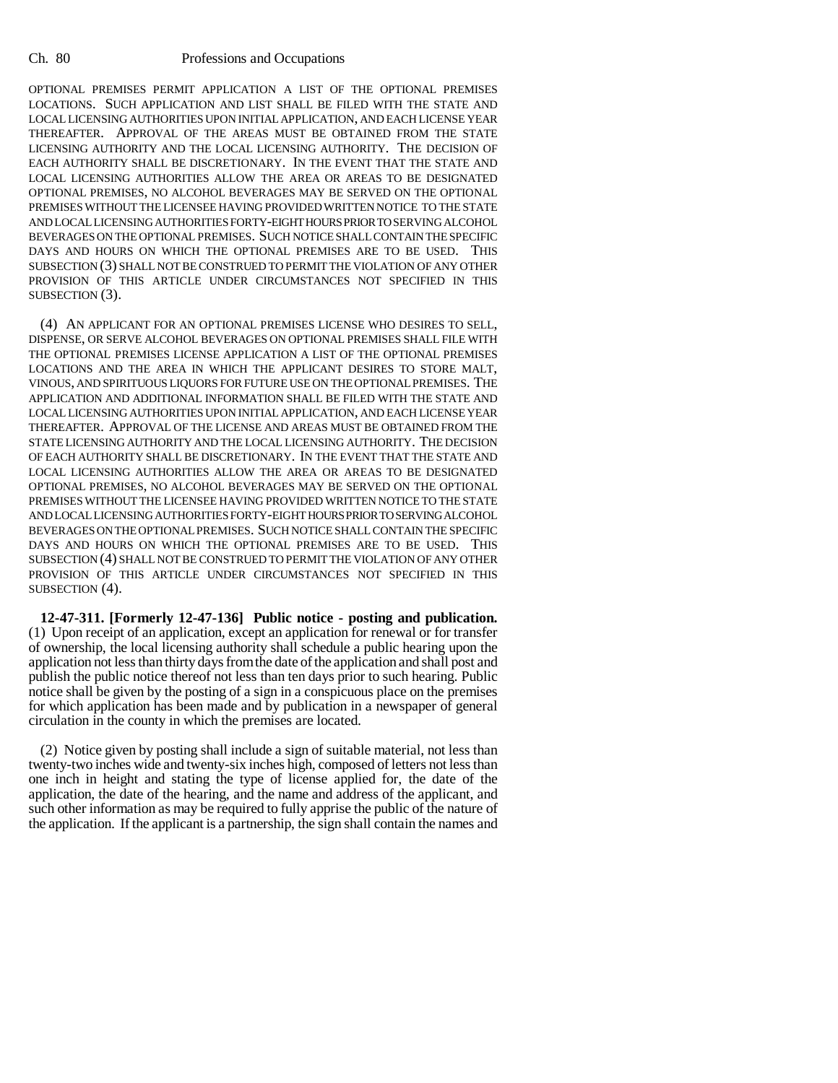OPTIONAL PREMISES PERMIT APPLICATION A LIST OF THE OPTIONAL PREMISES LOCATIONS. SUCH APPLICATION AND LIST SHALL BE FILED WITH THE STATE AND LOCAL LICENSING AUTHORITIES UPON INITIAL APPLICATION, AND EACH LICENSE YEAR THEREAFTER. APPROVAL OF THE AREAS MUST BE OBTAINED FROM THE STATE LICENSING AUTHORITY AND THE LOCAL LICENSING AUTHORITY. THE DECISION OF EACH AUTHORITY SHALL BE DISCRETIONARY. IN THE EVENT THAT THE STATE AND LOCAL LICENSING AUTHORITIES ALLOW THE AREA OR AREAS TO BE DESIGNATED OPTIONAL PREMISES, NO ALCOHOL BEVERAGES MAY BE SERVED ON THE OPTIONAL PREMISES WITHOUT THE LICENSEE HAVING PROVIDED WRITTEN NOTICE TO THE STATE AND LOCAL LICENSING AUTHORITIES FORTY-EIGHT HOURS PRIOR TO SERVING ALCOHOL BEVERAGES ON THE OPTIONAL PREMISES. SUCH NOTICE SHALL CONTAIN THE SPECIFIC DAYS AND HOURS ON WHICH THE OPTIONAL PREMISES ARE TO BE USED. THIS SUBSECTION (3) SHALL NOT BE CONSTRUED TO PERMIT THE VIOLATION OF ANY OTHER PROVISION OF THIS ARTICLE UNDER CIRCUMSTANCES NOT SPECIFIED IN THIS SUBSECTION (3).

(4) AN APPLICANT FOR AN OPTIONAL PREMISES LICENSE WHO DESIRES TO SELL, DISPENSE, OR SERVE ALCOHOL BEVERAGES ON OPTIONAL PREMISES SHALL FILE WITH THE OPTIONAL PREMISES LICENSE APPLICATION A LIST OF THE OPTIONAL PREMISES LOCATIONS AND THE AREA IN WHICH THE APPLICANT DESIRES TO STORE MALT, VINOUS, AND SPIRITUOUS LIQUORS FOR FUTURE USE ON THE OPTIONAL PREMISES. THE APPLICATION AND ADDITIONAL INFORMATION SHALL BE FILED WITH THE STATE AND LOCAL LICENSING AUTHORITIES UPON INITIAL APPLICATION, AND EACH LICENSE YEAR THEREAFTER. APPROVAL OF THE LICENSE AND AREAS MUST BE OBTAINED FROM THE STATE LICENSING AUTHORITY AND THE LOCAL LICENSING AUTHORITY. THE DECISION OF EACH AUTHORITY SHALL BE DISCRETIONARY. IN THE EVENT THAT THE STATE AND LOCAL LICENSING AUTHORITIES ALLOW THE AREA OR AREAS TO BE DESIGNATED OPTIONAL PREMISES, NO ALCOHOL BEVERAGES MAY BE SERVED ON THE OPTIONAL PREMISES WITHOUT THE LICENSEE HAVING PROVIDED WRITTEN NOTICE TO THE STATE AND LOCAL LICENSING AUTHORITIES FORTY-EIGHT HOURS PRIOR TO SERVING ALCOHOL BEVERAGES ON THE OPTIONAL PREMISES. SUCH NOTICE SHALL CONTAIN THE SPECIFIC DAYS AND HOURS ON WHICH THE OPTIONAL PREMISES ARE TO BE USED. THIS SUBSECTION (4) SHALL NOT BE CONSTRUED TO PERMIT THE VIOLATION OF ANY OTHER PROVISION OF THIS ARTICLE UNDER CIRCUMSTANCES NOT SPECIFIED IN THIS SUBSECTION (4).

**12-47-311. [Formerly 12-47-136] Public notice - posting and publication.** (1) Upon receipt of an application, except an application for renewal or for transfer of ownership, the local licensing authority shall schedule a public hearing upon the application not less than thirty days from the date of the application and shall post and publish the public notice thereof not less than ten days prior to such hearing. Public notice shall be given by the posting of a sign in a conspicuous place on the premises for which application has been made and by publication in a newspaper of general circulation in the county in which the premises are located.

(2) Notice given by posting shall include a sign of suitable material, not less than twenty-two inches wide and twenty-six inches high, composed of letters not less than one inch in height and stating the type of license applied for, the date of the application, the date of the hearing, and the name and address of the applicant, and such other information as may be required to fully apprise the public of the nature of the application. If the applicant is a partnership, the sign shall contain the names and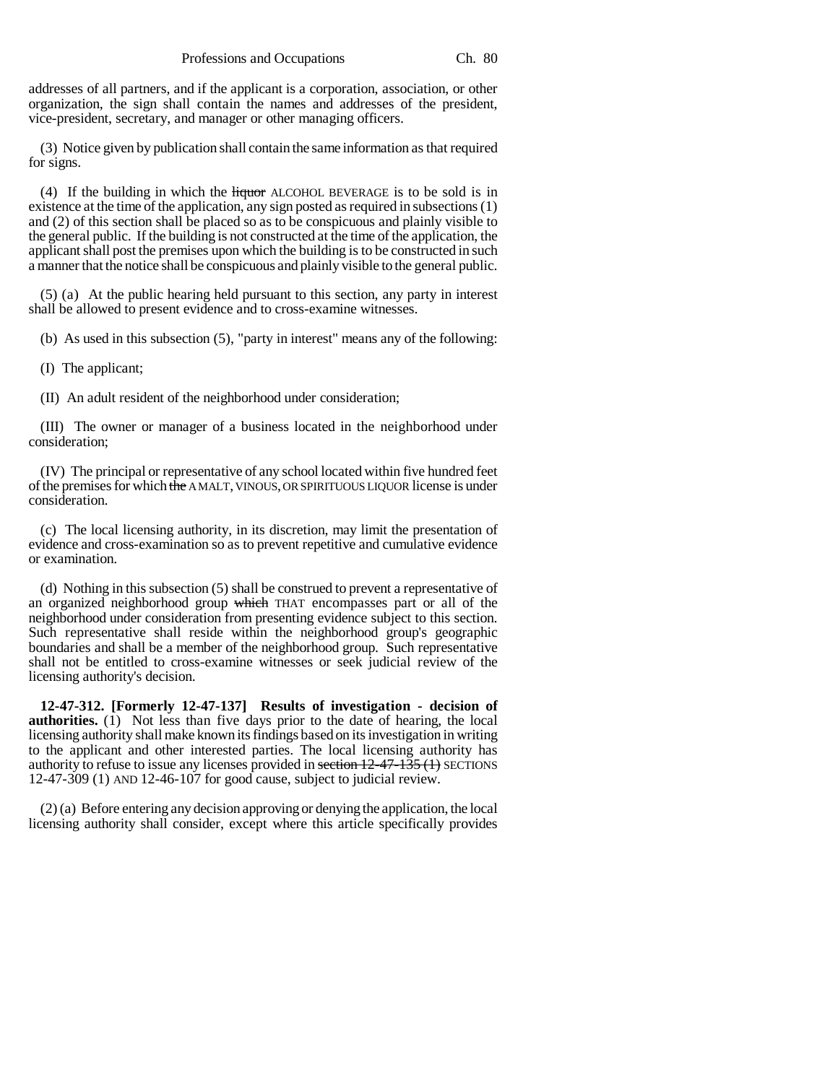addresses of all partners, and if the applicant is a corporation, association, or other organization, the sign shall contain the names and addresses of the president, vice-president, secretary, and manager or other managing officers.

(3) Notice given by publication shall contain the same information as that required for signs.

(4) If the building in which the  $\frac{H}{H}$  He all also Equivalent ALCOHOL BEVERAGE is to be sold is in existence at the time of the application, any sign posted as required in subsections (1) and (2) of this section shall be placed so as to be conspicuous and plainly visible to the general public. If the building is not constructed at the time of the application, the applicant shall post the premises upon which the building is to be constructed in such a manner that the notice shall be conspicuous and plainly visible to the general public.

(5) (a) At the public hearing held pursuant to this section, any party in interest shall be allowed to present evidence and to cross-examine witnesses.

(b) As used in this subsection (5), "party in interest" means any of the following:

(I) The applicant;

(II) An adult resident of the neighborhood under consideration;

(III) The owner or manager of a business located in the neighborhood under consideration;

(IV) The principal or representative of any school located within five hundred feet of the premises for which the A MALT, VINOUS, OR SPIRITUOUS LIQUOR license is under consideration.

(c) The local licensing authority, in its discretion, may limit the presentation of evidence and cross-examination so as to prevent repetitive and cumulative evidence or examination.

(d) Nothing in this subsection (5) shall be construed to prevent a representative of an organized neighborhood group which THAT encompasses part or all of the neighborhood under consideration from presenting evidence subject to this section. Such representative shall reside within the neighborhood group's geographic boundaries and shall be a member of the neighborhood group. Such representative shall not be entitled to cross-examine witnesses or seek judicial review of the licensing authority's decision.

**12-47-312. [Formerly 12-47-137] Results of investigation - decision of authorities.** (1) Not less than five days prior to the date of hearing, the local licensing authority shall make known its findings based on its investigation in writing to the applicant and other interested parties. The local licensing authority has authority to refuse to issue any licenses provided in section 12-47-135 (1) SECTIONS 12-47-309 (1) AND 12-46-107 for good cause, subject to judicial review.

(2) (a) Before entering any decision approving or denying the application, the local licensing authority shall consider, except where this article specifically provides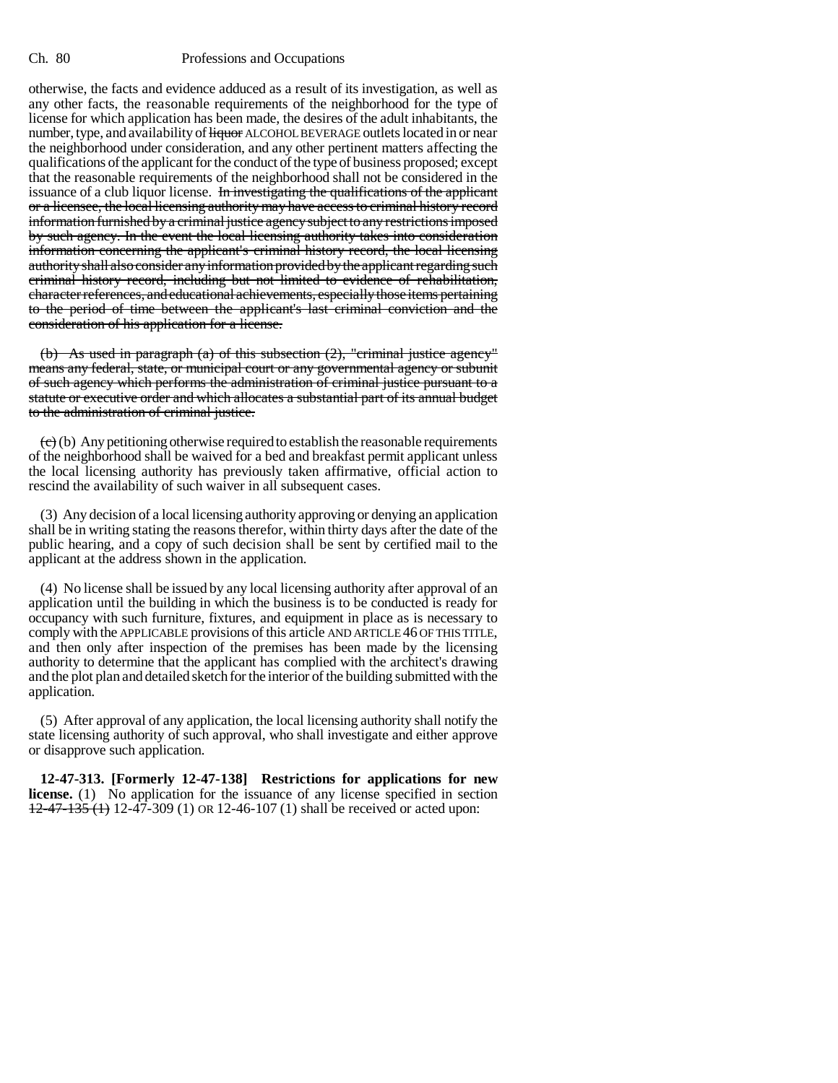otherwise, the facts and evidence adduced as a result of its investigation, as well as any other facts, the reasonable requirements of the neighborhood for the type of license for which application has been made, the desires of the adult inhabitants, the number, type, and availability of liquor ALCOHOL BEVERAGE outlets located in or near the neighborhood under consideration, and any other pertinent matters affecting the qualifications of the applicant for the conduct of the type of business proposed; except that the reasonable requirements of the neighborhood shall not be considered in the issuance of a club liquor license. In investigating the qualifications of the applicant or a licensee, the local licensing authority may have access to criminal history record information furnished by a criminal justice agency subject to any restrictions imposed by such agency. In the event the local licensing authority takes into consideration information concerning the applicant's criminal history record, the local licensing authority shall also consider any information provided by the applicant regarding such criminal history record, including but not limited to evidence of rehabilitation, character references, and educational achievements, especially those items pertaining to the period of time between the applicant's last criminal conviction and the consideration of his application for a license.

(b) As used in paragraph (a) of this subsection (2), "criminal justice agency" means any federal, state, or municipal court or any governmental agency or subunit of such agency which performs the administration of criminal justice pursuant to a statute or executive order and which allocates a substantial part of its annual budget to the administration of criminal justice.

 $(e)$  (b) Any petitioning otherwise required to establish the reasonable requirements of the neighborhood shall be waived for a bed and breakfast permit applicant unless the local licensing authority has previously taken affirmative, official action to rescind the availability of such waiver in all subsequent cases.

(3) Any decision of a local licensing authority approving or denying an application shall be in writing stating the reasons therefor, within thirty days after the date of the public hearing, and a copy of such decision shall be sent by certified mail to the applicant at the address shown in the application.

(4) No license shall be issued by any local licensing authority after approval of an application until the building in which the business is to be conducted is ready for occupancy with such furniture, fixtures, and equipment in place as is necessary to comply with the APPLICABLE provisions of this article AND ARTICLE 46 OF THIS TITLE, and then only after inspection of the premises has been made by the licensing authority to determine that the applicant has complied with the architect's drawing and the plot plan and detailed sketch for the interior of the building submitted with the application.

(5) After approval of any application, the local licensing authority shall notify the state licensing authority of such approval, who shall investigate and either approve or disapprove such application.

**12-47-313. [Formerly 12-47-138] Restrictions for applications for new license.** (1) No application for the issuance of any license specified in section  $12-47-135$  (1) 12-47-309 (1) OR 12-46-107 (1) shall be received or acted upon: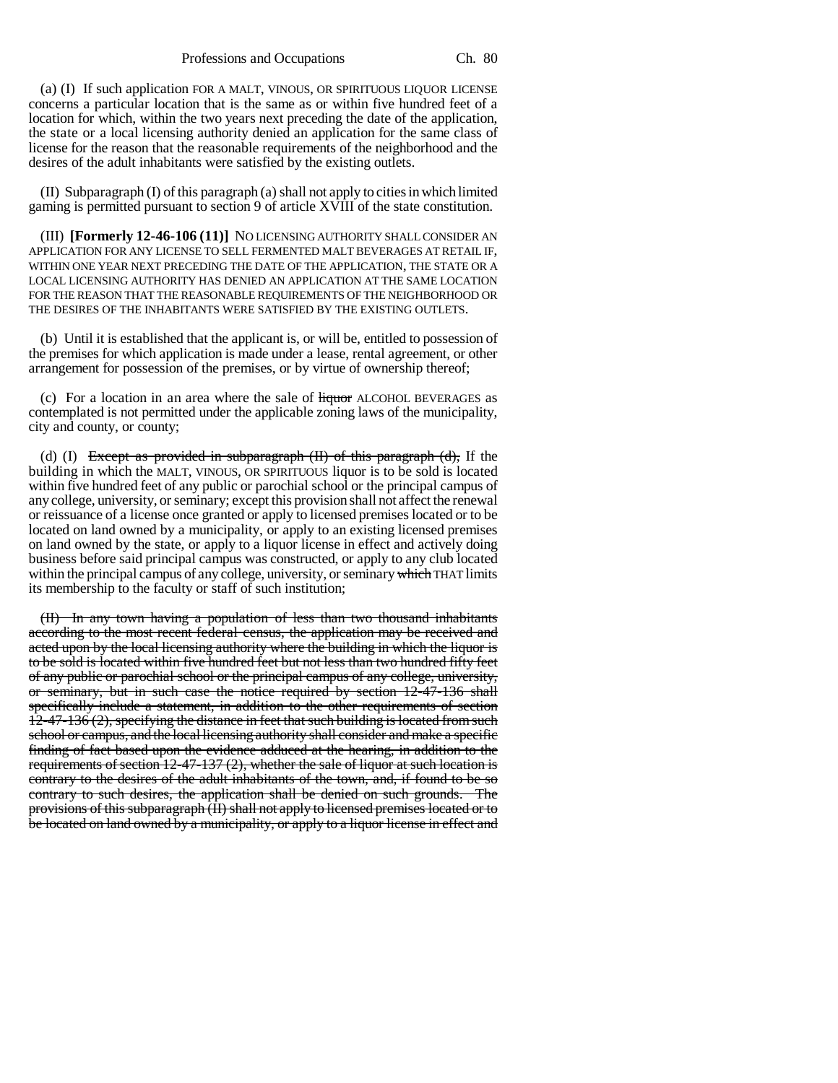(a) (I) If such application FOR A MALT, VINOUS, OR SPIRITUOUS LIQUOR LICENSE concerns a particular location that is the same as or within five hundred feet of a location for which, within the two years next preceding the date of the application, the state or a local licensing authority denied an application for the same class of license for the reason that the reasonable requirements of the neighborhood and the desires of the adult inhabitants were satisfied by the existing outlets.

(II) Subparagraph (I) of this paragraph (a) shall not apply to cities in which limited gaming is permitted pursuant to section 9 of article XVIII of the state constitution.

(III) **[Formerly 12-46-106 (11)]** NO LICENSING AUTHORITY SHALL CONSIDER AN APPLICATION FOR ANY LICENSE TO SELL FERMENTED MALT BEVERAGES AT RETAIL IF, WITHIN ONE YEAR NEXT PRECEDING THE DATE OF THE APPLICATION, THE STATE OR A LOCAL LICENSING AUTHORITY HAS DENIED AN APPLICATION AT THE SAME LOCATION FOR THE REASON THAT THE REASONABLE REQUIREMENTS OF THE NEIGHBORHOOD OR THE DESIRES OF THE INHABITANTS WERE SATISFIED BY THE EXISTING OUTLETS.

(b) Until it is established that the applicant is, or will be, entitled to possession of the premises for which application is made under a lease, rental agreement, or other arrangement for possession of the premises, or by virtue of ownership thereof;

(c) For a location in an area where the sale of  $\frac{1}{2}$  Hquor ALCOHOL BEVERAGES as contemplated is not permitted under the applicable zoning laws of the municipality, city and county, or county;

(d) (I) Except as provided in subparagraph  $(H)$  of this paragraph  $(d)$ , If the building in which the MALT, VINOUS, OR SPIRITUOUS liquor is to be sold is located within five hundred feet of any public or parochial school or the principal campus of any college, university, or seminary; except this provision shall not affect the renewal or reissuance of a license once granted or apply to licensed premises located or to be located on land owned by a municipality, or apply to an existing licensed premises on land owned by the state, or apply to a liquor license in effect and actively doing business before said principal campus was constructed, or apply to any club located within the principal campus of any college, university, or seminary which THAT limits its membership to the faculty or staff of such institution;

(II) In any town having a population of less than two thousand inhabitants according to the most recent federal census, the application may be received and acted upon by the local licensing authority where the building in which the liquor is to be sold is located within five hundred feet but not less than two hundred fifty feet of any public or parochial school or the principal campus of any college, university, or seminary, but in such case the notice required by section 12-47-136 shall specifically include a statement, in addition to the other requirements of section 12-47-136 (2), specifying the distance in feet that such building is located from such school or campus, and the local licensing authority shall consider and make a specific finding of fact based upon the evidence adduced at the hearing, in addition to the requirements of section 12-47-137 (2), whether the sale of liquor at such location is contrary to the desires of the adult inhabitants of the town, and, if found to be so contrary to such desires, the application shall be denied on such grounds. The provisions of this subparagraph (II) shall not apply to licensed premises located or to be located on land owned by a municipality, or apply to a liquor license in effect and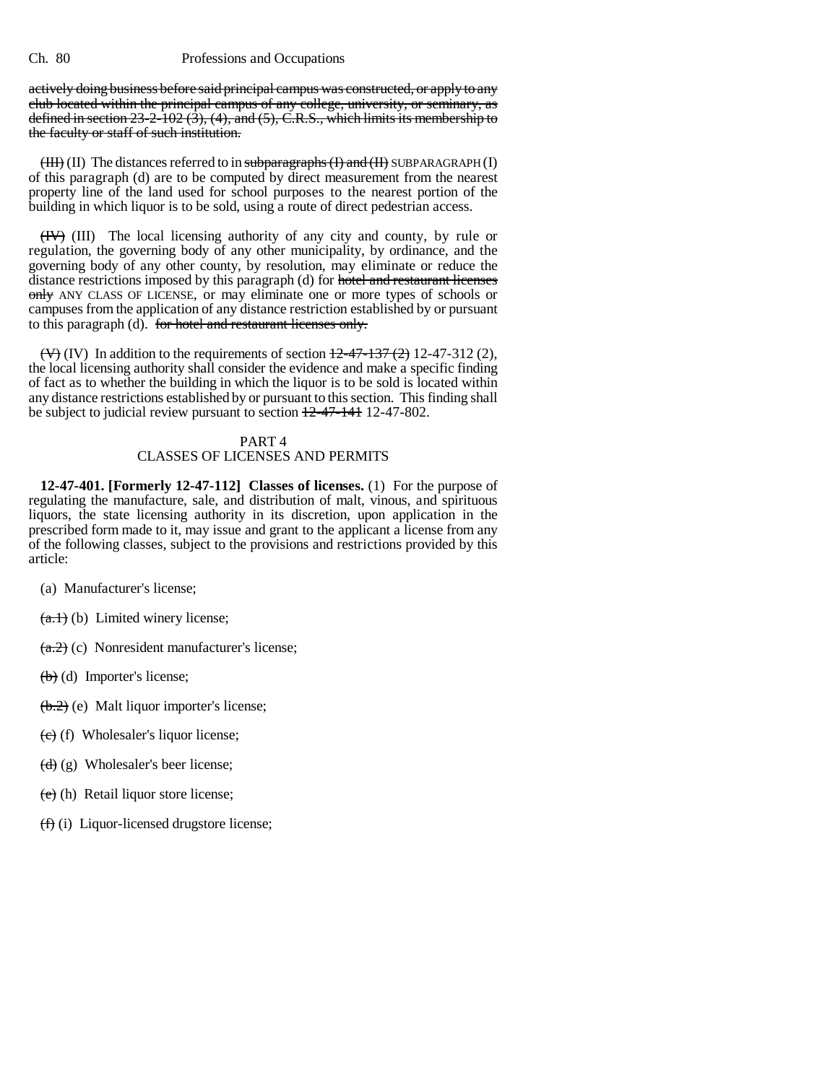actively doing business before said principal campus was constructed, or apply to any club located within the principal campus of any college, university, or seminary, as defined in section  $23-2-102$  (3), (4), and (5), C.R.S., which limits its membership to the faculty or staff of such institution.

 $(HH)$  (II) The distances referred to in subparagraphs  $(H)$  and  $(H)$  SUBPARAGRAPH (I) of this paragraph (d) are to be computed by direct measurement from the nearest property line of the land used for school purposes to the nearest portion of the building in which liquor is to be sold, using a route of direct pedestrian access.

(IV) (III) The local licensing authority of any city and county, by rule or regulation, the governing body of any other municipality, by ordinance, and the governing body of any other county, by resolution, may eliminate or reduce the distance restrictions imposed by this paragraph (d) for hotel and restaurant licenses only ANY CLASS OF LICENSE, or may eliminate one or more types of schools or campuses from the application of any distance restriction established by or pursuant to this paragraph (d). for hotel and restaurant licenses only.

 $(\forall)$  (IV) In addition to the requirements of section  $\frac{12-47-137(2)}{2}$  12-47-312 (2), the local licensing authority shall consider the evidence and make a specific finding of fact as to whether the building in which the liquor is to be sold is located within any distance restrictions established by or pursuant to this section. This finding shall be subject to judicial review pursuant to section 12-47-141 12-47-802.

#### PART 4

# CLASSES OF LICENSES AND PERMITS

**12-47-401. [Formerly 12-47-112] Classes of licenses.** (1) For the purpose of regulating the manufacture, sale, and distribution of malt, vinous, and spirituous liquors, the state licensing authority in its discretion, upon application in the prescribed form made to it, may issue and grant to the applicant a license from any of the following classes, subject to the provisions and restrictions provided by this article:

- (a) Manufacturer's license;
- $(a.1)$  (b) Limited winery license;
- $(a.2)$  (c) Nonresident manufacturer's license;
- (b) (d) Importer's license;
- (b.2) (e) Malt liquor importer's license;
- $(e)$  (f) Wholesaler's liquor license;
- $(d)$  (g) Wholesaler's beer license;
- $(e)$  (h) Retail liquor store license;
- (f) (i) Liquor-licensed drugstore license;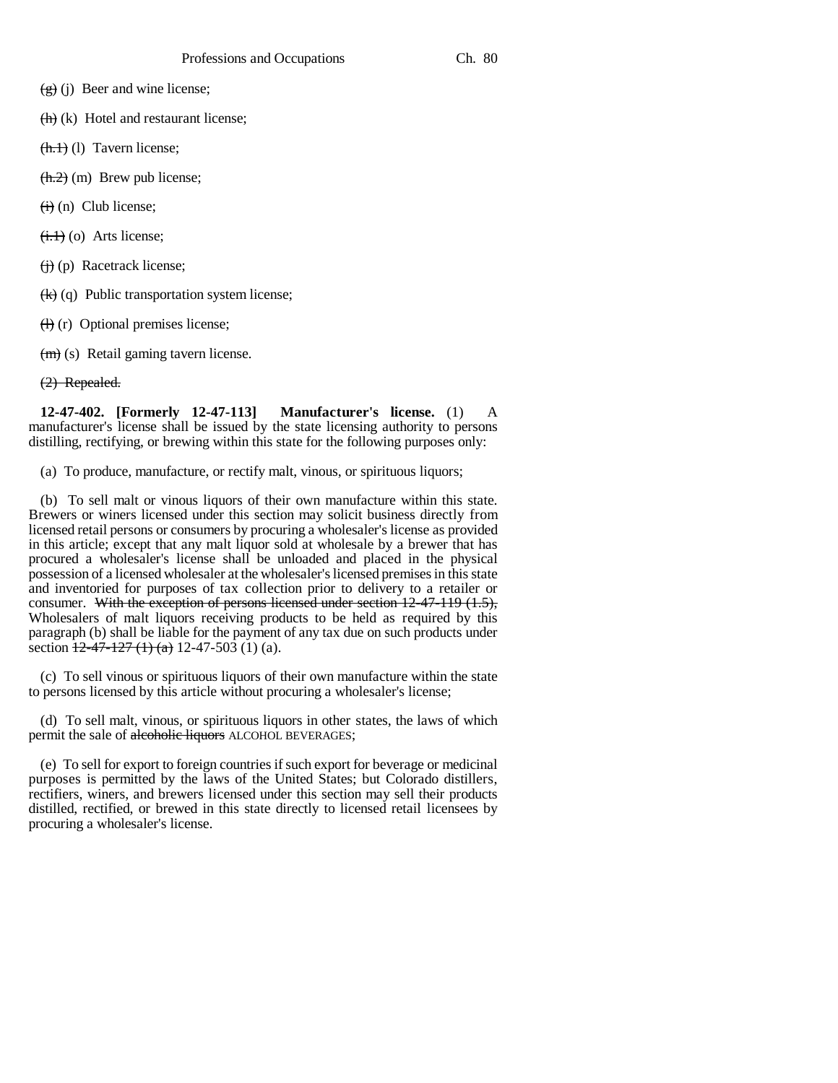- $(g)(j)$  Beer and wine license;
- $\left(\frac{h}{h}\right)$  (k) Hotel and restaurant license;
- $(**h.1**)$  (1) Tavern license;
- $(**h.2**)$  (m) Brew pub license;
- $(ii)$  (n) Club license;
- $\left(\frac{1}{1}, \frac{1}{1}\right)$  (o) Arts license;
- $(i)$  (p) Racetrack license;
- $\left(\frac{1}{k}\right)$  (q) Public transportation system license;
- $(H)$  (r) Optional premises license;
- (m) (s) Retail gaming tavern license.
- (2) Repealed.

**12-47-402. [Formerly 12-47-113] Manufacturer's license.** (1) A manufacturer's license shall be issued by the state licensing authority to persons distilling, rectifying, or brewing within this state for the following purposes only:

(a) To produce, manufacture, or rectify malt, vinous, or spirituous liquors;

(b) To sell malt or vinous liquors of their own manufacture within this state. Brewers or winers licensed under this section may solicit business directly from licensed retail persons or consumers by procuring a wholesaler's license as provided in this article; except that any malt liquor sold at wholesale by a brewer that has procured a wholesaler's license shall be unloaded and placed in the physical possession of a licensed wholesaler at the wholesaler's licensed premises in this state and inventoried for purposes of tax collection prior to delivery to a retailer or consumer. With the exception of persons licensed under section 12-47-119 (1.5), Wholesalers of malt liquors receiving products to be held as required by this paragraph (b) shall be liable for the payment of any tax due on such products under section  $\frac{12-47-127}{127}$  (1) (a) 12-47-503 (1) (a).

(c) To sell vinous or spirituous liquors of their own manufacture within the state to persons licensed by this article without procuring a wholesaler's license;

(d) To sell malt, vinous, or spirituous liquors in other states, the laws of which permit the sale of alcoholic liquors ALCOHOL BEVERAGES;

(e) To sell for export to foreign countries if such export for beverage or medicinal purposes is permitted by the laws of the United States; but Colorado distillers, rectifiers, winers, and brewers licensed under this section may sell their products distilled, rectified, or brewed in this state directly to licensed retail licensees by procuring a wholesaler's license.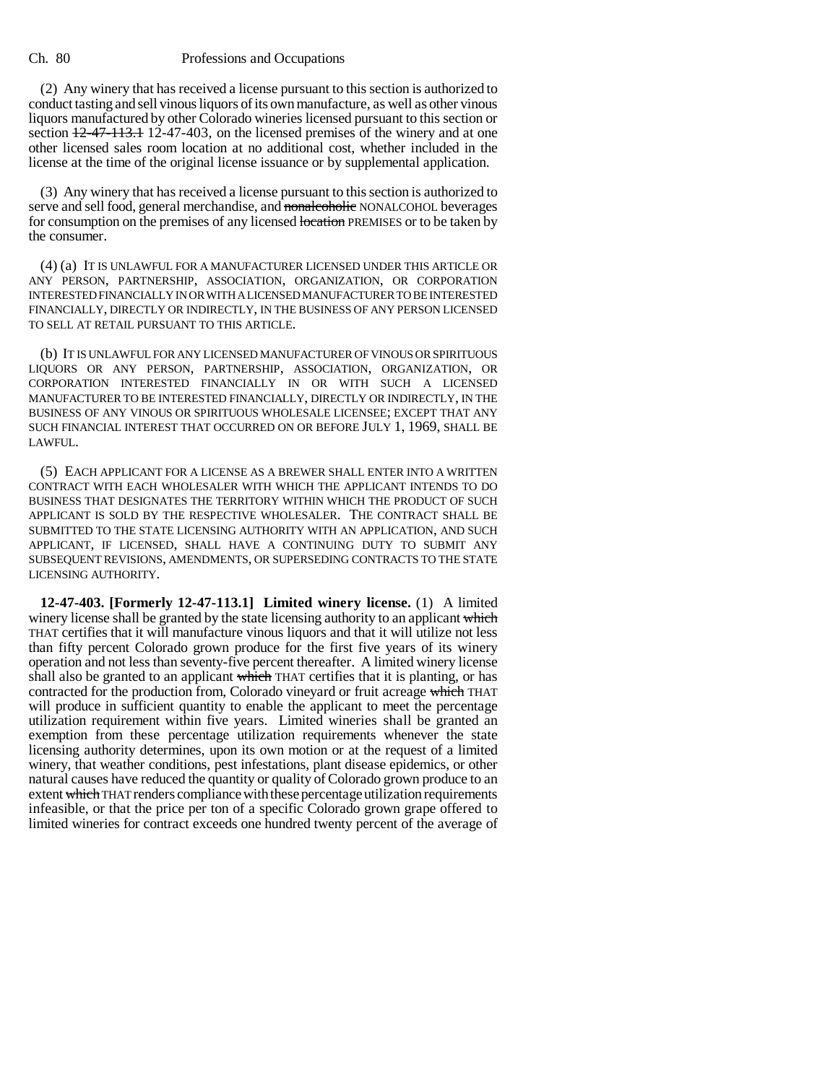(2) Any winery that has received a license pursuant to this section is authorized to conduct tasting and sell vinous liquors of its own manufacture, as well as other vinous liquors manufactured by other Colorado wineries licensed pursuant to this section or section  $12-47-113.1$  12-47-403, on the licensed premises of the winery and at one other licensed sales room location at no additional cost, whether included in the license at the time of the original license issuance or by supplemental application.

(3) Any winery that has received a license pursuant to this section is authorized to serve and sell food, general merchandise, and nonalcoholic NONALCOHOL beverages for consumption on the premises of any licensed location PREMISES or to be taken by the consumer.

(4) (a) IT IS UNLAWFUL FOR A MANUFACTURER LICENSED UNDER THIS ARTICLE OR ANY PERSON, PARTNERSHIP, ASSOCIATION, ORGANIZATION, OR CORPORATION INTERESTED FINANCIALLY IN OR WITH A LICENSED MANUFACTURER TO BE INTERESTED FINANCIALLY, DIRECTLY OR INDIRECTLY, IN THE BUSINESS OF ANY PERSON LICENSED TO SELL AT RETAIL PURSUANT TO THIS ARTICLE.

(b) IT IS UNLAWFUL FOR ANY LICENSED MANUFACTURER OF VINOUS OR SPIRITUOUS LIQUORS OR ANY PERSON, PARTNERSHIP, ASSOCIATION, ORGANIZATION, OR CORPORATION INTERESTED FINANCIALLY IN OR WITH SUCH A LICENSED MANUFACTURER TO BE INTERESTED FINANCIALLY, DIRECTLY OR INDIRECTLY, IN THE BUSINESS OF ANY VINOUS OR SPIRITUOUS WHOLESALE LICENSEE; EXCEPT THAT ANY SUCH FINANCIAL INTEREST THAT OCCURRED ON OR BEFORE JULY 1, 1969, SHALL BE LAWFUL.

(5) EACH APPLICANT FOR A LICENSE AS A BREWER SHALL ENTER INTO A WRITTEN CONTRACT WITH EACH WHOLESALER WITH WHICH THE APPLICANT INTENDS TO DO BUSINESS THAT DESIGNATES THE TERRITORY WITHIN WHICH THE PRODUCT OF SUCH APPLICANT IS SOLD BY THE RESPECTIVE WHOLESALER. THE CONTRACT SHALL BE SUBMITTED TO THE STATE LICENSING AUTHORITY WITH AN APPLICATION, AND SUCH APPLICANT, IF LICENSED, SHALL HAVE A CONTINUING DUTY TO SUBMIT ANY SUBSEQUENT REVISIONS, AMENDMENTS, OR SUPERSEDING CONTRACTS TO THE STATE LICENSING AUTHORITY.

**12-47-403. [Formerly 12-47-113.1] Limited winery license.** (1) A limited winery license shall be granted by the state licensing authority to an applicant which THAT certifies that it will manufacture vinous liquors and that it will utilize not less than fifty percent Colorado grown produce for the first five years of its winery operation and not less than seventy-five percent thereafter. A limited winery license shall also be granted to an applicant which THAT certifies that it is planting, or has contracted for the production from, Colorado vineyard or fruit acreage which THAT will produce in sufficient quantity to enable the applicant to meet the percentage utilization requirement within five years. Limited wineries shall be granted an exemption from these percentage utilization requirements whenever the state licensing authority determines, upon its own motion or at the request of a limited winery, that weather conditions, pest infestations, plant disease epidemics, or other natural causes have reduced the quantity or quality of Colorado grown produce to an extent which THAT renders compliance with these percentage utilization requirements infeasible, or that the price per ton of a specific Colorado grown grape offered to limited wineries for contract exceeds one hundred twenty percent of the average of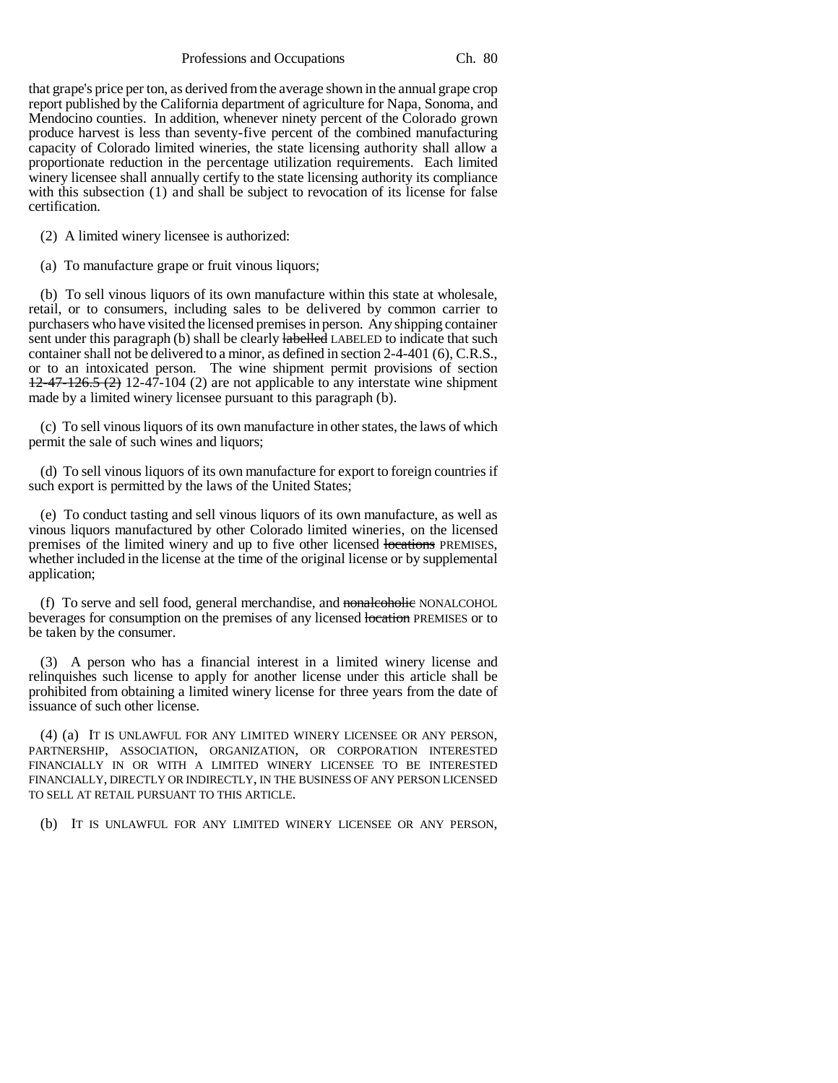Professions and Occupations Ch. 80

that grape's price per ton, as derived from the average shown in the annual grape crop report published by the California department of agriculture for Napa, Sonoma, and Mendocino counties. In addition, whenever ninety percent of the Colorado grown produce harvest is less than seventy-five percent of the combined manufacturing capacity of Colorado limited wineries, the state licensing authority shall allow a proportionate reduction in the percentage utilization requirements. Each limited winery licensee shall annually certify to the state licensing authority its compliance with this subsection (1) and shall be subject to revocation of its license for false certification.

(2) A limited winery licensee is authorized:

(a) To manufacture grape or fruit vinous liquors;

(b) To sell vinous liquors of its own manufacture within this state at wholesale, retail, or to consumers, including sales to be delivered by common carrier to purchasers who have visited the licensed premises in person. Any shipping container sent under this paragraph (b) shall be clearly labelled LABELED to indicate that such container shall not be delivered to a minor, as defined in section 2-4-401 (6), C.R.S., or to an intoxicated person. The wine shipment permit provisions of section  $12-47-126.5$  (2) 12-47-104 (2) are not applicable to any interstate wine shipment made by a limited winery licensee pursuant to this paragraph (b).

(c) To sell vinous liquors of its own manufacture in other states, the laws of which permit the sale of such wines and liquors;

(d) To sell vinous liquors of its own manufacture for export to foreign countries if such export is permitted by the laws of the United States;

(e) To conduct tasting and sell vinous liquors of its own manufacture, as well as vinous liquors manufactured by other Colorado limited wineries, on the licensed premises of the limited winery and up to five other licensed locations PREMISES, whether included in the license at the time of the original license or by supplemental application;

(f) To serve and sell food, general merchandise, and nonalcoholic NONALCOHOL beverages for consumption on the premises of any licensed location PREMISES or to be taken by the consumer.

(3) A person who has a financial interest in a limited winery license and relinquishes such license to apply for another license under this article shall be prohibited from obtaining a limited winery license for three years from the date of issuance of such other license.

(4) (a) IT IS UNLAWFUL FOR ANY LIMITED WINERY LICENSEE OR ANY PERSON, PARTNERSHIP, ASSOCIATION, ORGANIZATION, OR CORPORATION INTERESTED FINANCIALLY IN OR WITH A LIMITED WINERY LICENSEE TO BE INTERESTED FINANCIALLY, DIRECTLY OR INDIRECTLY, IN THE BUSINESS OF ANY PERSON LICENSED TO SELL AT RETAIL PURSUANT TO THIS ARTICLE.

(b) IT IS UNLAWFUL FOR ANY LIMITED WINERY LICENSEE OR ANY PERSON,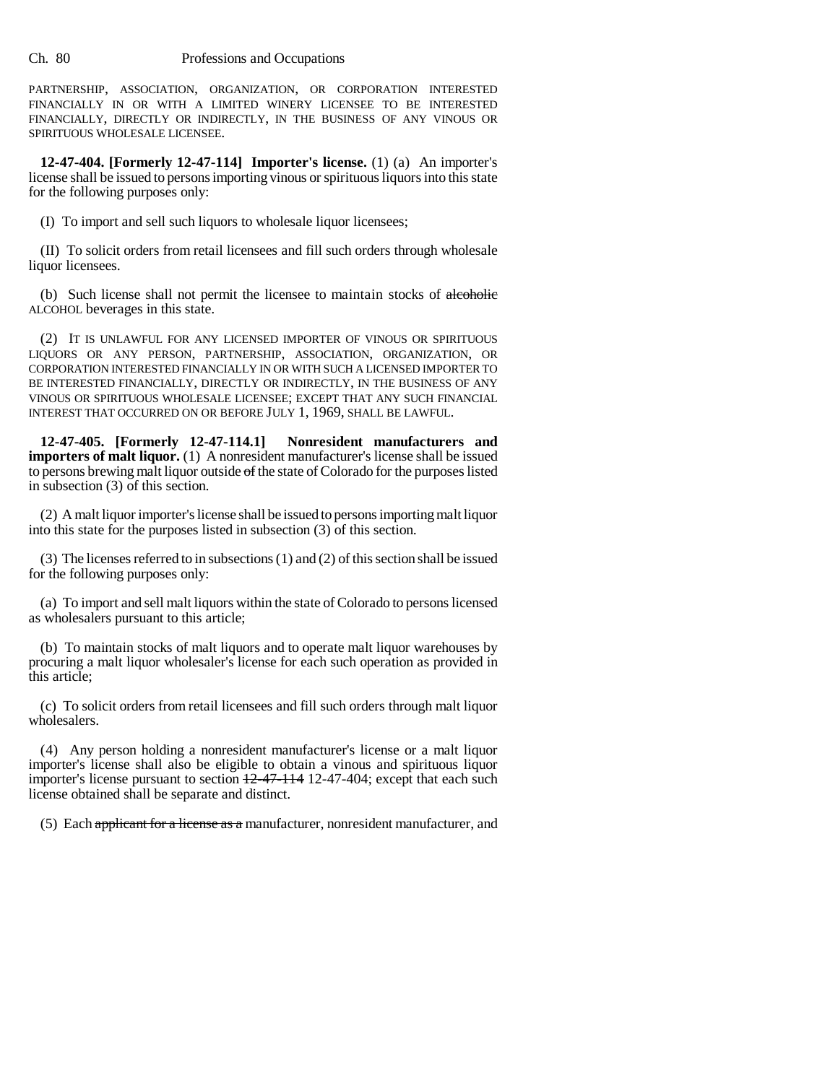PARTNERSHIP, ASSOCIATION, ORGANIZATION, OR CORPORATION INTERESTED FINANCIALLY IN OR WITH A LIMITED WINERY LICENSEE TO BE INTERESTED FINANCIALLY, DIRECTLY OR INDIRECTLY, IN THE BUSINESS OF ANY VINOUS OR SPIRITUOUS WHOLESALE LICENSEE.

**12-47-404. [Formerly 12-47-114] Importer's license.** (1) (a) An importer's license shall be issued to persons importing vinous or spirituous liquors into this state for the following purposes only:

(I) To import and sell such liquors to wholesale liquor licensees;

(II) To solicit orders from retail licensees and fill such orders through wholesale liquor licensees.

(b) Such license shall not permit the licensee to maintain stocks of alcoholic ALCOHOL beverages in this state.

(2) IT IS UNLAWFUL FOR ANY LICENSED IMPORTER OF VINOUS OR SPIRITUOUS LIQUORS OR ANY PERSON, PARTNERSHIP, ASSOCIATION, ORGANIZATION, OR CORPORATION INTERESTED FINANCIALLY IN OR WITH SUCH A LICENSED IMPORTER TO BE INTERESTED FINANCIALLY, DIRECTLY OR INDIRECTLY, IN THE BUSINESS OF ANY VINOUS OR SPIRITUOUS WHOLESALE LICENSEE; EXCEPT THAT ANY SUCH FINANCIAL INTEREST THAT OCCURRED ON OR BEFORE JULY 1, 1969, SHALL BE LAWFUL.

**12-47-405. [Formerly 12-47-114.1] Nonresident manufacturers and importers of malt liquor.** (1) A nonresident manufacturer's license shall be issued to persons brewing malt liquor outside of the state of Colorado for the purposes listed in subsection (3) of this section.

(2) A malt liquor importer's license shall be issued to persons importing malt liquor into this state for the purposes listed in subsection (3) of this section.

(3) The licenses referred to in subsections (1) and (2) of this section shall be issued for the following purposes only:

(a) To import and sell malt liquors within the state of Colorado to persons licensed as wholesalers pursuant to this article;

(b) To maintain stocks of malt liquors and to operate malt liquor warehouses by procuring a malt liquor wholesaler's license for each such operation as provided in this article;

(c) To solicit orders from retail licensees and fill such orders through malt liquor wholesalers.

(4) Any person holding a nonresident manufacturer's license or a malt liquor importer's license shall also be eligible to obtain a vinous and spirituous liquor importer's license pursuant to section  $+2-47-114$  12-47-404; except that each such license obtained shall be separate and distinct.

(5) Each applicant for a license as a manufacturer, nonresident manufacturer, and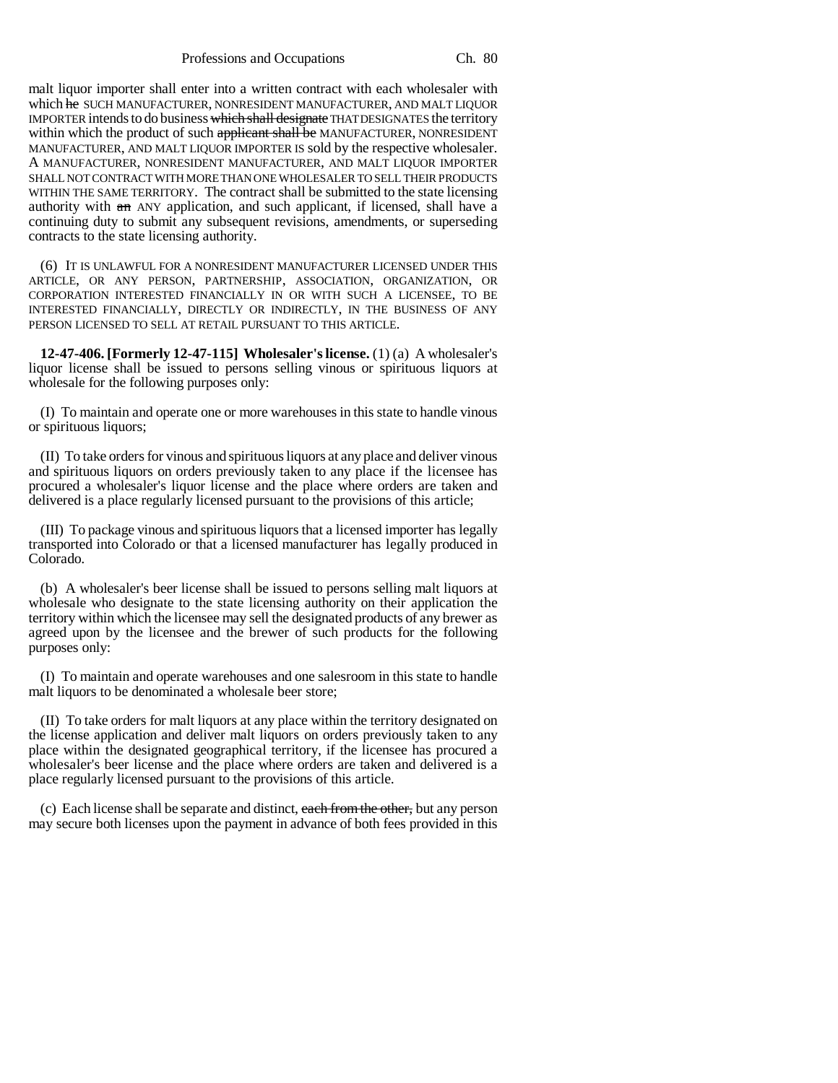Professions and Occupations Ch. 80

malt liquor importer shall enter into a written contract with each wholesaler with which he SUCH MANUFACTURER, NONRESIDENT MANUFACTURER, AND MALT LIQUOR IMPORTER intends to do business which shall designate THAT DESIGNATES the territory within which the product of such applicant shall be MANUFACTURER, NONRESIDENT MANUFACTURER, AND MALT LIQUOR IMPORTER IS sold by the respective wholesaler. A MANUFACTURER, NONRESIDENT MANUFACTURER, AND MALT LIQUOR IMPORTER SHALL NOT CONTRACT WITH MORE THAN ONE WHOLESALER TO SELL THEIR PRODUCTS WITHIN THE SAME TERRITORY. The contract shall be submitted to the state licensing authority with  $a_n$  ANY application, and such applicant, if licensed, shall have a continuing duty to submit any subsequent revisions, amendments, or superseding contracts to the state licensing authority.

(6) IT IS UNLAWFUL FOR A NONRESIDENT MANUFACTURER LICENSED UNDER THIS ARTICLE, OR ANY PERSON, PARTNERSHIP, ASSOCIATION, ORGANIZATION, OR CORPORATION INTERESTED FINANCIALLY IN OR WITH SUCH A LICENSEE, TO BE INTERESTED FINANCIALLY, DIRECTLY OR INDIRECTLY, IN THE BUSINESS OF ANY PERSON LICENSED TO SELL AT RETAIL PURSUANT TO THIS ARTICLE.

**12-47-406. [Formerly 12-47-115] Wholesaler's license.** (1) (a) A wholesaler's liquor license shall be issued to persons selling vinous or spirituous liquors at wholesale for the following purposes only:

(I) To maintain and operate one or more warehouses in this state to handle vinous or spirituous liquors;

(II) To take orders for vinous and spirituous liquors at any place and deliver vinous and spirituous liquors on orders previously taken to any place if the licensee has procured a wholesaler's liquor license and the place where orders are taken and delivered is a place regularly licensed pursuant to the provisions of this article;

(III) To package vinous and spirituous liquors that a licensed importer has legally transported into Colorado or that a licensed manufacturer has legally produced in Colorado.

(b) A wholesaler's beer license shall be issued to persons selling malt liquors at wholesale who designate to the state licensing authority on their application the territory within which the licensee may sell the designated products of any brewer as agreed upon by the licensee and the brewer of such products for the following purposes only:

(I) To maintain and operate warehouses and one salesroom in this state to handle malt liquors to be denominated a wholesale beer store;

(II) To take orders for malt liquors at any place within the territory designated on the license application and deliver malt liquors on orders previously taken to any place within the designated geographical territory, if the licensee has procured a wholesaler's beer license and the place where orders are taken and delivered is a place regularly licensed pursuant to the provisions of this article.

(c) Each license shall be separate and distinct, each from the other, but any person may secure both licenses upon the payment in advance of both fees provided in this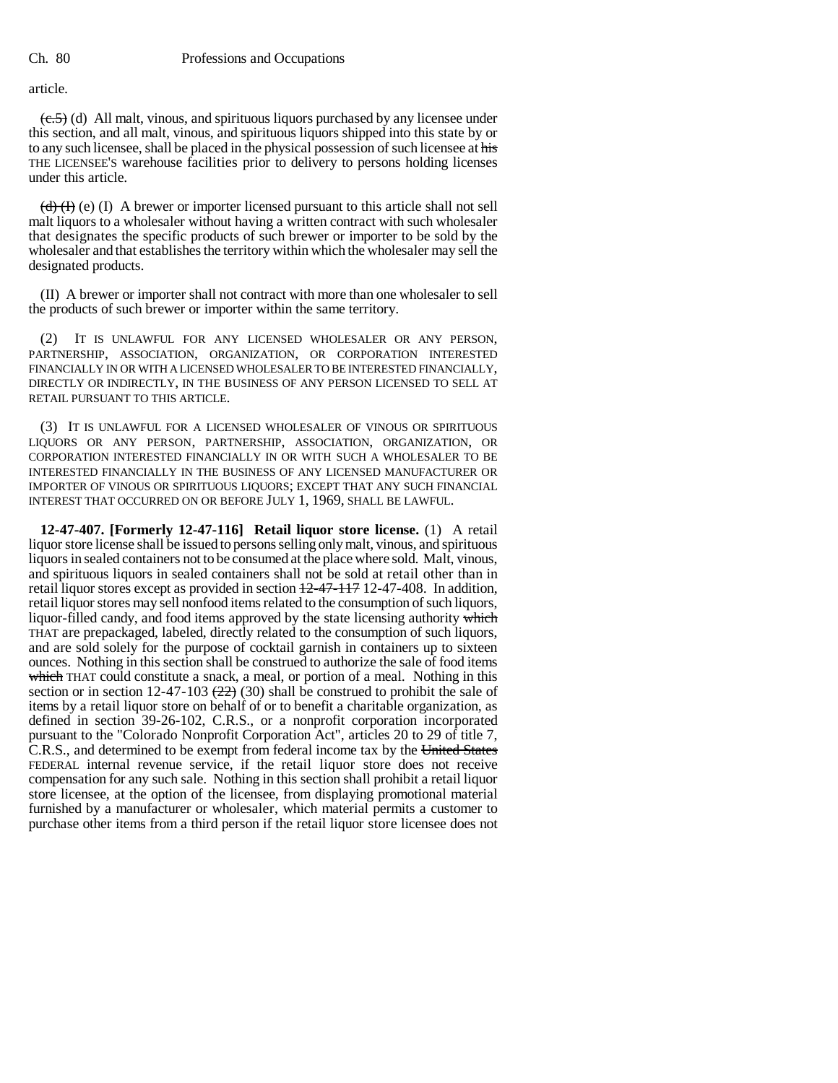article.

 $(\epsilon, 5)$  (d) All malt, vinous, and spirituous liquors purchased by any licensee under this section, and all malt, vinous, and spirituous liquors shipped into this state by or to any such licensee, shall be placed in the physical possession of such licensee at his THE LICENSEE'S warehouse facilities prior to delivery to persons holding licenses under this article.

 $(d)$  (d) (f) A brewer or importer licensed pursuant to this article shall not sell malt liquors to a wholesaler without having a written contract with such wholesaler that designates the specific products of such brewer or importer to be sold by the wholesaler and that establishes the territory within which the wholesaler may sell the designated products.

(II) A brewer or importer shall not contract with more than one wholesaler to sell the products of such brewer or importer within the same territory.

(2) IT IS UNLAWFUL FOR ANY LICENSED WHOLESALER OR ANY PERSON, PARTNERSHIP, ASSOCIATION, ORGANIZATION, OR CORPORATION INTERESTED FINANCIALLY IN OR WITH A LICENSED WHOLESALER TO BE INTERESTED FINANCIALLY, DIRECTLY OR INDIRECTLY, IN THE BUSINESS OF ANY PERSON LICENSED TO SELL AT RETAIL PURSUANT TO THIS ARTICLE.

(3) IT IS UNLAWFUL FOR A LICENSED WHOLESALER OF VINOUS OR SPIRITUOUS LIQUORS OR ANY PERSON, PARTNERSHIP, ASSOCIATION, ORGANIZATION, OR CORPORATION INTERESTED FINANCIALLY IN OR WITH SUCH A WHOLESALER TO BE INTERESTED FINANCIALLY IN THE BUSINESS OF ANY LICENSED MANUFACTURER OR IMPORTER OF VINOUS OR SPIRITUOUS LIQUORS; EXCEPT THAT ANY SUCH FINANCIAL INTEREST THAT OCCURRED ON OR BEFORE JULY 1, 1969, SHALL BE LAWFUL.

**12-47-407. [Formerly 12-47-116] Retail liquor store license.** (1) A retail liquor store license shall be issued to persons selling only malt, vinous, and spirituous liquors in sealed containers not to be consumed at the place where sold. Malt, vinous, and spirituous liquors in sealed containers shall not be sold at retail other than in retail liquor stores except as provided in section 12-47-117 12-47-408. In addition, retail liquor stores may sell nonfood items related to the consumption of such liquors, liquor-filled candy, and food items approved by the state licensing authority which THAT are prepackaged, labeled, directly related to the consumption of such liquors, and are sold solely for the purpose of cocktail garnish in containers up to sixteen ounces. Nothing in this section shall be construed to authorize the sale of food items which THAT could constitute a snack, a meal, or portion of a meal. Nothing in this section or in section 12-47-103  $(22)$  (30) shall be construed to prohibit the sale of items by a retail liquor store on behalf of or to benefit a charitable organization, as defined in section 39-26-102, C.R.S., or a nonprofit corporation incorporated pursuant to the "Colorado Nonprofit Corporation Act", articles 20 to 29 of title 7, C.R.S., and determined to be exempt from federal income tax by the United States FEDERAL internal revenue service, if the retail liquor store does not receive compensation for any such sale. Nothing in this section shall prohibit a retail liquor store licensee, at the option of the licensee, from displaying promotional material furnished by a manufacturer or wholesaler, which material permits a customer to purchase other items from a third person if the retail liquor store licensee does not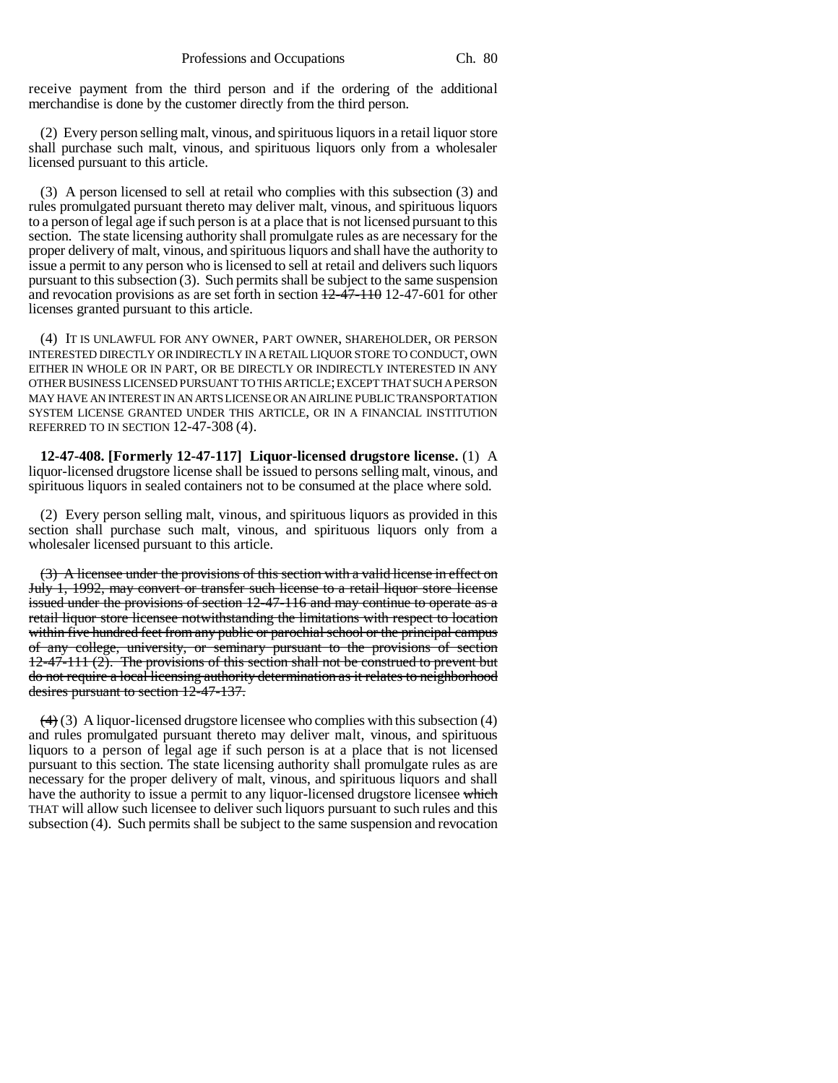receive payment from the third person and if the ordering of the additional merchandise is done by the customer directly from the third person.

(2) Every person selling malt, vinous, and spirituous liquors in a retail liquor store shall purchase such malt, vinous, and spirituous liquors only from a wholesaler licensed pursuant to this article.

(3) A person licensed to sell at retail who complies with this subsection (3) and rules promulgated pursuant thereto may deliver malt, vinous, and spirituous liquors to a person of legal age if such person is at a place that is not licensed pursuant to this section. The state licensing authority shall promulgate rules as are necessary for the proper delivery of malt, vinous, and spirituous liquors and shall have the authority to issue a permit to any person who is licensed to sell at retail and delivers such liquors pursuant to this subsection (3). Such permits shall be subject to the same suspension and revocation provisions as are set forth in section  $\frac{12-47-110}{2}$  12-47-601 for other licenses granted pursuant to this article.

(4) IT IS UNLAWFUL FOR ANY OWNER, PART OWNER, SHAREHOLDER, OR PERSON INTERESTED DIRECTLY OR INDIRECTLY IN A RETAIL LIQUOR STORE TO CONDUCT, OWN EITHER IN WHOLE OR IN PART, OR BE DIRECTLY OR INDIRECTLY INTERESTED IN ANY OTHER BUSINESS LICENSED PURSUANT TO THIS ARTICLE; EXCEPT THAT SUCH A PERSON MAY HAVE AN INTEREST IN AN ARTS LICENSE OR AN AIRLINE PUBLIC TRANSPORTATION SYSTEM LICENSE GRANTED UNDER THIS ARTICLE, OR IN A FINANCIAL INSTITUTION REFERRED TO IN SECTION 12-47-308 (4).

**12-47-408. [Formerly 12-47-117] Liquor-licensed drugstore license.** (1) A liquor-licensed drugstore license shall be issued to persons selling malt, vinous, and spirituous liquors in sealed containers not to be consumed at the place where sold.

(2) Every person selling malt, vinous, and spirituous liquors as provided in this section shall purchase such malt, vinous, and spirituous liquors only from a wholesaler licensed pursuant to this article.

(3) A licensee under the provisions of this section with a valid license in effect on July 1, 1992, may convert or transfer such license to a retail liquor store license issued under the provisions of section 12-47-116 and may continue to operate as a retail liquor store licensee notwithstanding the limitations with respect to location within five hundred feet from any public or parochial school or the principal campus of any college, university, or seminary pursuant to the provisions of section 12-47-111 (2). The provisions of this section shall not be construed to prevent but do not require a local licensing authority determination as it relates to neighborhood desires pursuant to section 12-47-137.

 $(4)$  (3) A liquor-licensed drugstore licensee who complies with this subsection (4) and rules promulgated pursuant thereto may deliver malt, vinous, and spirituous liquors to a person of legal age if such person is at a place that is not licensed pursuant to this section. The state licensing authority shall promulgate rules as are necessary for the proper delivery of malt, vinous, and spirituous liquors and shall have the authority to issue a permit to any liquor-licensed drugstore licensee which THAT will allow such licensee to deliver such liquors pursuant to such rules and this subsection (4). Such permits shall be subject to the same suspension and revocation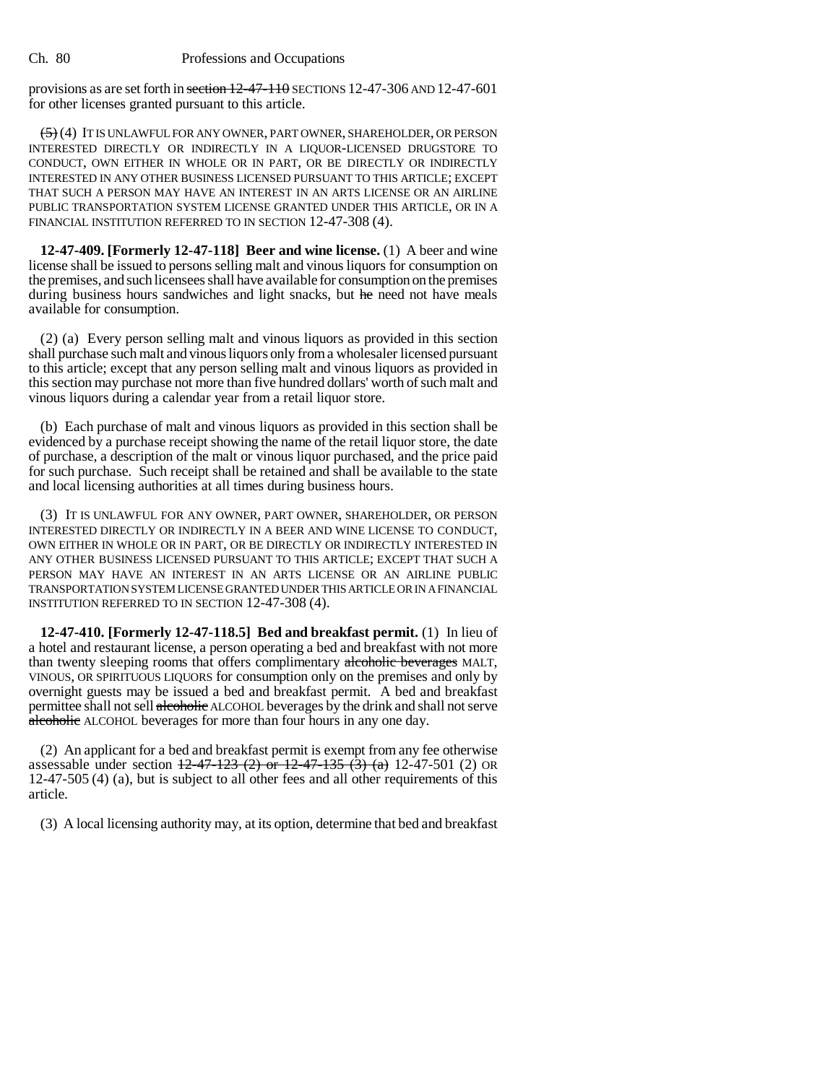provisions as are set forth in section 12-47-110 SECTIONS 12-47-306 AND 12-47-601 for other licenses granted pursuant to this article.

 $(5)$  (4) IT IS UNLAWFUL FOR ANY OWNER, PART OWNER, SHAREHOLDER, OR PERSON INTERESTED DIRECTLY OR INDIRECTLY IN A LIQUOR-LICENSED DRUGSTORE TO CONDUCT, OWN EITHER IN WHOLE OR IN PART, OR BE DIRECTLY OR INDIRECTLY INTERESTED IN ANY OTHER BUSINESS LICENSED PURSUANT TO THIS ARTICLE; EXCEPT THAT SUCH A PERSON MAY HAVE AN INTEREST IN AN ARTS LICENSE OR AN AIRLINE PUBLIC TRANSPORTATION SYSTEM LICENSE GRANTED UNDER THIS ARTICLE, OR IN A FINANCIAL INSTITUTION REFERRED TO IN SECTION 12-47-308 (4).

**12-47-409. [Formerly 12-47-118] Beer and wine license.** (1) A beer and wine license shall be issued to persons selling malt and vinous liquors for consumption on the premises, and such licensees shall have available for consumption on the premises during business hours sandwiches and light snacks, but he need not have meals available for consumption.

(2) (a) Every person selling malt and vinous liquors as provided in this section shall purchase such malt and vinous liquors only from a wholesaler licensed pursuant to this article; except that any person selling malt and vinous liquors as provided in this section may purchase not more than five hundred dollars' worth of such malt and vinous liquors during a calendar year from a retail liquor store.

(b) Each purchase of malt and vinous liquors as provided in this section shall be evidenced by a purchase receipt showing the name of the retail liquor store, the date of purchase, a description of the malt or vinous liquor purchased, and the price paid for such purchase. Such receipt shall be retained and shall be available to the state and local licensing authorities at all times during business hours.

(3) IT IS UNLAWFUL FOR ANY OWNER, PART OWNER, SHAREHOLDER, OR PERSON INTERESTED DIRECTLY OR INDIRECTLY IN A BEER AND WINE LICENSE TO CONDUCT, OWN EITHER IN WHOLE OR IN PART, OR BE DIRECTLY OR INDIRECTLY INTERESTED IN ANY OTHER BUSINESS LICENSED PURSUANT TO THIS ARTICLE; EXCEPT THAT SUCH A PERSON MAY HAVE AN INTEREST IN AN ARTS LICENSE OR AN AIRLINE PUBLIC TRANSPORTATION SYSTEM LICENSE GRANTED UNDER THIS ARTICLE OR IN A FINANCIAL INSTITUTION REFERRED TO IN SECTION 12-47-308 (4).

**12-47-410. [Formerly 12-47-118.5] Bed and breakfast permit.** (1) In lieu of a hotel and restaurant license, a person operating a bed and breakfast with not more than twenty sleeping rooms that offers complimentary alcoholic beverages MALT, VINOUS, OR SPIRITUOUS LIQUORS for consumption only on the premises and only by overnight guests may be issued a bed and breakfast permit. A bed and breakfast permittee shall not sell alcoholic ALCOHOL beverages by the drink and shall not serve alcoholic ALCOHOL beverages for more than four hours in any one day.

(2) An applicant for a bed and breakfast permit is exempt from any fee otherwise assessable under section  $\frac{12-47-123(2)}{20}$  or  $\frac{12-47-135(3)(a)}{2}$  12-47-501 (2) OR 12-47-505 (4) (a), but is subject to all other fees and all other requirements of this article.

(3) A local licensing authority may, at its option, determine that bed and breakfast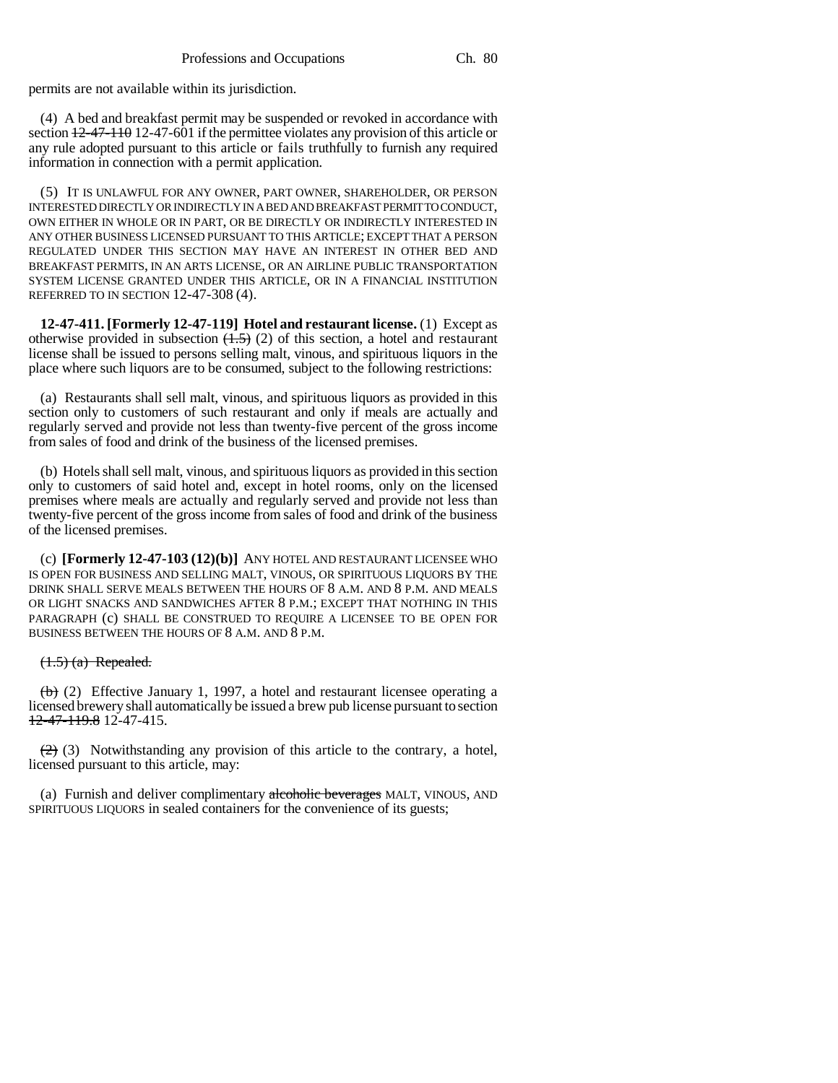permits are not available within its jurisdiction.

(4) A bed and breakfast permit may be suspended or revoked in accordance with section  $12-47-110$  12-47-601 if the permittee violates any provision of this article or any rule adopted pursuant to this article or fails truthfully to furnish any required information in connection with a permit application.

(5) IT IS UNLAWFUL FOR ANY OWNER, PART OWNER, SHAREHOLDER, OR PERSON INTERESTED DIRECTLY OR INDIRECTLY IN A BED AND BREAKFAST PERMIT TO CONDUCT, OWN EITHER IN WHOLE OR IN PART, OR BE DIRECTLY OR INDIRECTLY INTERESTED IN ANY OTHER BUSINESS LICENSED PURSUANT TO THIS ARTICLE; EXCEPT THAT A PERSON REGULATED UNDER THIS SECTION MAY HAVE AN INTEREST IN OTHER BED AND BREAKFAST PERMITS, IN AN ARTS LICENSE, OR AN AIRLINE PUBLIC TRANSPORTATION SYSTEM LICENSE GRANTED UNDER THIS ARTICLE, OR IN A FINANCIAL INSTITUTION REFERRED TO IN SECTION 12-47-308 (4).

**12-47-411. [Formerly 12-47-119] Hotel and restaurant license.** (1) Except as otherwise provided in subsection  $(1.5)$  (2) of this section, a hotel and restaurant license shall be issued to persons selling malt, vinous, and spirituous liquors in the place where such liquors are to be consumed, subject to the following restrictions:

(a) Restaurants shall sell malt, vinous, and spirituous liquors as provided in this section only to customers of such restaurant and only if meals are actually and regularly served and provide not less than twenty-five percent of the gross income from sales of food and drink of the business of the licensed premises.

(b) Hotels shall sell malt, vinous, and spirituous liquors as provided in this section only to customers of said hotel and, except in hotel rooms, only on the licensed premises where meals are actually and regularly served and provide not less than twenty-five percent of the gross income from sales of food and drink of the business of the licensed premises.

(c) **[Formerly 12-47-103 (12)(b)]** ANY HOTEL AND RESTAURANT LICENSEE WHO IS OPEN FOR BUSINESS AND SELLING MALT, VINOUS, OR SPIRITUOUS LIQUORS BY THE DRINK SHALL SERVE MEALS BETWEEN THE HOURS OF 8 A.M. AND 8 P.M. AND MEALS OR LIGHT SNACKS AND SANDWICHES AFTER 8 P.M.; EXCEPT THAT NOTHING IN THIS PARAGRAPH (c) SHALL BE CONSTRUED TO REQUIRE A LICENSEE TO BE OPEN FOR BUSINESS BETWEEN THE HOURS OF 8 A.M. AND 8 P.M.

#### $(1.5)$   $(a)$  Repealed.

(b) (2) Effective January 1, 1997, a hotel and restaurant licensee operating a licensed brewery shall automatically be issued a brew pub license pursuant to section 12-47-119.8 12-47-415.

 $(2)$  (3) Notwithstanding any provision of this article to the contrary, a hotel, licensed pursuant to this article, may:

(a) Furnish and deliver complimentary alcoholic beverages MALT, VINOUS, AND SPIRITUOUS LIQUORS in sealed containers for the convenience of its guests;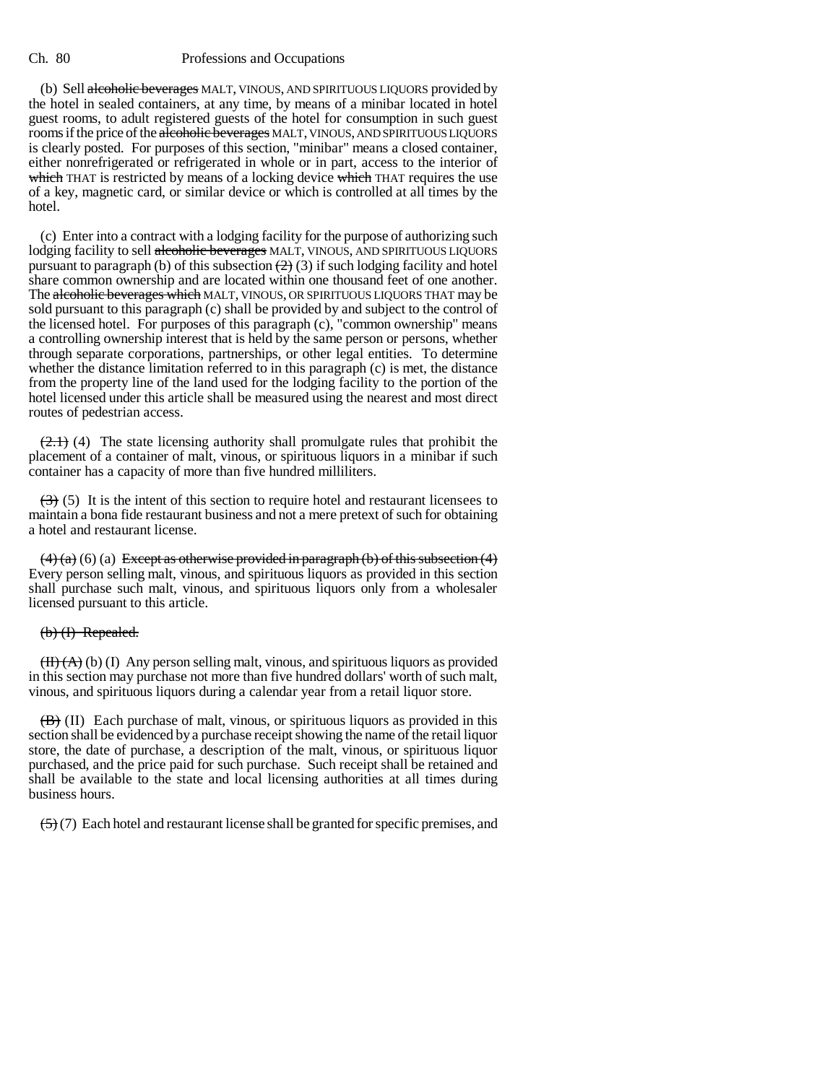(b) Sell alcoholic beverages MALT, VINOUS, AND SPIRITUOUS LIQUORS provided by the hotel in sealed containers, at any time, by means of a minibar located in hotel guest rooms, to adult registered guests of the hotel for consumption in such guest rooms if the price of the alcoholic beverages MALT, VINOUS, AND SPIRITUOUS LIQUORS is clearly posted. For purposes of this section, "minibar" means a closed container, either nonrefrigerated or refrigerated in whole or in part, access to the interior of which THAT is restricted by means of a locking device which THAT requires the use of a key, magnetic card, or similar device or which is controlled at all times by the hotel.

(c) Enter into a contract with a lodging facility for the purpose of authorizing such lodging facility to sell alcoholic beverages MALT, VINOUS, AND SPIRITUOUS LIQUORS pursuant to paragraph (b) of this subsection  $(2)$  (3) if such lodging facility and hotel share common ownership and are located within one thousand feet of one another. The alcoholic beverages which MALT, VINOUS, OR SPIRITUOUS LIQUORS THAT may be sold pursuant to this paragraph (c) shall be provided by and subject to the control of the licensed hotel. For purposes of this paragraph (c), "common ownership" means a controlling ownership interest that is held by the same person or persons, whether through separate corporations, partnerships, or other legal entities. To determine whether the distance limitation referred to in this paragraph (c) is met, the distance from the property line of the land used for the lodging facility to the portion of the hotel licensed under this article shall be measured using the nearest and most direct routes of pedestrian access.

 $(2.1)$  (4) The state licensing authority shall promulgate rules that prohibit the placement of a container of malt, vinous, or spirituous liquors in a minibar if such container has a capacity of more than five hundred milliliters.

 $(3)$  (5) It is the intent of this section to require hotel and restaurant licensees to maintain a bona fide restaurant business and not a mere pretext of such for obtaining a hotel and restaurant license.

 $(4)$  (a) (6) (a) Except as otherwise provided in paragraph (b) of this subsection (4) Every person selling malt, vinous, and spirituous liquors as provided in this section shall purchase such malt, vinous, and spirituous liquors only from a wholesaler licensed pursuant to this article.

# (b) (I) Repealed.

 $(H)(A)(b)$  (I) Any person selling malt, vinous, and spirituous liquors as provided in this section may purchase not more than five hundred dollars' worth of such malt, vinous, and spirituous liquors during a calendar year from a retail liquor store.

 $\overline{(B)}$  (II) Each purchase of malt, vinous, or spirituous liquors as provided in this section shall be evidenced by a purchase receipt showing the name of the retail liquor store, the date of purchase, a description of the malt, vinous, or spirituous liquor purchased, and the price paid for such purchase. Such receipt shall be retained and shall be available to the state and local licensing authorities at all times during business hours.

 $(5)(7)$  Each hotel and restaurant license shall be granted for specific premises, and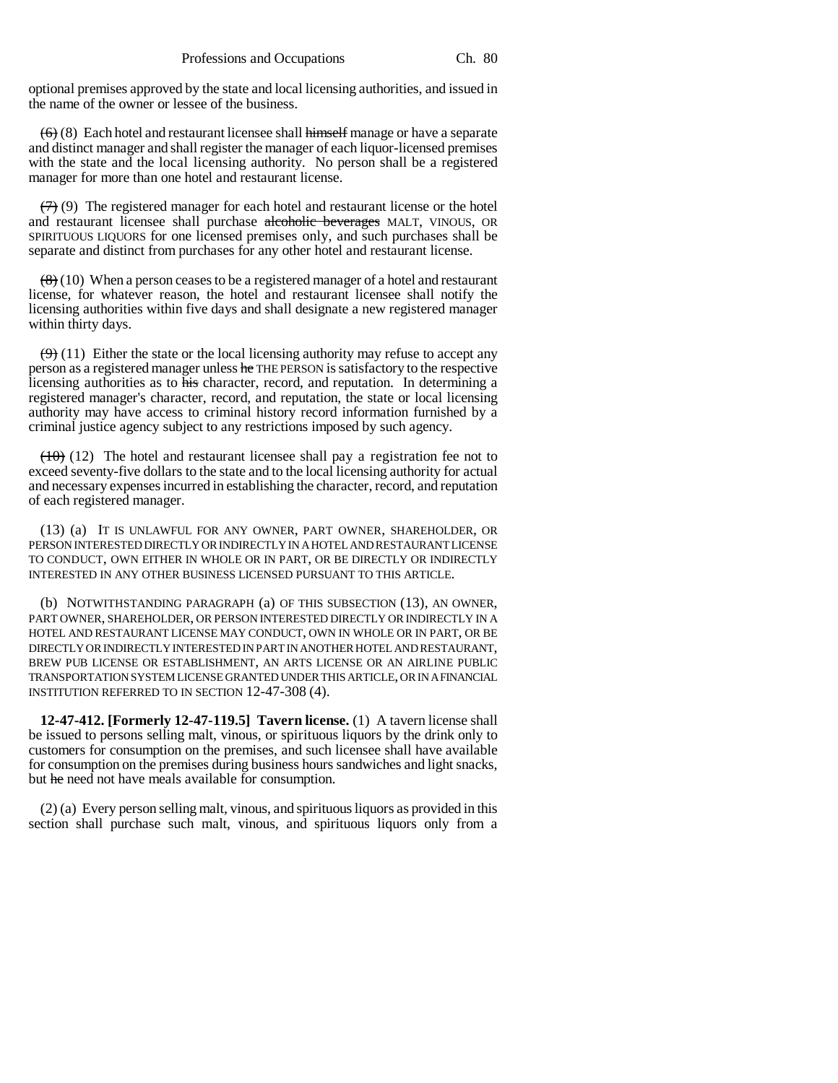optional premises approved by the state and local licensing authorities, and issued in the name of the owner or lessee of the business.

 $(6)$  (8) Each hotel and restaurant licensee shall himself manage or have a separate and distinct manager and shall register the manager of each liquor-licensed premises with the state and the local licensing authority. No person shall be a registered manager for more than one hotel and restaurant license.

 $(7)$  (9) The registered manager for each hotel and restaurant license or the hotel and restaurant licensee shall purchase alcoholic beverages MALT, VINOUS, OR SPIRITUOUS LIQUORS for one licensed premises only, and such purchases shall be separate and distinct from purchases for any other hotel and restaurant license.

 $(8)(10)$  When a person ceases to be a registered manager of a hotel and restaurant license, for whatever reason, the hotel and restaurant licensee shall notify the licensing authorities within five days and shall designate a new registered manager within thirty days.

 $(9)$  (11) Either the state or the local licensing authority may refuse to accept any person as a registered manager unless he THE PERSON is satisfactory to the respective licensing authorities as to his character, record, and reputation. In determining a registered manager's character, record, and reputation, the state or local licensing authority may have access to criminal history record information furnished by a criminal justice agency subject to any restrictions imposed by such agency.

 $(10)$  (12) The hotel and restaurant licensee shall pay a registration fee not to exceed seventy-five dollars to the state and to the local licensing authority for actual and necessary expenses incurred in establishing the character, record, and reputation of each registered manager.

(13) (a) IT IS UNLAWFUL FOR ANY OWNER, PART OWNER, SHAREHOLDER, OR PERSON INTERESTED DIRECTLY OR INDIRECTLY IN A HOTEL AND RESTAURANT LICENSE TO CONDUCT, OWN EITHER IN WHOLE OR IN PART, OR BE DIRECTLY OR INDIRECTLY INTERESTED IN ANY OTHER BUSINESS LICENSED PURSUANT TO THIS ARTICLE.

(b) NOTWITHSTANDING PARAGRAPH (a) OF THIS SUBSECTION (13), AN OWNER, PART OWNER, SHAREHOLDER, OR PERSON INTERESTED DIRECTLY OR INDIRECTLY IN A HOTEL AND RESTAURANT LICENSE MAY CONDUCT, OWN IN WHOLE OR IN PART, OR BE DIRECTLY OR INDIRECTLY INTERESTED IN PART IN ANOTHER HOTEL AND RESTAURANT, BREW PUB LICENSE OR ESTABLISHMENT, AN ARTS LICENSE OR AN AIRLINE PUBLIC TRANSPORTATION SYSTEM LICENSE GRANTED UNDER THIS ARTICLE, OR IN A FINANCIAL INSTITUTION REFERRED TO IN SECTION 12-47-308 (4).

**12-47-412. [Formerly 12-47-119.5] Tavern license.** (1) A tavern license shall be issued to persons selling malt, vinous, or spirituous liquors by the drink only to customers for consumption on the premises, and such licensee shall have available for consumption on the premises during business hours sandwiches and light snacks, but he need not have meals available for consumption.

(2) (a) Every person selling malt, vinous, and spirituous liquors as provided in this section shall purchase such malt, vinous, and spirituous liquors only from a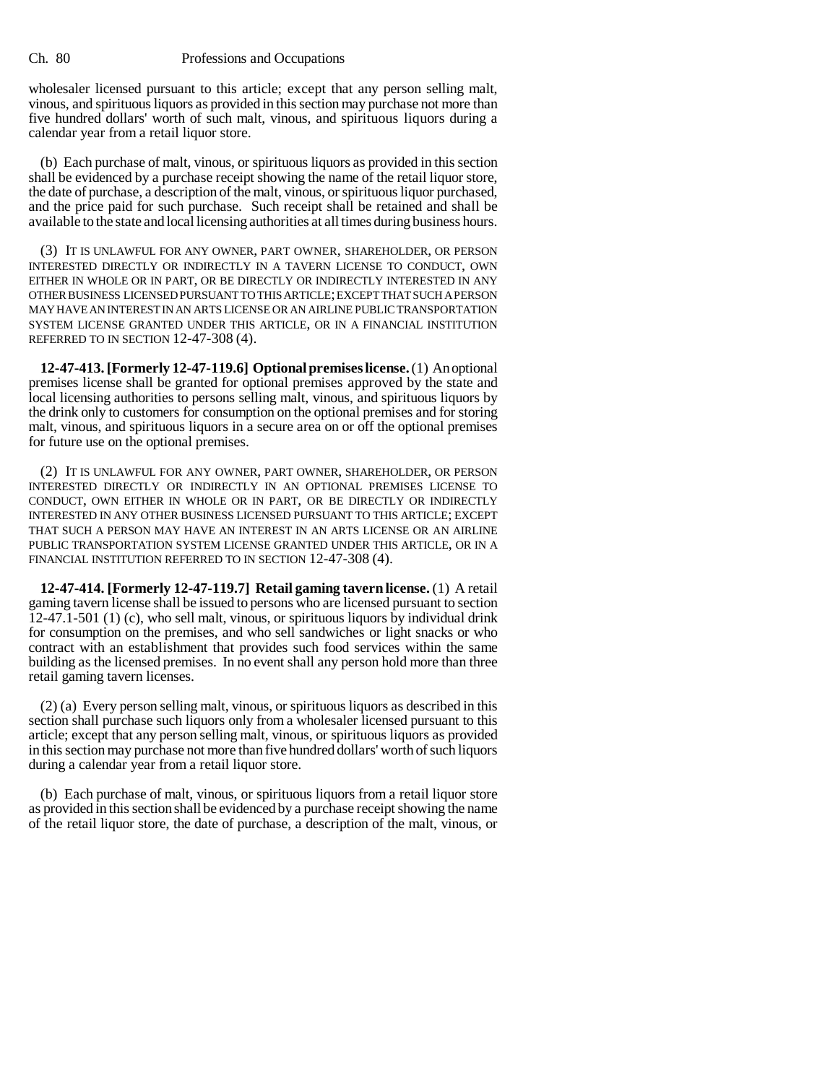wholesaler licensed pursuant to this article; except that any person selling malt, vinous, and spirituous liquors as provided in this section may purchase not more than five hundred dollars' worth of such malt, vinous, and spirituous liquors during a calendar year from a retail liquor store.

(b) Each purchase of malt, vinous, or spirituous liquors as provided in this section shall be evidenced by a purchase receipt showing the name of the retail liquor store, the date of purchase, a description of the malt, vinous, or spirituous liquor purchased, and the price paid for such purchase. Such receipt shall be retained and shall be available to the state and local licensing authorities at all times during business hours.

(3) IT IS UNLAWFUL FOR ANY OWNER, PART OWNER, SHAREHOLDER, OR PERSON INTERESTED DIRECTLY OR INDIRECTLY IN A TAVERN LICENSE TO CONDUCT, OWN EITHER IN WHOLE OR IN PART, OR BE DIRECTLY OR INDIRECTLY INTERESTED IN ANY OTHER BUSINESS LICENSED PURSUANT TO THIS ARTICLE; EXCEPT THAT SUCH A PERSON MAY HAVE AN INTEREST IN AN ARTS LICENSE OR AN AIRLINE PUBLIC TRANSPORTATION SYSTEM LICENSE GRANTED UNDER THIS ARTICLE, OR IN A FINANCIAL INSTITUTION REFERRED TO IN SECTION 12-47-308 (4).

**12-47-413. [Formerly 12-47-119.6] Optional premises license.** (1) An optional premises license shall be granted for optional premises approved by the state and local licensing authorities to persons selling malt, vinous, and spirituous liquors by the drink only to customers for consumption on the optional premises and for storing malt, vinous, and spirituous liquors in a secure area on or off the optional premises for future use on the optional premises.

(2) IT IS UNLAWFUL FOR ANY OWNER, PART OWNER, SHAREHOLDER, OR PERSON INTERESTED DIRECTLY OR INDIRECTLY IN AN OPTIONAL PREMISES LICENSE TO CONDUCT, OWN EITHER IN WHOLE OR IN PART, OR BE DIRECTLY OR INDIRECTLY INTERESTED IN ANY OTHER BUSINESS LICENSED PURSUANT TO THIS ARTICLE; EXCEPT THAT SUCH A PERSON MAY HAVE AN INTEREST IN AN ARTS LICENSE OR AN AIRLINE PUBLIC TRANSPORTATION SYSTEM LICENSE GRANTED UNDER THIS ARTICLE, OR IN A FINANCIAL INSTITUTION REFERRED TO IN SECTION 12-47-308 (4).

**12-47-414. [Formerly 12-47-119.7] Retail gaming tavern license.** (1) A retail gaming tavern license shall be issued to persons who are licensed pursuant to section 12-47.1-501 (1) (c), who sell malt, vinous, or spirituous liquors by individual drink for consumption on the premises, and who sell sandwiches or light snacks or who contract with an establishment that provides such food services within the same building as the licensed premises. In no event shall any person hold more than three retail gaming tavern licenses.

(2) (a) Every person selling malt, vinous, or spirituous liquors as described in this section shall purchase such liquors only from a wholesaler licensed pursuant to this article; except that any person selling malt, vinous, or spirituous liquors as provided in this section may purchase not more than five hundred dollars' worth of such liquors during a calendar year from a retail liquor store.

(b) Each purchase of malt, vinous, or spirituous liquors from a retail liquor store as provided in this section shall be evidenced by a purchase receipt showing the name of the retail liquor store, the date of purchase, a description of the malt, vinous, or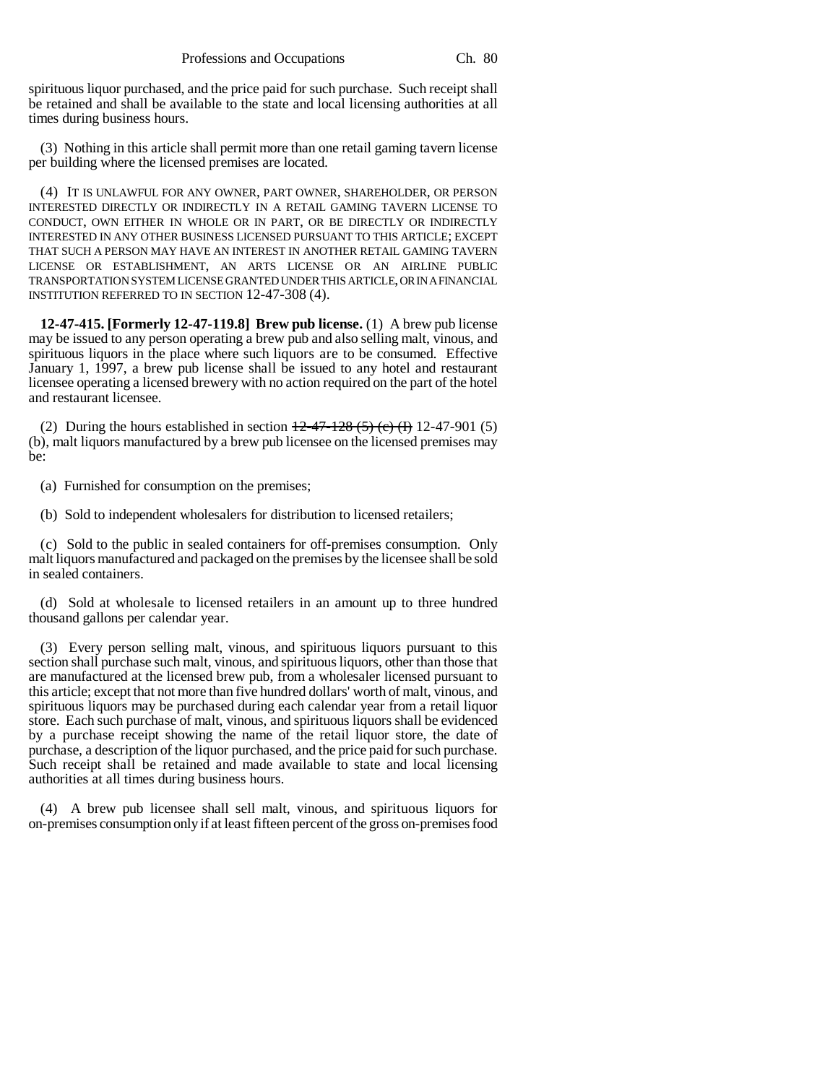spirituous liquor purchased, and the price paid for such purchase. Such receipt shall be retained and shall be available to the state and local licensing authorities at all times during business hours.

(3) Nothing in this article shall permit more than one retail gaming tavern license per building where the licensed premises are located.

(4) IT IS UNLAWFUL FOR ANY OWNER, PART OWNER, SHAREHOLDER, OR PERSON INTERESTED DIRECTLY OR INDIRECTLY IN A RETAIL GAMING TAVERN LICENSE TO CONDUCT, OWN EITHER IN WHOLE OR IN PART, OR BE DIRECTLY OR INDIRECTLY INTERESTED IN ANY OTHER BUSINESS LICENSED PURSUANT TO THIS ARTICLE; EXCEPT THAT SUCH A PERSON MAY HAVE AN INTEREST IN ANOTHER RETAIL GAMING TAVERN LICENSE OR ESTABLISHMENT, AN ARTS LICENSE OR AN AIRLINE PUBLIC TRANSPORTATION SYSTEM LICENSE GRANTED UNDER THIS ARTICLE, OR IN A FINANCIAL INSTITUTION REFERRED TO IN SECTION 12-47-308 (4).

**12-47-415. [Formerly 12-47-119.8] Brew pub license.** (1) A brew pub license may be issued to any person operating a brew pub and also selling malt, vinous, and spirituous liquors in the place where such liquors are to be consumed. Effective January 1, 1997, a brew pub license shall be issued to any hotel and restaurant licensee operating a licensed brewery with no action required on the part of the hotel and restaurant licensee.

(2) During the hours established in section  $\frac{12-47-128(5)(c)}{12-47-901(5)}$ (b), malt liquors manufactured by a brew pub licensee on the licensed premises may be:

(a) Furnished for consumption on the premises;

(b) Sold to independent wholesalers for distribution to licensed retailers;

(c) Sold to the public in sealed containers for off-premises consumption. Only malt liquors manufactured and packaged on the premises by the licensee shall be sold in sealed containers.

(d) Sold at wholesale to licensed retailers in an amount up to three hundred thousand gallons per calendar year.

(3) Every person selling malt, vinous, and spirituous liquors pursuant to this section shall purchase such malt, vinous, and spirituous liquors, other than those that are manufactured at the licensed brew pub, from a wholesaler licensed pursuant to this article; except that not more than five hundred dollars' worth of malt, vinous, and spirituous liquors may be purchased during each calendar year from a retail liquor store. Each such purchase of malt, vinous, and spirituous liquors shall be evidenced by a purchase receipt showing the name of the retail liquor store, the date of purchase, a description of the liquor purchased, and the price paid for such purchase. Such receipt shall be retained and made available to state and local licensing authorities at all times during business hours.

(4) A brew pub licensee shall sell malt, vinous, and spirituous liquors for on-premises consumption only if at least fifteen percent of the gross on-premises food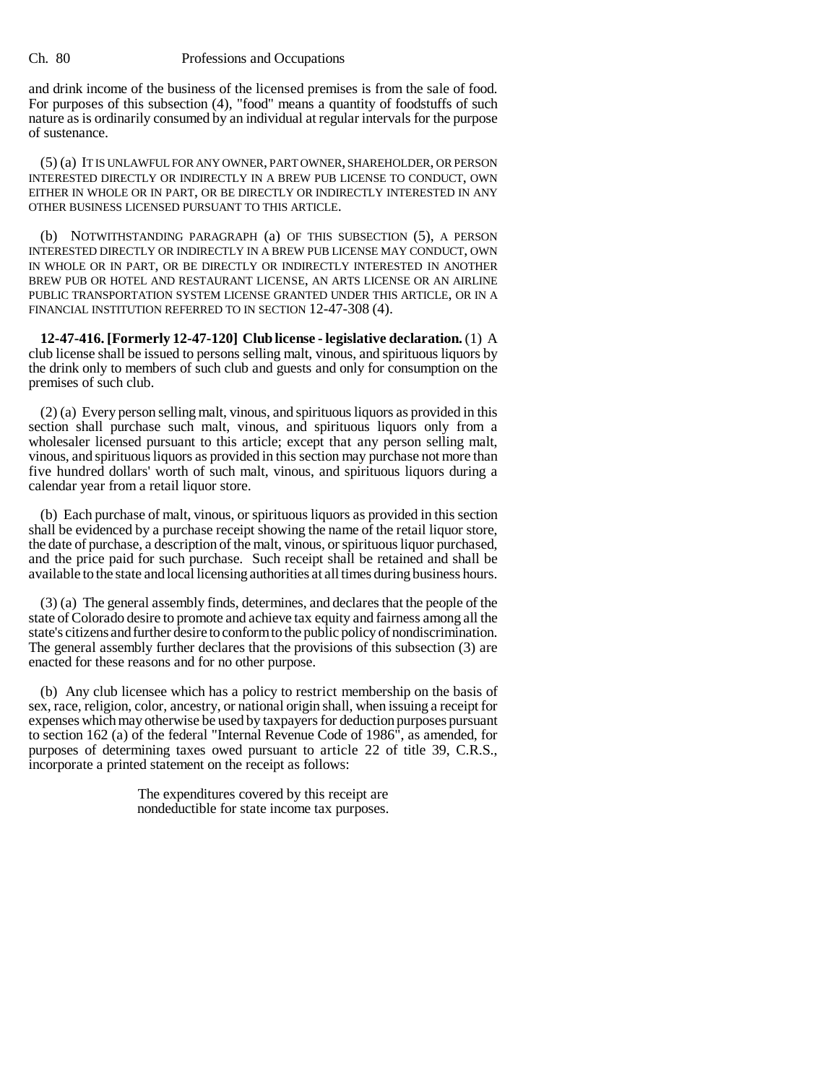and drink income of the business of the licensed premises is from the sale of food. For purposes of this subsection (4), "food" means a quantity of foodstuffs of such nature as is ordinarily consumed by an individual at regular intervals for the purpose of sustenance.

(5) (a) IT IS UNLAWFUL FOR ANY OWNER, PART OWNER, SHAREHOLDER, OR PERSON INTERESTED DIRECTLY OR INDIRECTLY IN A BREW PUB LICENSE TO CONDUCT, OWN EITHER IN WHOLE OR IN PART, OR BE DIRECTLY OR INDIRECTLY INTERESTED IN ANY OTHER BUSINESS LICENSED PURSUANT TO THIS ARTICLE.

(b) NOTWITHSTANDING PARAGRAPH (a) OF THIS SUBSECTION (5), A PERSON INTERESTED DIRECTLY OR INDIRECTLY IN A BREW PUB LICENSE MAY CONDUCT, OWN IN WHOLE OR IN PART, OR BE DIRECTLY OR INDIRECTLY INTERESTED IN ANOTHER BREW PUB OR HOTEL AND RESTAURANT LICENSE, AN ARTS LICENSE OR AN AIRLINE PUBLIC TRANSPORTATION SYSTEM LICENSE GRANTED UNDER THIS ARTICLE, OR IN A FINANCIAL INSTITUTION REFERRED TO IN SECTION 12-47-308 (4).

**12-47-416. [Formerly 12-47-120] Club license - legislative declaration.** (1) A club license shall be issued to persons selling malt, vinous, and spirituous liquors by the drink only to members of such club and guests and only for consumption on the premises of such club.

(2) (a) Every person selling malt, vinous, and spirituous liquors as provided in this section shall purchase such malt, vinous, and spirituous liquors only from a wholesaler licensed pursuant to this article; except that any person selling malt, vinous, and spirituous liquors as provided in this section may purchase not more than five hundred dollars' worth of such malt, vinous, and spirituous liquors during a calendar year from a retail liquor store.

(b) Each purchase of malt, vinous, or spirituous liquors as provided in this section shall be evidenced by a purchase receipt showing the name of the retail liquor store, the date of purchase, a description of the malt, vinous, or spirituous liquor purchased, and the price paid for such purchase. Such receipt shall be retained and shall be available to the state and local licensing authorities at all times during business hours.

(3) (a) The general assembly finds, determines, and declares that the people of the state of Colorado desire to promote and achieve tax equity and fairness among all the state's citizens and further desire to conform to the public policy of nondiscrimination. The general assembly further declares that the provisions of this subsection (3) are enacted for these reasons and for no other purpose.

(b) Any club licensee which has a policy to restrict membership on the basis of sex, race, religion, color, ancestry, or national origin shall, when issuing a receipt for expenses which may otherwise be used by taxpayers for deduction purposes pursuant to section 162 (a) of the federal "Internal Revenue Code of 1986", as amended, for purposes of determining taxes owed pursuant to article 22 of title 39, C.R.S., incorporate a printed statement on the receipt as follows:

> The expenditures covered by this receipt are nondeductible for state income tax purposes.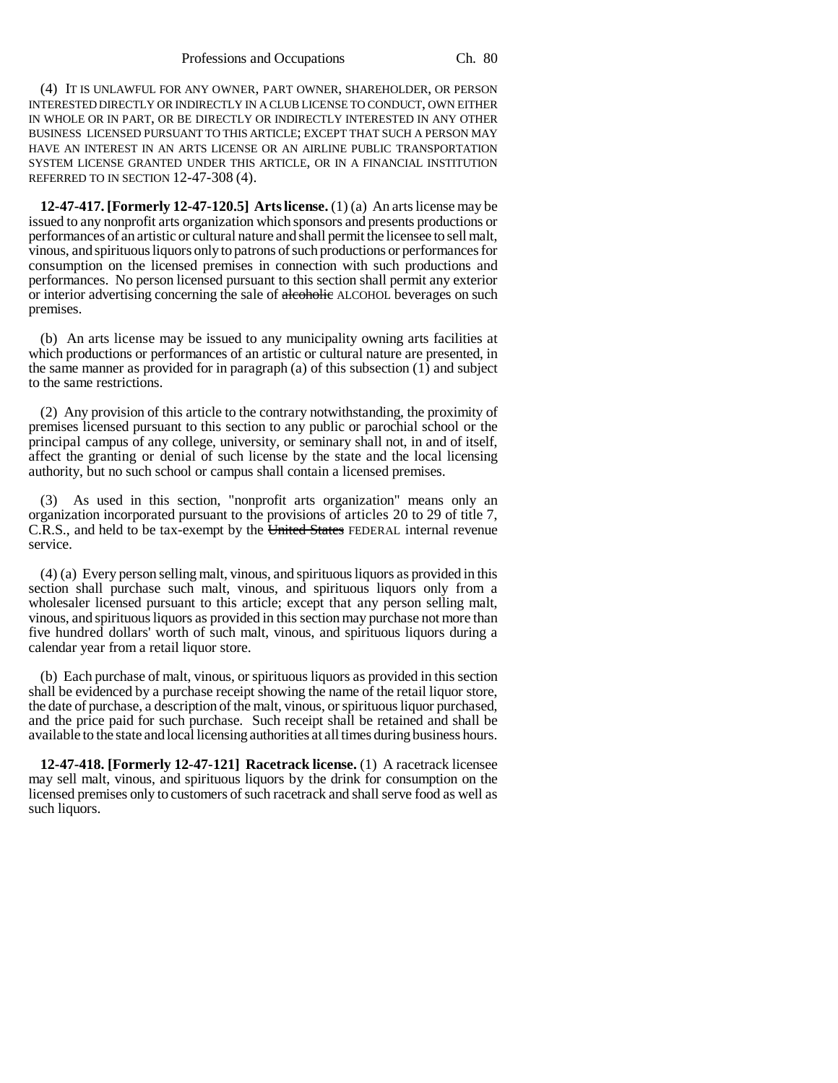(4) IT IS UNLAWFUL FOR ANY OWNER, PART OWNER, SHAREHOLDER, OR PERSON INTERESTED DIRECTLY OR INDIRECTLY IN A CLUB LICENSE TO CONDUCT, OWN EITHER IN WHOLE OR IN PART, OR BE DIRECTLY OR INDIRECTLY INTERESTED IN ANY OTHER BUSINESS LICENSED PURSUANT TO THIS ARTICLE; EXCEPT THAT SUCH A PERSON MAY HAVE AN INTEREST IN AN ARTS LICENSE OR AN AIRLINE PUBLIC TRANSPORTATION SYSTEM LICENSE GRANTED UNDER THIS ARTICLE, OR IN A FINANCIAL INSTITUTION REFERRED TO IN SECTION 12-47-308 (4).

**12-47-417. [Formerly 12-47-120.5] Arts license.** (1) (a) An arts license may be issued to any nonprofit arts organization which sponsors and presents productions or performances of an artistic or cultural nature and shall permit the licensee to sell malt, vinous, and spirituous liquors only to patrons of such productions or performances for consumption on the licensed premises in connection with such productions and performances. No person licensed pursuant to this section shall permit any exterior or interior advertising concerning the sale of alcoholic ALCOHOL beverages on such premises.

(b) An arts license may be issued to any municipality owning arts facilities at which productions or performances of an artistic or cultural nature are presented, in the same manner as provided for in paragraph (a) of this subsection (1) and subject to the same restrictions.

(2) Any provision of this article to the contrary notwithstanding, the proximity of premises licensed pursuant to this section to any public or parochial school or the principal campus of any college, university, or seminary shall not, in and of itself, affect the granting or denial of such license by the state and the local licensing authority, but no such school or campus shall contain a licensed premises.

(3) As used in this section, "nonprofit arts organization" means only an organization incorporated pursuant to the provisions of articles 20 to 29 of title 7, C.R.S., and held to be tax-exempt by the United States FEDERAL internal revenue service.

(4) (a) Every person selling malt, vinous, and spirituous liquors as provided in this section shall purchase such malt, vinous, and spirituous liquors only from a wholesaler licensed pursuant to this article; except that any person selling malt, vinous, and spirituous liquors as provided in this section may purchase not more than five hundred dollars' worth of such malt, vinous, and spirituous liquors during a calendar year from a retail liquor store.

(b) Each purchase of malt, vinous, or spirituous liquors as provided in this section shall be evidenced by a purchase receipt showing the name of the retail liquor store, the date of purchase, a description of the malt, vinous, or spirituous liquor purchased, and the price paid for such purchase. Such receipt shall be retained and shall be available to the state and local licensing authorities at all times during business hours.

**12-47-418. [Formerly 12-47-121] Racetrack license.** (1) A racetrack licensee may sell malt, vinous, and spirituous liquors by the drink for consumption on the licensed premises only to customers of such racetrack and shall serve food as well as such liquors.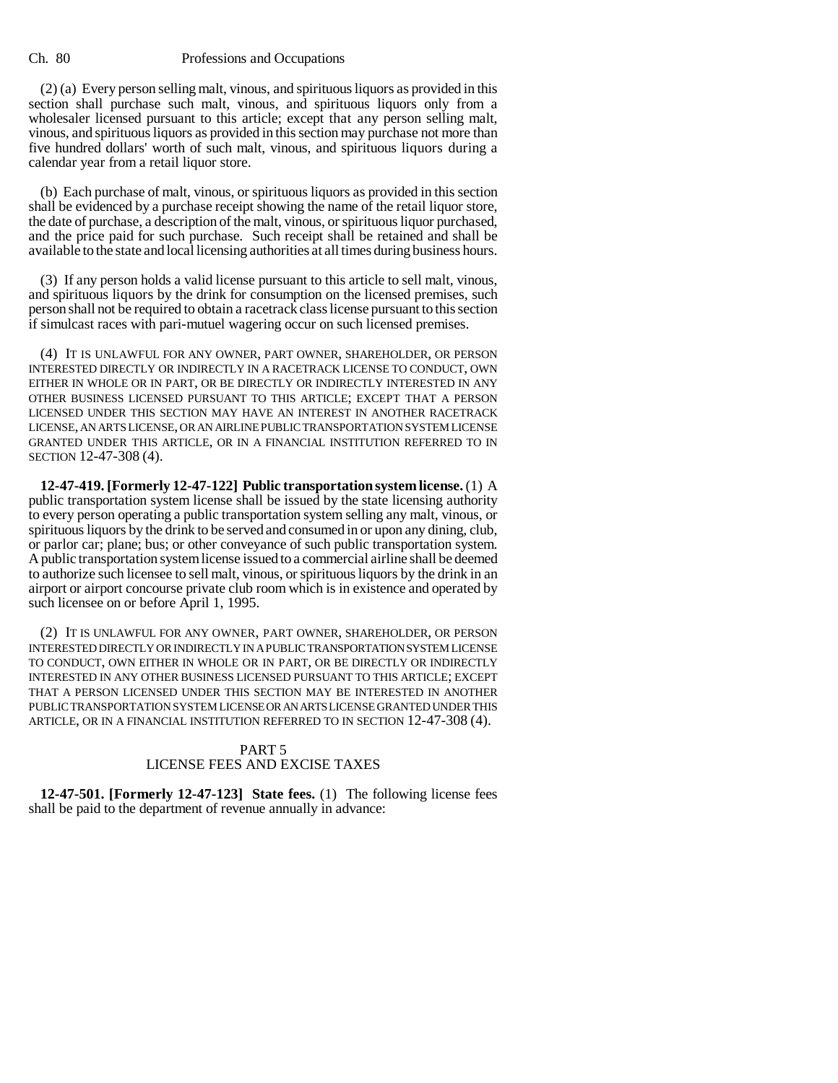(2) (a) Every person selling malt, vinous, and spirituous liquors as provided in this section shall purchase such malt, vinous, and spirituous liquors only from a wholesaler licensed pursuant to this article; except that any person selling malt, vinous, and spirituous liquors as provided in this section may purchase not more than five hundred dollars' worth of such malt, vinous, and spirituous liquors during a calendar year from a retail liquor store.

(b) Each purchase of malt, vinous, or spirituous liquors as provided in this section shall be evidenced by a purchase receipt showing the name of the retail liquor store, the date of purchase, a description of the malt, vinous, or spirituous liquor purchased, and the price paid for such purchase. Such receipt shall be retained and shall be available to the state and local licensing authorities at all times during business hours.

(3) If any person holds a valid license pursuant to this article to sell malt, vinous, and spirituous liquors by the drink for consumption on the licensed premises, such person shall not be required to obtain a racetrack class license pursuant to this section if simulcast races with pari-mutuel wagering occur on such licensed premises.

(4) IT IS UNLAWFUL FOR ANY OWNER, PART OWNER, SHAREHOLDER, OR PERSON INTERESTED DIRECTLY OR INDIRECTLY IN A RACETRACK LICENSE TO CONDUCT, OWN EITHER IN WHOLE OR IN PART, OR BE DIRECTLY OR INDIRECTLY INTERESTED IN ANY OTHER BUSINESS LICENSED PURSUANT TO THIS ARTICLE; EXCEPT THAT A PERSON LICENSED UNDER THIS SECTION MAY HAVE AN INTEREST IN ANOTHER RACETRACK LICENSE, AN ARTS LICENSE, OR AN AIRLINE PUBLIC TRANSPORTATION SYSTEM LICENSE GRANTED UNDER THIS ARTICLE, OR IN A FINANCIAL INSTITUTION REFERRED TO IN SECTION 12-47-308 (4).

**12-47-419. [Formerly 12-47-122] Public transportation system license.** (1) A public transportation system license shall be issued by the state licensing authority to every person operating a public transportation system selling any malt, vinous, or spirituous liquors by the drink to be served and consumed in or upon any dining, club, or parlor car; plane; bus; or other conveyance of such public transportation system. A public transportation system license issued to a commercial airline shall be deemed to authorize such licensee to sell malt, vinous, or spirituous liquors by the drink in an airport or airport concourse private club room which is in existence and operated by such licensee on or before April 1, 1995.

(2) IT IS UNLAWFUL FOR ANY OWNER, PART OWNER, SHAREHOLDER, OR PERSON INTERESTED DIRECTLY OR INDIRECTLY IN A PUBLIC TRANSPORTATION SYSTEM LICENSE TO CONDUCT, OWN EITHER IN WHOLE OR IN PART, OR BE DIRECTLY OR INDIRECTLY INTERESTED IN ANY OTHER BUSINESS LICENSED PURSUANT TO THIS ARTICLE; EXCEPT THAT A PERSON LICENSED UNDER THIS SECTION MAY BE INTERESTED IN ANOTHER PUBLIC TRANSPORTATION SYSTEM LICENSE OR AN ARTS LICENSE GRANTED UNDER THIS ARTICLE, OR IN A FINANCIAL INSTITUTION REFERRED TO IN SECTION 12-47-308 (4).

# PART 5 LICENSE FEES AND EXCISE TAXES

**12-47-501. [Formerly 12-47-123] State fees.** (1) The following license fees shall be paid to the department of revenue annually in advance: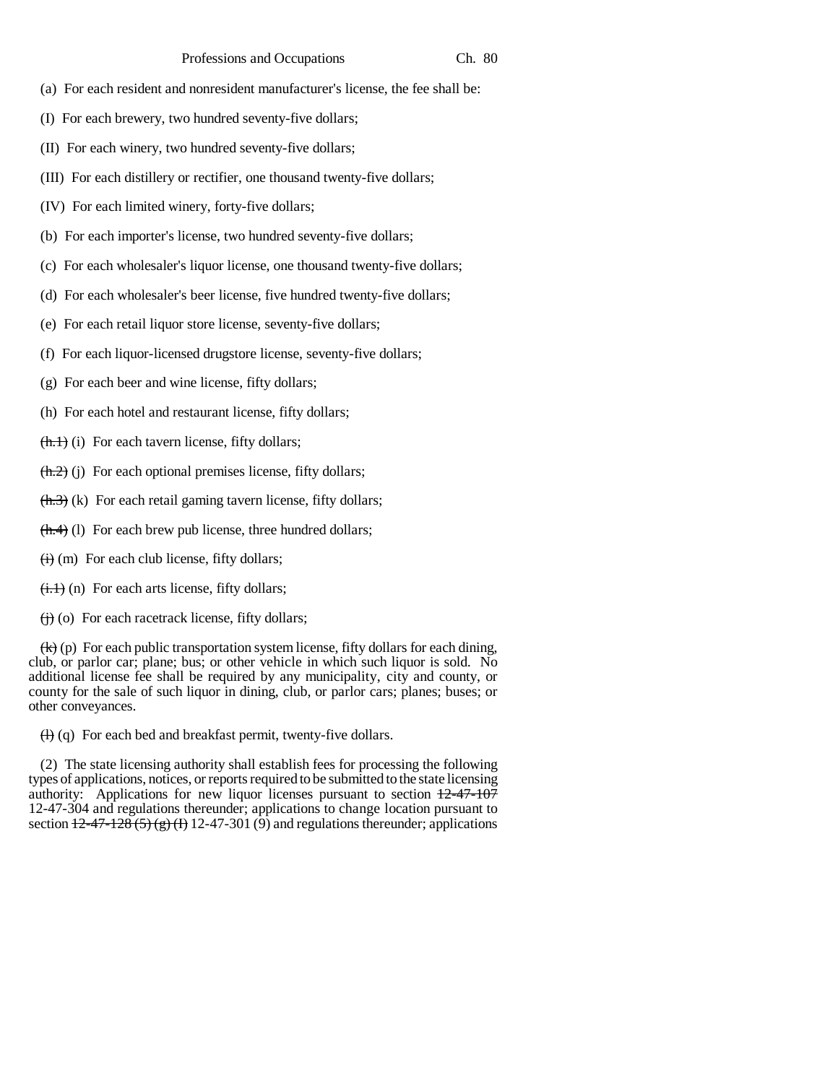- (a) For each resident and nonresident manufacturer's license, the fee shall be:
- (I) For each brewery, two hundred seventy-five dollars;
- (II) For each winery, two hundred seventy-five dollars;
- (III) For each distillery or rectifier, one thousand twenty-five dollars;
- (IV) For each limited winery, forty-five dollars;
- (b) For each importer's license, two hundred seventy-five dollars;
- (c) For each wholesaler's liquor license, one thousand twenty-five dollars;
- (d) For each wholesaler's beer license, five hundred twenty-five dollars;
- (e) For each retail liquor store license, seventy-five dollars;
- (f) For each liquor-licensed drugstore license, seventy-five dollars;
- (g) For each beer and wine license, fifty dollars;
- (h) For each hotel and restaurant license, fifty dollars;
- $(**h**.)$  (i) For each tavern license, fifty dollars;
- $(**h.2**)$  (j) For each optional premises license, fifty dollars;
- **(k) For each retail gaming tavern license, fifty dollars;**
- $(\text{h.4})$  (1) For each brew pub license, three hundred dollars;
- $\overrightarrow{(ii)}$  (m) For each club license, fifty dollars;
- $\overline{(i,1)}$  (n) For each arts license, fifty dollars;
- $\overrightarrow{(ii)}$  (o) For each racetrack license, fifty dollars;

 $(k)(p)$  For each public transportation system license, fifty dollars for each dining, club, or parlor car; plane; bus; or other vehicle in which such liquor is sold. No additional license fee shall be required by any municipality, city and county, or county for the sale of such liquor in dining, club, or parlor cars; planes; buses; or other conveyances.

 $(H)$  (q) For each bed and breakfast permit, twenty-five dollars.

(2) The state licensing authority shall establish fees for processing the following types of applications, notices, or reports required to be submitted to the state licensing authority: Applications for new liquor licenses pursuant to section  $\frac{12-47-107}{2}$ 12-47-304 and regulations thereunder; applications to change location pursuant to section  $\frac{12-47-128(5)(g)(1)}{12-47-301(9)}$  and regulations thereunder; applications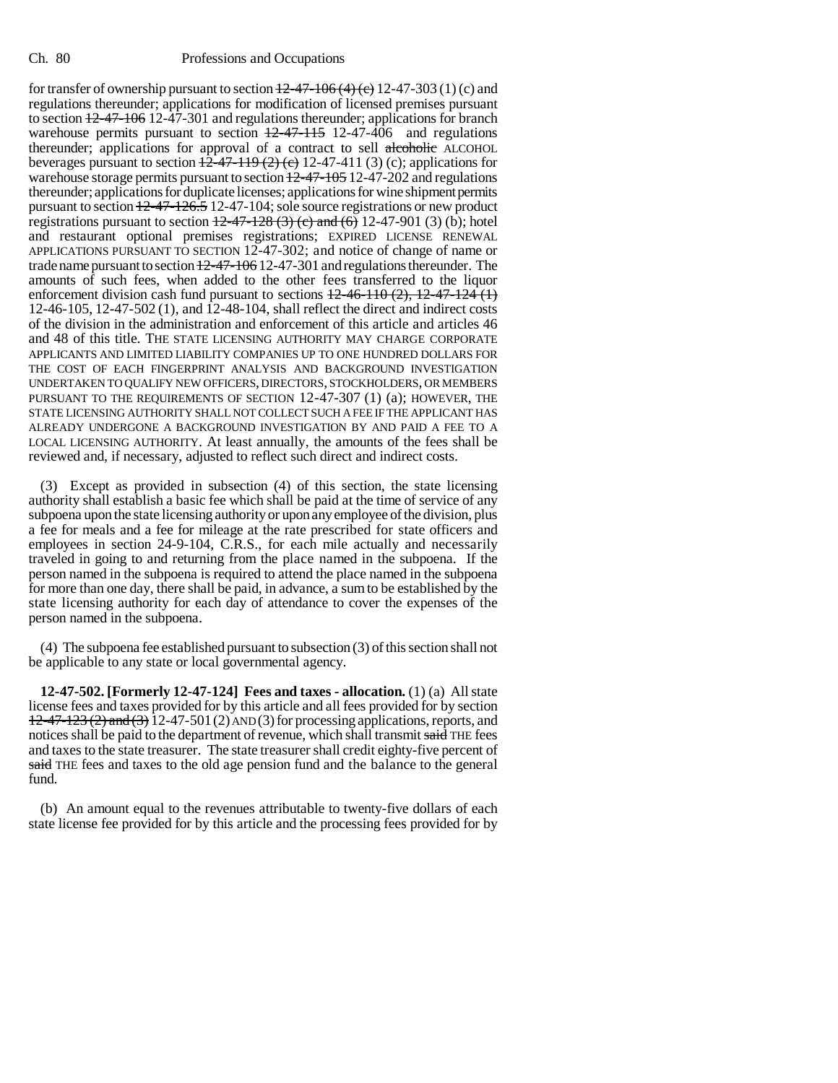for transfer of ownership pursuant to section  $12-47-106(4)$  (c) 12-47-303 (1) (c) and regulations thereunder; applications for modification of licensed premises pursuant to section  $12-47-106$  12-47-301 and regulations thereunder; applications for branch warehouse permits pursuant to section  $\frac{12-47-115}{2}$  12-47-406 and regulations thereunder; applications for approval of a contract to sell alcoholic ALCOHOL beverages pursuant to section  $\frac{12-47-119(2)(e)}{2}(2)$  12-47-411 (3) (c); applications for warehouse storage permits pursuant to section  $12-47-105$  12-47-202 and regulations thereunder; applications for duplicate licenses; applications for wine shipment permits pursuant to section 12-47-126.5 12-47-104; sole source registrations or new product registrations pursuant to section  $12-47-128$  (3) (c) and (6) 12-47-901 (3) (b); hotel and restaurant optional premises registrations; EXPIRED LICENSE RENEWAL APPLICATIONS PURSUANT TO SECTION 12-47-302; and notice of change of name or trade name pursuant to section  $12-47-106$  12-47-301 and regulations thereunder. The amounts of such fees, when added to the other fees transferred to the liquor enforcement division cash fund pursuant to sections  $\frac{12-46-110(2)}{2}$ ,  $\frac{12-47-124(1)}{2}$ 12-46-105, 12-47-502 (1), and 12-48-104, shall reflect the direct and indirect costs of the division in the administration and enforcement of this article and articles 46 and 48 of this title. THE STATE LICENSING AUTHORITY MAY CHARGE CORPORATE APPLICANTS AND LIMITED LIABILITY COMPANIES UP TO ONE HUNDRED DOLLARS FOR THE COST OF EACH FINGERPRINT ANALYSIS AND BACKGROUND INVESTIGATION UNDERTAKEN TO QUALIFY NEW OFFICERS, DIRECTORS, STOCKHOLDERS, OR MEMBERS PURSUANT TO THE REQUIREMENTS OF SECTION 12-47-307 (1) (a); HOWEVER, THE STATE LICENSING AUTHORITY SHALL NOT COLLECT SUCH A FEE IF THE APPLICANT HAS ALREADY UNDERGONE A BACKGROUND INVESTIGATION BY AND PAID A FEE TO A LOCAL LICENSING AUTHORITY. At least annually, the amounts of the fees shall be reviewed and, if necessary, adjusted to reflect such direct and indirect costs.

(3) Except as provided in subsection (4) of this section, the state licensing authority shall establish a basic fee which shall be paid at the time of service of any subpoena upon the state licensing authority or upon any employee of the division, plus a fee for meals and a fee for mileage at the rate prescribed for state officers and employees in section 24-9-104, C.R.S., for each mile actually and necessarily traveled in going to and returning from the place named in the subpoena. If the person named in the subpoena is required to attend the place named in the subpoena for more than one day, there shall be paid, in advance, a sum to be established by the state licensing authority for each day of attendance to cover the expenses of the person named in the subpoena.

(4) The subpoena fee established pursuant to subsection (3) of this section shall not be applicable to any state or local governmental agency.

**12-47-502. [Formerly 12-47-124] Fees and taxes - allocation.** (1) (a) All state license fees and taxes provided for by this article and all fees provided for by section  $12-47-123$  (2) and (3)  $12-47-501$  (2) AND (3) for processing applications, reports, and notices shall be paid to the department of revenue, which shall transmit said THE fees and taxes to the state treasurer. The state treasurer shall credit eighty-five percent of said THE fees and taxes to the old age pension fund and the balance to the general fund.

(b) An amount equal to the revenues attributable to twenty-five dollars of each state license fee provided for by this article and the processing fees provided for by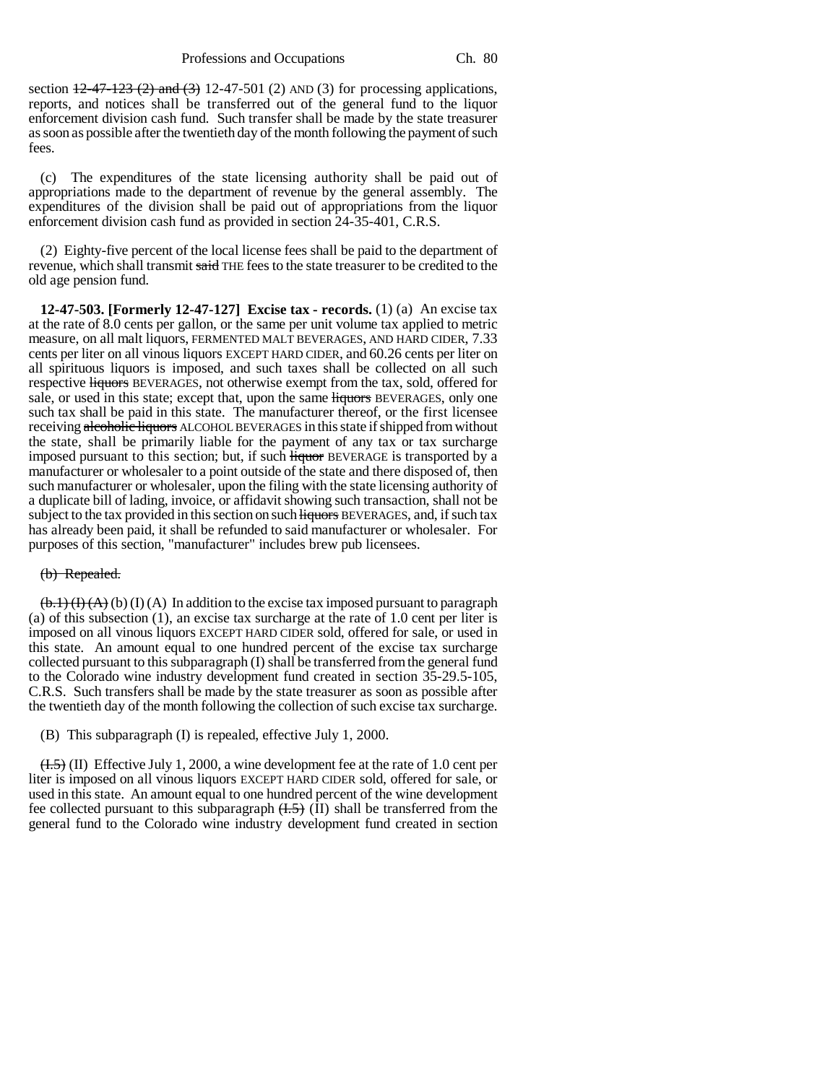section  $\frac{12-47-123(2)}{2}$  and  $\left(\frac{3}{2}\right)$  12-47-501 (2) AND (3) for processing applications, reports, and notices shall be transferred out of the general fund to the liquor enforcement division cash fund. Such transfer shall be made by the state treasurer as soon as possible after the twentieth day of the month following the payment of such fees.

(c) The expenditures of the state licensing authority shall be paid out of appropriations made to the department of revenue by the general assembly. The expenditures of the division shall be paid out of appropriations from the liquor enforcement division cash fund as provided in section 24-35-401, C.R.S.

(2) Eighty-five percent of the local license fees shall be paid to the department of revenue, which shall transmit said THE fees to the state treasurer to be credited to the old age pension fund.

**12-47-503. [Formerly 12-47-127] Excise tax - records.** (1) (a) An excise tax at the rate of 8.0 cents per gallon, or the same per unit volume tax applied to metric measure, on all malt liquors, FERMENTED MALT BEVERAGES, AND HARD CIDER, 7.33 cents per liter on all vinous liquors EXCEPT HARD CIDER, and 60.26 cents per liter on all spirituous liquors is imposed, and such taxes shall be collected on all such respective liquors BEVERAGES, not otherwise exempt from the tax, sold, offered for sale, or used in this state; except that, upon the same liquors BEVERAGES, only one such tax shall be paid in this state. The manufacturer thereof, or the first licensee receiving alcoholic liquors ALCOHOL BEVERAGES in this state if shipped from without the state, shall be primarily liable for the payment of any tax or tax surcharge imposed pursuant to this section; but, if such **liquor** BEVERAGE is transported by a manufacturer or wholesaler to a point outside of the state and there disposed of, then such manufacturer or wholesaler, upon the filing with the state licensing authority of a duplicate bill of lading, invoice, or affidavit showing such transaction, shall not be subject to the tax provided in this section on such liquors BEVERAGES, and, if such tax has already been paid, it shall be refunded to said manufacturer or wholesaler. For purposes of this section, "manufacturer" includes brew pub licensees.

#### (b) Repealed.

 $(\mathbf{b.1})$  (**I**) (**A**) (**I**) (**A**) In addition to the excise tax imposed pursuant to paragraph (a) of this subsection (1), an excise tax surcharge at the rate of 1.0 cent per liter is imposed on all vinous liquors EXCEPT HARD CIDER sold, offered for sale, or used in this state. An amount equal to one hundred percent of the excise tax surcharge collected pursuant to this subparagraph (I) shall be transferred from the general fund to the Colorado wine industry development fund created in section 35-29.5-105, C.R.S. Such transfers shall be made by the state treasurer as soon as possible after the twentieth day of the month following the collection of such excise tax surcharge.

(B) This subparagraph (I) is repealed, effective July 1, 2000.

 $(1.5)$  (II) Effective July 1, 2000, a wine development fee at the rate of 1.0 cent per liter is imposed on all vinous liquors EXCEPT HARD CIDER sold, offered for sale, or used in this state. An amount equal to one hundred percent of the wine development fee collected pursuant to this subparagraph  $(H.5)$  (II) shall be transferred from the general fund to the Colorado wine industry development fund created in section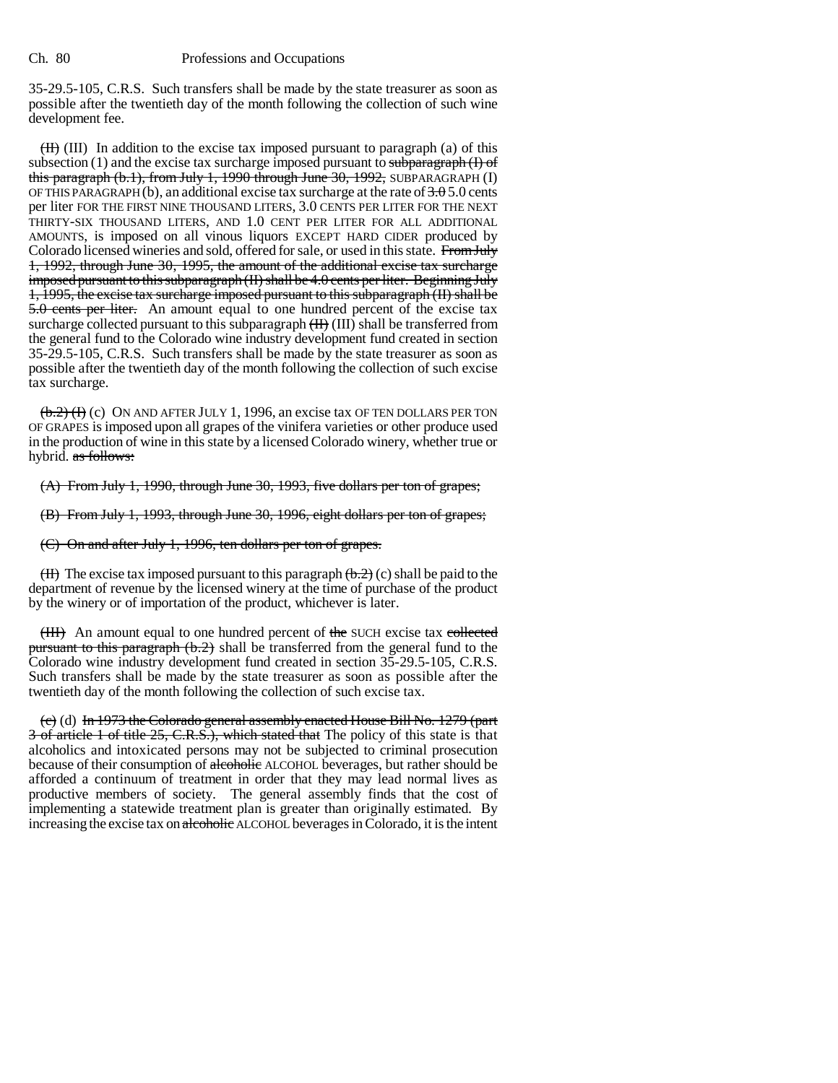35-29.5-105, C.R.S. Such transfers shall be made by the state treasurer as soon as possible after the twentieth day of the month following the collection of such wine development fee.

 $(H)$  (III) In addition to the excise tax imposed pursuant to paragraph (a) of this subsection  $(1)$  and the excise tax surcharge imposed pursuant to subparagraph  $(1)$  of this paragraph  $(b.1)$ , from July 1, 1990 through June 30, 1992, SUBPARAGRAPH  $(I)$ OF THIS PARAGRAPH (b), an additional excise tax surcharge at the rate of  $3.05.0$  cents per liter FOR THE FIRST NINE THOUSAND LITERS, 3.0 CENTS PER LITER FOR THE NEXT THIRTY-SIX THOUSAND LITERS, AND 1.0 CENT PER LITER FOR ALL ADDITIONAL AMOUNTS, is imposed on all vinous liquors EXCEPT HARD CIDER produced by Colorado licensed wineries and sold, offered for sale, or used in this state. From July 1, 1992, through June 30, 1995, the amount of the additional excise tax surcharge imposed pursuant to this subparagraph (II) shall be 4.0 cents per liter. Beginning July 1, 1995, the excise tax surcharge imposed pursuant to this subparagraph (II) shall be 5.0 cents per liter. An amount equal to one hundred percent of the excise tax surcharge collected pursuant to this subparagraph  $(H)$  (III) shall be transferred from the general fund to the Colorado wine industry development fund created in section 35-29.5-105, C.R.S. Such transfers shall be made by the state treasurer as soon as possible after the twentieth day of the month following the collection of such excise tax surcharge.

 $(\frac{b.2}{f})$  (c) ON AND AFTER JULY 1, 1996, an excise tax OF TEN DOLLARS PER TON OF GRAPES is imposed upon all grapes of the vinifera varieties or other produce used in the production of wine in this state by a licensed Colorado winery, whether true or hybrid. as follows:

(A) From July 1, 1990, through June 30, 1993, five dollars per ton of grapes;

(B) From July 1, 1993, through June 30, 1996, eight dollars per ton of grapes;

(C) On and after July 1, 1996, ten dollars per ton of grapes.

 $(H)$  The excise tax imposed pursuant to this paragraph  $(H, 2)$  (c) shall be paid to the department of revenue by the licensed winery at the time of purchase of the product by the winery or of importation of the product, whichever is later.

(HII) An amount equal to one hundred percent of the SUCH excise tax collected pursuant to this paragraph  $(b.2)$  shall be transferred from the general fund to the Colorado wine industry development fund created in section 35-29.5-105, C.R.S. Such transfers shall be made by the state treasurer as soon as possible after the twentieth day of the month following the collection of such excise tax.

(c) (d) In 1973 the Colorado general assembly enacted House Bill No. 1279 (part 3 of article 1 of title 25, C.R.S.), which stated that The policy of this state is that alcoholics and intoxicated persons may not be subjected to criminal prosecution because of their consumption of alcoholic ALCOHOL beverages, but rather should be afforded a continuum of treatment in order that they may lead normal lives as productive members of society. The general assembly finds that the cost of implementing a statewide treatment plan is greater than originally estimated. By increasing the excise tax on alcoholic ALCOHOL beverages in Colorado, it is the intent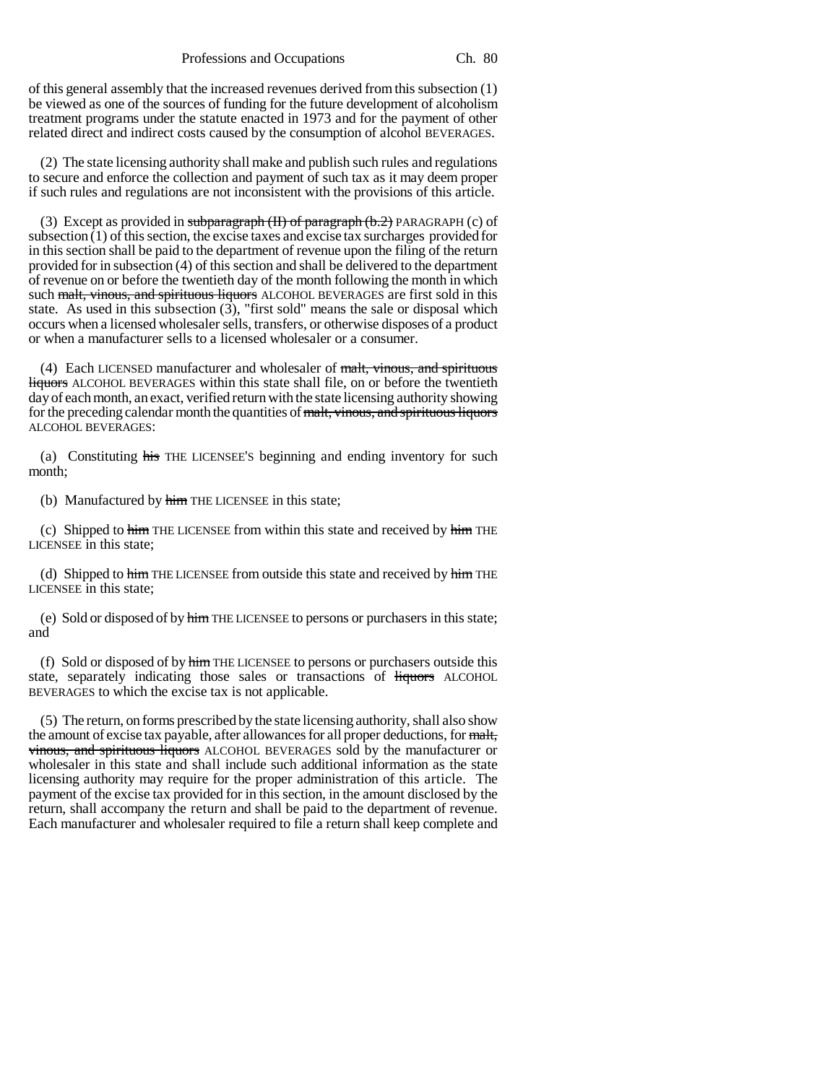of this general assembly that the increased revenues derived from this subsection (1) be viewed as one of the sources of funding for the future development of alcoholism treatment programs under the statute enacted in 1973 and for the payment of other related direct and indirect costs caused by the consumption of alcohol BEVERAGES.

(2) The state licensing authority shall make and publish such rules and regulations to secure and enforce the collection and payment of such tax as it may deem proper if such rules and regulations are not inconsistent with the provisions of this article.

(3) Except as provided in subparagraph  $(H)$  of paragraph  $(b.2)$  PARAGRAPH  $(c)$  of subsection (1) of this section, the excise taxes and excise tax surcharges provided for in this section shall be paid to the department of revenue upon the filing of the return provided for in subsection (4) of this section and shall be delivered to the department of revenue on or before the twentieth day of the month following the month in which such malt, vinous, and spirituous liquors ALCOHOL BEVERAGES are first sold in this state. As used in this subsection  $(3)$ , "first sold" means the sale or disposal which occurs when a licensed wholesaler sells, transfers, or otherwise disposes of a product or when a manufacturer sells to a licensed wholesaler or a consumer.

(4) Each LICENSED manufacturer and wholesaler of malt, vinous, and spirituous liquors ALCOHOL BEVERAGES within this state shall file, on or before the twentieth day of each month, an exact, verified return with the state licensing authority showing for the preceding calendar month the quantities of malt, vinous, and spirituous liquors ALCOHOL BEVERAGES:

(a) Constituting his THE LICENSEE'S beginning and ending inventory for such month;

(b) Manufactured by him THE LICENSEE in this state;

(c) Shipped to him THE LICENSEE from within this state and received by him THE LICENSEE in this state;

(d) Shipped to  $\frac{1}{2}$  THE LICENSEE from outside this state and received by  $\frac{1}{2}$  THE LICENSEE in this state;

(e) Sold or disposed of by himTHE LICENSEE to persons or purchasers in this state; and

(f) Sold or disposed of by  $\frac{him}{p}$  THE LICENSEE to persons or purchasers outside this state, separately indicating those sales or transactions of liquors ALCOHOL BEVERAGES to which the excise tax is not applicable.

(5) The return, on forms prescribed by the state licensing authority, shall also show the amount of excise tax payable, after allowances for all proper deductions, for malt, vinous, and spirituous liquors ALCOHOL BEVERAGES sold by the manufacturer or wholesaler in this state and shall include such additional information as the state licensing authority may require for the proper administration of this article. The payment of the excise tax provided for in this section, in the amount disclosed by the return, shall accompany the return and shall be paid to the department of revenue. Each manufacturer and wholesaler required to file a return shall keep complete and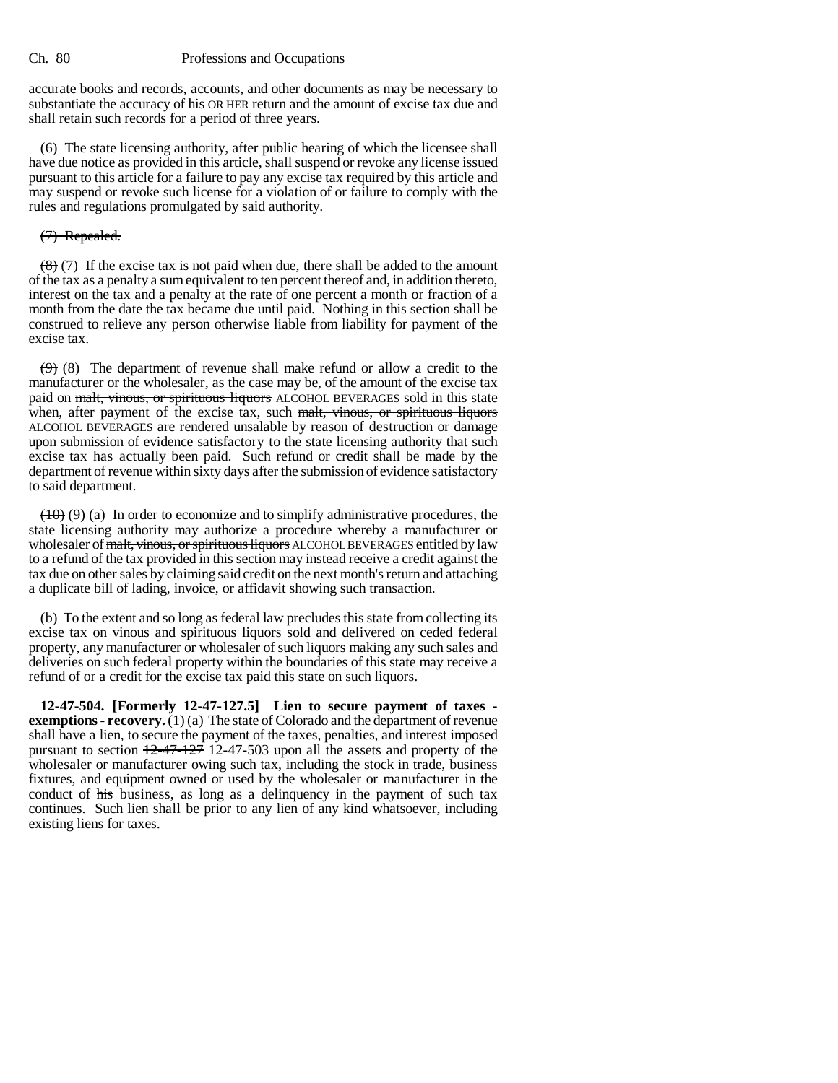accurate books and records, accounts, and other documents as may be necessary to substantiate the accuracy of his OR HER return and the amount of excise tax due and shall retain such records for a period of three years.

(6) The state licensing authority, after public hearing of which the licensee shall have due notice as provided in this article, shall suspend or revoke any license issued pursuant to this article for a failure to pay any excise tax required by this article and may suspend or revoke such license for a violation of or failure to comply with the rules and regulations promulgated by said authority.

## (7) Repealed.

 $(8)(7)$  If the excise tax is not paid when due, there shall be added to the amount of the tax as a penalty a sum equivalent to ten percent thereof and, in addition thereto, interest on the tax and a penalty at the rate of one percent a month or fraction of a month from the date the tax became due until paid. Nothing in this section shall be construed to relieve any person otherwise liable from liability for payment of the excise tax.

 $(9)$  (8) The department of revenue shall make refund or allow a credit to the manufacturer or the wholesaler, as the case may be, of the amount of the excise tax paid on malt, vinous, or spirituous liquors ALCOHOL BEVERAGES sold in this state when, after payment of the excise tax, such malt, vinous, or spirituous liquors ALCOHOL BEVERAGES are rendered unsalable by reason of destruction or damage upon submission of evidence satisfactory to the state licensing authority that such excise tax has actually been paid. Such refund or credit shall be made by the department of revenue within sixty days after the submission of evidence satisfactory to said department.

 $(10)$  (9) (a) In order to economize and to simplify administrative procedures, the state licensing authority may authorize a procedure whereby a manufacturer or wholesaler of malt, vinous, or spirituous liquors ALCOHOL BEVERAGES entitled by law to a refund of the tax provided in this section may instead receive a credit against the tax due on other sales by claiming said credit on the next month's return and attaching a duplicate bill of lading, invoice, or affidavit showing such transaction.

(b) To the extent and so long as federal law precludes this state from collecting its excise tax on vinous and spirituous liquors sold and delivered on ceded federal property, any manufacturer or wholesaler of such liquors making any such sales and deliveries on such federal property within the boundaries of this state may receive a refund of or a credit for the excise tax paid this state on such liquors.

**12-47-504. [Formerly 12-47-127.5] Lien to secure payment of taxes exemptions - recovery.** (1) (a) The state of Colorado and the department of revenue shall have a lien, to secure the payment of the taxes, penalties, and interest imposed pursuant to section  $12-47-127$  12-47-503 upon all the assets and property of the wholesaler or manufacturer owing such tax, including the stock in trade, business fixtures, and equipment owned or used by the wholesaler or manufacturer in the conduct of his business, as long as a delinquency in the payment of such tax continues. Such lien shall be prior to any lien of any kind whatsoever, including existing liens for taxes.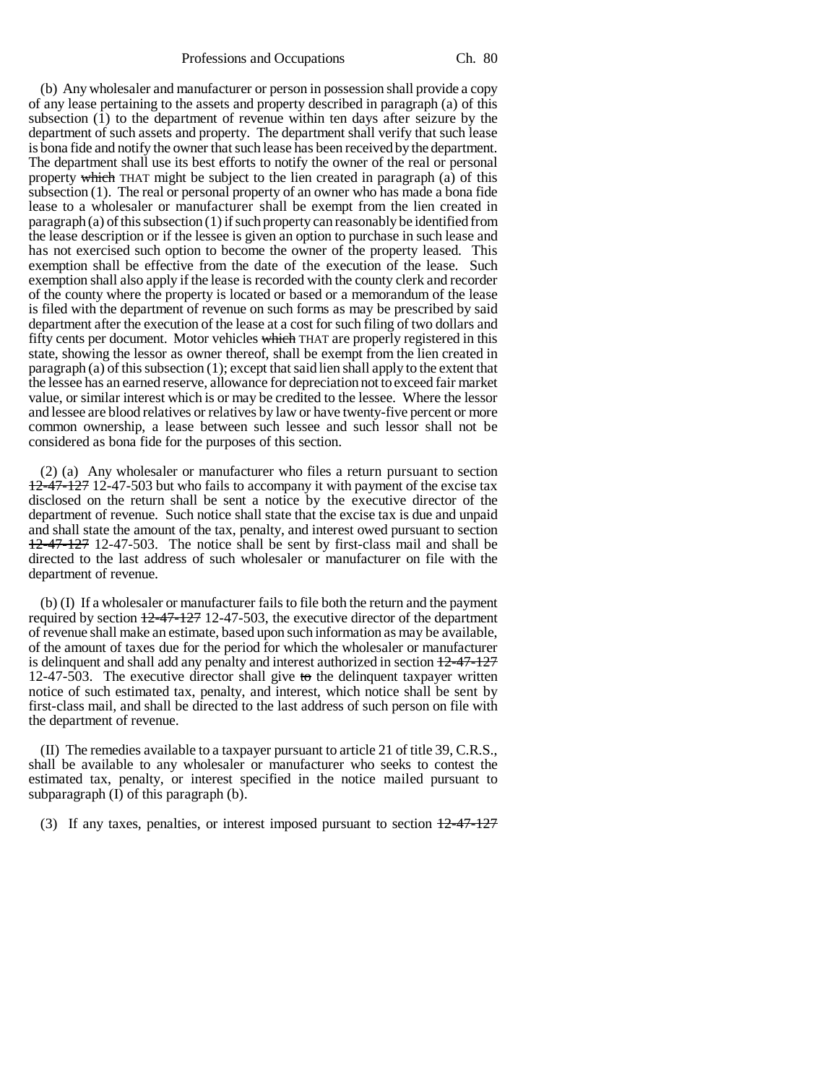(b) Any wholesaler and manufacturer or person in possession shall provide a copy of any lease pertaining to the assets and property described in paragraph (a) of this subsection (1) to the department of revenue within ten days after seizure by the department of such assets and property. The department shall verify that such lease is bona fide and notify the owner that such lease has been received by the department. The department shall use its best efforts to notify the owner of the real or personal property which THAT might be subject to the lien created in paragraph (a) of this subsection (1). The real or personal property of an owner who has made a bona fide lease to a wholesaler or manufacturer shall be exempt from the lien created in paragraph (a) of this subsection (1) if such property can reasonably be identified from the lease description or if the lessee is given an option to purchase in such lease and has not exercised such option to become the owner of the property leased. This exemption shall be effective from the date of the execution of the lease. Such exemption shall also apply if the lease is recorded with the county clerk and recorder of the county where the property is located or based or a memorandum of the lease is filed with the department of revenue on such forms as may be prescribed by said department after the execution of the lease at a cost for such filing of two dollars and fifty cents per document. Motor vehicles which THAT are properly registered in this state, showing the lessor as owner thereof, shall be exempt from the lien created in paragraph (a) of this subsection (1); except that said lien shall apply to the extent that the lessee has an earned reserve, allowance for depreciation not to exceed fair market value, or similar interest which is or may be credited to the lessee. Where the lessor and lessee are blood relatives or relatives by law or have twenty-five percent or more common ownership, a lease between such lessee and such lessor shall not be considered as bona fide for the purposes of this section.

(2) (a) Any wholesaler or manufacturer who files a return pursuant to section 12-47-127 12-47-503 but who fails to accompany it with payment of the excise tax disclosed on the return shall be sent a notice by the executive director of the department of revenue. Such notice shall state that the excise tax is due and unpaid and shall state the amount of the tax, penalty, and interest owed pursuant to section 12-47-127 12-47-503. The notice shall be sent by first-class mail and shall be directed to the last address of such wholesaler or manufacturer on file with the department of revenue.

(b) (I) If a wholesaler or manufacturer fails to file both the return and the payment required by section 12-47-127 12-47-503, the executive director of the department of revenue shall make an estimate, based upon such information as may be available, of the amount of taxes due for the period for which the wholesaler or manufacturer is delinquent and shall add any penalty and interest authorized in section 12-47-127 12-47-503. The executive director shall give to the delinquent taxpayer written notice of such estimated tax, penalty, and interest, which notice shall be sent by first-class mail, and shall be directed to the last address of such person on file with the department of revenue.

(II) The remedies available to a taxpayer pursuant to article 21 of title 39, C.R.S., shall be available to any wholesaler or manufacturer who seeks to contest the estimated tax, penalty, or interest specified in the notice mailed pursuant to subparagraph (I) of this paragraph (b).

(3) If any taxes, penalties, or interest imposed pursuant to section  $\frac{12-47-127}{2}$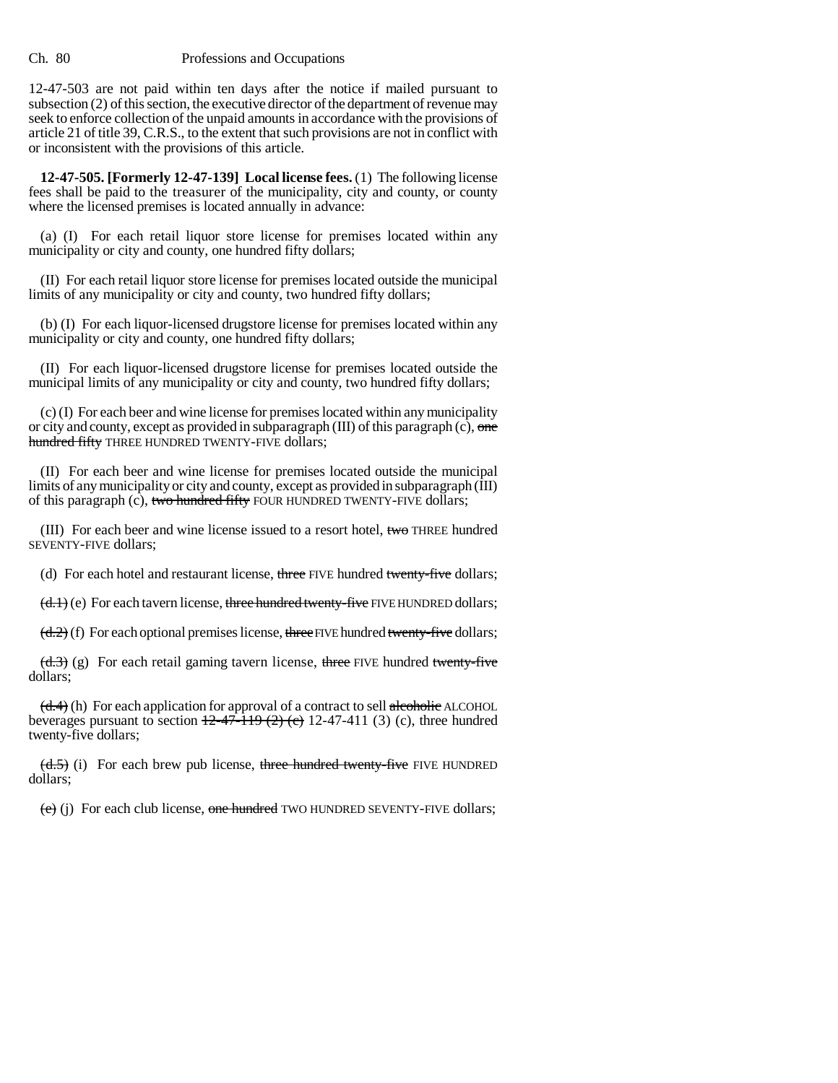12-47-503 are not paid within ten days after the notice if mailed pursuant to subsection (2) of this section, the executive director of the department of revenue may seek to enforce collection of the unpaid amounts in accordance with the provisions of article 21 of title 39, C.R.S., to the extent that such provisions are not in conflict with or inconsistent with the provisions of this article.

**12-47-505. [Formerly 12-47-139] Local license fees.** (1) The following license fees shall be paid to the treasurer of the municipality, city and county, or county where the licensed premises is located annually in advance:

(a) (I) For each retail liquor store license for premises located within any municipality or city and county, one hundred fifty dollars;

(II) For each retail liquor store license for premises located outside the municipal limits of any municipality or city and county, two hundred fifty dollars;

(b) (I) For each liquor-licensed drugstore license for premises located within any municipality or city and county, one hundred fifty dollars;

(II) For each liquor-licensed drugstore license for premises located outside the municipal limits of any municipality or city and county, two hundred fifty dollars;

(c) (I) For each beer and wine license for premises located within any municipality or city and county, except as provided in subparagraph  $(III)$  of this paragraph  $(c)$ , one hundred fifty THREE HUNDRED TWENTY-FIVE dollars;

(II) For each beer and wine license for premises located outside the municipal limits of any municipality or city and county, except as provided in subparagraph (III) of this paragraph (c), two hundred fifty FOUR HUNDRED TWENTY-FIVE dollars;

(III) For each beer and wine license issued to a resort hotel, two THREE hundred SEVENTY-FIVE dollars;

(d) For each hotel and restaurant license, three FIVE hundred twenty-five dollars;

 $(\text{d.1})$  (e) For each tavern license, three hundred twenty-five FIVE HUNDRED dollars;

 $(d.2)$  (f) For each optional premises license, three FIVE hundred twenty-five dollars;

 $(d.3)$  (g) For each retail gaming tavern license, three FIVE hundred twenty-five dollars;

 $(d.4)$  (h) For each application for approval of a contract to sell alcoholic ALCOHOL beverages pursuant to section  $12-47-119$  (2) (c), three hundred twenty-five dollars;

 $\left(\frac{d.5}{d.5}\right)$  (i) For each brew pub license, three hundred twenty-five FIVE HUNDRED dollars;

 $(e)$  (i) For each club license, one hundred TWO HUNDRED SEVENTY-FIVE dollars;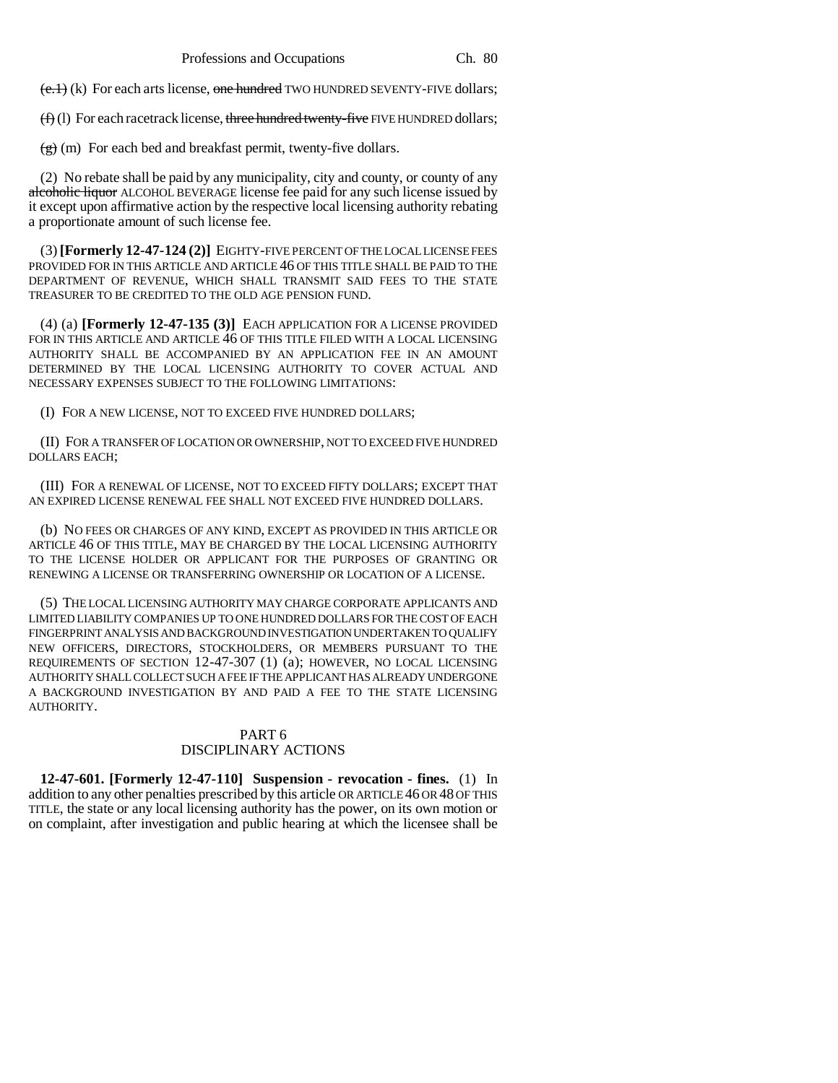$(e,1)$  (k) For each arts license, one hundred TWO HUNDRED SEVENTY-FIVE dollars;

 $(f)$  (1) For each racetrack license, three hundred twenty-five FIVE HUNDRED dollars;

 $(g)$  (m) For each bed and breakfast permit, twenty-five dollars.

(2) No rebate shall be paid by any municipality, city and county, or county of any alcoholic liquor ALCOHOL BEVERAGE license fee paid for any such license issued by it except upon affirmative action by the respective local licensing authority rebating a proportionate amount of such license fee.

(3) **[Formerly 12-47-124 (2)]** EIGHTY-FIVE PERCENT OF THE LOCAL LICENSE FEES PROVIDED FOR IN THIS ARTICLE AND ARTICLE 46 OF THIS TITLE SHALL BE PAID TO THE DEPARTMENT OF REVENUE, WHICH SHALL TRANSMIT SAID FEES TO THE STATE TREASURER TO BE CREDITED TO THE OLD AGE PENSION FUND.

(4) (a) **[Formerly 12-47-135 (3)]** EACH APPLICATION FOR A LICENSE PROVIDED FOR IN THIS ARTICLE AND ARTICLE 46 OF THIS TITLE FILED WITH A LOCAL LICENSING AUTHORITY SHALL BE ACCOMPANIED BY AN APPLICATION FEE IN AN AMOUNT DETERMINED BY THE LOCAL LICENSING AUTHORITY TO COVER ACTUAL AND NECESSARY EXPENSES SUBJECT TO THE FOLLOWING LIMITATIONS:

(I) FOR A NEW LICENSE, NOT TO EXCEED FIVE HUNDRED DOLLARS;

(II) FOR A TRANSFER OF LOCATION OR OWNERSHIP, NOT TO EXCEED FIVE HUNDRED DOLLARS EACH;

(III) FOR A RENEWAL OF LICENSE, NOT TO EXCEED FIFTY DOLLARS; EXCEPT THAT AN EXPIRED LICENSE RENEWAL FEE SHALL NOT EXCEED FIVE HUNDRED DOLLARS.

(b) NO FEES OR CHARGES OF ANY KIND, EXCEPT AS PROVIDED IN THIS ARTICLE OR ARTICLE 46 OF THIS TITLE, MAY BE CHARGED BY THE LOCAL LICENSING AUTHORITY TO THE LICENSE HOLDER OR APPLICANT FOR THE PURPOSES OF GRANTING OR RENEWING A LICENSE OR TRANSFERRING OWNERSHIP OR LOCATION OF A LICENSE.

(5) THE LOCAL LICENSING AUTHORITY MAY CHARGE CORPORATE APPLICANTS AND LIMITED LIABILITY COMPANIES UP TO ONE HUNDRED DOLLARS FOR THE COST OF EACH FINGERPRINT ANALYSIS AND BACKGROUND INVESTIGATION UNDERTAKEN TO QUALIFY NEW OFFICERS, DIRECTORS, STOCKHOLDERS, OR MEMBERS PURSUANT TO THE REQUIREMENTS OF SECTION 12-47-307 (1) (a); HOWEVER, NO LOCAL LICENSING AUTHORITY SHALL COLLECT SUCH A FEE IF THE APPLICANT HAS ALREADY UNDERGONE A BACKGROUND INVESTIGATION BY AND PAID A FEE TO THE STATE LICENSING AUTHORITY.

## PART 6 DISCIPLINARY ACTIONS

**12-47-601. [Formerly 12-47-110] Suspension - revocation - fines.** (1) In addition to any other penalties prescribed by this article OR ARTICLE 46 OR 48 OF THIS TITLE, the state or any local licensing authority has the power, on its own motion or on complaint, after investigation and public hearing at which the licensee shall be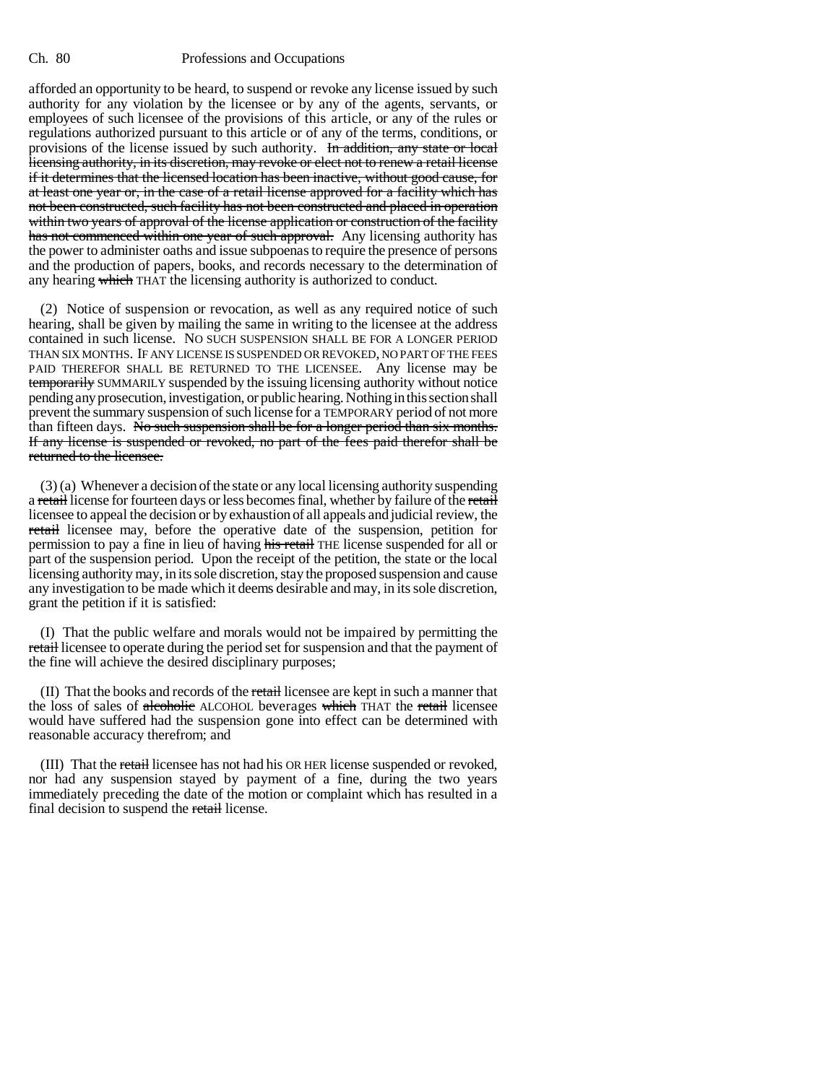afforded an opportunity to be heard, to suspend or revoke any license issued by such authority for any violation by the licensee or by any of the agents, servants, or employees of such licensee of the provisions of this article, or any of the rules or regulations authorized pursuant to this article or of any of the terms, conditions, or provisions of the license issued by such authority. In addition, any state or local licensing authority, in its discretion, may revoke or elect not to renew a retail license if it determines that the licensed location has been inactive, without good cause, for at least one year or, in the case of a retail license approved for a facility which has not been constructed, such facility has not been constructed and placed in operation within two years of approval of the license application or construction of the facility has not commenced within one year of such approval. Any licensing authority has the power to administer oaths and issue subpoenas to require the presence of persons and the production of papers, books, and records necessary to the determination of any hearing which THAT the licensing authority is authorized to conduct.

(2) Notice of suspension or revocation, as well as any required notice of such hearing, shall be given by mailing the same in writing to the licensee at the address contained in such license. NO SUCH SUSPENSION SHALL BE FOR A LONGER PERIOD THAN SIX MONTHS. IF ANY LICENSE IS SUSPENDED OR REVOKED, NO PART OF THE FEES PAID THEREFOR SHALL BE RETURNED TO THE LICENSEE. Any license may be temporarily SUMMARILY suspended by the issuing licensing authority without notice pending any prosecution, investigation, or public hearing. Nothing in this section shall prevent the summary suspension of such license for a TEMPORARY period of not more than fifteen days. No such suspension shall be for a longer period than six months. If any license is suspended or revoked, no part of the fees paid therefor shall be returned to the licensee.

(3) (a) Whenever a decision of the state or any local licensing authority suspending a retail license for fourteen days or less becomes final, whether by failure of the retail licensee to appeal the decision or by exhaustion of all appeals and judicial review, the retail licensee may, before the operative date of the suspension, petition for permission to pay a fine in lieu of having his retail THE license suspended for all or part of the suspension period. Upon the receipt of the petition, the state or the local licensing authority may, in its sole discretion, stay the proposed suspension and cause any investigation to be made which it deems desirable and may, in its sole discretion, grant the petition if it is satisfied:

(I) That the public welfare and morals would not be impaired by permitting the retail licensee to operate during the period set for suspension and that the payment of the fine will achieve the desired disciplinary purposes;

(II) That the books and records of the retail licensee are kept in such a manner that the loss of sales of alcoholic ALCOHOL beverages which THAT the retail licensee would have suffered had the suspension gone into effect can be determined with reasonable accuracy therefrom; and

(III) That the retail licensee has not had his OR HER license suspended or revoked, nor had any suspension stayed by payment of a fine, during the two years immediately preceding the date of the motion or complaint which has resulted in a final decision to suspend the retail license.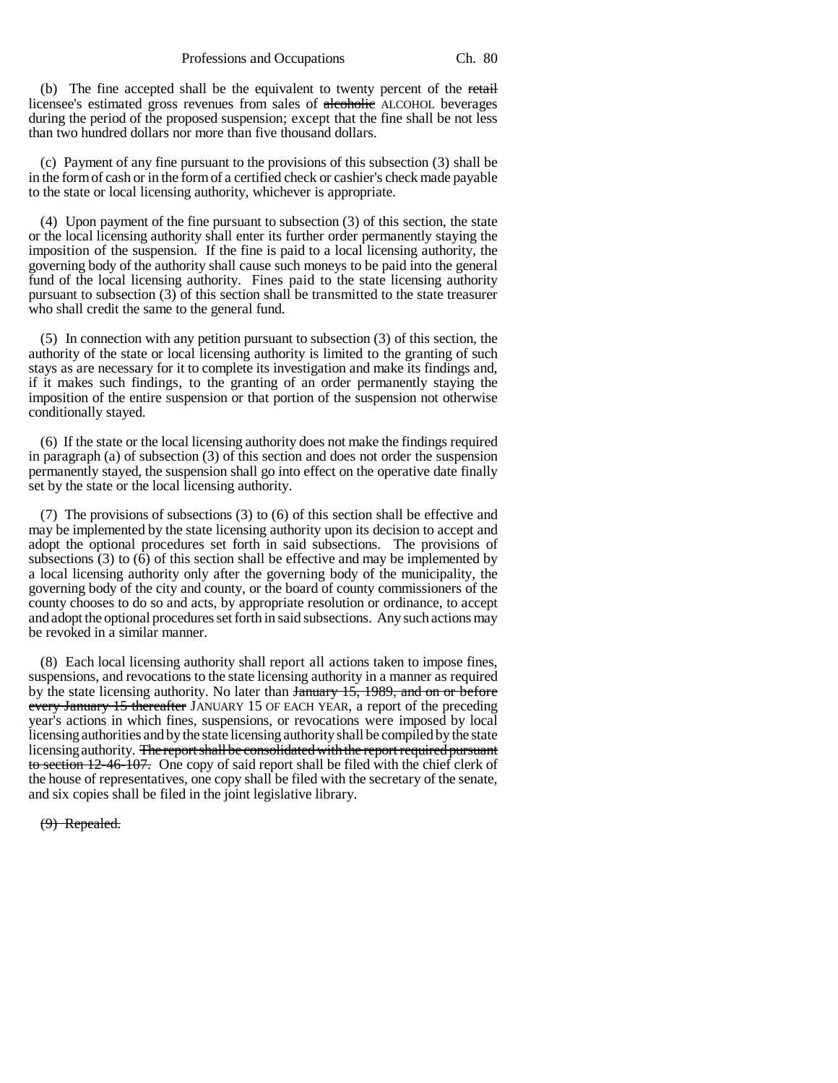#### Professions and Occupations Ch. 80

(b) The fine accepted shall be the equivalent to twenty percent of the retail licensee's estimated gross revenues from sales of alcoholic ALCOHOL beverages during the period of the proposed suspension; except that the fine shall be not less than two hundred dollars nor more than five thousand dollars.

(c) Payment of any fine pursuant to the provisions of this subsection (3) shall be in the form of cash or in the form of a certified check or cashier's check made payable to the state or local licensing authority, whichever is appropriate.

(4) Upon payment of the fine pursuant to subsection (3) of this section, the state or the local licensing authority shall enter its further order permanently staying the imposition of the suspension. If the fine is paid to a local licensing authority, the governing body of the authority shall cause such moneys to be paid into the general fund of the local licensing authority. Fines paid to the state licensing authority pursuant to subsection (3) of this section shall be transmitted to the state treasurer who shall credit the same to the general fund.

(5) In connection with any petition pursuant to subsection (3) of this section, the authority of the state or local licensing authority is limited to the granting of such stays as are necessary for it to complete its investigation and make its findings and, if it makes such findings, to the granting of an order permanently staying the imposition of the entire suspension or that portion of the suspension not otherwise conditionally stayed.

(6) If the state or the local licensing authority does not make the findings required in paragraph (a) of subsection (3) of this section and does not order the suspension permanently stayed, the suspension shall go into effect on the operative date finally set by the state or the local licensing authority.

(7) The provisions of subsections (3) to (6) of this section shall be effective and may be implemented by the state licensing authority upon its decision to accept and adopt the optional procedures set forth in said subsections. The provisions of subsections (3) to (6) of this section shall be effective and may be implemented by a local licensing authority only after the governing body of the municipality, the governing body of the city and county, or the board of county commissioners of the county chooses to do so and acts, by appropriate resolution or ordinance, to accept and adopt the optional procedures set forth in said subsections. Any such actions may be revoked in a similar manner.

(8) Each local licensing authority shall report all actions taken to impose fines, suspensions, and revocations to the state licensing authority in a manner as required by the state licensing authority. No later than January 15, 1989, and on or before every January 15 thereafter JANUARY 15 OF EACH YEAR, a report of the preceding year's actions in which fines, suspensions, or revocations were imposed by local licensing authorities and by the state licensing authority shall be compiled by the state licensing authority. The report shall be consolidated with the report required pursuant to section 12-46-107. One copy of said report shall be filed with the chief clerk of the house of representatives, one copy shall be filed with the secretary of the senate, and six copies shall be filed in the joint legislative library.

## (9) Repealed.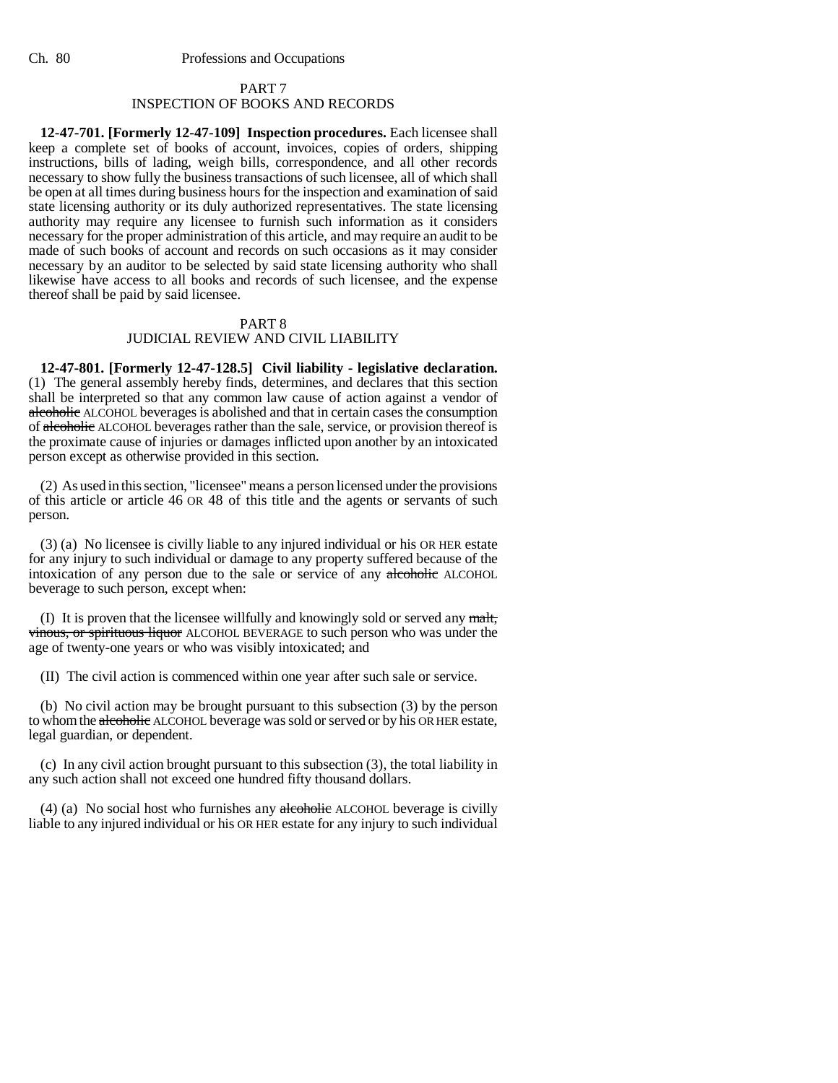## PART 7 INSPECTION OF BOOKS AND RECORDS

**12-47-701. [Formerly 12-47-109] Inspection procedures.** Each licensee shall keep a complete set of books of account, invoices, copies of orders, shipping instructions, bills of lading, weigh bills, correspondence, and all other records necessary to show fully the business transactions of such licensee, all of which shall be open at all times during business hours for the inspection and examination of said state licensing authority or its duly authorized representatives. The state licensing authority may require any licensee to furnish such information as it considers necessary for the proper administration of this article, and may require an audit to be made of such books of account and records on such occasions as it may consider necessary by an auditor to be selected by said state licensing authority who shall likewise have access to all books and records of such licensee, and the expense thereof shall be paid by said licensee.

# PART 8

# JUDICIAL REVIEW AND CIVIL LIABILITY

**12-47-801. [Formerly 12-47-128.5] Civil liability - legislative declaration.** (1) The general assembly hereby finds, determines, and declares that this section shall be interpreted so that any common law cause of action against a vendor of alcoholic ALCOHOL beverages is abolished and that in certain cases the consumption of alcoholic ALCOHOL beverages rather than the sale, service, or provision thereof is the proximate cause of injuries or damages inflicted upon another by an intoxicated person except as otherwise provided in this section.

(2) As used in this section, "licensee" means a person licensed under the provisions of this article or article 46 OR 48 of this title and the agents or servants of such person.

(3) (a) No licensee is civilly liable to any injured individual or his OR HER estate for any injury to such individual or damage to any property suffered because of the intoxication of any person due to the sale or service of any alcoholic ALCOHOL beverage to such person, except when:

(I) It is proven that the licensee willfully and knowingly sold or served any malt, vinous, or spirituous liquor ALCOHOL BEVERAGE to such person who was under the age of twenty-one years or who was visibly intoxicated; and

(II) The civil action is commenced within one year after such sale or service.

(b) No civil action may be brought pursuant to this subsection (3) by the person to whom the alcoholic ALCOHOL beverage was sold or served or by his OR HER estate, legal guardian, or dependent.

(c) In any civil action brought pursuant to this subsection (3), the total liability in any such action shall not exceed one hundred fifty thousand dollars.

(4) (a) No social host who furnishes any  $\frac{1}{\text{depholic}}$  ALCOHOL beverage is civilly liable to any injured individual or his OR HER estate for any injury to such individual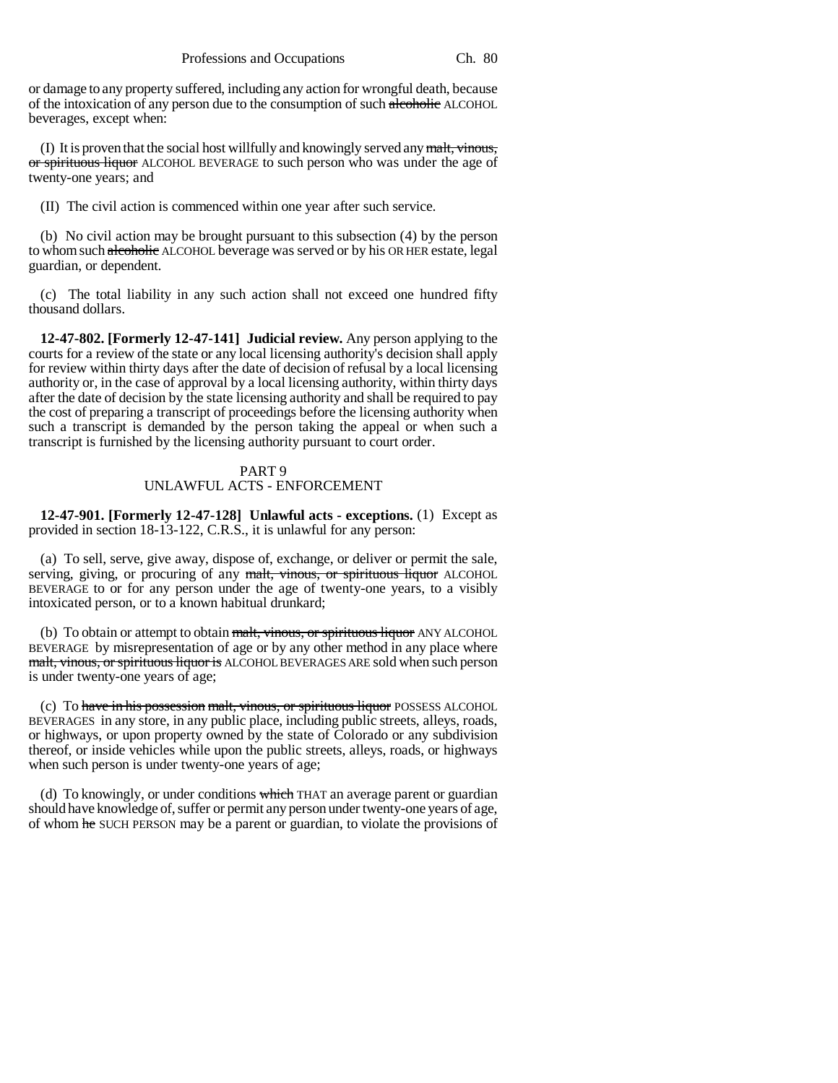or damage to any property suffered, including any action for wrongful death, because of the intoxication of any person due to the consumption of such alcoholic ALCOHOL beverages, except when:

(I) It is proven that the social host willfully and knowingly served any  $\frac{m}{m}$ , vinous, or spirituous liquor ALCOHOL BEVERAGE to such person who was under the age of twenty-one years; and

(II) The civil action is commenced within one year after such service.

(b) No civil action may be brought pursuant to this subsection (4) by the person to whom such alcoholic ALCOHOL beverage was served or by his OR HER estate, legal guardian, or dependent.

(c) The total liability in any such action shall not exceed one hundred fifty thousand dollars.

**12-47-802. [Formerly 12-47-141] Judicial review.** Any person applying to the courts for a review of the state or any local licensing authority's decision shall apply for review within thirty days after the date of decision of refusal by a local licensing authority or, in the case of approval by a local licensing authority, within thirty days after the date of decision by the state licensing authority and shall be required to pay the cost of preparing a transcript of proceedings before the licensing authority when such a transcript is demanded by the person taking the appeal or when such a transcript is furnished by the licensing authority pursuant to court order.

## PART 9 UNLAWFUL ACTS - ENFORCEMENT

**12-47-901. [Formerly 12-47-128] Unlawful acts - exceptions.** (1) Except as provided in section 18-13-122, C.R.S., it is unlawful for any person:

(a) To sell, serve, give away, dispose of, exchange, or deliver or permit the sale, serving, giving, or procuring of any malt, vinous, or spirituous liquor ALCOHOL BEVERAGE to or for any person under the age of twenty-one years, to a visibly intoxicated person, or to a known habitual drunkard;

(b) To obtain or attempt to obtain malt, vinous, or spirituous liquor ANY ALCOHOL BEVERAGE by misrepresentation of age or by any other method in any place where malt, vinous, or spirituous liquor is ALCOHOL BEVERAGES ARE sold when such person is under twenty-one years of age;

(c) To have in his possession malt, vinous, or spirituous liquor POSSESS ALCOHOL BEVERAGES in any store, in any public place, including public streets, alleys, roads, or highways, or upon property owned by the state of Colorado or any subdivision thereof, or inside vehicles while upon the public streets, alleys, roads, or highways when such person is under twenty-one years of age;

(d) To knowingly, or under conditions which THAT an average parent or guardian should have knowledge of, suffer or permit any person under twenty-one years of age, of whom he SUCH PERSON may be a parent or guardian, to violate the provisions of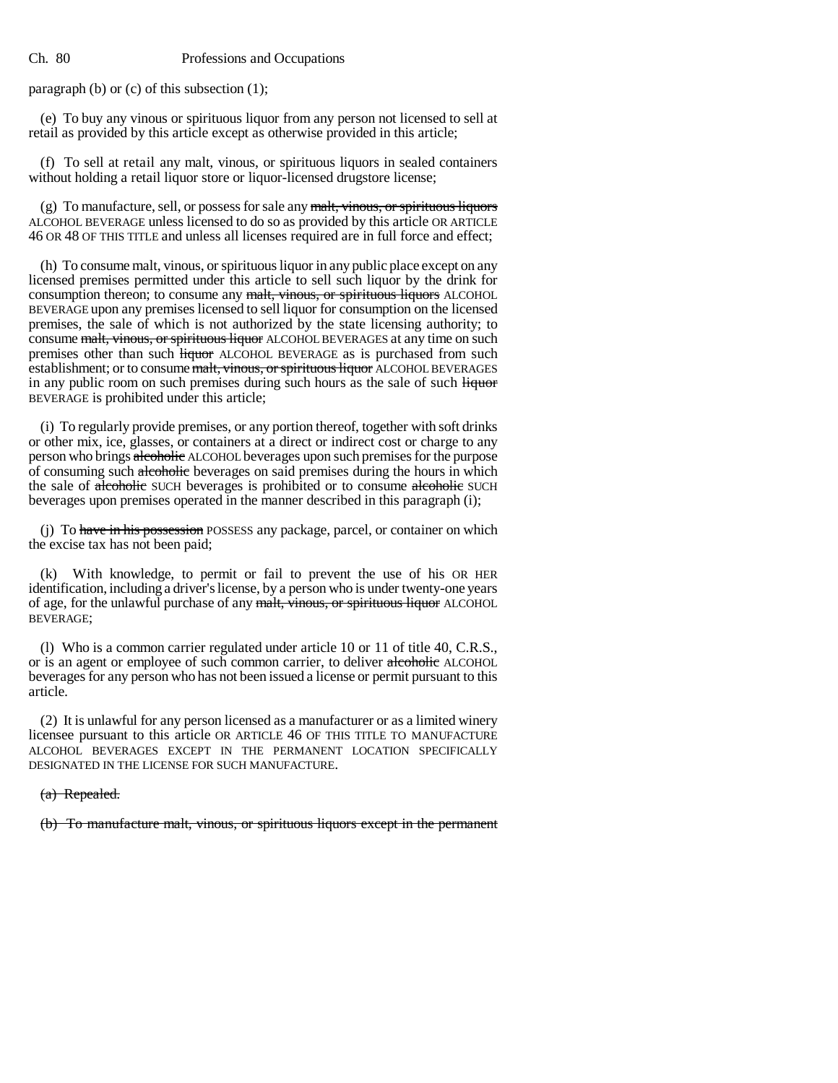paragraph (b) or (c) of this subsection (1);

(e) To buy any vinous or spirituous liquor from any person not licensed to sell at retail as provided by this article except as otherwise provided in this article;

(f) To sell at retail any malt, vinous, or spirituous liquors in sealed containers without holding a retail liquor store or liquor-licensed drugstore license;

(g) To manufacture, sell, or possess for sale any  $\frac{m}{m}$ , vinous, or spirituous liquors ALCOHOL BEVERAGE unless licensed to do so as provided by this article OR ARTICLE 46 OR 48 OF THIS TITLE and unless all licenses required are in full force and effect;

(h) To consume malt, vinous, or spirituous liquor in any public place except on any licensed premises permitted under this article to sell such liquor by the drink for consumption thereon; to consume any malt, vinous, or spirituous liquors ALCOHOL BEVERAGE upon any premises licensed to sell liquor for consumption on the licensed premises, the sale of which is not authorized by the state licensing authority; to consume malt, vinous, or spirituous liquor ALCOHOL BEVERAGES at any time on such premises other than such *liquor* ALCOHOL BEVERAGE as is purchased from such establishment; or to consume malt, vinous, or spirituous liquor ALCOHOL BEVERAGES in any public room on such premises during such hours as the sale of such liquor BEVERAGE is prohibited under this article;

(i) To regularly provide premises, or any portion thereof, together with soft drinks or other mix, ice, glasses, or containers at a direct or indirect cost or charge to any person who brings alcoholic ALCOHOL beverages upon such premises for the purpose of consuming such alcoholic beverages on said premises during the hours in which the sale of alcoholic SUCH beverages is prohibited or to consume alcoholic SUCH beverages upon premises operated in the manner described in this paragraph (i);

(j) To have in his possession POSSESS any package, parcel, or container on which the excise tax has not been paid;

(k) With knowledge, to permit or fail to prevent the use of his OR HER identification, including a driver's license, by a person who is under twenty-one years of age, for the unlawful purchase of any malt, vinous, or spirituous liquor ALCOHOL BEVERAGE;

(l) Who is a common carrier regulated under article 10 or 11 of title 40, C.R.S., or is an agent or employee of such common carrier, to deliver alcoholic ALCOHOL beverages for any person who has not been issued a license or permit pursuant to this article.

(2) It is unlawful for any person licensed as a manufacturer or as a limited winery licensee pursuant to this article OR ARTICLE 46 OF THIS TITLE TO MANUFACTURE ALCOHOL BEVERAGES EXCEPT IN THE PERMANENT LOCATION SPECIFICALLY DESIGNATED IN THE LICENSE FOR SUCH MANUFACTURE.

(a) Repealed.

(b) To manufacture malt, vinous, or spirituous liquors except in the permanent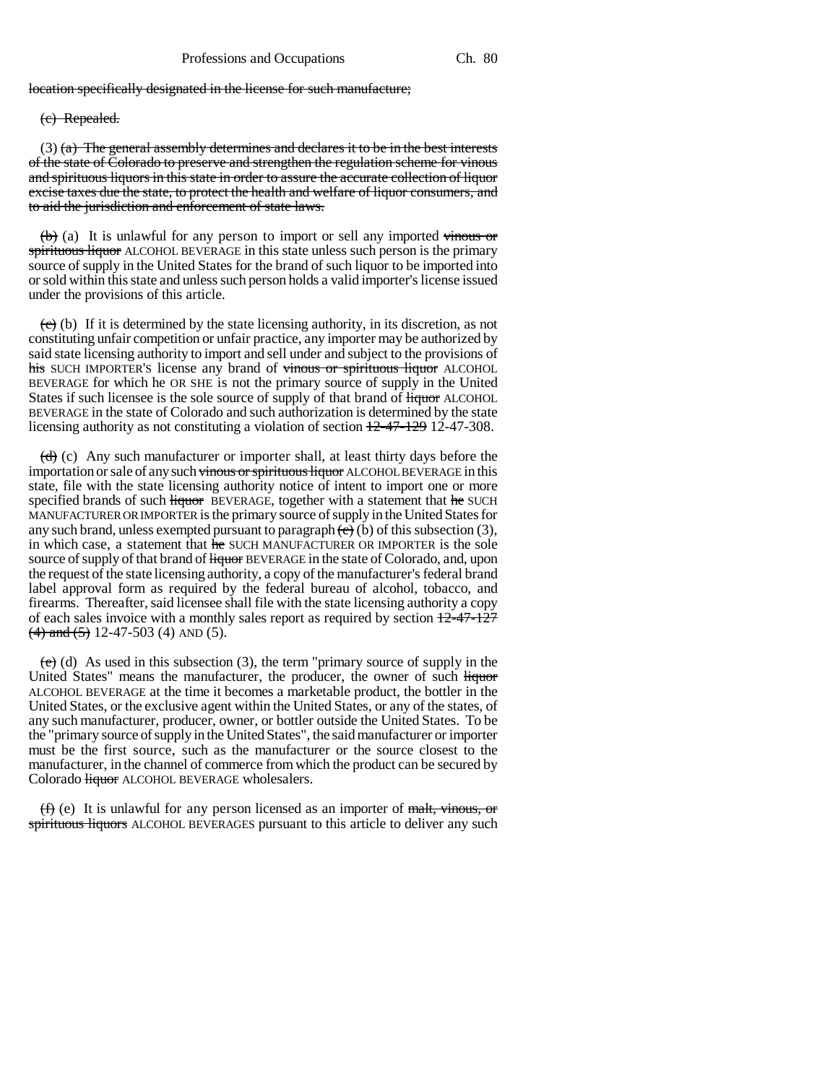location specifically designated in the license for such manufacture;

(c) Repealed.

 $(3)$  (a) The general assembly determines and declares it to be in the best interests of the state of Colorado to preserve and strengthen the regulation scheme for vinous and spirituous liquors in this state in order to assure the accurate collection of liquor excise taxes due the state, to protect the health and welfare of liquor consumers, and to aid the jurisdiction and enforcement of state laws.

 $(b)$  (a) It is unlawful for any person to import or sell any imported vinous or spirituous liquor ALCOHOL BEVERAGE in this state unless such person is the primary source of supply in the United States for the brand of such liquor to be imported into or sold within this state and unless such person holds a valid importer's license issued under the provisions of this article.

 $(e)$  (b) If it is determined by the state licensing authority, in its discretion, as not constituting unfair competition or unfair practice, any importer may be authorized by said state licensing authority to import and sell under and subject to the provisions of his SUCH IMPORTER'S license any brand of vinous or spirituous liquor ALCOHOL BEVERAGE for which he OR SHE is not the primary source of supply in the United States if such licensee is the sole source of supply of that brand of  $\frac{1}{\text{Hquor}}$  ALCOHOL BEVERAGE in the state of Colorado and such authorization is determined by the state licensing authority as not constituting a violation of section 12-47-129 12-47-308.

 $\left(\frac{d}{d}\right)$  (c) Any such manufacturer or importer shall, at least thirty days before the importation or sale of any such vinous or spirituous liquor ALCOHOL BEVERAGE in this state, file with the state licensing authority notice of intent to import one or more specified brands of such liquor BEVERAGE, together with a statement that he SUCH MANUFACTURER OR IMPORTER is the primary source of supply in the United States for any such brand, unless exempted pursuant to paragraph  $\left(\epsilon\right)$  (b) of this subsection (3), in which case, a statement that he SUCH MANUFACTURER OR IMPORTER is the sole source of supply of that brand of <del>liquor</del> BEVERAGE in the state of Colorado, and, upon the request of the state licensing authority, a copy of the manufacturer's federal brand label approval form as required by the federal bureau of alcohol, tobacco, and firearms. Thereafter, said licensee shall file with the state licensing authority a copy of each sales invoice with a monthly sales report as required by section  $\frac{12-47-127}{2}$  $(4)$  and  $(5)$  12-47-503 (4) AND (5).

 $(e)$  (d) As used in this subsection (3), the term "primary source of supply in the United States" means the manufacturer, the producer, the owner of such liquor ALCOHOL BEVERAGE at the time it becomes a marketable product, the bottler in the United States, or the exclusive agent within the United States, or any of the states, of any such manufacturer, producer, owner, or bottler outside the United States. To be the "primary source of supply in the United States", the said manufacturer or importer must be the first source, such as the manufacturer or the source closest to the manufacturer, in the channel of commerce from which the product can be secured by Colorado **liquor** ALCOHOL BEVERAGE wholesalers.

 $(f)$  (e) It is unlawful for any person licensed as an importer of malt, vinous, or spirituous liquors ALCOHOL BEVERAGES pursuant to this article to deliver any such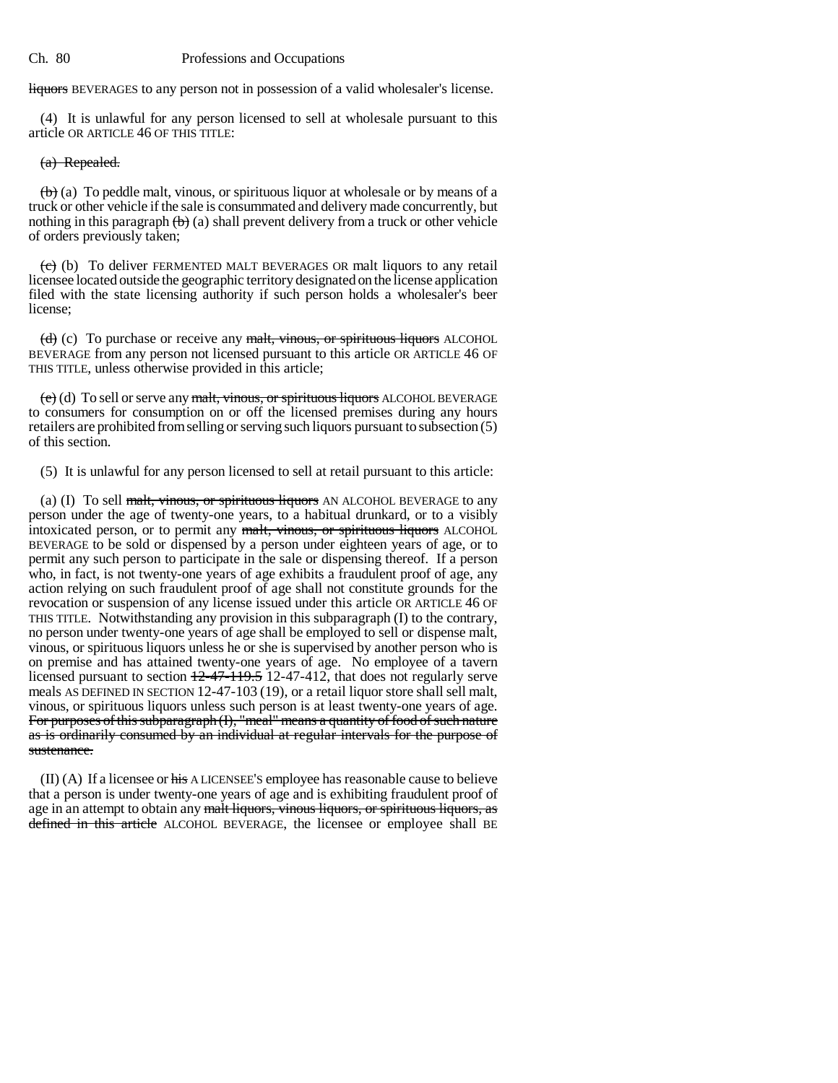liquors BEVERAGES to any person not in possession of a valid wholesaler's license.

(4) It is unlawful for any person licensed to sell at wholesale pursuant to this article OR ARTICLE 46 OF THIS TITLE:

# (a) Repealed.

 $\left(\mathbf{b}\right)$  (a) To peddle malt, vinous, or spirituous liquor at wholesale or by means of a truck or other vehicle if the sale is consummated and delivery made concurrently, but nothing in this paragraph  $\left(\mathbf{b}\right)$  (a) shall prevent delivery from a truck or other vehicle of orders previously taken;

 $(e)$  (b) To deliver FERMENTED MALT BEVERAGES OR malt liquors to any retail licensee located outside the geographic territory designated on the license application filed with the state licensing authority if such person holds a wholesaler's beer license;

(d) (c) To purchase or receive any malt, vinous, or spirituous liquors ALCOHOL BEVERAGE from any person not licensed pursuant to this article OR ARTICLE 46 OF THIS TITLE, unless otherwise provided in this article;

 $(e)$  (d) To sell or serve any malt, vinous, or spirituous liquors ALCOHOL BEVERAGE to consumers for consumption on or off the licensed premises during any hours retailers are prohibited from selling or serving such liquors pursuant to subsection (5) of this section.

(5) It is unlawful for any person licensed to sell at retail pursuant to this article:

(a) (I) To sell malt, vinous, or spirituous liquors AN ALCOHOL BEVERAGE to any person under the age of twenty-one years, to a habitual drunkard, or to a visibly intoxicated person, or to permit any malt, vinous, or spirituous liquors ALCOHOL BEVERAGE to be sold or dispensed by a person under eighteen years of age, or to permit any such person to participate in the sale or dispensing thereof. If a person who, in fact, is not twenty-one years of age exhibits a fraudulent proof of age, any action relying on such fraudulent proof of age shall not constitute grounds for the revocation or suspension of any license issued under this article OR ARTICLE 46 OF THIS TITLE. Notwithstanding any provision in this subparagraph (I) to the contrary, no person under twenty-one years of age shall be employed to sell or dispense malt, vinous, or spirituous liquors unless he or she is supervised by another person who is on premise and has attained twenty-one years of age. No employee of a tavern licensed pursuant to section  $12-47-119.5$  12-47-412, that does not regularly serve meals AS DEFINED IN SECTION 12-47-103 (19), or a retail liquor store shall sell malt, vinous, or spirituous liquors unless such person is at least twenty-one years of age. For purposes of this subparagraph (I), "meal" means a quantity of food of such nature as is ordinarily consumed by an individual at regular intervals for the purpose of sustenance.

 $(II)$  (A) If a licensee or his A LICENSEE's employee has reasonable cause to believe that a person is under twenty-one years of age and is exhibiting fraudulent proof of age in an attempt to obtain any malt liquors, vinous liquors, or spirituous liquors, as defined in this article ALCOHOL BEVERAGE, the licensee or employee shall BE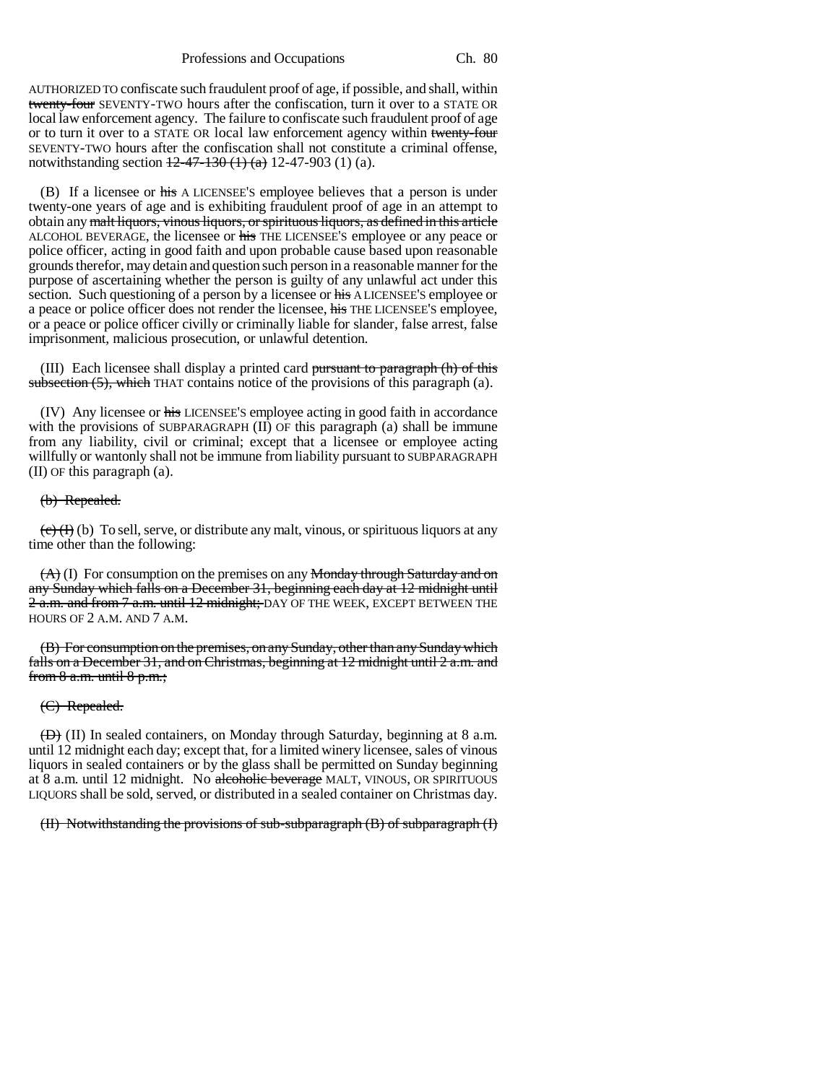AUTHORIZED TO confiscate such fraudulent proof of age, if possible, and shall, within twenty-four SEVENTY-TWO hours after the confiscation, turn it over to a STATE OR local law enforcement agency. The failure to confiscate such fraudulent proof of age or to turn it over to a STATE OR local law enforcement agency within twenty-four SEVENTY-TWO hours after the confiscation shall not constitute a criminal offense, notwithstanding section  $12-47-130$  (1) (a) 12-47-903 (1) (a).

(B) If a licensee or his A LICENSEE'S employee believes that a person is under twenty-one years of age and is exhibiting fraudulent proof of age in an attempt to obtain any malt liquors, vinous liquors, or spirituous liquors, as defined in this article ALCOHOL BEVERAGE, the licensee or his THE LICENSEE'S employee or any peace or police officer, acting in good faith and upon probable cause based upon reasonable grounds therefor, may detain and question such person in a reasonable manner for the purpose of ascertaining whether the person is guilty of any unlawful act under this section. Such questioning of a person by a licensee or his A LICENSEE'S employee or a peace or police officer does not render the licensee, his THE LICENSEE'S employee, or a peace or police officer civilly or criminally liable for slander, false arrest, false imprisonment, malicious prosecution, or unlawful detention.

(III) Each licensee shall display a printed card pursuant to paragraph  $(h)$  of this subsection (5), which THAT contains notice of the provisions of this paragraph (a).

(IV) Any licensee or his LICENSEE'S employee acting in good faith in accordance with the provisions of SUBPARAGRAPH (II) OF this paragraph (a) shall be immune from any liability, civil or criminal; except that a licensee or employee acting willfully or wantonly shall not be immune from liability pursuant to SUBPARAGRAPH (II) OF this paragraph (a).

#### (b) Repealed.

 $\overline{(c)}$  (b) To sell, serve, or distribute any malt, vinous, or spirituous liquors at any time other than the following:

 $(A)$  (I) For consumption on the premises on any Monday through Saturday and on any Sunday which falls on a December 31, beginning each day at 12 midnight until 2 a.m. and from 7 a.m. until 12 midnight; DAY OF THE WEEK, EXCEPT BETWEEN THE HOURS OF 2 A.M. AND 7 A.M.

(B) For consumption on the premises, on any Sunday, other than any Sunday which falls on a December 31, and on Christmas, beginning at 12 midnight until 2 a.m. and from  $8$  a.m. until  $8$  p.m.;

#### (C) Repealed.

 $(\overline{\Theta})$  (II) In sealed containers, on Monday through Saturday, beginning at 8 a.m. until 12 midnight each day; except that, for a limited winery licensee, sales of vinous liquors in sealed containers or by the glass shall be permitted on Sunday beginning at 8 a.m. until 12 midnight. No alcoholic beverage MALT, VINOUS, OR SPIRITUOUS LIQUORS shall be sold, served, or distributed in a sealed container on Christmas day.

(II) Notwithstanding the provisions of sub-subparagraph (B) of subparagraph (I)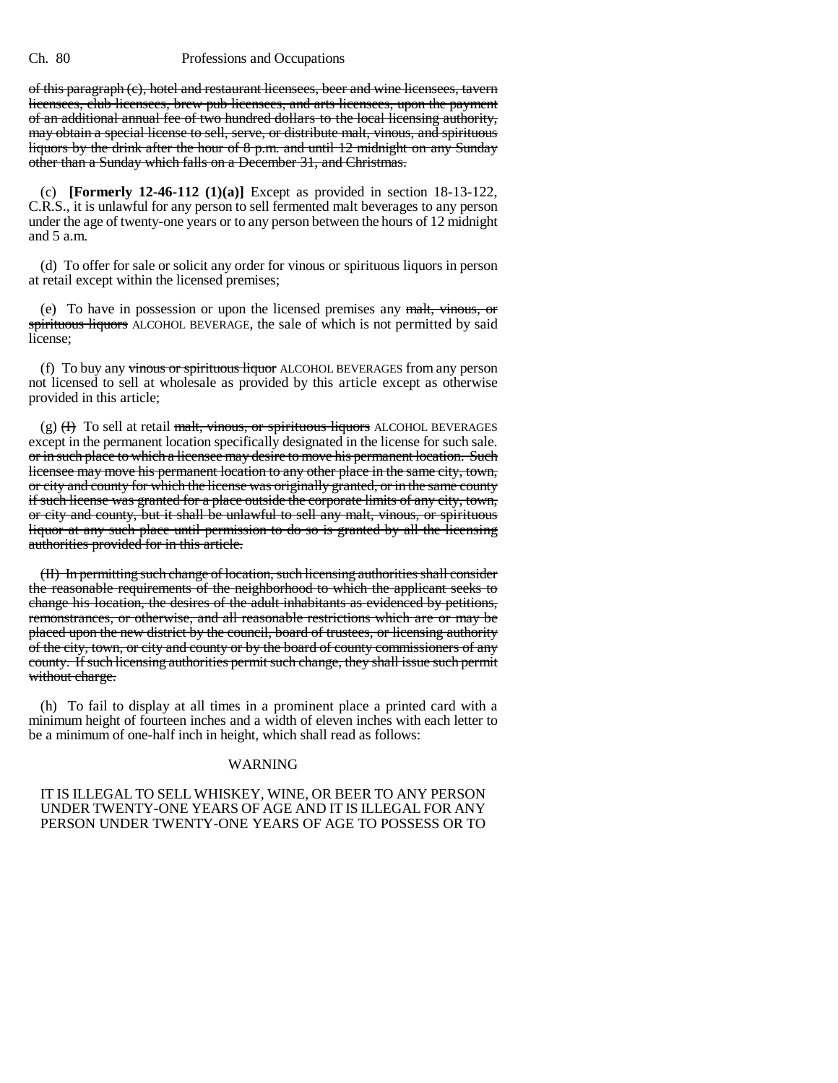of this paragraph (c), hotel and restaurant licensees, beer and wine licensees, tavern licensees, club licensees, brew pub licensees, and arts licensees, upon the payment of an additional annual fee of two hundred dollars to the local licensing authority, may obtain a special license to sell, serve, or distribute malt, vinous, and spirituous liquors by the drink after the hour of 8 p.m. and until 12 midnight on any Sunday other than a Sunday which falls on a December 31, and Christmas.

(c) **[Formerly 12-46-112 (1)(a)]** Except as provided in section 18-13-122, C.R.S., it is unlawful for any person to sell fermented malt beverages to any person under the age of twenty-one years or to any person between the hours of 12 midnight and 5 a.m.

(d) To offer for sale or solicit any order for vinous or spirituous liquors in person at retail except within the licensed premises;

(e) To have in possession or upon the licensed premises any malt, vinous, or spirituous liquors ALCOHOL BEVERAGE, the sale of which is not permitted by said license;

(f) To buy any vinous or spirituous liquor ALCOHOL BEVERAGES from any person not licensed to sell at wholesale as provided by this article except as otherwise provided in this article;

(g) (H) To sell at retail malt, vinous, or spirituous liquors ALCOHOL BEVERAGES except in the permanent location specifically designated in the license for such sale. or in such place to which a licensee may desire to move his permanent location. Such licensee may move his permanent location to any other place in the same city, town, or city and county for which the license was originally granted, or in the same county if such license was granted for a place outside the corporate limits of any city, town, or city and county, but it shall be unlawful to sell any malt, vinous, or spirituous liquor at any such place until permission to do so is granted by all the licensing authorities provided for in this article.

(II) In permitting such change of location, such licensing authorities shall consider the reasonable requirements of the neighborhood to which the applicant seeks to change his location, the desires of the adult inhabitants as evidenced by petitions, remonstrances, or otherwise, and all reasonable restrictions which are or may be placed upon the new district by the council, board of trustees, or licensing authority of the city, town, or city and county or by the board of county commissioners of any county. If such licensing authorities permit such change, they shall issue such permit without charge.

(h) To fail to display at all times in a prominent place a printed card with a minimum height of fourteen inches and a width of eleven inches with each letter to be a minimum of one-half inch in height, which shall read as follows:

## WARNING

## IT IS ILLEGAL TO SELL WHISKEY, WINE, OR BEER TO ANY PERSON UNDER TWENTY-ONE YEARS OF AGE AND IT IS ILLEGAL FOR ANY PERSON UNDER TWENTY-ONE YEARS OF AGE TO POSSESS OR TO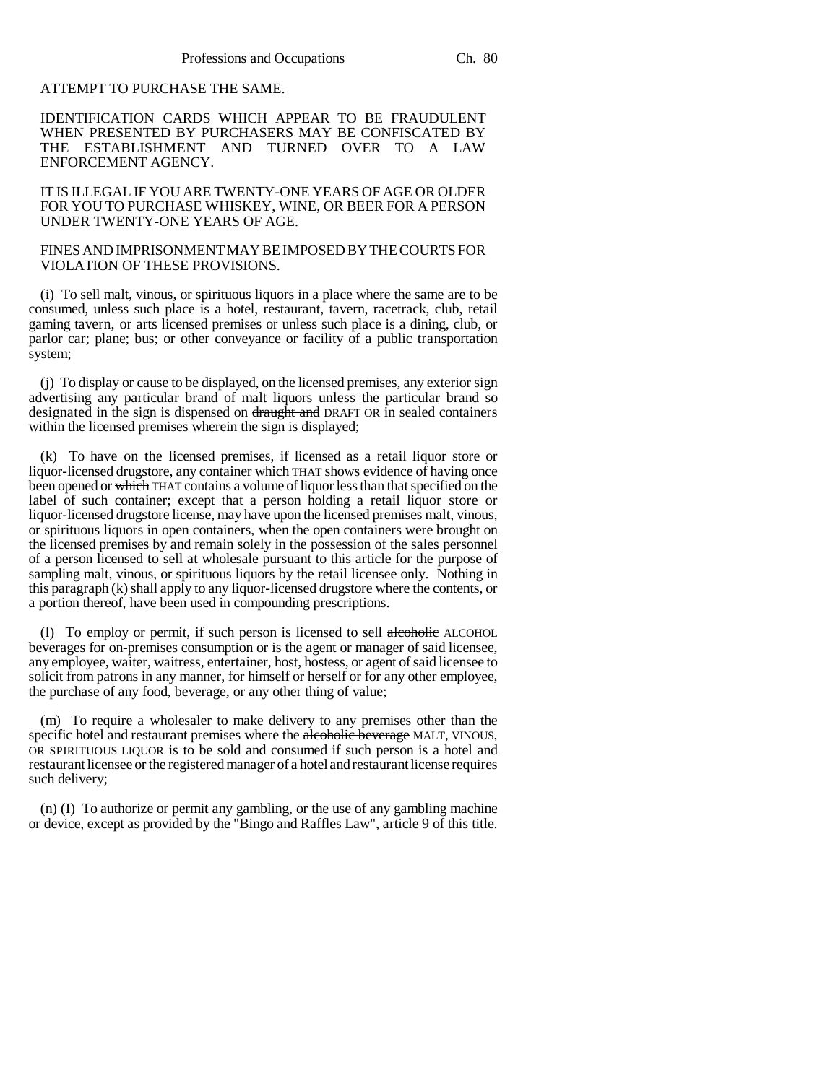# ATTEMPT TO PURCHASE THE SAME.

IDENTIFICATION CARDS WHICH APPEAR TO BE FRAUDULENT WHEN PRESENTED BY PURCHASERS MAY BE CONFISCATED BY THE ESTABLISHMENT AND TURNED OVER TO A LAW ENFORCEMENT AGENCY.

IT IS ILLEGAL IF YOU ARE TWENTY-ONE YEARS OF AGE OR OLDER FOR YOU TO PURCHASE WHISKEY, WINE, OR BEER FOR A PERSON UNDER TWENTY-ONE YEARS OF AGE.

## FINES AND IMPRISONMENT MAY BE IMPOSED BY THE COURTS FOR VIOLATION OF THESE PROVISIONS.

(i) To sell malt, vinous, or spirituous liquors in a place where the same are to be consumed, unless such place is a hotel, restaurant, tavern, racetrack, club, retail gaming tavern, or arts licensed premises or unless such place is a dining, club, or parlor car; plane; bus; or other conveyance or facility of a public transportation system;

(j) To display or cause to be displayed, on the licensed premises, any exterior sign advertising any particular brand of malt liquors unless the particular brand so designated in the sign is dispensed on draught and DRAFT OR in sealed containers within the licensed premises wherein the sign is displayed;

(k) To have on the licensed premises, if licensed as a retail liquor store or liquor-licensed drugstore, any container which THAT shows evidence of having once been opened or which THAT contains a volume of liquor less than that specified on the label of such container; except that a person holding a retail liquor store or liquor-licensed drugstore license, may have upon the licensed premises malt, vinous, or spirituous liquors in open containers, when the open containers were brought on the licensed premises by and remain solely in the possession of the sales personnel of a person licensed to sell at wholesale pursuant to this article for the purpose of sampling malt, vinous, or spirituous liquors by the retail licensee only. Nothing in this paragraph (k) shall apply to any liquor-licensed drugstore where the contents, or a portion thereof, have been used in compounding prescriptions.

(l) To employ or permit, if such person is licensed to sell alcoholic ALCOHOL beverages for on-premises consumption or is the agent or manager of said licensee, any employee, waiter, waitress, entertainer, host, hostess, or agent of said licensee to solicit from patrons in any manner, for himself or herself or for any other employee, the purchase of any food, beverage, or any other thing of value;

(m) To require a wholesaler to make delivery to any premises other than the specific hotel and restaurant premises where the alcoholic beverage MALT, VINOUS, OR SPIRITUOUS LIQUOR is to be sold and consumed if such person is a hotel and restaurant licensee or the registered manager of a hotel and restaurant license requires such delivery;

(n) (I) To authorize or permit any gambling, or the use of any gambling machine or device, except as provided by the "Bingo and Raffles Law", article 9 of this title.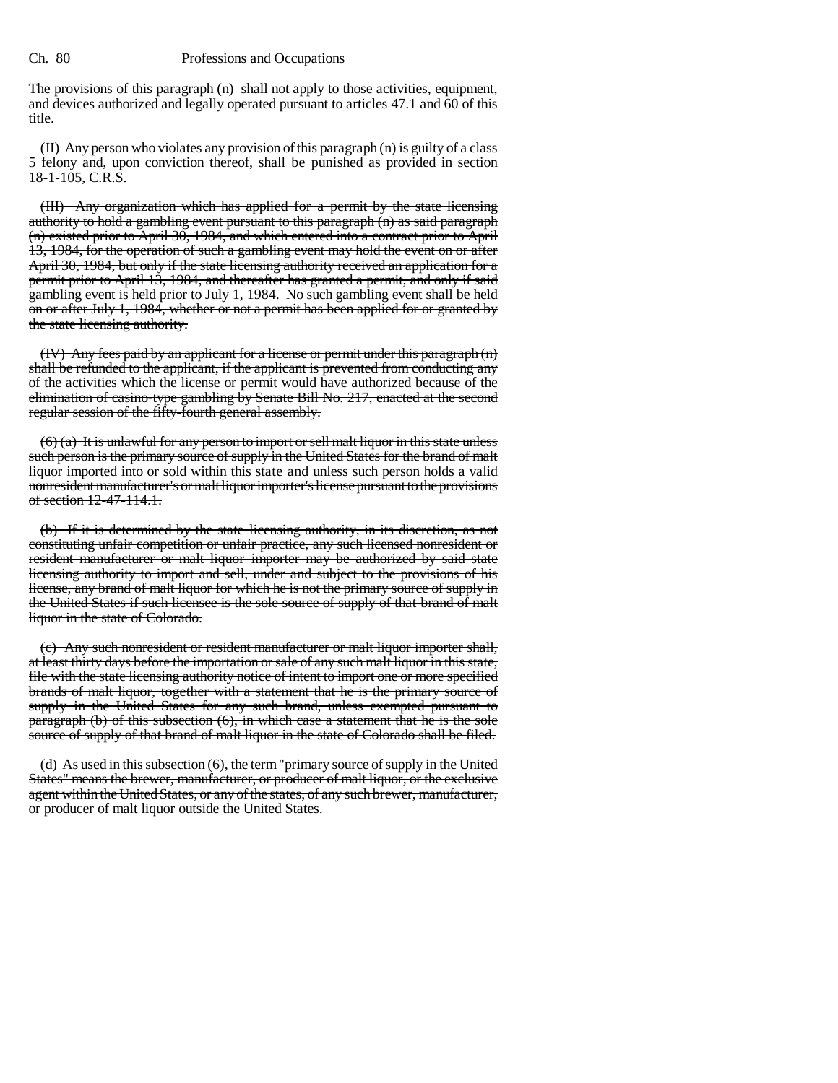The provisions of this paragraph (n) shall not apply to those activities, equipment, and devices authorized and legally operated pursuant to articles 47.1 and 60 of this title.

(II) Any person who violates any provision of this paragraph (n) is guilty of a class 5 felony and, upon conviction thereof, shall be punished as provided in section 18-1-105, C.R.S.

(III) Any organization which has applied for a permit by the state licensing authority to hold a gambling event pursuant to this paragraph (n) as said paragraph (n) existed prior to April 30, 1984, and which entered into a contract prior to April 13, 1984, for the operation of such a gambling event may hold the event on or after April 30, 1984, but only if the state licensing authority received an application for a permit prior to April 13, 1984, and thereafter has granted a permit, and only if said gambling event is held prior to July 1, 1984. No such gambling event shall be held on or after July 1, 1984, whether or not a permit has been applied for or granted by the state licensing authority.

(IV) Any fees paid by an applicant for a license or permit under this paragraph (n) shall be refunded to the applicant, if the applicant is prevented from conducting any of the activities which the license or permit would have authorized because of the elimination of casino-type gambling by Senate Bill No. 217, enacted at the second regular session of the fifty-fourth general assembly.

 $(6)$  (a) It is unlawful for any person to import or sell malt liquor in this state unless such person is the primary source of supply in the United States for the brand of malt liquor imported into or sold within this state and unless such person holds a valid nonresident manufacturer's or malt liquor importer's license pursuant to the provisions of section 12-47-114.1.

(b) If it is determined by the state licensing authority, in its discretion, as not constituting unfair competition or unfair practice, any such licensed nonresident or resident manufacturer or malt liquor importer may be authorized by said state licensing authority to import and sell, under and subject to the provisions of his license, any brand of malt liquor for which he is not the primary source of supply in the United States if such licensee is the sole source of supply of that brand of malt liquor in the state of Colorado.

(c) Any such nonresident or resident manufacturer or malt liquor importer shall, at least thirty days before the importation or sale of any such malt liquor in this state, file with the state licensing authority notice of intent to import one or more specified brands of malt liquor, together with a statement that he is the primary source of supply in the United States for any such brand, unless exempted pursuant to paragraph (b) of this subsection (6), in which case a statement that he is the sole source of supply of that brand of malt liquor in the state of Colorado shall be filed.

(d) As used in this subsection (6), the term "primary source of supply in the United States" means the brewer, manufacturer, or producer of malt liquor, or the exclusive agent within the United States, or any of the states, of any such brewer, manufacturer, or producer of malt liquor outside the United States.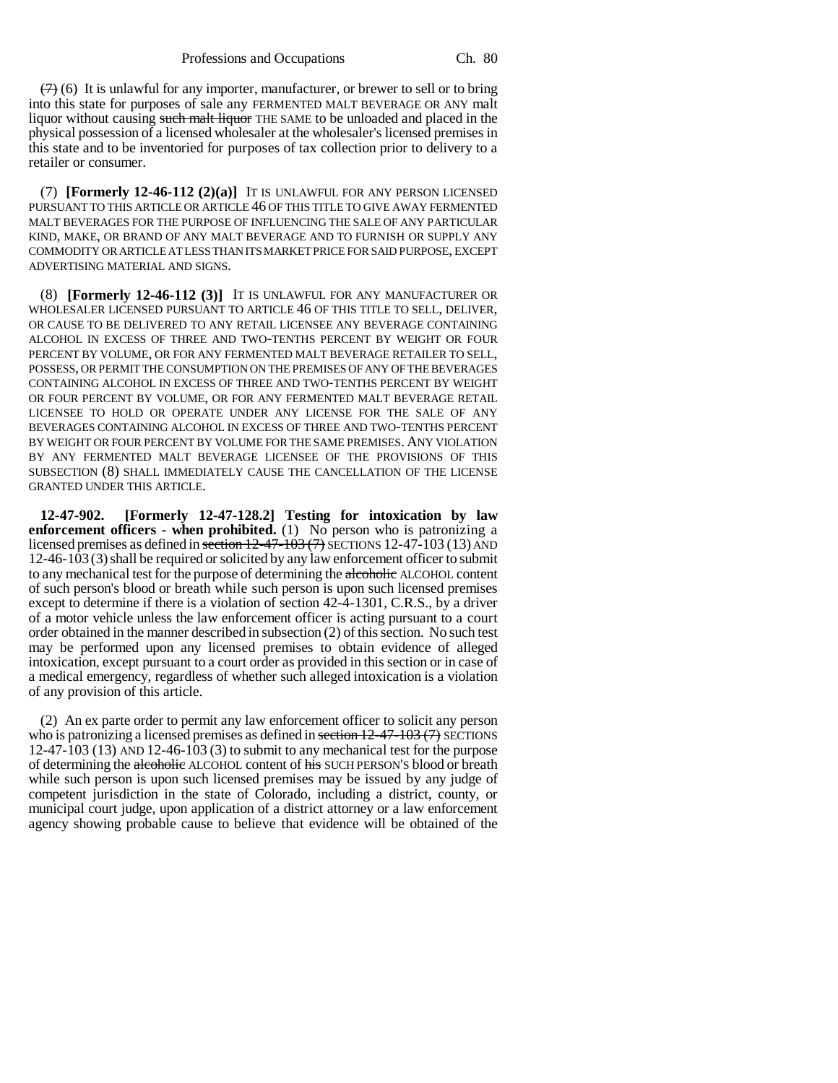$(7)$  (6) It is unlawful for any importer, manufacturer, or brewer to sell or to bring into this state for purposes of sale any FERMENTED MALT BEVERAGE OR ANY malt liquor without causing such malt liquor THE SAME to be unloaded and placed in the physical possession of a licensed wholesaler at the wholesaler's licensed premises in this state and to be inventoried for purposes of tax collection prior to delivery to a retailer or consumer.

(7) **[Formerly 12-46-112 (2)(a)]** IT IS UNLAWFUL FOR ANY PERSON LICENSED PURSUANT TO THIS ARTICLE OR ARTICLE 46 OF THIS TITLE TO GIVE AWAY FERMENTED MALT BEVERAGES FOR THE PURPOSE OF INFLUENCING THE SALE OF ANY PARTICULAR KIND, MAKE, OR BRAND OF ANY MALT BEVERAGE AND TO FURNISH OR SUPPLY ANY COMMODITY OR ARTICLE AT LESS THAN ITS MARKET PRICE FOR SAID PURPOSE, EXCEPT ADVERTISING MATERIAL AND SIGNS.

(8) **[Formerly 12-46-112 (3)]** IT IS UNLAWFUL FOR ANY MANUFACTURER OR WHOLESALER LICENSED PURSUANT TO ARTICLE 46 OF THIS TITLE TO SELL, DELIVER, OR CAUSE TO BE DELIVERED TO ANY RETAIL LICENSEE ANY BEVERAGE CONTAINING ALCOHOL IN EXCESS OF THREE AND TWO-TENTHS PERCENT BY WEIGHT OR FOUR PERCENT BY VOLUME, OR FOR ANY FERMENTED MALT BEVERAGE RETAILER TO SELL, POSSESS, OR PERMIT THE CONSUMPTION ON THE PREMISES OF ANY OF THE BEVERAGES CONTAINING ALCOHOL IN EXCESS OF THREE AND TWO-TENTHS PERCENT BY WEIGHT OR FOUR PERCENT BY VOLUME, OR FOR ANY FERMENTED MALT BEVERAGE RETAIL LICENSEE TO HOLD OR OPERATE UNDER ANY LICENSE FOR THE SALE OF ANY BEVERAGES CONTAINING ALCOHOL IN EXCESS OF THREE AND TWO-TENTHS PERCENT BY WEIGHT OR FOUR PERCENT BY VOLUME FOR THE SAME PREMISES. ANY VIOLATION BY ANY FERMENTED MALT BEVERAGE LICENSEE OF THE PROVISIONS OF THIS SUBSECTION (8) SHALL IMMEDIATELY CAUSE THE CANCELLATION OF THE LICENSE GRANTED UNDER THIS ARTICLE.

**12-47-902. [Formerly 12-47-128.2] Testing for intoxication by law enforcement officers - when prohibited.** (1) No person who is patronizing a licensed premises as defined in section  $12-47-103$  ( $7$ ) SECTIONS 12-47-103 (13) AND 12-46-103 (3)shall be required or solicited by any law enforcement officer to submit to any mechanical test for the purpose of determining the alcoholic ALCOHOL content of such person's blood or breath while such person is upon such licensed premises except to determine if there is a violation of section 42-4-1301, C.R.S., by a driver of a motor vehicle unless the law enforcement officer is acting pursuant to a court order obtained in the manner described in subsection (2) of this section. No such test may be performed upon any licensed premises to obtain evidence of alleged intoxication, except pursuant to a court order as provided in this section or in case of a medical emergency, regardless of whether such alleged intoxication is a violation of any provision of this article.

(2) An ex parte order to permit any law enforcement officer to solicit any person who is patronizing a licensed premises as defined in section  $12-47-103$  (7) SECTIONS 12-47-103 (13) AND 12-46-103 (3) to submit to any mechanical test for the purpose of determining the alcoholic ALCOHOL content of his SUCH PERSON'S blood or breath while such person is upon such licensed premises may be issued by any judge of competent jurisdiction in the state of Colorado, including a district, county, or municipal court judge, upon application of a district attorney or a law enforcement agency showing probable cause to believe that evidence will be obtained of the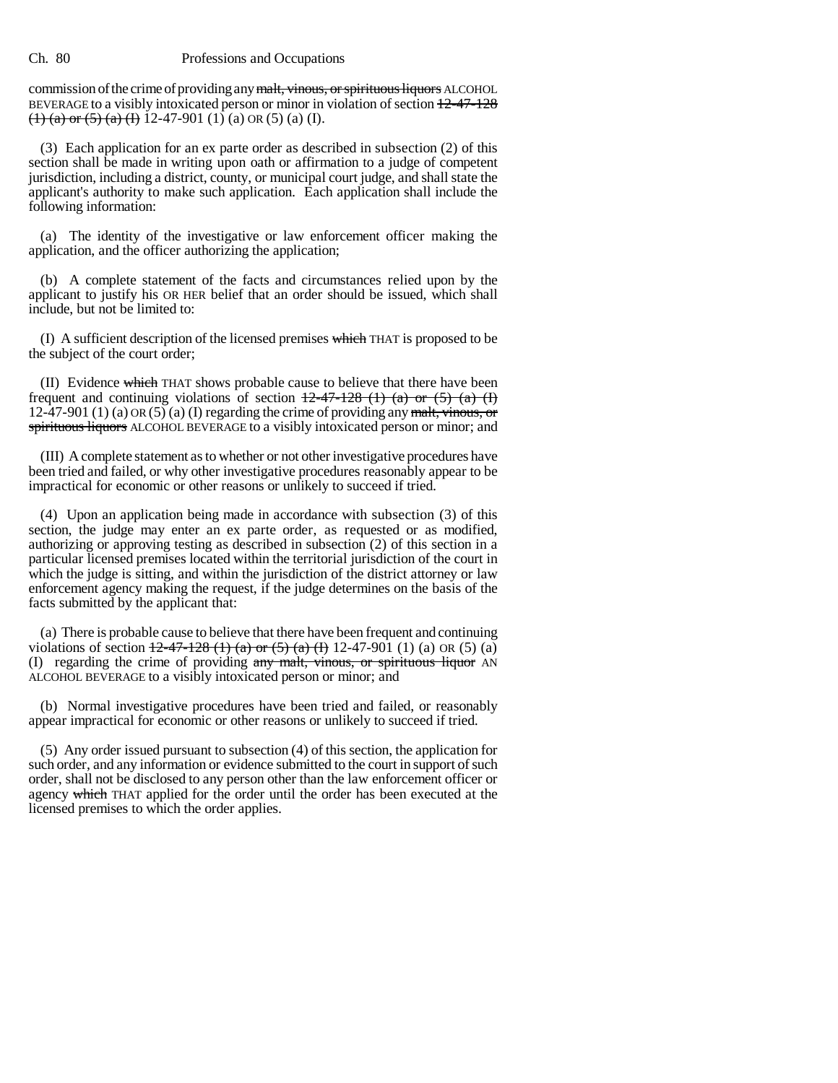commission of the crime of providing any malt, vinous, or spirituous liquors ALCOHOL BEVERAGE to a visibly intoxicated person or minor in violation of section  $12-47-128$ (1) (a) or (5) (a) (I) 12-47-901 (1) (a) OR (5) (a) (I).

(3) Each application for an ex parte order as described in subsection (2) of this section shall be made in writing upon oath or affirmation to a judge of competent jurisdiction, including a district, county, or municipal court judge, and shall state the applicant's authority to make such application. Each application shall include the following information:

(a) The identity of the investigative or law enforcement officer making the application, and the officer authorizing the application;

(b) A complete statement of the facts and circumstances relied upon by the applicant to justify his OR HER belief that an order should be issued, which shall include, but not be limited to:

(I) A sufficient description of the licensed premises which THAT is proposed to be the subject of the court order;

(II) Evidence which THAT shows probable cause to believe that there have been frequent and continuing violations of section  $12-47-128$  (1) (a) or (5) (a) (I) 12-47-901 (1) (a) OR (5) (a) (I) regarding the crime of providing any malt, vinous, or spirituous liquors ALCOHOL BEVERAGE to a visibly intoxicated person or minor; and

(III) A complete statement as to whether or not other investigative procedures have been tried and failed, or why other investigative procedures reasonably appear to be impractical for economic or other reasons or unlikely to succeed if tried.

(4) Upon an application being made in accordance with subsection (3) of this section, the judge may enter an ex parte order, as requested or as modified, authorizing or approving testing as described in subsection (2) of this section in a particular licensed premises located within the territorial jurisdiction of the court in which the judge is sitting, and within the jurisdiction of the district attorney or law enforcement agency making the request, if the judge determines on the basis of the facts submitted by the applicant that:

(a) There is probable cause to believe that there have been frequent and continuing violations of section  $\frac{12-47-128(1)(a)$  or  $\frac{5}{(a)}$   $\frac{1}{(1)}$  12-47-901 (1) (a) OR (5) (a) (I) regarding the crime of providing any malt, vinous, or spirituous liquor AN ALCOHOL BEVERAGE to a visibly intoxicated person or minor; and

(b) Normal investigative procedures have been tried and failed, or reasonably appear impractical for economic or other reasons or unlikely to succeed if tried.

(5) Any order issued pursuant to subsection (4) of this section, the application for such order, and any information or evidence submitted to the court in support of such order, shall not be disclosed to any person other than the law enforcement officer or agency which THAT applied for the order until the order has been executed at the licensed premises to which the order applies.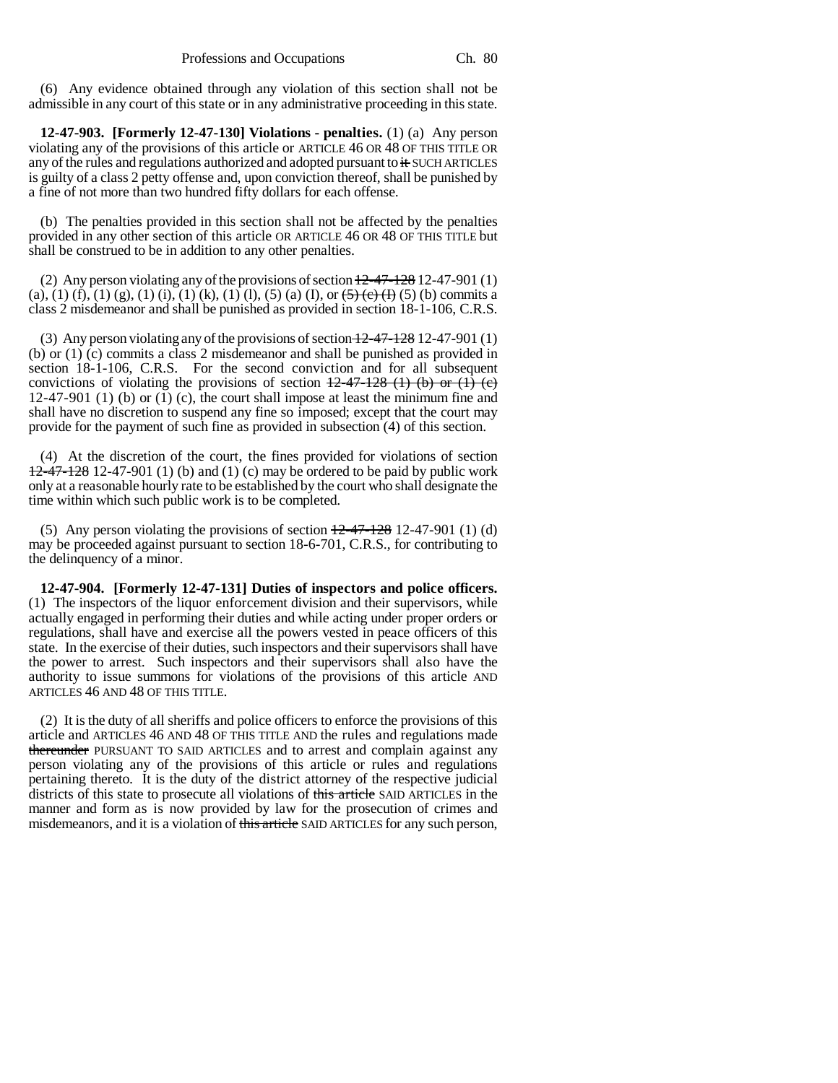(6) Any evidence obtained through any violation of this section shall not be admissible in any court of this state or in any administrative proceeding in this state.

**12-47-903. [Formerly 12-47-130] Violations - penalties.** (1) (a) Any person violating any of the provisions of this article or ARTICLE 46 OR 48 OF THIS TITLE OR any of the rules and regulations authorized and adopted pursuant to it SUCH ARTICLES is guilty of a class 2 petty offense and, upon conviction thereof, shall be punished by a fine of not more than two hundred fifty dollars for each offense.

(b) The penalties provided in this section shall not be affected by the penalties provided in any other section of this article OR ARTICLE 46 OR 48 OF THIS TITLE but shall be construed to be in addition to any other penalties.

(2) Any person violating any of the provisions of section  $\frac{12-47-128}{2}$  12-47-901 (1) (a), (1) (f), (1) (g), (1) (i), (1) (k), (1) (l), (5) (a) (I), or  $\left(\frac{5}{6}\right)\left(\frac{6}{6}\right)$  (b) commits a class 2 misdemeanor and shall be punished as provided in section 18-1-106, C.R.S.

(3) Any person violating any of the provisions of section  $12-47-128$  12-47-901 (1) (b) or (1) (c) commits a class 2 misdemeanor and shall be punished as provided in section 18-1-106, C.R.S. For the second conviction and for all subsequent convictions of violating the provisions of section  $12-47-128$  (1) (b) or (1) (e) 12-47-901 (1) (b) or (1) (c), the court shall impose at least the minimum fine and shall have no discretion to suspend any fine so imposed; except that the court may provide for the payment of such fine as provided in subsection (4) of this section.

(4) At the discretion of the court, the fines provided for violations of section  $12-47-128$  12-47-901 (1) (b) and (1) (c) may be ordered to be paid by public work only at a reasonable hourly rate to be established by the court who shall designate the time within which such public work is to be completed.

(5) Any person violating the provisions of section  $\frac{12-47-128}{2}$  12-47-901 (1) (d) may be proceeded against pursuant to section 18-6-701, C.R.S., for contributing to the delinquency of a minor.

**12-47-904. [Formerly 12-47-131] Duties of inspectors and police officers.** (1) The inspectors of the liquor enforcement division and their supervisors, while actually engaged in performing their duties and while acting under proper orders or regulations, shall have and exercise all the powers vested in peace officers of this state. In the exercise of their duties, such inspectors and their supervisors shall have the power to arrest. Such inspectors and their supervisors shall also have the authority to issue summons for violations of the provisions of this article AND ARTICLES 46 AND 48 OF THIS TITLE.

(2) It is the duty of all sheriffs and police officers to enforce the provisions of this article and ARTICLES 46 AND 48 OF THIS TITLE AND the rules and regulations made thereunder PURSUANT TO SAID ARTICLES and to arrest and complain against any person violating any of the provisions of this article or rules and regulations pertaining thereto. It is the duty of the district attorney of the respective judicial districts of this state to prosecute all violations of this article SAID ARTICLES in the manner and form as is now provided by law for the prosecution of crimes and misdemeanors, and it is a violation of this article SAID ARTICLES for any such person,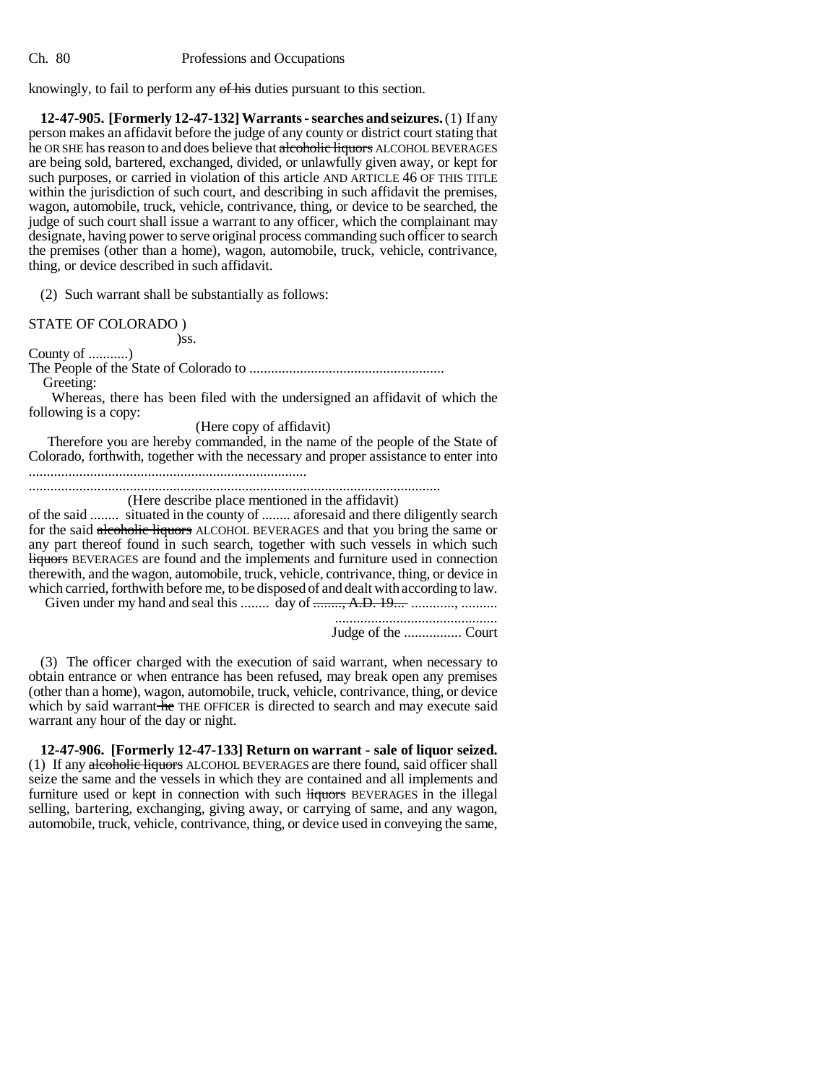knowingly, to fail to perform any of his duties pursuant to this section.

**12-47-905. [Formerly 12-47-132] Warrants - searches and seizures.** (1) If any person makes an affidavit before the judge of any county or district court stating that he OR SHE has reason to and does believe that alcoholic liquors ALCOHOL BEVERAGES are being sold, bartered, exchanged, divided, or unlawfully given away, or kept for such purposes, or carried in violation of this article AND ARTICLE 46 OF THIS TITLE within the jurisdiction of such court, and describing in such affidavit the premises, wagon, automobile, truck, vehicle, contrivance, thing, or device to be searched, the judge of such court shall issue a warrant to any officer, which the complainant may designate, having power to serve original process commanding such officer to search the premises (other than a home), wagon, automobile, truck, vehicle, contrivance, thing, or device described in such affidavit.

(2) Such warrant shall be substantially as follows:

STATE OF COLORADO )

)ss.

County of ...........)

The People of the State of Colorado to ......................................................

Greeting:

 Whereas, there has been filed with the undersigned an affidavit of which the following is a copy:

(Here copy of affidavit)

 Therefore you are hereby commanded, in the name of the people of the State of Colorado, forthwith, together with the necessary and proper assistance to enter into

.............................................................................

.................................................................................................................. (Here describe place mentioned in the affidavit)

of the said ........ situated in the county of ........ aforesaid and there diligently search for the said alcoholic liquors ALCOHOL BEVERAGES and that you bring the same or any part thereof found in such search, together with such vessels in which such liquors BEVERAGES are found and the implements and furniture used in connection therewith, and the wagon, automobile, truck, vehicle, contrivance, thing, or device in which carried, forthwith before me, to be disposed of and dealt with according to law.

Given under my hand and seal this ........ day of <del>........, A.D. 19...</del> ............., ..........

............................................. Judge of the ................ Court

(3) The officer charged with the execution of said warrant, when necessary to obtain entrance or when entrance has been refused, may break open any premises (other than a home), wagon, automobile, truck, vehicle, contrivance, thing, or device which by said warrant he THE OFFICER is directed to search and may execute said warrant any hour of the day or night.

**12-47-906. [Formerly 12-47-133] Return on warrant - sale of liquor seized.** (1) If any alcoholic liquors ALCOHOL BEVERAGES are there found, said officer shall seize the same and the vessels in which they are contained and all implements and furniture used or kept in connection with such liquors BEVERAGES in the illegal selling, bartering, exchanging, giving away, or carrying of same, and any wagon, automobile, truck, vehicle, contrivance, thing, or device used in conveying the same,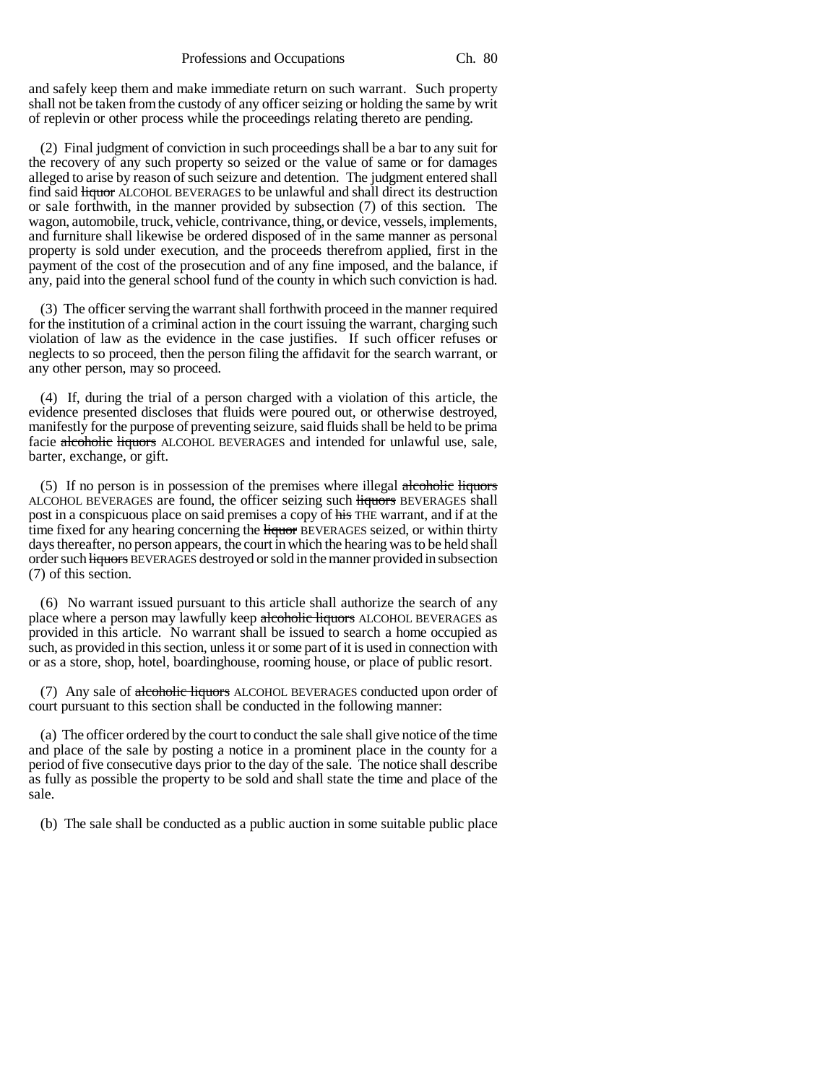and safely keep them and make immediate return on such warrant. Such property shall not be taken from the custody of any officer seizing or holding the same by writ of replevin or other process while the proceedings relating thereto are pending.

(2) Final judgment of conviction in such proceedings shall be a bar to any suit for the recovery of any such property so seized or the value of same or for damages alleged to arise by reason of such seizure and detention. The judgment entered shall find said liquor ALCOHOL BEVERAGES to be unlawful and shall direct its destruction or sale forthwith, in the manner provided by subsection (7) of this section. The wagon, automobile, truck, vehicle, contrivance, thing, or device, vessels, implements, and furniture shall likewise be ordered disposed of in the same manner as personal property is sold under execution, and the proceeds therefrom applied, first in the payment of the cost of the prosecution and of any fine imposed, and the balance, if any, paid into the general school fund of the county in which such conviction is had.

(3) The officer serving the warrant shall forthwith proceed in the manner required for the institution of a criminal action in the court issuing the warrant, charging such violation of law as the evidence in the case justifies. If such officer refuses or neglects to so proceed, then the person filing the affidavit for the search warrant, or any other person, may so proceed.

(4) If, during the trial of a person charged with a violation of this article, the evidence presented discloses that fluids were poured out, or otherwise destroyed, manifestly for the purpose of preventing seizure, said fluids shall be held to be prima facie alcoholic liquors ALCOHOL BEVERAGES and intended for unlawful use, sale, barter, exchange, or gift.

(5) If no person is in possession of the premises where illegal alcoholic liquors ALCOHOL BEVERAGES are found, the officer seizing such liquors BEVERAGES shall post in a conspicuous place on said premises a copy of his THE warrant, and if at the time fixed for any hearing concerning the liquor BEVERAGES seized, or within thirty days thereafter, no person appears, the court in which the hearing was to be held shall order such liquors BEVERAGES destroyed or sold in the manner provided in subsection (7) of this section.

(6) No warrant issued pursuant to this article shall authorize the search of any place where a person may lawfully keep alcoholic liquors ALCOHOL BEVERAGES as provided in this article. No warrant shall be issued to search a home occupied as such, as provided in this section, unless it or some part of it is used in connection with or as a store, shop, hotel, boardinghouse, rooming house, or place of public resort.

(7) Any sale of alcoholic liquors ALCOHOL BEVERAGES conducted upon order of court pursuant to this section shall be conducted in the following manner:

(a) The officer ordered by the court to conduct the sale shall give notice of the time and place of the sale by posting a notice in a prominent place in the county for a period of five consecutive days prior to the day of the sale. The notice shall describe as fully as possible the property to be sold and shall state the time and place of the sale.

(b) The sale shall be conducted as a public auction in some suitable public place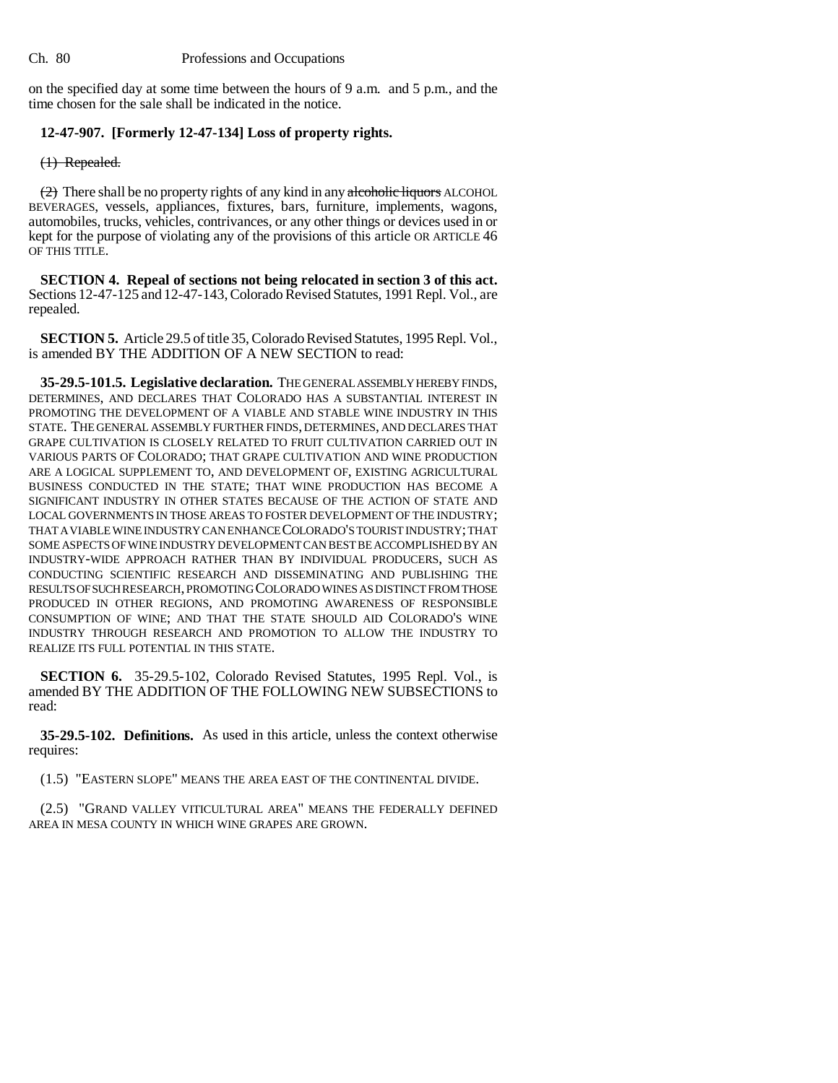on the specified day at some time between the hours of 9 a.m. and 5 p.m., and the time chosen for the sale shall be indicated in the notice.

## **12-47-907. [Formerly 12-47-134] Loss of property rights.**

(1) Repealed.

 $(2)$  There shall be no property rights of any kind in any alcoholic liquors ALCOHOL BEVERAGES, vessels, appliances, fixtures, bars, furniture, implements, wagons, automobiles, trucks, vehicles, contrivances, or any other things or devices used in or kept for the purpose of violating any of the provisions of this article OR ARTICLE 46 OF THIS TITLE.

**SECTION 4. Repeal of sections not being relocated in section 3 of this act.** Sections 12-47-125 and 12-47-143, Colorado Revised Statutes, 1991 Repl. Vol., are repealed.

**SECTION 5.** Article 29.5 of title 35, Colorado Revised Statutes, 1995 Repl. Vol., is amended BY THE ADDITION OF A NEW SECTION to read:

**35-29.5-101.5. Legislative declaration.** THE GENERAL ASSEMBLY HEREBY FINDS, DETERMINES, AND DECLARES THAT COLORADO HAS A SUBSTANTIAL INTEREST IN PROMOTING THE DEVELOPMENT OF A VIABLE AND STABLE WINE INDUSTRY IN THIS STATE. THE GENERAL ASSEMBLY FURTHER FINDS, DETERMINES, AND DECLARES THAT GRAPE CULTIVATION IS CLOSELY RELATED TO FRUIT CULTIVATION CARRIED OUT IN VARIOUS PARTS OF COLORADO; THAT GRAPE CULTIVATION AND WINE PRODUCTION ARE A LOGICAL SUPPLEMENT TO, AND DEVELOPMENT OF, EXISTING AGRICULTURAL BUSINESS CONDUCTED IN THE STATE; THAT WINE PRODUCTION HAS BECOME A SIGNIFICANT INDUSTRY IN OTHER STATES BECAUSE OF THE ACTION OF STATE AND LOCAL GOVERNMENTS IN THOSE AREAS TO FOSTER DEVELOPMENT OF THE INDUSTRY; THAT A VIABLE WINE INDUSTRY CAN ENHANCE COLORADO'S TOURIST INDUSTRY; THAT SOME ASPECTS OF WINE INDUSTRY DEVELOPMENT CAN BEST BE ACCOMPLISHED BY AN INDUSTRY-WIDE APPROACH RATHER THAN BY INDIVIDUAL PRODUCERS, SUCH AS CONDUCTING SCIENTIFIC RESEARCH AND DISSEMINATING AND PUBLISHING THE RESULTS OF SUCH RESEARCH, PROMOTING COLORADO WINES AS DISTINCT FROM THOSE PRODUCED IN OTHER REGIONS, AND PROMOTING AWARENESS OF RESPONSIBLE CONSUMPTION OF WINE; AND THAT THE STATE SHOULD AID COLORADO'S WINE INDUSTRY THROUGH RESEARCH AND PROMOTION TO ALLOW THE INDUSTRY TO REALIZE ITS FULL POTENTIAL IN THIS STATE.

**SECTION 6.** 35-29.5-102, Colorado Revised Statutes, 1995 Repl. Vol., is amended BY THE ADDITION OF THE FOLLOWING NEW SUBSECTIONS to read:

**35-29.5-102. Definitions.** As used in this article, unless the context otherwise requires:

(1.5) "EASTERN SLOPE" MEANS THE AREA EAST OF THE CONTINENTAL DIVIDE.

(2.5) "GRAND VALLEY VITICULTURAL AREA" MEANS THE FEDERALLY DEFINED AREA IN MESA COUNTY IN WHICH WINE GRAPES ARE GROWN.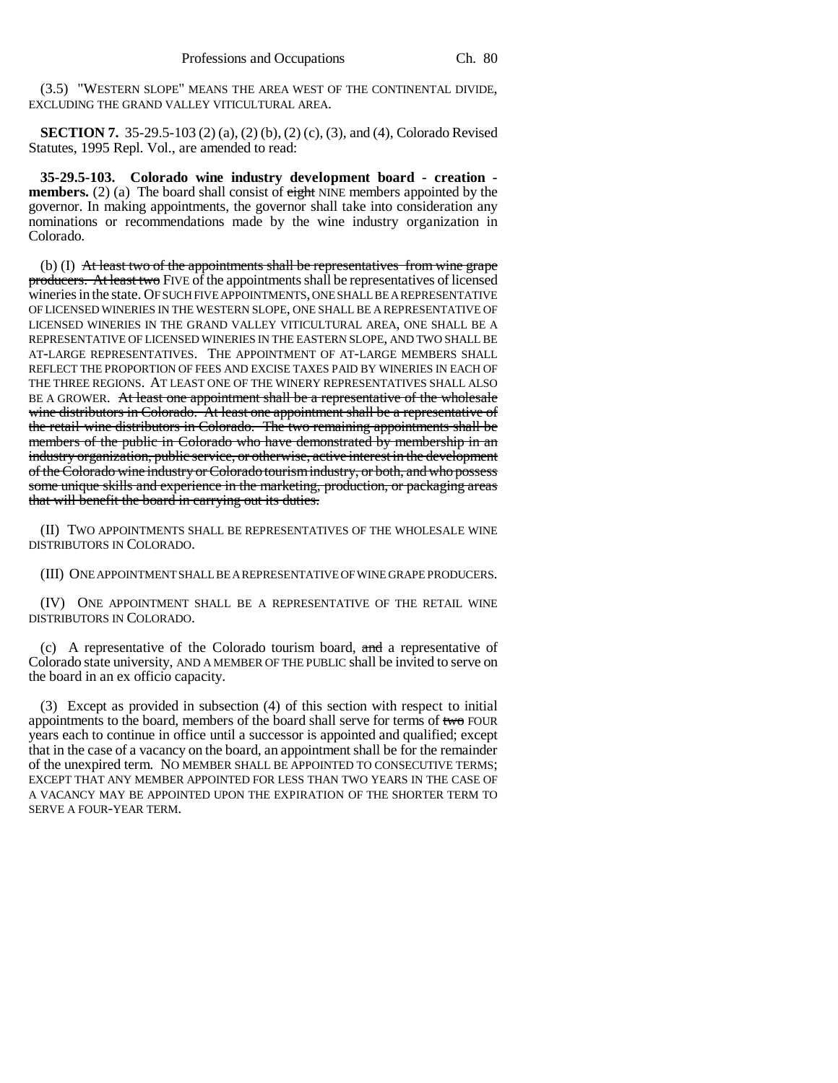(3.5) "WESTERN SLOPE" MEANS THE AREA WEST OF THE CONTINENTAL DIVIDE, EXCLUDING THE GRAND VALLEY VITICULTURAL AREA.

**SECTION 7.** 35-29.5-103 (2) (a), (2) (b), (2) (c), (3), and (4), Colorado Revised Statutes, 1995 Repl. Vol., are amended to read:

**35-29.5-103. Colorado wine industry development board - creation members.** (2) (a) The board shall consist of eight NINE members appointed by the governor. In making appointments, the governor shall take into consideration any nominations or recommendations made by the wine industry organization in Colorado.

(b) (I) At least two of the appointments shall be representatives from wine grape producers. At least two FIVE of the appointments shall be representatives of licensed wineries in the state. OF SUCH FIVE APPOINTMENTS, ONE SHALL BE A REPRESENTATIVE OF LICENSED WINERIES IN THE WESTERN SLOPE, ONE SHALL BE A REPRESENTATIVE OF LICENSED WINERIES IN THE GRAND VALLEY VITICULTURAL AREA, ONE SHALL BE A REPRESENTATIVE OF LICENSED WINERIES IN THE EASTERN SLOPE, AND TWO SHALL BE AT-LARGE REPRESENTATIVES. THE APPOINTMENT OF AT-LARGE MEMBERS SHALL REFLECT THE PROPORTION OF FEES AND EXCISE TAXES PAID BY WINERIES IN EACH OF THE THREE REGIONS. AT LEAST ONE OF THE WINERY REPRESENTATIVES SHALL ALSO BE A GROWER. At least one appointment shall be a representative of the wholesale wine distributors in Colorado. At least one appointment shall be a representative of the retail wine distributors in Colorado. The two remaining appointments shall be members of the public in Colorado who have demonstrated by membership in an industry organization, public service, or otherwise, active interest in the development of the Colorado wine industry or Colorado tourism industry, or both, and who possess some unique skills and experience in the marketing, production, or packaging areas that will benefit the board in carrying out its duties.

(II) TWO APPOINTMENTS SHALL BE REPRESENTATIVES OF THE WHOLESALE WINE DISTRIBUTORS IN COLORADO.

(III) ONE APPOINTMENT SHALL BE A REPRESENTATIVE OF WINE GRAPE PRODUCERS.

(IV) ONE APPOINTMENT SHALL BE A REPRESENTATIVE OF THE RETAIL WINE DISTRIBUTORS IN COLORADO.

(c) A representative of the Colorado tourism board, and a representative of Colorado state university, AND A MEMBER OF THE PUBLIC shall be invited to serve on the board in an ex officio capacity.

(3) Except as provided in subsection (4) of this section with respect to initial appointments to the board, members of the board shall serve for terms of two FOUR years each to continue in office until a successor is appointed and qualified; except that in the case of a vacancy on the board, an appointment shall be for the remainder of the unexpired term. NO MEMBER SHALL BE APPOINTED TO CONSECUTIVE TERMS; EXCEPT THAT ANY MEMBER APPOINTED FOR LESS THAN TWO YEARS IN THE CASE OF A VACANCY MAY BE APPOINTED UPON THE EXPIRATION OF THE SHORTER TERM TO SERVE A FOUR-YEAR TERM.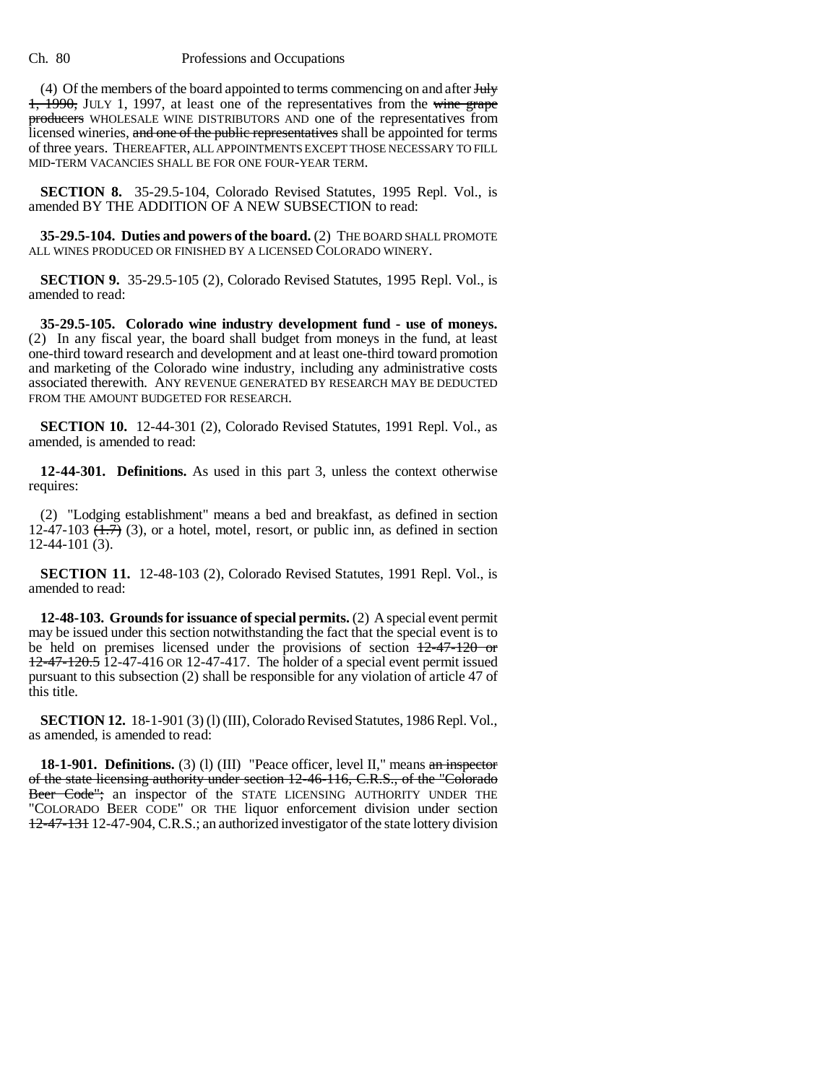(4) Of the members of the board appointed to terms commencing on and after  $\frac{1}{4}$ 1, 1990, JULY 1, 1997, at least one of the representatives from the wine grape producers WHOLESALE WINE DISTRIBUTORS AND one of the representatives from licensed wineries, and one of the public representatives shall be appointed for terms of three years. THEREAFTER, ALL APPOINTMENTS EXCEPT THOSE NECESSARY TO FILL MID-TERM VACANCIES SHALL BE FOR ONE FOUR-YEAR TERM.

**SECTION 8.** 35-29.5-104, Colorado Revised Statutes, 1995 Repl. Vol., is amended BY THE ADDITION OF A NEW SUBSECTION to read:

**35-29.5-104. Duties and powers of the board.** (2) THE BOARD SHALL PROMOTE ALL WINES PRODUCED OR FINISHED BY A LICENSED COLORADO WINERY.

**SECTION 9.** 35-29.5-105 (2), Colorado Revised Statutes, 1995 Repl. Vol., is amended to read:

**35-29.5-105. Colorado wine industry development fund - use of moneys.** (2) In any fiscal year, the board shall budget from moneys in the fund, at least one-third toward research and development and at least one-third toward promotion and marketing of the Colorado wine industry, including any administrative costs associated therewith. ANY REVENUE GENERATED BY RESEARCH MAY BE DEDUCTED FROM THE AMOUNT BUDGETED FOR RESEARCH.

**SECTION 10.** 12-44-301 (2), Colorado Revised Statutes, 1991 Repl. Vol., as amended, is amended to read:

**12-44-301. Definitions.** As used in this part 3, unless the context otherwise requires:

(2) "Lodging establishment" means a bed and breakfast, as defined in section 12-47-103  $(1.7)$  (3), or a hotel, motel, resort, or public inn, as defined in section 12-44-101 (3).

**SECTION 11.** 12-48-103 (2), Colorado Revised Statutes, 1991 Repl. Vol., is amended to read:

**12-48-103. Grounds for issuance of special permits.** (2) A special event permit may be issued under this section notwithstanding the fact that the special event is to be held on premises licensed under the provisions of section  $12-47-120$  or 12-47-120.5 12-47-416 OR 12-47-417. The holder of a special event permit issued pursuant to this subsection (2) shall be responsible for any violation of article 47 of this title.

**SECTION 12.** 18-1-901 (3) (l) (III), Colorado Revised Statutes, 1986 Repl. Vol., as amended, is amended to read:

**18-1-901. Definitions.** (3) (1) (III) "Peace officer, level II," means an inspector of the state licensing authority under section 12-46-116, C.R.S., of the "Colorado Beer Code"; an inspector of the STATE LICENSING AUTHORITY UNDER THE "COLORADO BEER CODE" OR THE liquor enforcement division under section 12-47-131 12-47-904, C.R.S.; an authorized investigator of the state lottery division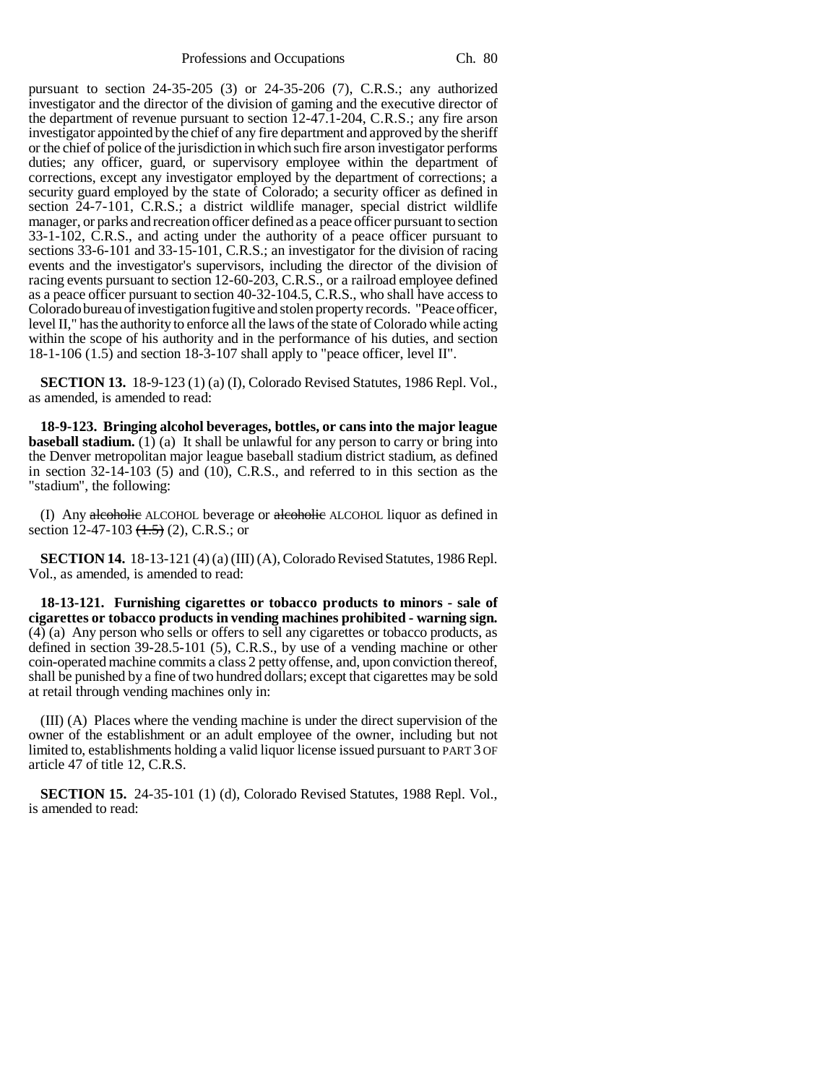pursuant to section 24-35-205 (3) or 24-35-206 (7), C.R.S.; any authorized investigator and the director of the division of gaming and the executive director of the department of revenue pursuant to section 12-47.1-204, C.R.S.; any fire arson investigator appointed by the chief of any fire department and approved by the sheriff or the chief of police of the jurisdiction in which such fire arson investigator performs duties; any officer, guard, or supervisory employee within the department of corrections, except any investigator employed by the department of corrections; a security guard employed by the state of Colorado; a security officer as defined in section 24-7-101, C.R.S.; a district wildlife manager, special district wildlife manager, or parks and recreation officer defined as a peace officer pursuant to section 33-1-102, C.R.S., and acting under the authority of a peace officer pursuant to sections 33-6-101 and 33-15-101, C.R.S.; an investigator for the division of racing events and the investigator's supervisors, including the director of the division of racing events pursuant to section 12-60-203, C.R.S., or a railroad employee defined as a peace officer pursuant to section 40-32-104.5, C.R.S., who shall have access to Colorado bureau of investigation fugitive and stolen property records. "Peace officer, level II," has the authority to enforce all the laws of the state of Colorado while acting within the scope of his authority and in the performance of his duties, and section 18-1-106 (1.5) and section 18-3-107 shall apply to "peace officer, level II".

**SECTION 13.** 18-9-123 (1) (a) (I), Colorado Revised Statutes, 1986 Repl. Vol., as amended, is amended to read:

**18-9-123. Bringing alcohol beverages, bottles, or cans into the major league baseball stadium.** (1) (a) It shall be unlawful for any person to carry or bring into the Denver metropolitan major league baseball stadium district stadium, as defined in section 32-14-103 (5) and (10), C.R.S., and referred to in this section as the "stadium", the following:

(I) Any alcoholic ALCOHOL beverage or alcoholic ALCOHOL liquor as defined in section 12-47-103  $(\text{1.5})$  (2), C.R.S.; or

**SECTION 14.** 18-13-121 (4) (a) (III) (A), Colorado Revised Statutes, 1986 Repl. Vol., as amended, is amended to read:

**18-13-121. Furnishing cigarettes or tobacco products to minors - sale of cigarettes or tobacco products in vending machines prohibited - warning sign.** (4) (a) Any person who sells or offers to sell any cigarettes or tobacco products, as defined in section 39-28.5-101 (5), C.R.S., by use of a vending machine or other coin-operated machine commits a class 2 petty offense, and, upon conviction thereof, shall be punished by a fine of two hundred dollars; except that cigarettes may be sold at retail through vending machines only in:

(III) (A) Places where the vending machine is under the direct supervision of the owner of the establishment or an adult employee of the owner, including but not limited to, establishments holding a valid liquor license issued pursuant to PART 3 OF article 47 of title 12, C.R.S.

**SECTION 15.** 24-35-101 (1) (d), Colorado Revised Statutes, 1988 Repl. Vol., is amended to read: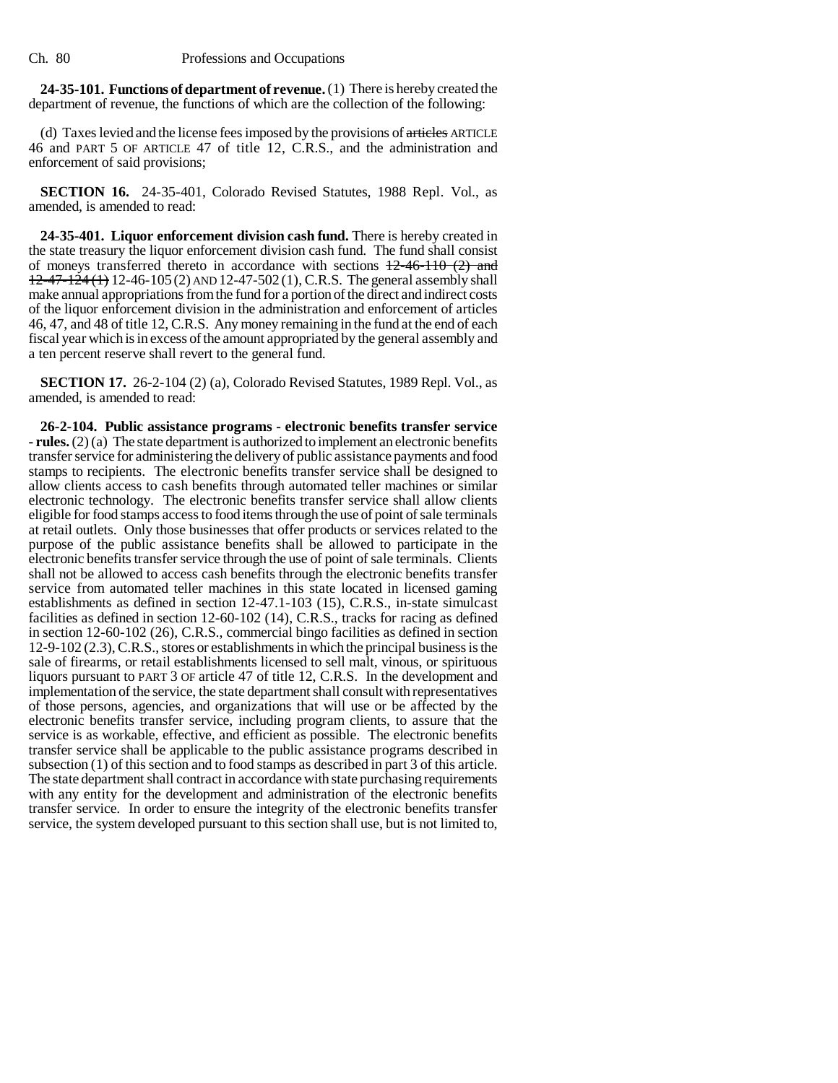**24-35-101. Functions of department of revenue.** (1) There is hereby created the department of revenue, the functions of which are the collection of the following:

(d) Taxes levied and the license fees imposed by the provisions of articles ARTICLE 46 and PART 5 OF ARTICLE 47 of title 12, C.R.S., and the administration and enforcement of said provisions;

**SECTION 16.** 24-35-401, Colorado Revised Statutes, 1988 Repl. Vol., as amended, is amended to read:

**24-35-401. Liquor enforcement division cash fund.** There is hereby created in the state treasury the liquor enforcement division cash fund. The fund shall consist of moneys transferred thereto in accordance with sections  $12-46-110$  (2) and  $12-47-124$  (1) 12-46-105 (2) AND 12-47-502 (1), C.R.S. The general assembly shall make annual appropriations from the fund for a portion of the direct and indirect costs of the liquor enforcement division in the administration and enforcement of articles 46, 47, and 48 of title 12, C.R.S. Any money remaining in the fund at the end of each fiscal year which is in excess of the amount appropriated by the general assembly and a ten percent reserve shall revert to the general fund.

**SECTION 17.** 26-2-104 (2) (a), Colorado Revised Statutes, 1989 Repl. Vol., as amended, is amended to read:

**26-2-104. Public assistance programs - electronic benefits transfer service - rules.** (2) (a) The state department is authorized to implement an electronic benefits transfer service for administering the delivery of public assistance payments and food stamps to recipients. The electronic benefits transfer service shall be designed to allow clients access to cash benefits through automated teller machines or similar electronic technology. The electronic benefits transfer service shall allow clients eligible for food stamps access to food items through the use of point of sale terminals at retail outlets. Only those businesses that offer products or services related to the purpose of the public assistance benefits shall be allowed to participate in the electronic benefits transfer service through the use of point of sale terminals. Clients shall not be allowed to access cash benefits through the electronic benefits transfer service from automated teller machines in this state located in licensed gaming establishments as defined in section 12-47.1-103 (15), C.R.S., in-state simulcast facilities as defined in section 12-60-102 (14), C.R.S., tracks for racing as defined in section 12-60-102 (26), C.R.S., commercial bingo facilities as defined in section 12-9-102 (2.3), C.R.S., stores or establishments in which the principal business is the sale of firearms, or retail establishments licensed to sell malt, vinous, or spirituous liquors pursuant to PART 3 OF article 47 of title 12, C.R.S. In the development and implementation of the service, the state department shall consult with representatives of those persons, agencies, and organizations that will use or be affected by the electronic benefits transfer service, including program clients, to assure that the service is as workable, effective, and efficient as possible. The electronic benefits transfer service shall be applicable to the public assistance programs described in subsection (1) of this section and to food stamps as described in part 3 of this article. The state department shall contract in accordance with state purchasing requirements with any entity for the development and administration of the electronic benefits transfer service. In order to ensure the integrity of the electronic benefits transfer service, the system developed pursuant to this section shall use, but is not limited to,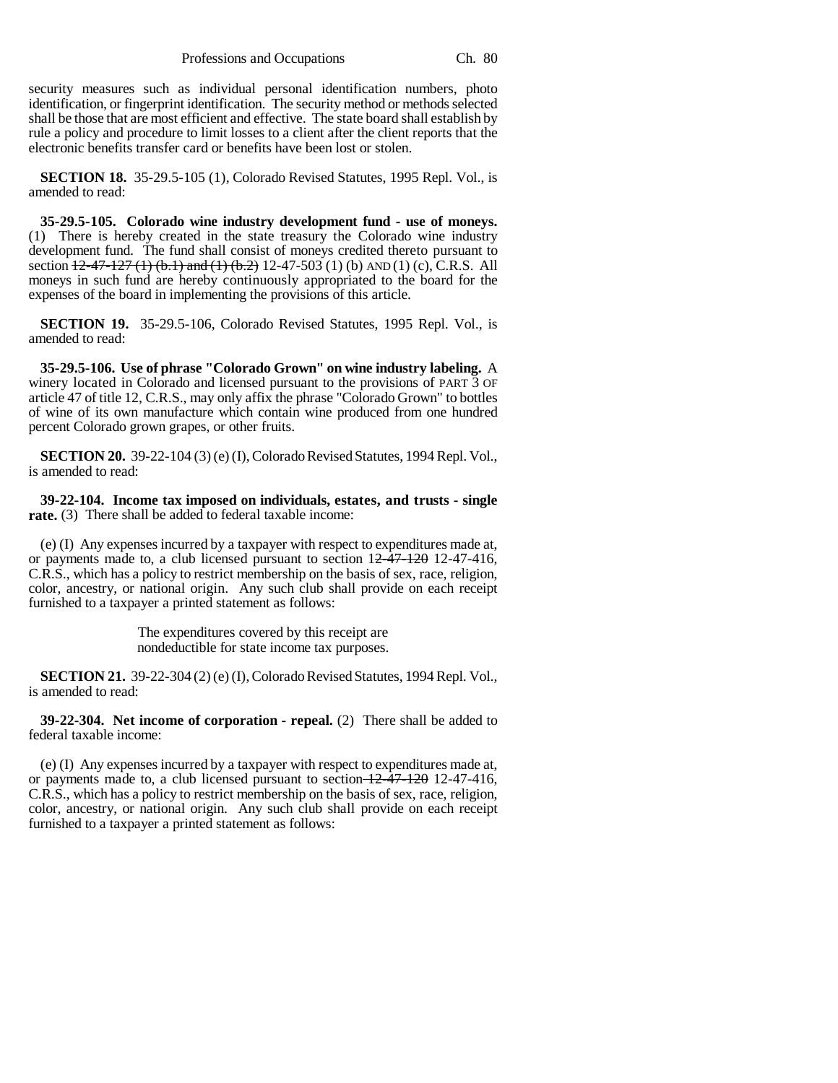security measures such as individual personal identification numbers, photo identification, or fingerprint identification. The security method or methods selected shall be those that are most efficient and effective. The state board shall establish by rule a policy and procedure to limit losses to a client after the client reports that the electronic benefits transfer card or benefits have been lost or stolen.

**SECTION 18.** 35-29.5-105 (1), Colorado Revised Statutes, 1995 Repl. Vol., is amended to read:

**35-29.5-105. Colorado wine industry development fund - use of moneys.** (1) There is hereby created in the state treasury the Colorado wine industry development fund. The fund shall consist of moneys credited thereto pursuant to section  $12-47-127$  (1) (b.1) and (1) (b.2) 12-47-503 (1) (b) AND (1) (c), C.R.S. All moneys in such fund are hereby continuously appropriated to the board for the expenses of the board in implementing the provisions of this article.

**SECTION 19.** 35-29.5-106, Colorado Revised Statutes, 1995 Repl. Vol., is amended to read:

**35-29.5-106. Use of phrase "Colorado Grown" on wine industry labeling.** A winery located in Colorado and licensed pursuant to the provisions of PART 3 OF article 47 of title 12, C.R.S., may only affix the phrase "Colorado Grown" to bottles of wine of its own manufacture which contain wine produced from one hundred percent Colorado grown grapes, or other fruits.

**SECTION 20.** 39-22-104 (3) (e) (I), Colorado Revised Statutes, 1994 Repl. Vol., is amended to read:

**39-22-104. Income tax imposed on individuals, estates, and trusts - single rate.** (3) There shall be added to federal taxable income:

(e) (I) Any expenses incurred by a taxpayer with respect to expenditures made at, or payments made to, a club licensed pursuant to section  $12\overline{-47}$ -120 12-47-416, C.R.S., which has a policy to restrict membership on the basis of sex, race, religion, color, ancestry, or national origin. Any such club shall provide on each receipt furnished to a taxpayer a printed statement as follows:

> The expenditures covered by this receipt are nondeductible for state income tax purposes.

**SECTION 21.** 39-22-304 (2) (e) (I), Colorado Revised Statutes, 1994 Repl. Vol., is amended to read:

**39-22-304. Net income of corporation - repeal.** (2) There shall be added to federal taxable income:

(e) (I) Any expenses incurred by a taxpayer with respect to expenditures made at, or payments made to, a club licensed pursuant to section  $\frac{12-47-120}{2}$  12-47-416, C.R.S., which has a policy to restrict membership on the basis of sex, race, religion, color, ancestry, or national origin. Any such club shall provide on each receipt furnished to a taxpayer a printed statement as follows: